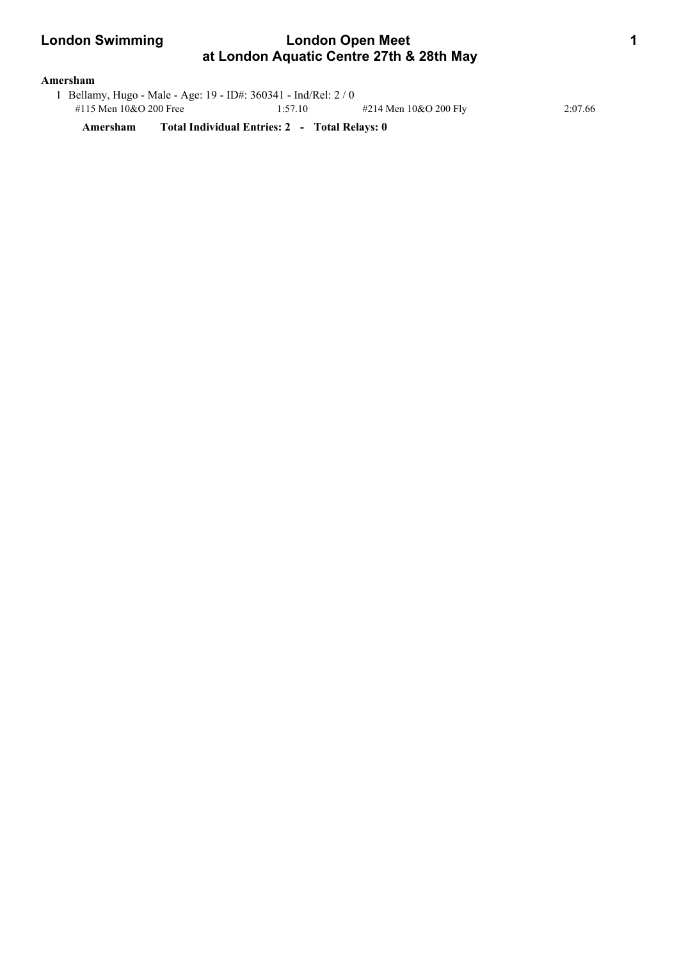# **London Swimming Condon Open Meet 11 Apr 2018 11 Apr 2018 11 Apr 2019 11 Apr 2019 11 Apr 2019 11 Apr 2019 11 Apr 2019 11 Apr 2019 11 Apr 2019 11 Apr 2019 12 Apr 2019 12 Apr 2019 12 Apr 2019 12 Apr 2019 12 Apr 2019 12 Apr 2 at London Aquatic Centre 27th & 28th May**

### **Amersham**

 1 Bellamy, Hugo - Male - Age: 19 - ID#: 360341 - Ind/Rel: 2 / 0 #115 Men 10&O 200 Free 1:57.10 #214 Men 10&O 200 Fly 2:07.66

**Amersham Total Individual Entries: 2 - Total Relays: 0**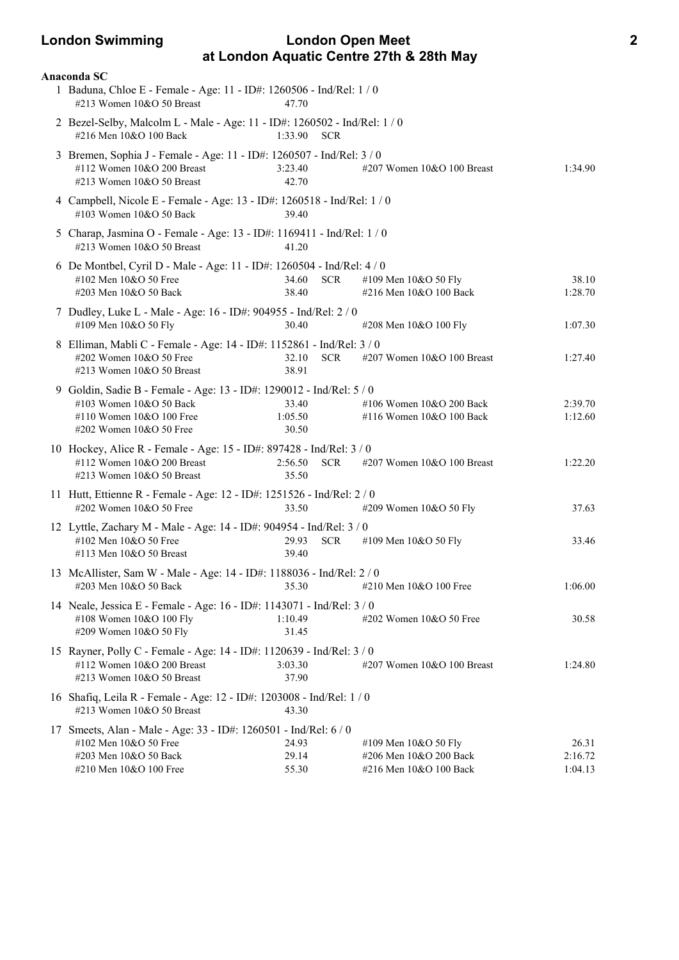# **London Swimming London Open Meet 2 at London Aquatic Centre 27th & 28th May**

| Anaconda SC                                                                                                                                                                         |                                                                          |                             |
|-------------------------------------------------------------------------------------------------------------------------------------------------------------------------------------|--------------------------------------------------------------------------|-----------------------------|
| 1 Baduna, Chloe E - Female - Age: 11 - ID#: 1260506 - Ind/Rel: 1 / 0<br>#213 Women 10&O 50 Breast<br>47.70                                                                          |                                                                          |                             |
| 2 Bezel-Selby, Malcolm L - Male - Age: 11 - ID#: 1260502 - Ind/Rel: 1 / 0<br>#216 Men 10&O 100 Back<br>1:33.90                                                                      | <b>SCR</b>                                                               |                             |
| 3 Bremen, Sophia J - Female - Age: 11 - ID#: 1260507 - Ind/Rel: 3 / 0<br>#112 Women 10&O 200 Breast<br>3:23.40<br>#213 Women 10&O 50 Breast<br>42.70                                | #207 Women 10&O 100 Breast                                               | 1:34.90                     |
| 4 Campbell, Nicole E - Female - Age: 13 - ID#: 1260518 - Ind/Rel: 1 / 0<br>#103 Women 10&O 50 Back<br>39.40                                                                         |                                                                          |                             |
| 5 Charap, Jasmina O - Female - Age: 13 - ID#: 1169411 - Ind/Rel: 1 / 0<br>#213 Women 10&O 50 Breast<br>41.20                                                                        |                                                                          |                             |
| 6 De Montbel, Cyril D - Male - Age: 11 - ID#: 1260504 - Ind/Rel: 4 / 0<br>#102 Men 10&O 50 Free<br>34.60<br>#203 Men 10&O 50 Back<br>38.40                                          | <b>SCR</b><br>#109 Men 10&O 50 Fly<br>#216 Men 10&O 100 Back             | 38.10<br>1:28.70            |
| 7 Dudley, Luke L - Male - Age: 16 - ID#: 904955 - Ind/Rel: 2 / 0<br>#109 Men 10&O 50 Fly<br>30.40                                                                                   | #208 Men 10&O 100 Fly                                                    | 1:07.30                     |
| 8 Elliman, Mabli C - Female - Age: 14 - ID#: 1152861 - Ind/Rel: 3 / 0<br>#202 Women 10&O 50 Free<br>32.10<br>#213 Women 10&O 50 Breast<br>38.91                                     | <b>SCR</b><br>#207 Women 10&O 100 Breast                                 | 1:27.40                     |
| 9 Goldin, Sadie B - Female - Age: 13 - ID#: 1290012 - Ind/Rel: 5 / 0<br>#103 Women 10&O 50 Back<br>33.40<br>#110 Women 10&O 100 Free<br>1:05.50<br>#202 Women 10&O 50 Free<br>30.50 | #106 Women 10&O 200 Back<br>#116 Women 10&O 100 Back                     | 2:39.70<br>1:12.60          |
| 10 Hockey, Alice R - Female - Age: 15 - ID#: 897428 - Ind/Rel: 3 / 0<br>#112 Women 10&O 200 Breast<br>2:56.50<br>#213 Women 10&O 50 Breast<br>35.50                                 | <b>SCR</b><br>#207 Women 10&O 100 Breast                                 | 1:22.20                     |
| 11 Hutt, Ettienne R - Female - Age: 12 - ID#: 1251526 - Ind/Rel: 2 / 0<br>#202 Women 10&O 50 Free<br>33.50                                                                          | #209 Women 10&O 50 Fly                                                   | 37.63                       |
| 12 Lyttle, Zachary M - Male - Age: 14 - ID#: 904954 - Ind/Rel: 3 / 0<br>#102 Men 10&O 50 Free<br>29.93<br>#113 Men 10&O 50 Breast<br>39.40                                          | <b>SCR</b><br>#109 Men 10&O 50 Fly                                       | 33.46                       |
| 13 McAllister, Sam W - Male - Age: 14 - ID#: 1188036 - Ind/Rel: 2 / 0<br>#203 Men 10&O 50 Back<br>35.30                                                                             | #210 Men 10&O 100 Free                                                   | 1:06.00                     |
| 14 Neale, Jessica E - Female - Age: 16 - ID#: 1143071 - Ind/Rel: 3 / 0<br>#108 Women 10&O 100 Fly<br>1:10.49<br>#209 Women 10&O 50 Fly<br>31.45                                     | #202 Women 10&O 50 Free                                                  | 30.58                       |
| 15 Rayner, Polly C - Female - Age: 14 - ID#: 1120639 - Ind/Rel: 3 / 0<br>#112 Women 10&O 200 Breast<br>3:03.30<br>#213 Women 10&O 50 Breast<br>37.90                                | #207 Women 10&O 100 Breast                                               | 1:24.80                     |
| 16 Shafiq, Leila R - Female - Age: 12 - ID#: 1203008 - Ind/Rel: 1 / 0<br>#213 Women 10&O 50 Breast<br>43.30                                                                         |                                                                          |                             |
| 17 Smeets, Alan - Male - Age: 33 - ID#: 1260501 - Ind/Rel: 6 / 0<br>24.93<br>#102 Men 10&O 50 Free<br>#203 Men 10&O 50 Back<br>29.14<br>#210 Men 10&O 100 Free<br>55.30             | #109 Men 10&O 50 Fly<br>#206 Men 10&O 200 Back<br>#216 Men 10&O 100 Back | 26.31<br>2:16.72<br>1:04.13 |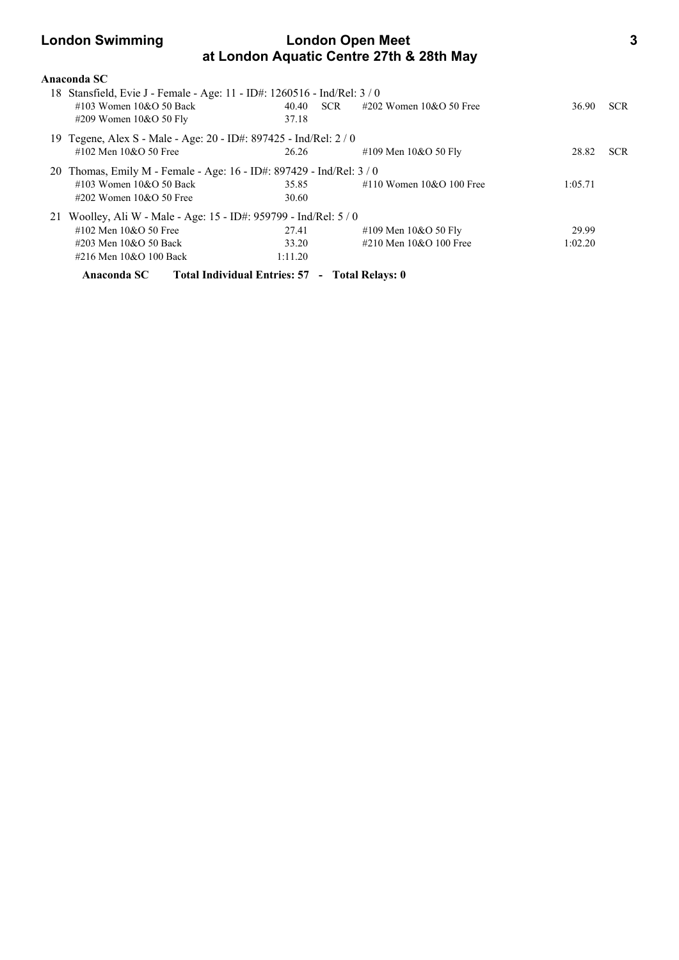# **London Swimming London Open Meet 3 at London Aquatic Centre 27th & 28th May**

| Anaconda SC                                                            |                                                |            |                            |         |            |
|------------------------------------------------------------------------|------------------------------------------------|------------|----------------------------|---------|------------|
| 18 Stansfield, Evie J - Female - Age: 11 - ID#: 1260516 - Ind/Rel: 3/0 |                                                |            |                            |         |            |
| #103 Women $10&O$ 50 Back                                              | 40.40                                          | <b>SCR</b> | $\#202$ Women 10&O 50 Free | 36.90   | <b>SCR</b> |
| #209 Women $10&O 50$ Fly                                               | 37.18                                          |            |                            |         |            |
| 19 Tegene, Alex S - Male - Age: 20 - ID#: 897425 - Ind/Rel: 2 / 0      |                                                |            |                            |         |            |
| #102 Men $10&O$ 50 Free                                                | 26.26                                          |            | #109 Men 10&O 50 Fly       | 28.82   | <b>SCR</b> |
| 20 Thomas, Emily M - Female - Age: 16 - ID#: 897429 - Ind/Rel: $3/0$   |                                                |            |                            |         |            |
| #103 Women $10&O$ 50 Back                                              | 35.85                                          |            | #110 Women $10&O$ 100 Free | 1:05.71 |            |
| #202 Women $10&O$ 50 Free                                              | 30.60                                          |            |                            |         |            |
| 21 Woolley, Ali W - Male - Age: 15 - ID#: 959799 - Ind/Rel: 5 / 0      |                                                |            |                            |         |            |
| #102 Men 10&O 50 Free                                                  | 27.41                                          |            | #109 Men 10&O 50 Fly       | 29.99   |            |
| #203 Men 10&O 50 Back                                                  | 33.20                                          |            | #210 Men 10&O 100 Free     | 1:02.20 |            |
| #216 Men 10&O 100 Back                                                 | 1:11.20                                        |            |                            |         |            |
| Anaconda SC                                                            | Total Individual Entries: 57 - Total Relays: 0 |            |                            |         |            |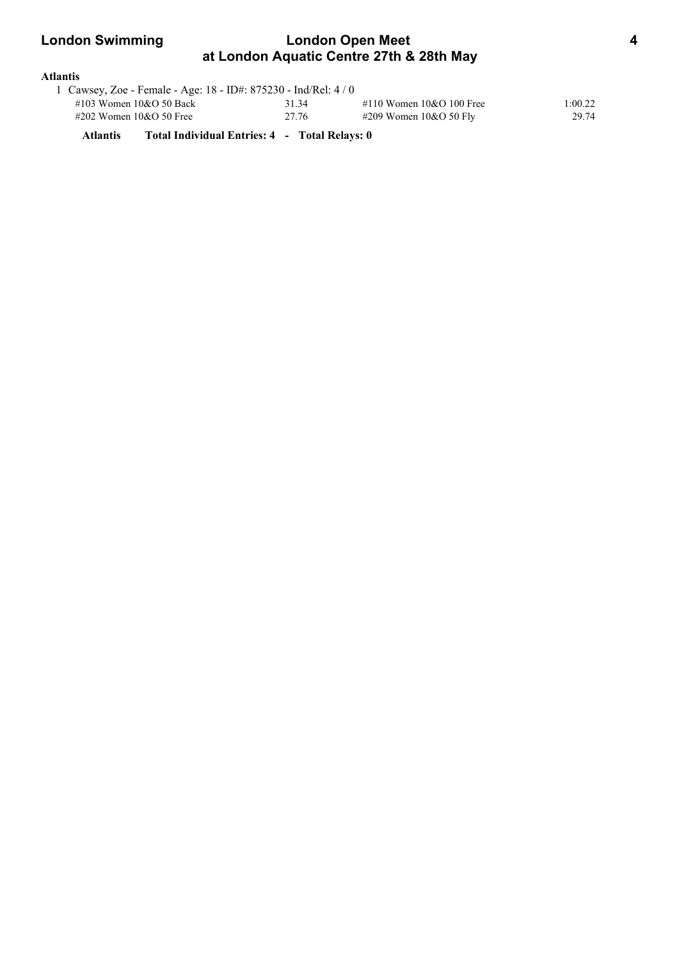| <b>London Swimming</b><br><b>London Open Meet</b><br>at London Aquatic Centre 27th & 28th May |       |                                               |         |  |  |
|-----------------------------------------------------------------------------------------------|-------|-----------------------------------------------|---------|--|--|
| Atlantis                                                                                      |       |                                               |         |  |  |
| 1 Cawsey, Zoe - Female - Age: 18 - ID#: $875230$ - Ind/Rel: $4/0$                             |       |                                               |         |  |  |
| $\#102$ Waman $10.0$ CO Dask                                                                  | 21.24 | $\#110 \text{ W}$ can an $100.0100 \text{ F}$ | 1.ሰሰ ኅኅ |  |  |

| $\#103$ Women $10&O$ 50 Back | 31.34 | #110 Women $10&O 100$ Free | :00.22 |
|------------------------------|-------|----------------------------|--------|
| $\#202$ Women 10&O 50 Free   | 27.76 | #209 Women $10&O$ 50 Fly   | 29.74  |
|                              |       |                            |        |

**Atlantis Total Individual Entries: 4 - Total Relays: 0**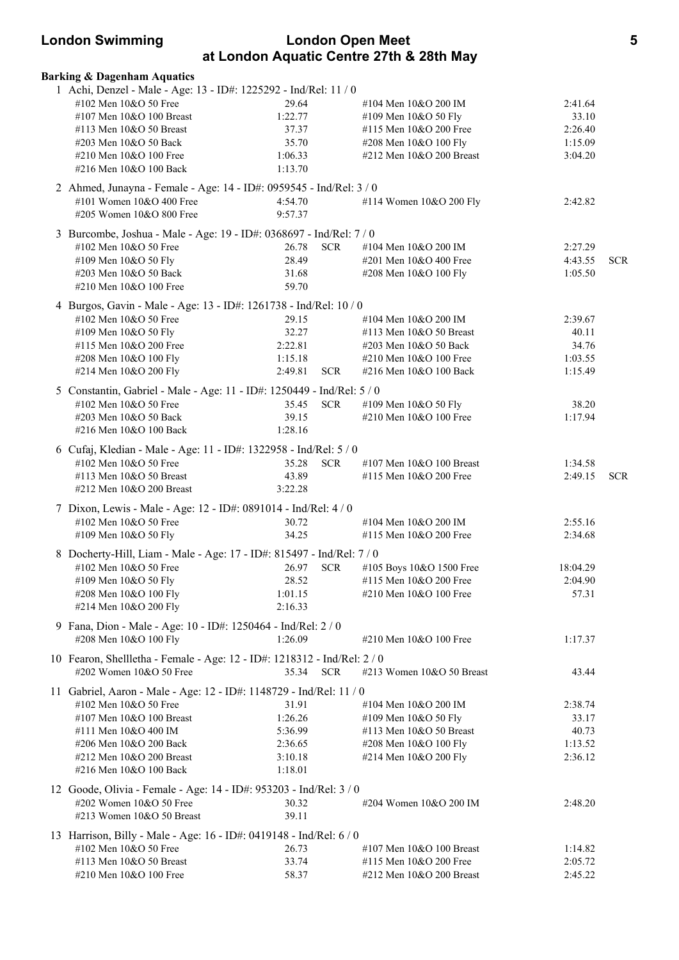| <b>London Swimming</b>                                                                        |                  |            | <b>London Open Meet</b><br>at London Aquatic Centre 27th & 28th May |                    | 5          |
|-----------------------------------------------------------------------------------------------|------------------|------------|---------------------------------------------------------------------|--------------------|------------|
| <b>Barking &amp; Dagenham Aquatics</b>                                                        |                  |            |                                                                     |                    |            |
| 1 Achi, Denzel - Male - Age: 13 - ID#: 1225292 - Ind/Rel: 11 / 0                              |                  |            |                                                                     |                    |            |
| #102 Men 10&O 50 Free                                                                         | 29.64            |            | #104 Men 10&O 200 IM                                                | 2:41.64            |            |
| #107 Men 10&O 100 Breast                                                                      | 1:22.77          |            | #109 Men 10&O 50 Fly                                                | 33.10              |            |
| #113 Men $10&O$ 50 Breast                                                                     | 37.37            |            | #115 Men $10&O$ 200 Free                                            | 2:26.40            |            |
| #203 Men 10&O 50 Back                                                                         | 35.70            |            | #208 Men 10&O 100 Fly                                               | 1:15.09            |            |
| #210 Men $10&O$ 100 Free                                                                      | 1:06.33          |            | #212 Men 10&O 200 Breast                                            | 3:04.20            |            |
| #216 Men 10&O 100 Back                                                                        | 1:13.70          |            |                                                                     |                    |            |
| 2 Ahmed, Junayna - Female - Age: 14 - ID#: 0959545 - Ind/Rel: 3 / 0                           |                  |            |                                                                     |                    |            |
| #101 Women 10&O 400 Free                                                                      | 4:54.70          |            | #114 Women 10&O 200 Fly                                             | 2:42.82            |            |
| #205 Women 10&O 800 Free                                                                      | 9:57.37          |            |                                                                     |                    |            |
| 3 Burcombe, Joshua - Male - Age: 19 - ID#: 0368697 - Ind/Rel: 7 / 0                           |                  |            |                                                                     |                    |            |
| #102 Men 10&O 50 Free                                                                         | 26.78            | <b>SCR</b> | #104 Men 10&O 200 IM                                                | 2:27.29            |            |
| #109 Men 10&O 50 Fly                                                                          | 28.49            |            | #201 Men 10&O 400 Free                                              | 4:43.55            | <b>SCR</b> |
| #203 Men 10&O 50 Back                                                                         | 31.68            |            | #208 Men 10&O 100 Fly                                               | 1:05.50            |            |
| #210 Men 10&O 100 Free                                                                        | 59.70            |            |                                                                     |                    |            |
| 4 Burgos, Gavin - Male - Age: 13 - ID#: 1261738 - Ind/Rel: 10 / 0                             |                  |            |                                                                     |                    |            |
| #102 Men 10&O 50 Free                                                                         | 29.15            |            | #104 Men 10&O 200 IM                                                | 2:39.67            |            |
| #109 Men 10&O 50 Fly                                                                          | 32.27            |            | #113 Men 10&O 50 Breast                                             | 40.11              |            |
| #115 Men 10&O 200 Free                                                                        | 2:22.81          |            | #203 Men 10&O 50 Back                                               | 34.76              |            |
| #208 Men 10&O 100 Fly                                                                         | 1:15.18          |            | #210 Men 10&O 100 Free                                              | 1:03.55            |            |
| #214 Men 10&O 200 Fly                                                                         | 2:49.81          | <b>SCR</b> | #216 Men 10&O 100 Back                                              | 1:15.49            |            |
| 5 Constantin, Gabriel - Male - Age: 11 - ID#: 1250449 - Ind/Rel: 5 / 0                        |                  |            |                                                                     |                    |            |
| #102 Men 10&O 50 Free                                                                         | 35.45            | <b>SCR</b> | #109 Men 10&O 50 Fly                                                | 38.20              |            |
| #203 Men 10&O 50 Back                                                                         | 39.15            |            | #210 Men 10&O 100 Free                                              | 1:17.94            |            |
| #216 Men 10&O 100 Back                                                                        | 1:28.16          |            |                                                                     |                    |            |
| 6 Cufaj, Kledian - Male - Age: 11 - ID#: 1322958 - Ind/Rel: 5 / 0                             |                  |            |                                                                     |                    |            |
| #102 Men 10&O 50 Free                                                                         | 35.28            | <b>SCR</b> | #107 Men 10&O 100 Breast                                            | 1:34.58            |            |
| #113 Men 10&O 50 Breast                                                                       | 43.89            |            | #115 Men 10&O 200 Free                                              | 2:49.15            | <b>SCR</b> |
| #212 Men 10&O 200 Breast                                                                      | 3:22.28          |            |                                                                     |                    |            |
| 7 Dixon, Lewis - Male - Age: 12 - ID#: 0891014 - Ind/Rel: 4 / 0                               |                  |            |                                                                     |                    |            |
| #102 Men 10&O 50 Free                                                                         | 30.72            |            | #104 Men 10&O 200 IM                                                | 2:55.16            |            |
| #109 Men 10&O 50 Fly                                                                          | 34.25            |            | #115 Men 10&O 200 Free                                              | 2:34.68            |            |
| 8 Docherty-Hill, Liam - Male - Age: 17 - ID#: 815497 - Ind/Rel: 7 / 0                         |                  |            |                                                                     |                    |            |
| #102 Men 10&O 50 Free                                                                         | 26.97            | <b>SCR</b> | #105 Boys 10&O 1500 Free                                            | 18:04.29           |            |
| #109 Men 10&O 50 Fly                                                                          | 28.52            |            | #115 Men 10&O 200 Free                                              | 2:04.90            |            |
| #208 Men 10&O 100 Fly                                                                         | 1:01.15          |            | #210 Men 10&O 100 Free                                              | 57.31              |            |
| #214 Men 10&O 200 Fly                                                                         | 2:16.33          |            |                                                                     |                    |            |
| 9 Fana, Dion - Male - Age: 10 - ID#: 1250464 - Ind/Rel: 2 / 0                                 |                  |            |                                                                     |                    |            |
| #208 Men 10&O 100 Fly                                                                         | 1:26.09          |            | #210 Men 10&O 100 Free                                              | 1:17.37            |            |
| 10 Fearon, Shellletha - Female - Age: 12 - ID#: 1218312 - Ind/Rel: 2 / 0                      |                  |            |                                                                     |                    |            |
| #202 Women 10&O 50 Free                                                                       | 35.34            | <b>SCR</b> | #213 Women 10&O 50 Breast                                           | 43.44              |            |
|                                                                                               |                  |            |                                                                     |                    |            |
| 11 Gabriel, Aaron - Male - Age: 12 - ID#: 1148729 - Ind/Rel: 11 / 0                           |                  |            |                                                                     |                    |            |
| #102 Men 10&O 50 Free<br>#107 Men 10&O 100 Breast                                             | 31.91<br>1:26.26 |            | #104 Men 10&O 200 IM                                                | 2:38.74            |            |
| #111 Men 10&O 400 IM                                                                          | 5:36.99          |            | #109 Men 10&O 50 Fly<br>#113 Men 10&O 50 Breast                     | 33.17<br>40.73     |            |
| #206 Men 10&O 200 Back                                                                        | 2:36.65          |            | #208 Men 10&O 100 Fly                                               | 1:13.52            |            |
| #212 Men 10&O 200 Breast                                                                      | 3:10.18          |            | #214 Men 10&O 200 Fly                                               | 2:36.12            |            |
| #216 Men 10&O 100 Back                                                                        | 1:18.01          |            |                                                                     |                    |            |
|                                                                                               |                  |            |                                                                     |                    |            |
| 12 Goode, Olivia - Female - Age: 14 - ID#: 953203 - Ind/Rel: 3 / 0<br>#202 Women 10&O 50 Free | 30.32            |            | #204 Women 10&O 200 IM                                              | 2:48.20            |            |
| #213 Women 10&O 50 Breast                                                                     | 39.11            |            |                                                                     |                    |            |
|                                                                                               |                  |            |                                                                     |                    |            |
| 13 Harrison, Billy - Male - Age: 16 - ID#: 0419148 - Ind/Rel: 6 / 0                           |                  |            |                                                                     |                    |            |
| #102 Men 10&O 50 Free<br>#113 Men 10&O 50 Breast                                              | 26.73<br>33.74   |            | #107 Men $10&O$ 100 Breast<br>#115 Men 10&O 200 Free                | 1:14.82<br>2:05.72 |            |
| #210 Men 10&O 100 Free                                                                        | 58.37            |            | #212 Men 10&O 200 Breast                                            | 2:45.22            |            |
|                                                                                               |                  |            |                                                                     |                    |            |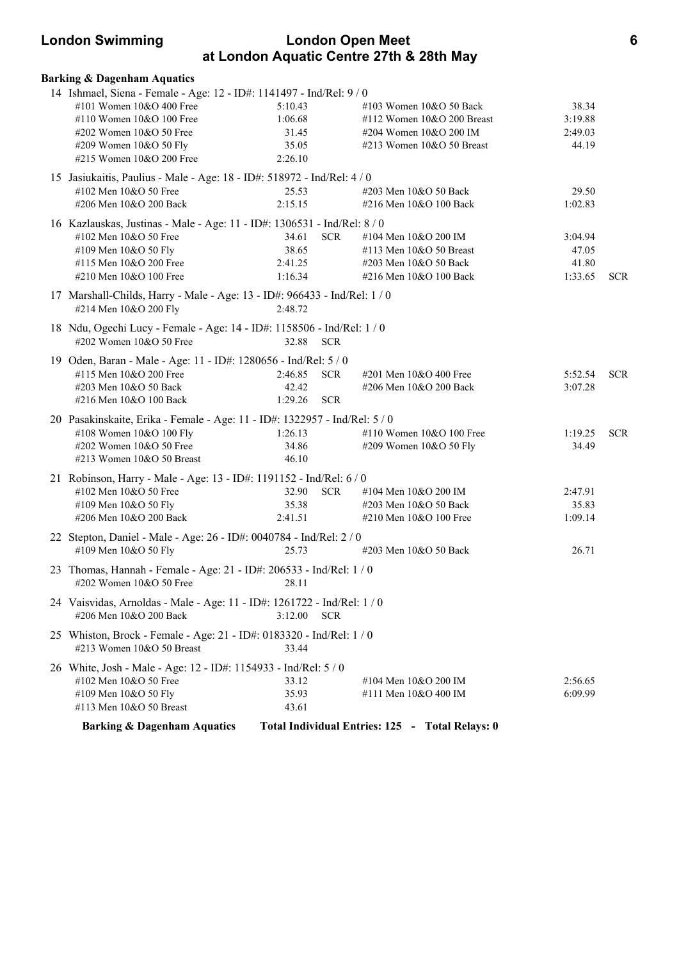# **London Swimming London Open Meet 6 at London Aquatic Centre 27th & 28th May**

| <b>Barking &amp; Dagenham Aquatics</b>                                                                                                                                                                        |                                                 |                                                                                                                  |                                      |            |
|---------------------------------------------------------------------------------------------------------------------------------------------------------------------------------------------------------------|-------------------------------------------------|------------------------------------------------------------------------------------------------------------------|--------------------------------------|------------|
| 14 Ishmael, Siena - Female - Age: 12 - ID#: 1141497 - Ind/Rel: 9 / 0<br>#101 Women 10&O 400 Free<br>#110 Women 10&O 100 Free<br>#202 Women 10&O 50 Free<br>#209 Women 10&O 50 Fly<br>#215 Women 10&O 200 Free | 5:10.43<br>1:06.68<br>31.45<br>35.05<br>2:26.10 | #103 Women 10&O 50 Back<br>#112 Women 10&O 200 Breast<br>#204 Women 10&O 200 IM<br>#213 Women 10&O 50 Breast     | 38.34<br>3:19.88<br>2:49.03<br>44.19 |            |
| 15 Jasiukaitis, Paulius - Male - Age: 18 - ID#: 518972 - Ind/Rel: 4 / 0<br>#102 Men 10&O 50 Free<br>#206 Men 10&O 200 Back                                                                                    | 25.53<br>2:15.15                                | #203 Men 10&O 50 Back<br>#216 Men 10&O 100 Back                                                                  | 29.50<br>1:02.83                     |            |
| 16 Kazlauskas, Justinas - Male - Age: 11 - ID#: 1306531 - Ind/Rel: 8 / 0<br>#102 Men 10&O 50 Free<br>#109 Men 10&O 50 Fly<br>#115 Men 10&O 200 Free<br>#210 Men 10&O 100 Free                                 | 34.61<br>38.65<br>2:41.25<br>1:16.34            | <b>SCR</b><br>#104 Men 10&O 200 IM<br>#113 Men 10&O 50 Breast<br>#203 Men 10&O 50 Back<br>#216 Men 10&O 100 Back | 3:04.94<br>47.05<br>41.80<br>1:33.65 | <b>SCR</b> |
| 17 Marshall-Childs, Harry - Male - Age: 13 - ID#: 966433 - Ind/Rel: 1 / 0<br>#214 Men 10&O 200 Fly                                                                                                            | 2:48.72                                         |                                                                                                                  |                                      |            |
| 18 Ndu, Ogechi Lucy - Female - Age: 14 - ID#: 1158506 - Ind/Rel: 1 / 0<br>#202 Women 10&O 50 Free                                                                                                             | 32.88 SCR                                       |                                                                                                                  |                                      |            |
| 19 Oden, Baran - Male - Age: 11 - ID#: 1280656 - Ind/Rel: 5 / 0<br>#115 Men 10&O 200 Free<br>#203 Men 10&O 50 Back<br>#216 Men 10&O 100 Back                                                                  | 2:46.85<br>42.42<br>1:29.26                     | <b>SCR</b><br>#201 Men 10&O 400 Free<br>#206 Men 10&O 200 Back<br><b>SCR</b>                                     | 5:52.54<br>3:07.28                   | <b>SCR</b> |
| 20 Pasakinskaite, Erika - Female - Age: 11 - ID#: 1322957 - Ind/Rel: 5 / 0<br>#108 Women 10&O 100 Fly<br>#202 Women 10&O 50 Free<br>#213 Women 10&O 50 Breast                                                 | 1:26.13<br>34.86<br>46.10                       | #110 Women 10&O 100 Free<br>#209 Women 10&O 50 Fly                                                               | 1:19.25<br>34.49                     | <b>SCR</b> |
| 21 Robinson, Harry - Male - Age: 13 - ID#: 1191152 - Ind/Rel: 6 / 0<br>#102 Men 10&O 50 Free<br>#109 Men 10&O 50 Fly<br>#206 Men 10&O 200 Back                                                                | 32.90<br>35.38<br>2:41.51                       | <b>SCR</b><br>#104 Men 10&O 200 IM<br>#203 Men 10&O 50 Back<br>#210 Men 10&O 100 Free                            | 2:47.91<br>35.83<br>1:09.14          |            |
| 22 Stepton, Daniel - Male - Age: 26 - ID#: 0040784 - Ind/Rel: 2 / 0<br>#109 Men 10&O 50 Fly                                                                                                                   | 25.73                                           | #203 Men 10&O 50 Back                                                                                            | 26.71                                |            |
| 23 Thomas, Hannah - Female - Age: 21 - ID#: 206533 - Ind/Rel: 1 / 0<br>#202 Women 10&O 50 Free 28.11                                                                                                          |                                                 |                                                                                                                  |                                      |            |
| 24 Vaisvidas, Arnoldas - Male - Age: 11 - ID#: 1261722 - Ind/Rel: 1 / 0<br>#206 Men 10&O 200 Back                                                                                                             | 3:12.00                                         | <b>SCR</b>                                                                                                       |                                      |            |
| 25 Whiston, Brock - Female - Age: 21 - ID#: 0183320 - Ind/Rel: 1 / 0<br>#213 Women 10&O 50 Breast                                                                                                             | 33.44                                           |                                                                                                                  |                                      |            |
| 26 White, Josh - Male - Age: 12 - ID#: 1154933 - Ind/Rel: 5 / 0<br>#102 Men 10&O 50 Free<br>#109 Men 10&O 50 Fly<br>#113 Men 10&O 50 Breast                                                                   | 33.12<br>35.93<br>43.61                         | #104 Men 10&O 200 IM<br>#111 Men 10&O 400 IM                                                                     | 2:56.65<br>6:09.99                   |            |
| <b>Barking &amp; Dagenham Aquatics</b>                                                                                                                                                                        |                                                 | Total Individual Entries: 125 - Total Relays: 0                                                                  |                                      |            |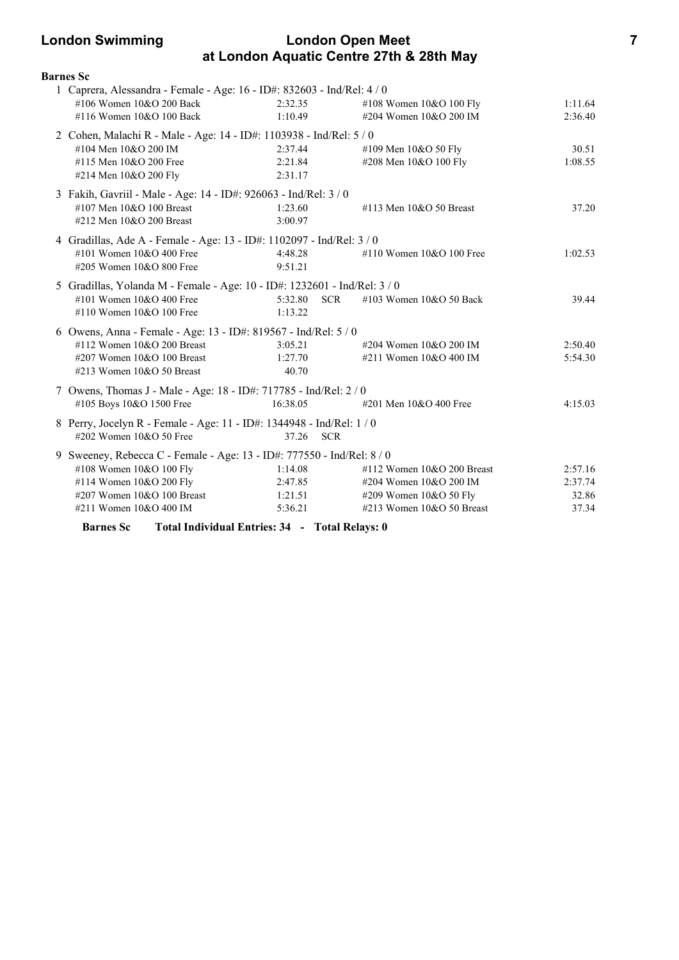# **London Swimming London Open Meet 7 at London Aquatic Centre 27th & 28th May**

| <b>Barnes</b> Sc                                                          |                                                |                                       |         |
|---------------------------------------------------------------------------|------------------------------------------------|---------------------------------------|---------|
| 1 Caprera, Alessandra - Female - Age: 16 - ID#: 832603 - Ind/Rel: 4 / 0   |                                                |                                       |         |
| #106 Women 10&O 200 Back                                                  | 2:32.35                                        | #108 Women 10&O 100 Fly               | 1:11.64 |
| #116 Women 10&O 100 Back                                                  | 1:10.49                                        | #204 Women 10&O 200 IM                | 2:36.40 |
| 2 Cohen, Malachi R - Male - Age: 14 - ID#: 1103938 - Ind/Rel: 5 / 0       |                                                |                                       |         |
| #104 Men 10&O 200 IM                                                      | 2:37.44                                        | #109 Men 10&O 50 Fly                  | 30.51   |
| #115 Men 10&O 200 Free                                                    | 2:21.84                                        | #208 Men 10&O 100 Fly                 | 1:08.55 |
| #214 Men 10&O 200 Fly                                                     | 2:31.17                                        |                                       |         |
| 3 Fakih, Gavriil - Male - Age: 14 - ID#: 926063 - Ind/Rel: 3 / 0          |                                                |                                       |         |
| #107 Men 10&O 100 Breast                                                  | 1:23.60                                        | #113 Men 10&O 50 Breast               | 37.20   |
| #212 Men 10&O 200 Breast                                                  | 3:00.97                                        |                                       |         |
| 4 Gradillas, Ade A - Female - Age: 13 - ID#: 1102097 - Ind/Rel: 3 / 0     |                                                |                                       |         |
| #101 Women $10&O 400$ Free                                                | 4:48.28                                        | #110 Women $10&O 100$ Free            | 1:02.53 |
| #205 Women 10&O 800 Free                                                  | 9:51.21                                        |                                       |         |
| 5 Gradillas, Yolanda M - Female - Age: 10 - ID#: 1232601 - Ind/Rel: 3 / 0 |                                                |                                       |         |
| #101 Women 10&O 400 Free                                                  | 5:32.80                                        | <b>SCR</b><br>#103 Women 10&O 50 Back | 39.44   |
| #110 Women 10&O 100 Free                                                  | 1:13.22                                        |                                       |         |
| 6 Owens, Anna - Female - Age: 13 - ID#: 819567 - Ind/Rel: 5 / 0           |                                                |                                       |         |
| #112 Women 10&O 200 Breast                                                | 3:05.21                                        | #204 Women 10&O 200 IM                | 2:50.40 |
| #207 Women 10&O 100 Breast                                                | 1:27.70                                        | #211 Women 10&O 400 IM                | 5:54.30 |
| #213 Women 10&O 50 Breast                                                 | 40.70                                          |                                       |         |
| 7 Owens, Thomas J - Male - Age: 18 - ID#: 717785 - Ind/Rel: 2 / 0         |                                                |                                       |         |
| #105 Boys 10&O 1500 Free                                                  | 16:38.05                                       | #201 Men 10&O 400 Free                | 4:15.03 |
| 8 Perry, Jocelyn R - Female - Age: 11 - ID#: 1344948 - Ind/Rel: 1 / 0     |                                                |                                       |         |
| #202 Women 10&O 50 Free                                                   | 37.26                                          | <b>SCR</b>                            |         |
| 9 Sweeney, Rebecca C - Female - Age: 13 - ID#: 777550 - Ind/Rel: 8 / 0    |                                                |                                       |         |
| #108 Women 10&O 100 Fly                                                   | 1:14.08                                        | #112 Women $10&O$ 200 Breast          | 2:57.16 |
| #114 Women 10&O 200 Fly                                                   | 2:47.85                                        | #204 Women 10&O 200 IM                | 2:37.74 |
| #207 Women 10&O 100 Breast                                                | 1:21.51                                        | #209 Women 10&O 50 Fly                | 32.86   |
| #211 Women 10&O 400 IM                                                    | 5:36.21                                        | #213 Women 10&O 50 Breast             | 37.34   |
| <b>Barnes</b> Sc                                                          | Total Individual Entries: 34 - Total Relays: 0 |                                       |         |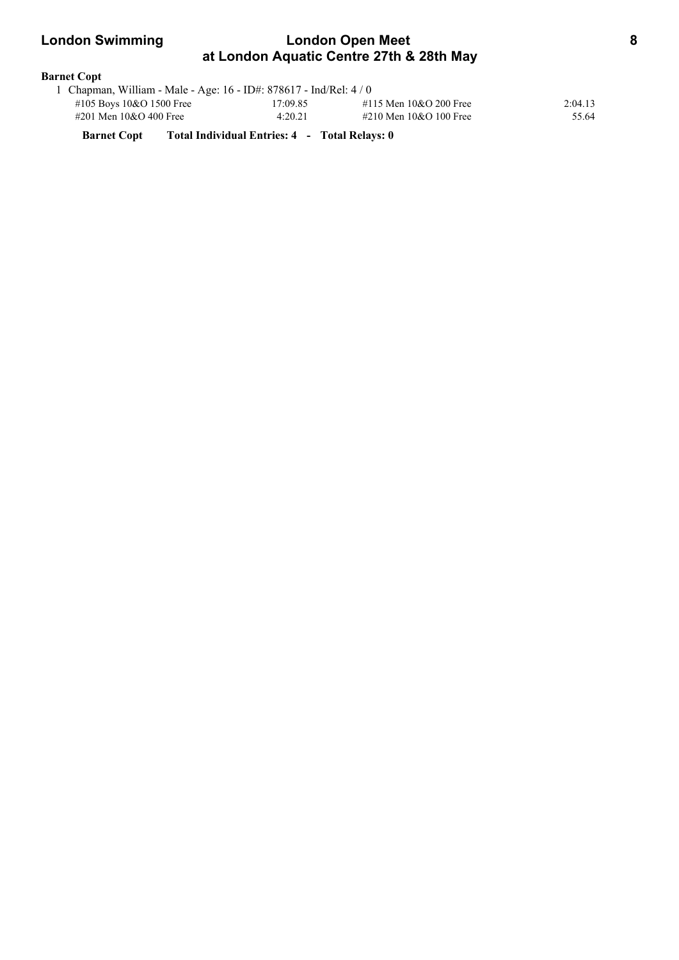| <b>London Swimming</b> | <b>London Open Meet</b>                                            |  |  |
|------------------------|--------------------------------------------------------------------|--|--|
|                        | at London Aquatic Centre 27th & 28th May                           |  |  |
| <b>Barnet Copt</b>     |                                                                    |  |  |
|                        | 1 Chapman, William - Male - Age: 16 - ID#: 878617 - Ind/Rel: $4/0$ |  |  |

|                          | 1 Chapman, Whilam - Marc - Age. 10 - 1D#. 070017 - 1110/1901. 47 0 |                        |         |
|--------------------------|--------------------------------------------------------------------|------------------------|---------|
| #105 Boys 10&O 1500 Free | 17:09.85                                                           | #115 Men 10&O 200 Free | 2:04.13 |
| #201 Men 10&O 400 Free   | 4:20.21                                                            | #210 Men 10&O 100 Free | 55.64   |

**Barnet Copt Total Individual Entries: 4 - Total Relays: 0**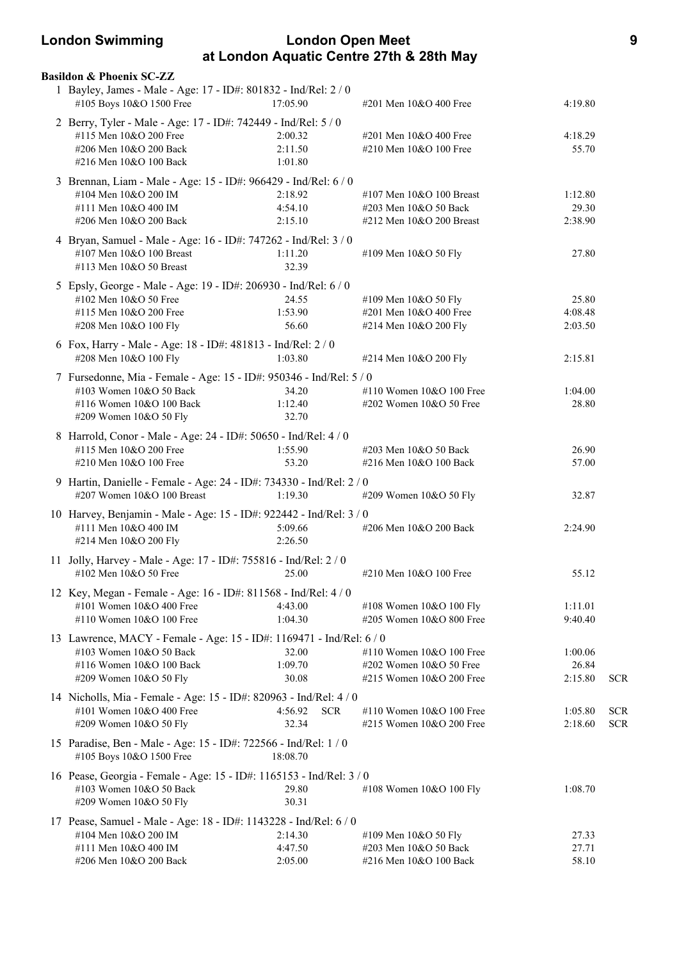# **London Swimming London Open Meet 9 at London Aquatic Centre 27th & 28th May**

| <b>Basildon &amp; Phoenix SC-ZZ</b><br>1 Bayley, James - Male - Age: 17 - ID#: 801832 - Ind/Rel: 2 / 0<br>#105 Boys 10&O 1500 Free                    | 17:05.90                       | #201 Men 10&O 400 Free                                                            | 4:19.80                     |                          |
|-------------------------------------------------------------------------------------------------------------------------------------------------------|--------------------------------|-----------------------------------------------------------------------------------|-----------------------------|--------------------------|
| 2 Berry, Tyler - Male - Age: 17 - ID#: 742449 - Ind/Rel: 5 / 0<br>#115 Men 10&O 200 Free<br>#206 Men 10&O 200 Back                                    | 2:00.32<br>2:11.50             | #201 Men 10&O 400 Free<br>#210 Men 10&O 100 Free                                  | 4:18.29<br>55.70            |                          |
| #216 Men 10&O 100 Back                                                                                                                                | 1:01.80                        |                                                                                   |                             |                          |
| 3 Brennan, Liam - Male - Age: 15 - ID#: 966429 - Ind/Rel: 6 / 0<br>#104 Men 10&O 200 IM<br>#111 Men 10&O 400 IM<br>#206 Men 10&O 200 Back             | 2:18.92<br>4:54.10<br>2:15.10  | #107 Men 10&O 100 Breast<br>#203 Men 10&O 50 Back<br>#212 Men 10&O 200 Breast     | 1:12.80<br>29.30<br>2:38.90 |                          |
| 4 Bryan, Samuel - Male - Age: 16 - ID#: 747262 - Ind/Rel: 3 / 0<br>#107 Men 10&O 100 Breast<br>#113 Men 10&O 50 Breast                                | 1:11.20<br>32.39               | #109 Men 10&O 50 Fly                                                              | 27.80                       |                          |
| 5 Epsly, George - Male - Age: 19 - ID#: 206930 - Ind/Rel: 6 / 0<br>#102 Men 10&O 50 Free<br>#115 Men 10&O 200 Free<br>#208 Men 10&O 100 Fly           | 24.55<br>1:53.90<br>56.60      | #109 Men 10&O 50 Fly<br>#201 Men 10&O 400 Free<br>#214 Men 10&O 200 Fly           | 25.80<br>4:08.48<br>2:03.50 |                          |
| 6 Fox, Harry - Male - Age: 18 - ID#: 481813 - Ind/Rel: 2 / 0<br>#208 Men 10&O 100 Fly                                                                 | 1:03.80                        | #214 Men 10&O 200 Fly                                                             | 2:15.81                     |                          |
| 7 Fursedonne, Mia - Female - Age: 15 - ID#: 950346 - Ind/Rel: 5 / 0<br>#103 Women 10&O 50 Back<br>#116 Women 10&O 100 Back<br>#209 Women 10&O 50 Fly  | 34.20<br>1:12.40<br>32.70      | #110 Women 10&O 100 Free<br>#202 Women 10&O 50 Free                               | 1:04.00<br>28.80            |                          |
| 8 Harrold, Conor - Male - Age: 24 - ID#: 50650 - Ind/Rel: 4 / 0<br>#115 Men 10&O 200 Free<br>#210 Men 10&O 100 Free                                   | 1:55.90<br>53.20               | #203 Men 10&O 50 Back<br>#216 Men 10&O 100 Back                                   | 26.90<br>57.00              |                          |
| 9 Hartin, Danielle - Female - Age: 24 - ID#: 734330 - Ind/Rel: 2 / 0<br>#207 Women 10&O 100 Breast                                                    | 1:19.30                        | #209 Women 10&O 50 Fly                                                            | 32.87                       |                          |
| 10 Harvey, Benjamin - Male - Age: 15 - ID#: 922442 - Ind/Rel: 3 / 0<br>#111 Men 10&O 400 IM<br>#214 Men 10&O 200 Fly                                  | 5:09.66<br>2:26.50             | #206 Men 10&O 200 Back                                                            | 2:24.90                     |                          |
| 11 Jolly, Harvey - Male - Age: 17 - ID#: 755816 - Ind/Rel: 2 / 0<br>#102 Men 10&O 50 Free                                                             | 25.00                          | #210 Men 10&O 100 Free                                                            | 55.12                       |                          |
| 12 Key, Megan - Female - Age: 16 - ID#: 811568 - Ind/Rel: 4/0<br>#101 Women 10&O 400 Free<br>#110 Women 10&O 100 Free                                 | 4:43.00<br>1:04.30             | #108 Women 10&O 100 Fly<br>#205 Women $10&O 800$ Free                             | 1:11.01<br>9:40.40          |                          |
| 13 Lawrence, MACY - Female - Age: 15 - ID#: 1169471 - Ind/Rel: 6 / 0<br>#103 Women 10&O 50 Back<br>#116 Women 10&O 100 Back<br>#209 Women 10&O 50 Fly | 32.00<br>1:09.70<br>30.08      | #110 Women $10&O 100$ Free<br>#202 Women 10&O 50 Free<br>#215 Women 10&O 200 Free | 1:00.06<br>26.84<br>2:15.80 | <b>SCR</b>               |
| 14 Nicholls, Mia - Female - Age: 15 - ID#: 820963 - Ind/Rel: 4 / 0<br>#101 Women 10&O 400 Free<br>#209 Women 10&O 50 Fly                              | 4:56.92<br><b>SCR</b><br>32.34 | #110 Women 10&O 100 Free<br>#215 Women 10&O 200 Free                              | 1:05.80<br>2:18.60          | <b>SCR</b><br><b>SCR</b> |
| 15 Paradise, Ben - Male - Age: 15 - ID#: 722566 - Ind/Rel: 1 / 0<br>#105 Boys 10&O 1500 Free                                                          | 18:08.70                       |                                                                                   |                             |                          |
| 16 Pease, Georgia - Female - Age: 15 - ID#: 1165153 - Ind/Rel: 3 / 0<br>#103 Women 10&O 50 Back<br>#209 Women 10&O 50 Fly                             | 29.80<br>30.31                 | #108 Women 10&O 100 Fly                                                           | 1:08.70                     |                          |
| 17 Pease, Samuel - Male - Age: 18 - ID#: 1143228 - Ind/Rel: 6 / 0<br>#104 Men 10&O 200 IM<br>#111 Men 10&O 400 IM<br>#206 Men 10&O 200 Back           | 2:14.30<br>4:47.50<br>2:05.00  | #109 Men 10&O 50 Fly<br>#203 Men 10&O 50 Back<br>#216 Men 10&O 100 Back           | 27.33<br>27.71<br>58.10     |                          |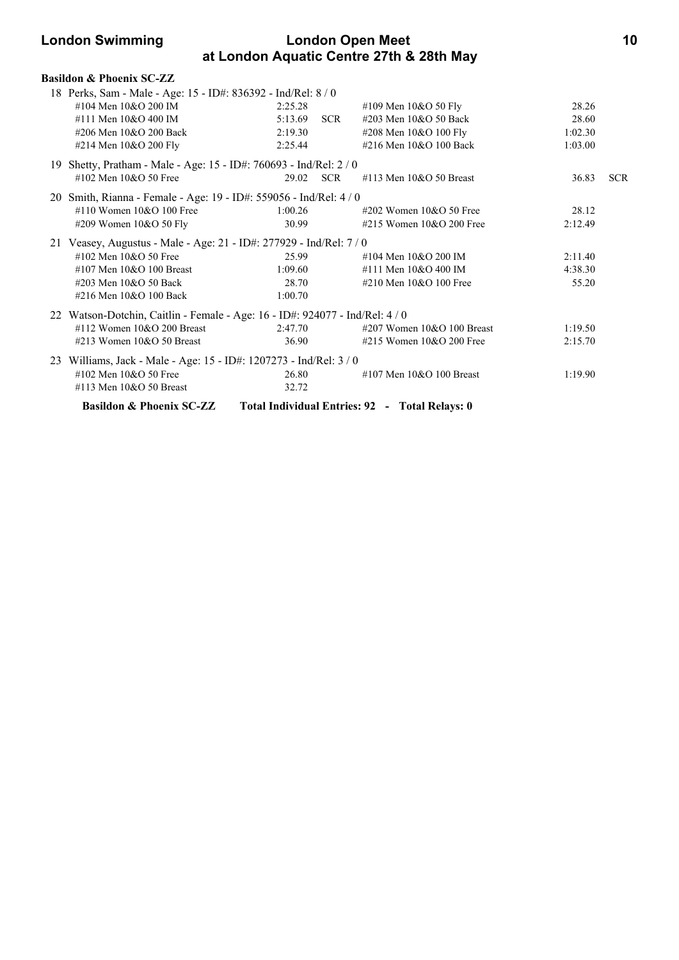# **London Swimming London Open Meet 10 at London Aquatic Centre 27th & 28th May**

| <b>Basildon &amp; Phoenix SC-ZZ</b>                                          |           |       |                                                |         |            |
|------------------------------------------------------------------------------|-----------|-------|------------------------------------------------|---------|------------|
| 18 Perks, Sam - Male - Age: 15 - ID#: 836392 - Ind/Rel: 8 / 0                |           |       |                                                |         |            |
| #104 Men 10&O 200 IM                                                         | 2:25.28   |       | #109 Men $10&O 50$ Fly                         | 28.26   |            |
| #111 Men 10&O 400 IM                                                         | 5:13.69   | SCR   | #203 Men 10&O 50 Back                          | 28.60   |            |
| #206 Men 10&O 200 Back                                                       | 2:19.30   |       | #208 Men 10&O 100 Fly                          | 1:02.30 |            |
| #214 Men 10&O 200 Fly                                                        | 2:25.44   |       | #216 Men 10&O 100 Back                         | 1:03.00 |            |
| 19 Shetty, Pratham - Male - Age: 15 - ID#: 760693 - Ind/Rel: 2 / 0           |           |       |                                                |         |            |
| #102 Men $10&O$ 50 Free                                                      | 29.02 SCR |       | #113 Men $10&O$ 50 Breast                      | 36.83   | <b>SCR</b> |
| 20 Smith, Rianna - Female - Age: 19 - ID#: 559056 - Ind/Rel: 4 / 0           |           |       |                                                |         |            |
| #110 Women $10&O$ 100 Free                                                   | 1:00.26   |       | #202 Women 10&O 50 Free                        | 28.12   |            |
| #209 Women 10&O 50 Fly                                                       | 30.99     |       | #215 Women $10&O$ 200 Free                     | 2:12.49 |            |
| 21 Veasey, Augustus - Male - Age: 21 - ID#: 277929 - Ind/Rel: 7 / 0          |           |       |                                                |         |            |
| #102 Men 10&O 50 Free                                                        | 25.99     |       | #104 Men 10&O 200 IM                           | 2:11.40 |            |
| #107 Men $10&O$ 100 Breast                                                   | 1:09.60   |       | #111 Men 10&O 400 IM                           | 4:38.30 |            |
| #203 Men 10&O 50 Back                                                        | 28.70     |       | #210 Men $10&O$ 100 Free                       | 55.20   |            |
| #216 Men 10&O 100 Back                                                       | 1:00.70   |       |                                                |         |            |
| 22 Watson-Dotchin, Caitlin - Female - Age: 16 - ID#: 924077 - Ind/Rel: 4 / 0 |           |       |                                                |         |            |
| $\#112$ Women 10&O 200 Breast                                                | 2:47.70   |       | $\#207$ Women 10&O 100 Breast                  | 1:19.50 |            |
| #213 Women $10&O$ 50 Breast                                                  |           | 36.90 | #215 Women $10&O$ 200 Free                     | 2:15.70 |            |
| 23 Williams, Jack - Male - Age: 15 - ID#: 1207273 - Ind/Rel: 3 / 0           |           |       |                                                |         |            |
| #102 Men 10&O 50 Free                                                        | 26.80     |       | #107 Men $10&O$ 100 Breast                     | 1:19.90 |            |
| #113 Men 10&O 50 Breast                                                      | 32.72     |       |                                                |         |            |
| <b>Basildon &amp; Phoenix SC-ZZ</b>                                          |           |       | Total Individual Entries: 92 - Total Relays: 0 |         |            |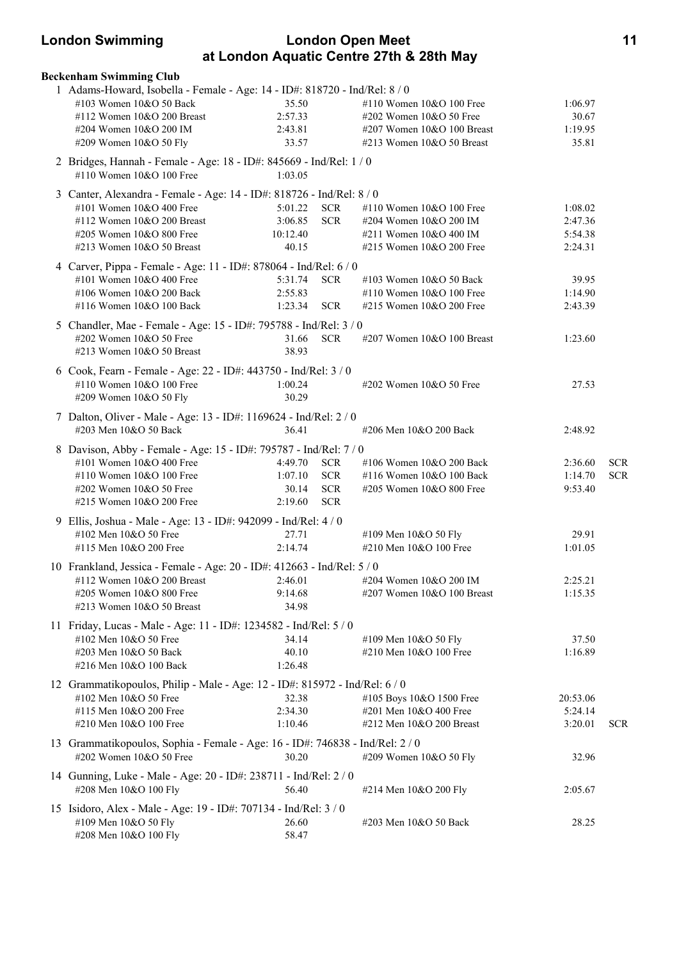# **London Swimming London Open Meet 11 at London Aquatic Centre 27th & 28th May**

| <b>Beckenham Swimming Club</b>                                                                  |          |            |                            |          |            |
|-------------------------------------------------------------------------------------------------|----------|------------|----------------------------|----------|------------|
| 1 Adams-Howard, Isobella - Female - Age: 14 - ID#: 818720 - Ind/Rel: 8 / 0                      |          |            |                            |          |            |
| #103 Women 10&O 50 Back                                                                         | 35.50    |            | #110 Women 10&O 100 Free   | 1:06.97  |            |
| #112 Women 10&O 200 Breast                                                                      | 2:57.33  |            | #202 Women 10&O 50 Free    | 30.67    |            |
| #204 Women 10&O 200 IM                                                                          | 2:43.81  |            | #207 Women 10&O 100 Breast | 1:19.95  |            |
| #209 Women 10&O 50 Fly                                                                          | 33.57    |            | #213 Women 10&O 50 Breast  | 35.81    |            |
| 2 Bridges, Hannah - Female - Age: 18 - ID#: 845669 - Ind/Rel: 1 / 0<br>#110 Women 10&O 100 Free | 1:03.05  |            |                            |          |            |
| 3 Canter, Alexandra - Female - Age: 14 - ID#: 818726 - Ind/Rel: 8 / 0                           |          |            |                            |          |            |
| #101 Women 10&O 400 Free                                                                        | 5:01.22  | <b>SCR</b> | #110 Women 10&O 100 Free   | 1:08.02  |            |
| #112 Women 10&O 200 Breast                                                                      | 3:06.85  | <b>SCR</b> | #204 Women 10&O 200 IM     | 2:47.36  |            |
| #205 Women 10&O 800 Free                                                                        | 10:12.40 |            | #211 Women 10&O 400 IM     | 5:54.38  |            |
| #213 Women 10&O 50 Breast                                                                       | 40.15    |            | #215 Women 10&O 200 Free   | 2:24.31  |            |
| 4 Carver, Pippa - Female - Age: 11 - ID#: 878064 - Ind/Rel: 6 / 0                               |          |            |                            |          |            |
| #101 Women 10&O 400 Free                                                                        | 5:31.74  | <b>SCR</b> | #103 Women 10&O 50 Back    | 39.95    |            |
| #106 Women 10&O 200 Back                                                                        | 2:55.83  |            | #110 Women 10&O 100 Free   | 1:14.90  |            |
| #116 Women 10&O 100 Back                                                                        | 1:23.34  | SCR.       | #215 Women 10&O 200 Free   | 2:43.39  |            |
| 5 Chandler, Mae - Female - Age: 15 - ID#: 795788 - Ind/Rel: 3 / 0                               |          |            |                            |          |            |
| #202 Women 10&O 50 Free                                                                         | 31.66    | <b>SCR</b> | #207 Women 10&O 100 Breast | 1:23.60  |            |
| #213 Women 10&O 50 Breast                                                                       | 38.93    |            |                            |          |            |
|                                                                                                 |          |            |                            |          |            |
| 6 Cook, Fearn - Female - Age: 22 - ID#: 443750 - Ind/Rel: 3 / 0<br>#110 Women 10&O 100 Free     | 1:00.24  |            | #202 Women 10&O 50 Free    | 27.53    |            |
| #209 Women 10&O 50 Fly                                                                          | 30.29    |            |                            |          |            |
|                                                                                                 |          |            |                            |          |            |
| 7 Dalton, Oliver - Male - Age: 13 - ID#: 1169624 - Ind/Rel: 2 / 0<br>#203 Men 10&O 50 Back      | 36.41    |            |                            |          |            |
|                                                                                                 |          |            | #206 Men 10&O 200 Back     | 2:48.92  |            |
| 8 Davison, Abby - Female - Age: 15 - ID#: 795787 - Ind/Rel: 7 / 0                               |          |            |                            |          |            |
| #101 Women 10&O 400 Free                                                                        | 4:49.70  | <b>SCR</b> | #106 Women 10&O 200 Back   | 2:36.60  | <b>SCR</b> |
| #110 Women 10&O 100 Free                                                                        | 1:07.10  | <b>SCR</b> | #116 Women 10&O 100 Back   | 1:14.70  | <b>SCR</b> |
| #202 Women $10&O$ 50 Free                                                                       | 30.14    | <b>SCR</b> | #205 Women 10&O 800 Free   | 9:53.40  |            |
| #215 Women 10&O 200 Free                                                                        | 2:19.60  | <b>SCR</b> |                            |          |            |
| 9 Ellis, Joshua - Male - Age: 13 - ID#: 942099 - Ind/Rel: 4 / 0                                 |          |            |                            |          |            |
| #102 Men 10&O 50 Free                                                                           | 27.71    |            | #109 Men 10&O 50 Fly       | 29.91    |            |
| #115 Men 10&O 200 Free                                                                          | 2:14.74  |            | #210 Men 10&O 100 Free     | 1:01.05  |            |
| 10 Frankland, Jessica - Female - Age: 20 - ID#: 412663 - Ind/Rel: 5 / 0                         |          |            |                            |          |            |
| #112 Women 10&O 200 Breast 2:46.01                                                              |          |            | #204 Women 10&O 200 IM     | 2:25.21  |            |
| #205 Women 10&O 800 Free                                                                        | 9:14.68  |            | #207 Women 10&O 100 Breast | 1:15.35  |            |
| #213 Women 10&O 50 Breast                                                                       | 34.98    |            |                            |          |            |
| 11 Friday, Lucas - Male - Age: 11 - ID#: 1234582 - Ind/Rel: 5 / 0                               |          |            |                            |          |            |
| #102 Men 10&O 50 Free                                                                           | 34.14    |            | #109 Men 10&O 50 Fly       | 37.50    |            |
| #203 Men 10&O 50 Back                                                                           | 40.10    |            | #210 Men 10&O 100 Free     | 1:16.89  |            |
| #216 Men 10&O 100 Back                                                                          | 1:26.48  |            |                            |          |            |
| 12 Grammatikopoulos, Philip - Male - Age: 12 - ID#: 815972 - Ind/Rel: 6 / 0                     |          |            |                            |          |            |
| #102 Men 10&O 50 Free                                                                           | 32.38    |            | #105 Boys 10&O 1500 Free   | 20:53.06 |            |
| #115 Men 10&O 200 Free                                                                          | 2:34.30  |            | #201 Men 10&O 400 Free     | 5:24.14  |            |
| #210 Men 10&O 100 Free                                                                          | 1:10.46  |            | #212 Men 10&O 200 Breast   | 3:20.01  | <b>SCR</b> |
| 13 Grammatikopoulos, Sophia - Female - Age: 16 - ID#: 746838 - Ind/Rel: 2 / 0                   |          |            |                            |          |            |
| #202 Women 10&O 50 Free                                                                         | 30.20    |            | #209 Women 10&O 50 Fly     | 32.96    |            |
| 14 Gunning, Luke - Male - Age: 20 - ID#: 238711 - Ind/Rel: 2 / 0                                |          |            |                            |          |            |
| #208 Men 10&O 100 Fly                                                                           | 56.40    |            | #214 Men 10&O 200 Fly      | 2:05.67  |            |
| 15 Isidoro, Alex - Male - Age: 19 - ID#: 707134 - Ind/Rel: 3 / 0                                |          |            |                            |          |            |
| #109 Men 10&O 50 Fly                                                                            | 26.60    |            | #203 Men 10&O 50 Back      | 28.25    |            |
| #208 Men 10&O 100 Fly                                                                           | 58.47    |            |                            |          |            |
|                                                                                                 |          |            |                            |          |            |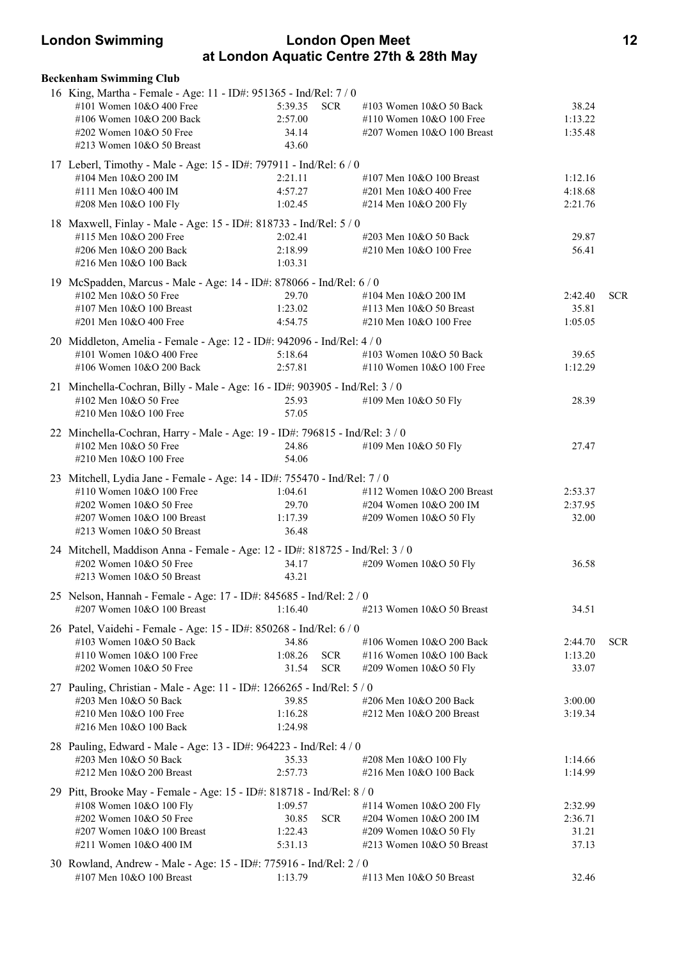# **London Swimming London Open Meet 12 at London Aquatic Centre 27th & 28th May**

| <b>Beckenham Swimming Club</b>                                               |         |            |                                                 |         |            |
|------------------------------------------------------------------------------|---------|------------|-------------------------------------------------|---------|------------|
| 16 King, Martha - Female - Age: 11 - ID#: 951365 - Ind/Rel: 7 / 0            |         |            |                                                 |         |            |
| #101 Women 10&O 400 Free                                                     | 5:39.35 | <b>SCR</b> | #103 Women 10&O 50 Back                         | 38.24   |            |
| #106 Women 10&O 200 Back                                                     | 2:57.00 |            | #110 Women 10&O 100 Free                        | 1:13.22 |            |
| #202 Women 10&O 50 Free                                                      | 34.14   |            | #207 Women 10&O 100 Breast                      | 1:35.48 |            |
| #213 Women 10&O 50 Breast                                                    | 43.60   |            |                                                 |         |            |
| 17 Leberl, Timothy - Male - Age: 15 - ID#: 797911 - Ind/Rel: 6 / 0           |         |            |                                                 |         |            |
| #104 Men 10&O 200 IM                                                         | 2:21.11 |            | #107 Men $10&O$ 100 Breast                      | 1:12.16 |            |
| #111 Men 10&O 400 IM                                                         | 4:57.27 |            |                                                 |         |            |
|                                                                              |         |            | #201 Men 10&O 400 Free                          | 4:18.68 |            |
| #208 Men 10&O 100 Fly                                                        | 1:02.45 |            | #214 Men 10&O 200 Fly                           | 2:21.76 |            |
| 18 Maxwell, Finlay - Male - Age: 15 - ID#: 818733 - Ind/Rel: 5 / 0           |         |            |                                                 |         |            |
| #115 Men 10&O 200 Free                                                       | 2:02.41 |            | #203 Men 10&O 50 Back                           | 29.87   |            |
| #206 Men 10&O 200 Back                                                       | 2:18.99 |            | #210 Men 10&O 100 Free                          | 56.41   |            |
| #216 Men 10&O 100 Back                                                       | 1:03.31 |            |                                                 |         |            |
| 19 McSpadden, Marcus - Male - Age: 14 - ID#: 878066 - Ind/Rel: 6 / 0         |         |            |                                                 |         |            |
| #102 Men 10&O 50 Free                                                        | 29.70   |            | #104 Men 10&O 200 IM                            | 2:42.40 | <b>SCR</b> |
| #107 Men 10&O 100 Breast                                                     | 1:23.02 |            | #113 Men 10&O 50 Breast                         | 35.81   |            |
| #201 Men 10&O 400 Free                                                       | 4:54.75 |            | #210 Men 10&O 100 Free                          | 1:05.05 |            |
|                                                                              |         |            |                                                 |         |            |
| 20 Middleton, Amelia - Female - Age: 12 - ID#: 942096 - Ind/Rel: 4 / 0       |         |            |                                                 |         |            |
| #101 Women 10&O 400 Free                                                     | 5:18.64 |            | #103 Women 10&O 50 Back                         | 39.65   |            |
| #106 Women 10&O 200 Back                                                     | 2:57.81 |            | #110 Women 10&O 100 Free                        | 1:12.29 |            |
| 21 Minchella-Cochran, Billy - Male - Age: 16 - ID#: 903905 - Ind/Rel: 3 / 0  |         |            |                                                 |         |            |
| #102 Men 10&O 50 Free                                                        | 25.93   |            | #109 Men 10&O 50 Fly                            | 28.39   |            |
| #210 Men 10&O 100 Free                                                       | 57.05   |            |                                                 |         |            |
| 22 Minchella-Cochran, Harry - Male - Age: 19 - ID#: 796815 - Ind/Rel: 3 / 0  |         |            |                                                 |         |            |
| #102 Men 10&O 50 Free                                                        | 24.86   |            | #109 Men 10&O 50 Fly                            | 27.47   |            |
| #210 Men 10&O 100 Free                                                       | 54.06   |            |                                                 |         |            |
|                                                                              |         |            |                                                 |         |            |
| 23 Mitchell, Lydia Jane - Female - Age: 14 - ID#: 755470 - Ind/Rel: 7 / 0    |         |            |                                                 |         |            |
| #110 Women 10&O 100 Free                                                     | 1:04.61 |            | #112 Women 10&O 200 Breast                      | 2:53.37 |            |
| #202 Women 10&O 50 Free                                                      | 29.70   |            | #204 Women 10&O 200 IM                          | 2:37.95 |            |
| #207 Women 10&O 100 Breast                                                   | 1:17.39 |            | #209 Women 10&O 50 Fly                          | 32.00   |            |
| #213 Women 10&O 50 Breast                                                    | 36.48   |            |                                                 |         |            |
| 24 Mitchell, Maddison Anna - Female - Age: 12 - ID#: 818725 - Ind/Rel: 3 / 0 |         |            |                                                 |         |            |
| #202 Women 10&O 50 Free                                                      | 34.17   |            | #209 Women 10&O 50 Fly                          | 36.58   |            |
| #213 Women 10&O 50 Breast                                                    | 43.21   |            |                                                 |         |            |
| 25 Nelson, Hannah - Female - Age: 17 - ID#: 845685 - Ind/Rel: 2 / 0          |         |            |                                                 |         |            |
| #207 Women 10&O 100 Breast                                                   | 1:16.40 |            | #213 Women 10&O 50 Breast                       | 34.51   |            |
|                                                                              |         |            |                                                 |         |            |
| 26 Patel, Vaidehi - Female - Age: 15 - ID#: 850268 - Ind/Rel: 6 / 0          |         |            |                                                 |         |            |
| #103 Women 10&O 50 Back                                                      | 34.86   |            | #106 Women 10&O 200 Back                        | 2:44.70 | <b>SCR</b> |
| #110 Women 10&O 100 Free                                                     | 1:08.26 | <b>SCR</b> | #116 Women 10&O 100 Back                        | 1:13.20 |            |
| #202 Women 10&O 50 Free                                                      | 31.54   | <b>SCR</b> | #209 Women 10&O 50 Fly                          | 33.07   |            |
| 27 Pauling, Christian - Male - Age: 11 - ID#: 1266265 - Ind/Rel: 5 / 0       |         |            |                                                 |         |            |
| #203 Men 10&O 50 Back                                                        | 39.85   |            | #206 Men 10&O 200 Back                          | 3:00.00 |            |
| #210 Men 10&O 100 Free                                                       | 1:16.28 |            | #212 Men 10&O 200 Breast                        | 3:19.34 |            |
| #216 Men 10&O 100 Back                                                       | 1:24.98 |            |                                                 |         |            |
| 28 Pauling, Edward - Male - Age: 13 - ID#: 964223 - Ind/Rel: 4 / 0           |         |            |                                                 |         |            |
| #203 Men 10&O 50 Back                                                        | 35.33   |            |                                                 | 1:14.66 |            |
| #212 Men 10&O 200 Breast                                                     | 2:57.73 |            | #208 Men 10&O 100 Fly<br>#216 Men 10&O 100 Back | 1:14.99 |            |
|                                                                              |         |            |                                                 |         |            |
| 29 Pitt, Brooke May - Female - Age: 15 - ID#: 818718 - Ind/Rel: 8 / 0        |         |            |                                                 |         |            |
| #108 Women 10&O 100 Fly                                                      | 1:09.57 |            | #114 Women 10&O 200 Fly                         | 2:32.99 |            |
| #202 Women 10&O 50 Free                                                      | 30.85   | <b>SCR</b> | #204 Women 10&O 200 IM                          | 2:36.71 |            |
| #207 Women 10&O 100 Breast                                                   | 1:22.43 |            | #209 Women 10&O 50 Fly                          | 31.21   |            |
| #211 Women 10&O 400 IM                                                       | 5:31.13 |            | #213 Women $10&O$ 50 Breast                     | 37.13   |            |
| 30 Rowland, Andrew - Male - Age: 15 - ID#: 775916 - Ind/Rel: 2 / 0           |         |            |                                                 |         |            |
| #107 Men 10&O 100 Breast                                                     | 1:13.79 |            | #113 Men 10&O 50 Breast                         | 32.46   |            |
|                                                                              |         |            |                                                 |         |            |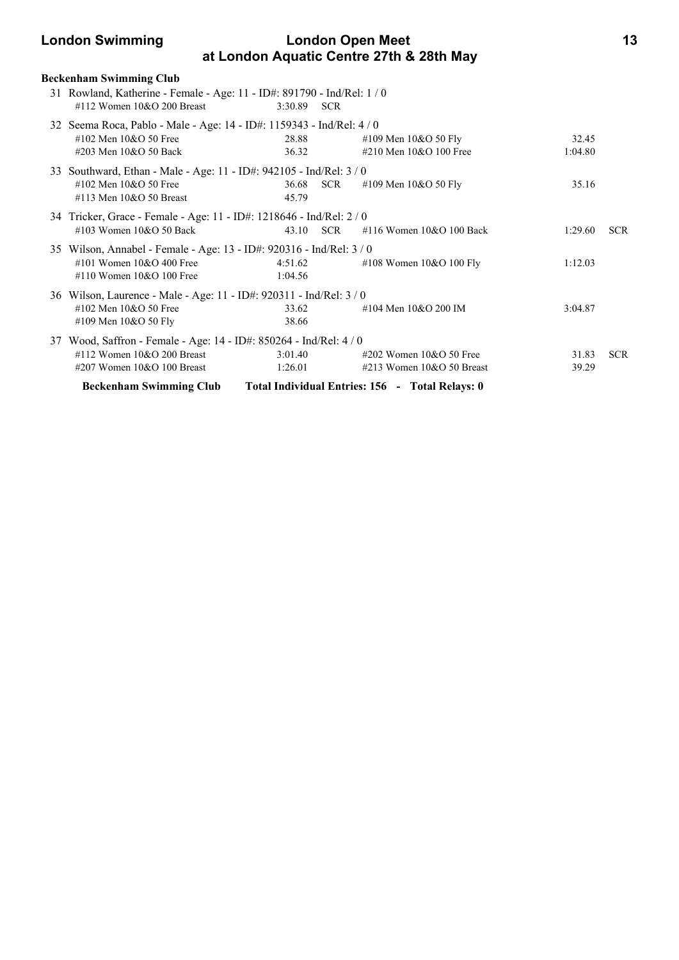# **London Swimming London Open Meet 13 at London Aquatic Centre 27th & 28th May**

| <b>Beckenham Swimming Club</b>                                                                          |             |            |                                                 |         |            |
|---------------------------------------------------------------------------------------------------------|-------------|------------|-------------------------------------------------|---------|------------|
| 31 Rowland, Katherine - Female - Age: 11 - ID#: 891790 - Ind/Rel: 1 / 0<br>#112 Women $10&O$ 200 Breast | 3:30.89 SCR |            |                                                 |         |            |
| 32 Seema Roca, Pablo - Male - Age: 14 - ID#: 1159343 - Ind/Rel: 4 / 0                                   |             |            |                                                 |         |            |
| #102 Men 10&O 50 Free                                                                                   | 28.88       |            | #109 Men 10&O 50 Fly                            | 32.45   |            |
| #203 Men 10&O 50 Back                                                                                   | 36.32       |            | #210 Men 10&O 100 Free                          | 1:04.80 |            |
| 33 Southward, Ethan - Male - Age: 11 - ID#: 942105 - Ind/Rel: 3 / 0                                     |             |            |                                                 |         |            |
| #102 Men 10&O 50 Free                                                                                   | 36.68       | <b>SCR</b> | #109 Men 10&O 50 Fly                            | 35.16   |            |
| #113 Men $10&O$ 50 Breast                                                                               | 45.79       |            |                                                 |         |            |
| 34 Tricker, Grace - Female - Age: 11 - ID#: 1218646 - Ind/Rel: 2 / 0                                    |             |            |                                                 |         |            |
| $\#103$ Women $10&O$ 50 Back                                                                            | 43.10       | <b>SCR</b> | #116 Women 10&O 100 Back                        | 1:29.60 | <b>SCR</b> |
| 35 Wilson, Annabel - Female - Age: 13 - ID#: 920316 - Ind/Rel: 3 / 0                                    |             |            |                                                 |         |            |
| #101 Women $10&O 400$ Free                                                                              | 4:51.62     |            | #108 Women 10&O 100 Fly                         | 1:12.03 |            |
| #110 Women $10&O$ 100 Free                                                                              | 1:04.56     |            |                                                 |         |            |
| 36 Wilson, Laurence - Male - Age: 11 - ID#: 920311 - Ind/Rel: 3 / 0                                     |             |            |                                                 |         |            |
| #102 Men 10&O 50 Free                                                                                   | 33.62       |            | #104 Men 10&O 200 IM                            | 3:04.87 |            |
| #109 Men 10&O 50 Fly                                                                                    | 38.66       |            |                                                 |         |            |
| 37 Wood, Saffron - Female - Age: 14 - ID#: 850264 - Ind/Rel: 4/0                                        |             |            |                                                 |         |            |
| #112 Women $10&O$ 200 Breast                                                                            | 3:01.40     |            | $\#202$ Women 10&O 50 Free                      | 31.83   | <b>SCR</b> |
| #207 Women 10&O 100 Breast                                                                              | 1:26.01     |            | $\#213$ Women 10&O 50 Breast                    | 39.29   |            |
| <b>Beckenham Swimming Club</b>                                                                          |             |            | Total Individual Entries: 156 - Total Relays: 0 |         |            |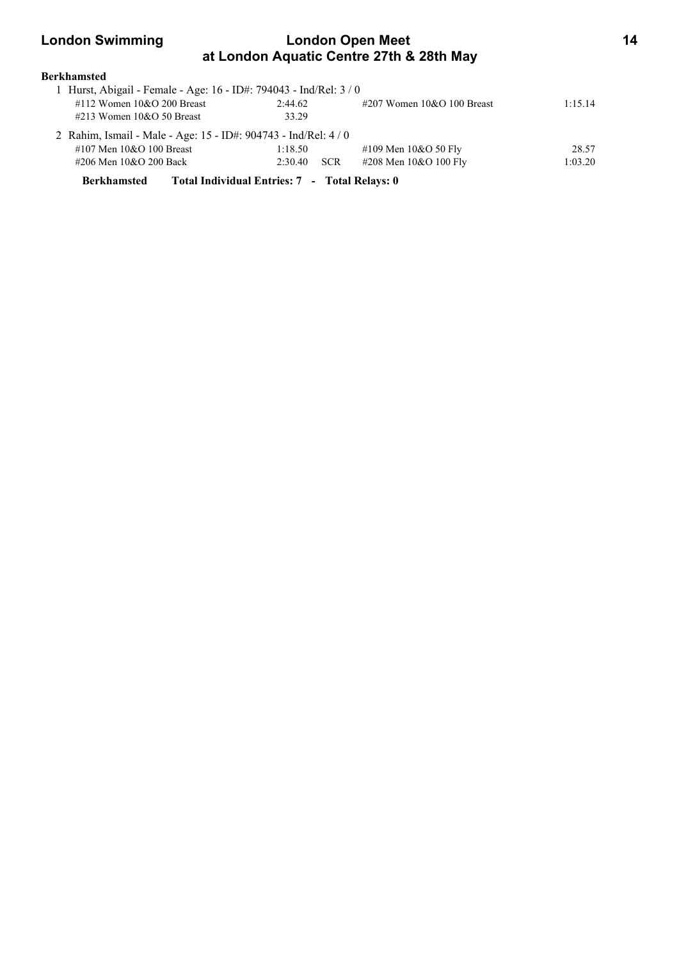# **London Swimming London Open Meet 14 at London Aquatic Centre 27th & 28th May**

| Berkhamsted |
|-------------|
|             |

| 1 Hurst, Abigail - Female - Age: 16 - ID#: 794043 - Ind/Rel: 3 / 0 |         |            |                               |         |
|--------------------------------------------------------------------|---------|------------|-------------------------------|---------|
| #112 Women $10&O$ 200 Breast                                       | 2:44.62 |            | $\#207$ Women 10&O 100 Breast | 1:15.14 |
| $\#213$ Women 10&O 50 Breast                                       | 33.29   |            |                               |         |
| 2 Rahim, Ismail - Male - Age: 15 - ID#: 904743 - Ind/Rel: 4 / 0    |         |            |                               |         |
| #107 Men 10&O 100 Breast                                           | 1:18.50 |            | #109 Men $10&O$ 50 Fly        | 28.57   |
| #206 Men 10&O 200 Back                                             | 2:30.40 | <b>SCR</b> | #208 Men 10&O 100 Fly         | 1:03.20 |
|                                                                    |         |            |                               |         |

**Berkhamsted Total Individual Entries: 7 - Total Relays: 0**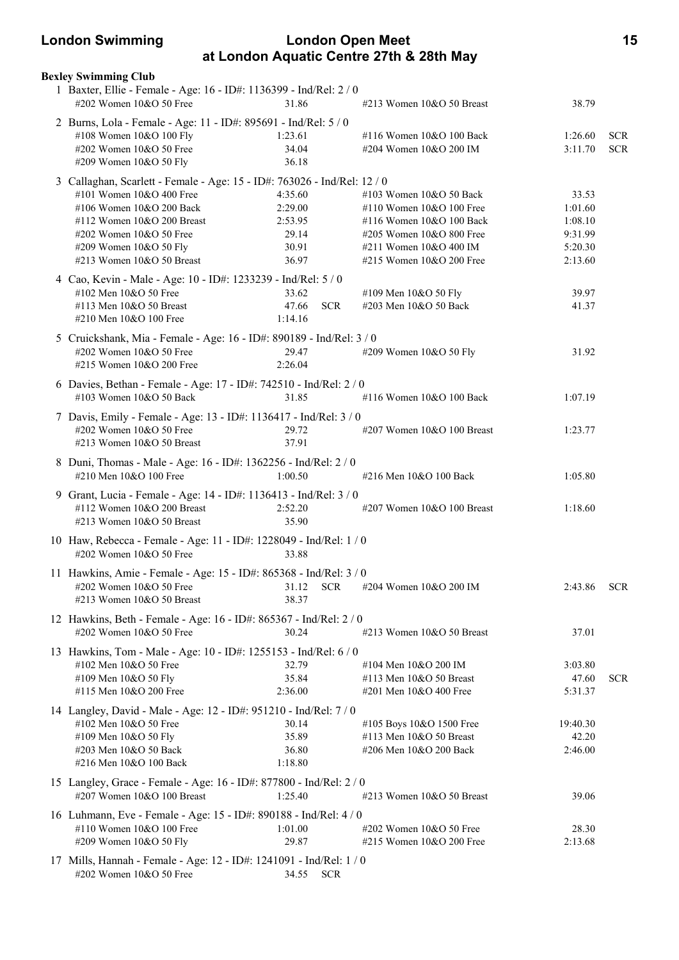# **London Swimming London Open Meet 15 at London Aquatic Centre 27th & 28th May**

| <b>Bexley Swimming Club</b><br>1 Baxter, Ellie - Female - Age: 16 - ID#: 1136399 - Ind/Rel: 2 / 0 |                     |                                                        |                    |            |
|---------------------------------------------------------------------------------------------------|---------------------|--------------------------------------------------------|--------------------|------------|
| #202 Women 10&O 50 Free                                                                           | 31.86               | #213 Women $10&O$ 50 Breast                            | 38.79              |            |
| 2 Burns, Lola - Female - Age: 11 - ID#: 895691 - Ind/Rel: 5 / 0                                   |                     |                                                        |                    |            |
| #108 Women 10&O 100 Fly                                                                           | 1:23.61             | #116 Women 10&O 100 Back                               | 1:26.60            | <b>SCR</b> |
| #202 Women 10&O 50 Free                                                                           | 34.04               | #204 Women 10&O 200 IM                                 | 3:11.70            | <b>SCR</b> |
| #209 Women 10&O 50 Fly                                                                            | 36.18               |                                                        |                    |            |
| 3 Callaghan, Scarlett - Female - Age: 15 - ID#: 763026 - Ind/Rel: 12 / 0                          |                     |                                                        |                    |            |
| #101 Women 10&O 400 Free                                                                          | 4:35.60             | $\#103$ Women $10&O$ 50 Back                           | 33.53              |            |
| #106 Women 10&O 200 Back                                                                          | 2:29.00             | #110 Women $10&O 100$ Free                             | 1:01.60            |            |
| #112 Women 10&O 200 Breast<br>#202 Women 10&O 50 Free                                             | 2:53.95<br>29.14    | #116 Women 10&O 100 Back<br>#205 Women $10&O 800$ Free | 1:08.10<br>9:31.99 |            |
| #209 Women 10&O 50 Fly                                                                            | 30.91               | #211 Women 10&O 400 IM                                 | 5:20.30            |            |
| #213 Women 10&O 50 Breast                                                                         | 36.97               | #215 Women 10&O 200 Free                               | 2:13.60            |            |
|                                                                                                   |                     |                                                        |                    |            |
| 4 Cao, Kevin - Male - Age: 10 - ID#: 1233239 - Ind/Rel: 5 / 0<br>#102 Men 10&O 50 Free            | 33.62               | #109 Men 10&O 50 Fly                                   | 39.97              |            |
| #113 Men 10&O 50 Breast                                                                           | 47.66<br><b>SCR</b> | #203 Men 10&O 50 Back                                  | 41.37              |            |
| #210 Men 10&O 100 Free                                                                            | 1:14.16             |                                                        |                    |            |
| 5 Cruickshank, Mia - Female - Age: 16 - ID#: 890189 - Ind/Rel: 3 / 0                              |                     |                                                        |                    |            |
| #202 Women 10&O 50 Free                                                                           | 29.47               | #209 Women 10&O 50 Fly                                 | 31.92              |            |
| #215 Women 10&O 200 Free                                                                          | 2:26.04             |                                                        |                    |            |
|                                                                                                   |                     |                                                        |                    |            |
| 6 Davies, Bethan - Female - Age: 17 - ID#: 742510 - Ind/Rel: 2 / 0<br>#103 Women 10&O 50 Back     | 31.85               | #116 Women 10&O 100 Back                               | 1:07.19            |            |
|                                                                                                   |                     |                                                        |                    |            |
| 7 Davis, Emily - Female - Age: 13 - ID#: 1136417 - Ind/Rel: 3 / 0                                 |                     |                                                        |                    |            |
| #202 Women 10&O 50 Free<br>#213 Women 10&O 50 Breast                                              | 29.72<br>37.91      | $\#207$ Women 10&O 100 Breast                          | 1:23.77            |            |
|                                                                                                   |                     |                                                        |                    |            |
| 8 Duni, Thomas - Male - Age: 16 - ID#: 1362256 - Ind/Rel: 2 / 0                                   |                     |                                                        |                    |            |
| #210 Men 10&O 100 Free                                                                            | 1:00.50             | #216 Men 10&O 100 Back                                 | 1:05.80            |            |
| 9 Grant, Lucia - Female - Age: 14 - ID#: 1136413 - Ind/Rel: 3 / 0                                 |                     |                                                        |                    |            |
| #112 Women 10&O 200 Breast                                                                        | 2:52.20             | $\#207$ Women 10&O 100 Breast                          | 1:18.60            |            |
| #213 Women $10&O$ 50 Breast                                                                       | 35.90               |                                                        |                    |            |
| 10 Haw, Rebecca - Female - Age: 11 - ID#: 1228049 - Ind/Rel: 1 / 0                                |                     |                                                        |                    |            |
| $\#202$ Women 10&O 50 Free                                                                        | 33.88               |                                                        |                    |            |
| 11 Hawkins, Amie - Female - Age: 15 - ID#: 865368 - Ind/Rel: 3 / 0                                |                     |                                                        |                    |            |
| #202 Women 10&O 50 Free                                                                           | 31.12<br><b>SCR</b> | #204 Women 10&O 200 IM                                 | 2:43.86            | <b>SCR</b> |
| $\#213$ Women $10&O$ 50 Breast                                                                    | 38.37               |                                                        |                    |            |
| 12 Hawkins, Beth - Female - Age: 16 - ID#: 865367 - Ind/Rel: 2 / 0                                |                     |                                                        |                    |            |
| #202 Women 10&O 50 Free                                                                           | 30.24               | $\#213$ Women $10&O$ 50 Breast                         | 37.01              |            |
| 13 Hawkins, Tom - Male - Age: 10 - ID#: 1255153 - Ind/Rel: 6 / 0                                  |                     |                                                        |                    |            |
| #102 Men 10&O 50 Free                                                                             | 32.79               | #104 Men 10&O 200 IM                                   | 3:03.80            |            |
| #109 Men 10&O 50 Fly                                                                              | 35.84               | #113 Men 10&O 50 Breast                                | 47.60              | <b>SCR</b> |
| #115 Men 10&O 200 Free                                                                            | 2:36.00             | #201 Men 10&O 400 Free                                 | 5:31.37            |            |
| 14 Langley, David - Male - Age: 12 - ID#: 951210 - Ind/Rel: 7 / 0                                 |                     |                                                        |                    |            |
| #102 Men 10&O 50 Free                                                                             | 30.14               | #105 Boys 10&O 1500 Free                               | 19:40.30           |            |
| #109 Men 10&O 50 Fly                                                                              | 35.89               | #113 Men 10&O 50 Breast                                | 42.20              |            |
| #203 Men 10&O 50 Back                                                                             | 36.80               | #206 Men 10&O 200 Back                                 | 2:46.00            |            |
| #216 Men 10&O 100 Back                                                                            | 1:18.80             |                                                        |                    |            |
| 15 Langley, Grace - Female - Age: 16 - ID#: 877800 - Ind/Rel: 2 / 0                               |                     |                                                        |                    |            |
| #207 Women 10&O 100 Breast                                                                        | 1:25.40             | $\#213$ Women $10&O$ 50 Breast                         | 39.06              |            |
| 16 Luhmann, Eve - Female - Age: 15 - ID#: 890188 - Ind/Rel: 4/0                                   |                     |                                                        |                    |            |
| #110 Women 10&O 100 Free                                                                          | 1:01.00             | #202 Women 10&O 50 Free                                | 28.30              |            |
| #209 Women 10&O 50 Fly                                                                            | 29.87               | #215 Women 10&O 200 Free                               | 2:13.68            |            |
| 17 Mills, Hannah - Female - Age: 12 - ID#: 1241091 - Ind/Rel: 1 / 0                               |                     |                                                        |                    |            |
| #202 Women 10&O 50 Free                                                                           | 34.55 SCR           |                                                        |                    |            |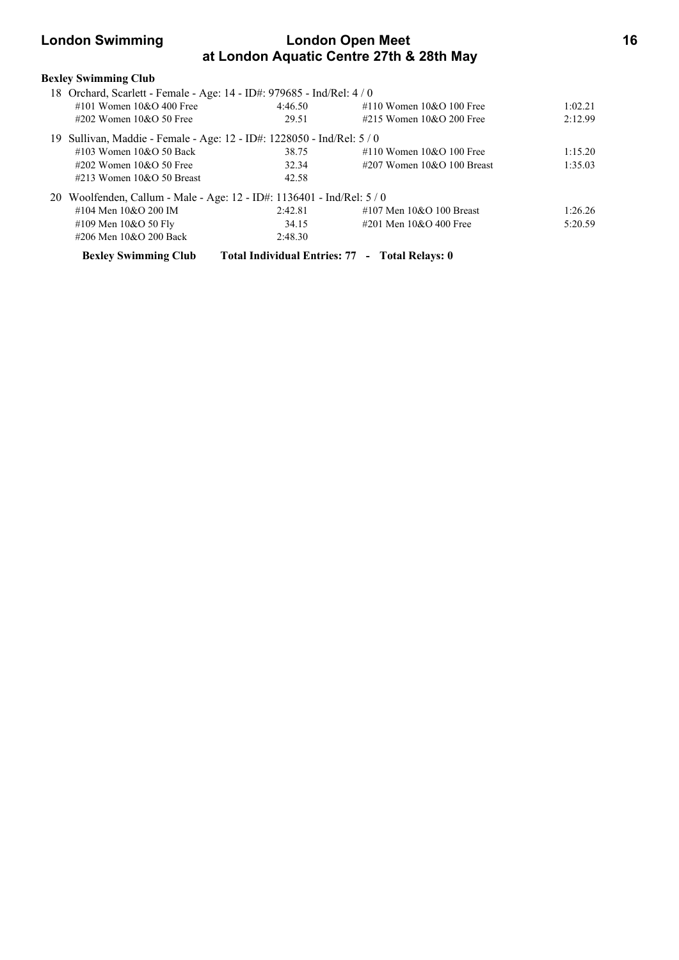# **London Swimming London Open Meet 16 at London Aquatic Centre 27th & 28th May**

| <b>Bexley Swimming Club</b>     |                                                                        |                               |         |
|---------------------------------|------------------------------------------------------------------------|-------------------------------|---------|
|                                 | 18 Orchard, Scarlett - Female - Age: 14 - ID#: 979685 - Ind/Rel: 4 / 0 |                               |         |
| #101 Women $10&O$ 400 Free      | 4:46.50                                                                | #110 Women $10&O$ 100 Free    | 1:02.21 |
| $\#202$ Women 10&O 50 Free      | 29.51                                                                  | #215 Women $10&O$ 200 Free    | 2:12.99 |
|                                 | 19 Sullivan, Maddie - Female - Age: 12 - ID#: 1228050 - Ind/Rel: 5 / 0 |                               |         |
| $\#103$ Women $10\&O 50$ Back   | 38.75                                                                  | #110 Women $10&O$ 100 Free    | 1:15.20 |
| $\#202$ Women 10&O 50 Free      | 32.34                                                                  | $\#207$ Women 10&O 100 Breast | 1:35.03 |
| $\#213$ Women $10\&O 50$ Breast | 42.58                                                                  |                               |         |
|                                 | 20 Woolfenden, Callum - Male - Age: 12 - ID#: 1136401 - Ind/Rel: 5 / 0 |                               |         |
| #104 Men 10&O 200 IM            | 2:42.81                                                                | #107 Men $10&O$ 100 Breast    | 1:26.26 |
| #109 Men $10&O 50$ Fly          | 34.15                                                                  | #201 Men $10&O$ 400 Free      | 5:20.59 |
| #206 Men 10&O 200 Back          | 2:48.30                                                                |                               |         |
| <b>Bexley Swimming Club</b>     | Total Individual Entries: 77 - Total Relays: 0                         |                               |         |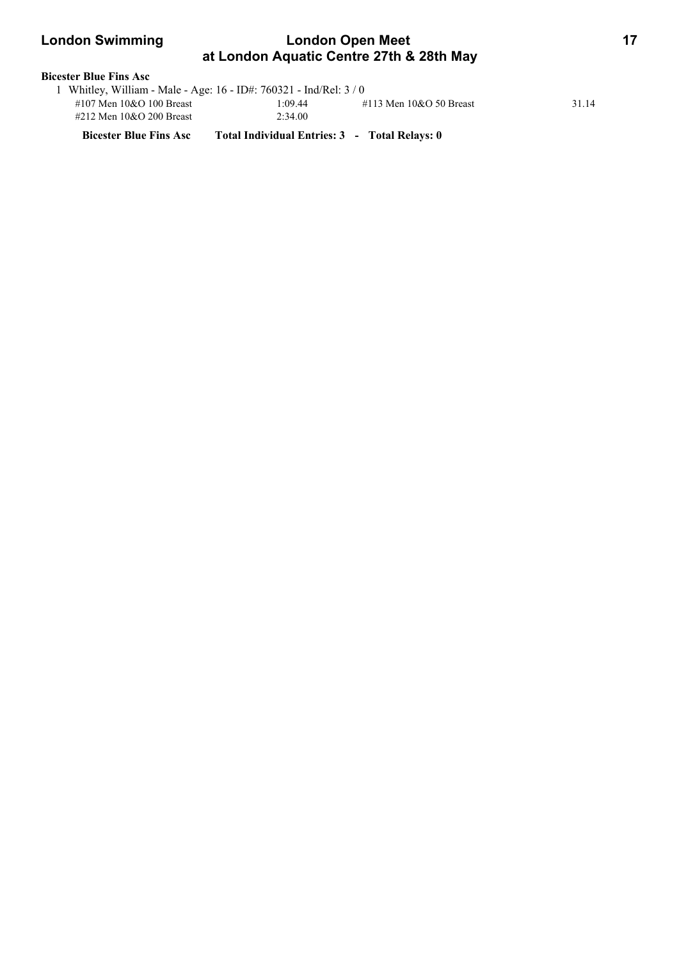# **London Swimming London Open Meet 17 at London Aquatic Centre 27th & 28th May**

| <b>Bicester Blue Fins Asc</b> |                                                                    |         |                           |       |  |  |
|-------------------------------|--------------------------------------------------------------------|---------|---------------------------|-------|--|--|
|                               | 1 Whitley, William - Male - Age: 16 - ID#: 760321 - Ind/Rel: $3/0$ |         |                           |       |  |  |
|                               | #107 Men $10&O$ 100 Breast                                         | 1:09.44 | #113 Men $10&O$ 50 Breast | 31.14 |  |  |
|                               | #212 Men 10&O 200 Breast                                           | 2:34.00 |                           |       |  |  |

**Bicester Blue Fins Asc Total Individual Entries: 3 - Total Relays: 0**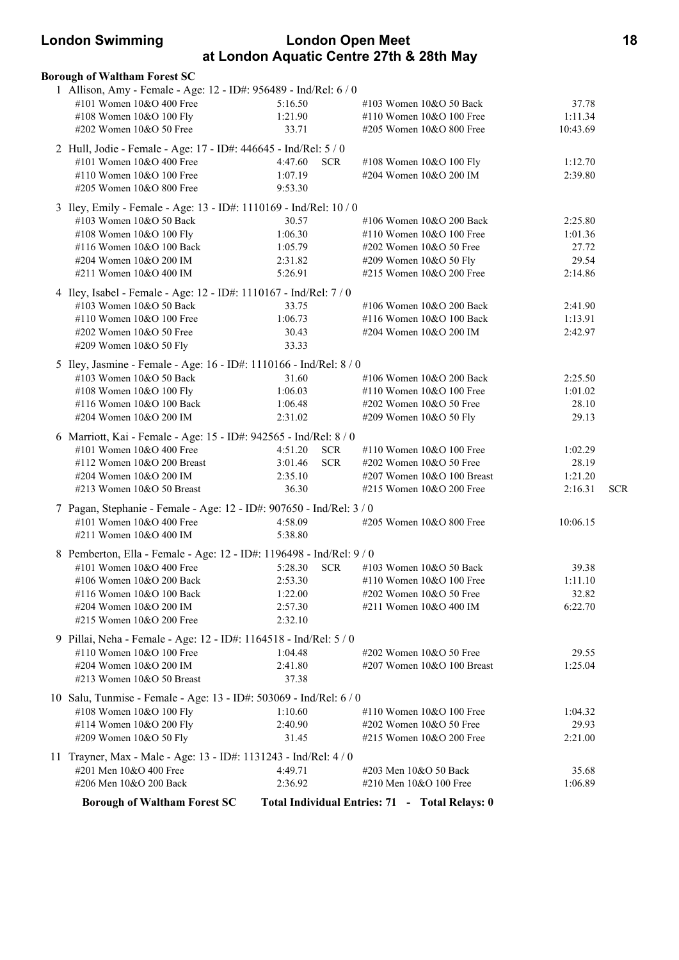# **London Swimming London Open Meet 18 at London Aquatic Centre 27th & 28th May**

| <b>Borough of Waltham Forest SC</b>                                                           |                    |            |                                                 |                  |            |
|-----------------------------------------------------------------------------------------------|--------------------|------------|-------------------------------------------------|------------------|------------|
| 1 Allison, Amy - Female - Age: 12 - ID#: 956489 - Ind/Rel: 6 / 0                              |                    |            |                                                 |                  |            |
| #101 Women 10&O 400 Free                                                                      | 5:16.50            |            | #103 Women 10&O 50 Back                         | 37.78            |            |
| #108 Women 10&O 100 Fly                                                                       | 1:21.90            |            | #110 Women $10&O 100$ Free                      | 1:11.34          |            |
| #202 Women 10&O 50 Free                                                                       | 33.71              |            | #205 Women 10&O 800 Free                        | 10:43.69         |            |
| 2 Hull, Jodie - Female - Age: 17 - ID#: 446645 - Ind/Rel: 5 / 0                               |                    |            |                                                 |                  |            |
| #101 Women 10&O 400 Free                                                                      | 4:47.60 SCR        |            | #108 Women 10&O 100 Fly                         | 1:12.70          |            |
| #110 Women 10&O 100 Free                                                                      | 1:07.19            |            | #204 Women 10&O 200 IM                          | 2:39.80          |            |
| #205 Women 10&O 800 Free                                                                      | 9:53.30            |            |                                                 |                  |            |
| 3 Iley, Emily - Female - Age: 13 - ID#: 1110169 - Ind/Rel: 10 / 0                             |                    |            |                                                 |                  |            |
| #103 Women 10&O 50 Back                                                                       | 30.57              |            | #106 Women 10&O 200 Back                        | 2:25.80          |            |
| #108 Women 10&O 100 Fly                                                                       | 1:06.30            |            | #110 Women 10&O 100 Free                        | 1:01.36          |            |
| #116 Women 10&O 100 Back                                                                      | 1:05.79            |            | #202 Women 10&O 50 Free                         | 27.72            |            |
| #204 Women 10&O 200 IM                                                                        | 2:31.82            |            | #209 Women 10&O 50 Fly                          | 29.54            |            |
| #211 Women 10&O 400 IM                                                                        | 5:26.91            |            | #215 Women 10&O 200 Free                        | 2:14.86          |            |
| 4 Iley, Isabel - Female - Age: 12 - ID#: 1110167 - Ind/Rel: 7 / 0                             |                    |            |                                                 |                  |            |
| #103 Women 10&O 50 Back                                                                       | 33.75              |            | #106 Women 10&O 200 Back                        | 2:41.90          |            |
| #110 Women 10&O 100 Free                                                                      | 1:06.73            |            | #116 Women 10&O 100 Back                        | 1:13.91          |            |
| #202 Women 10&O 50 Free                                                                       | 30.43              |            | #204 Women 10&O 200 IM                          | 2:42.97          |            |
| #209 Women 10&O 50 Fly                                                                        | 33.33              |            |                                                 |                  |            |
| 5 Iley, Jasmine - Female - Age: 16 - ID#: 1110166 - Ind/Rel: 8 / 0                            |                    |            |                                                 |                  |            |
| #103 Women 10&O 50 Back                                                                       | 31.60              |            | #106 Women 10&O 200 Back                        | 2:25.50          |            |
| #108 Women 10&O 100 Fly                                                                       | 1:06.03            |            | #110 Women 10&O 100 Free                        | 1:01.02          |            |
| #116 Women 10&O 100 Back                                                                      | 1:06.48            |            | #202 Women 10&O 50 Free                         | 28.10            |            |
| #204 Women 10&O 200 IM                                                                        | 2:31.02            |            | #209 Women 10&O 50 Fly                          | 29.13            |            |
| 6 Marriott, Kai - Female - Age: 15 - ID#: 942565 - Ind/Rel: 8 / 0                             |                    |            |                                                 |                  |            |
| #101 Women 10&O 400 Free                                                                      | 4:51.20            | <b>SCR</b> | #110 Women 10&O 100 Free                        | 1:02.29          |            |
| #112 Women 10&O 200 Breast                                                                    | 3:01.46            | <b>SCR</b> | #202 Women 10&O 50 Free                         | 28.19            |            |
| #204 Women 10&O 200 IM                                                                        | 2:35.10            |            | #207 Women 10&O 100 Breast                      | 1:21.20          |            |
| #213 Women 10&O 50 Breast                                                                     | 36.30              |            | #215 Women 10&O 200 Free                        | 2:16.31          | <b>SCR</b> |
| 7 Pagan, Stephanie - Female - Age: 12 - ID#: 907650 - Ind/Rel: 3 / 0                          |                    |            |                                                 |                  |            |
| #101 Women 10&O 400 Free                                                                      | 4:58.09            |            | #205 Women 10&O 800 Free                        | 10:06.15         |            |
| #211 Women 10&O 400 IM                                                                        | 5:38.80            |            |                                                 |                  |            |
| 8 Pemberton, Ella - Female - Age: 12 - ID#: 1196498 - Ind/Rel: 9 / 0                          |                    |            |                                                 |                  |            |
| #101 Women 10&O 400 Free                                                                      | 5:28.30 SCR        |            | #103 Women 10&O 50 Back                         | 39.38            |            |
| #106 Women 10&O 200 Back                                                                      | 2:53.30            |            | #110 Women 10&O 100 Free                        | 1:11.10          |            |
| #116 Women 10&O 100 Back                                                                      | 1:22.00            |            | #202 Women 10&O 50 Free                         | 32.82            |            |
| #204 Women 10&O 200 IM                                                                        | 2:57.30            |            | #211 Women 10&O 400 IM                          | 6:22.70          |            |
| #215 Women 10&O 200 Free                                                                      | 2:32.10            |            |                                                 |                  |            |
| 9 Pillai, Neha - Female - Age: 12 - ID#: 1164518 - Ind/Rel: 5 / 0                             |                    |            |                                                 |                  |            |
| #110 Women 10&O 100 Free                                                                      | 1:04.48            |            | #202 Women 10&O 50 Free                         | 29.55            |            |
| #204 Women 10&O 200 IM                                                                        | 2:41.80            |            | #207 Women 10&O 100 Breast                      | 1:25.04          |            |
| #213 Women 10&O 50 Breast                                                                     | 37.38              |            |                                                 |                  |            |
|                                                                                               |                    |            |                                                 |                  |            |
| 10 Salu, Tunmise - Female - Age: 13 - ID#: 503069 - Ind/Rel: 6 / 0<br>#108 Women 10&O 100 Fly | 1:10.60            |            | #110 Women 10&O 100 Free                        | 1:04.32          |            |
| #114 Women 10&O 200 Fly                                                                       | 2:40.90            |            | #202 Women 10&O 50 Free                         | 29.93            |            |
| #209 Women 10&O 50 Fly                                                                        | 31.45              |            | #215 Women $10&O$ 200 Free                      | 2:21.00          |            |
|                                                                                               |                    |            |                                                 |                  |            |
| 11 Trayner, Max - Male - Age: 13 - ID#: 1131243 - Ind/Rel: 4 / 0                              |                    |            |                                                 |                  |            |
| #201 Men 10&O 400 Free<br>#206 Men 10&O 200 Back                                              | 4:49.71<br>2:36.92 |            | #203 Men 10&O 50 Back<br>#210 Men 10&O 100 Free | 35.68<br>1:06.89 |            |
|                                                                                               |                    |            |                                                 |                  |            |
| <b>Borough of Waltham Forest SC</b>                                                           |                    |            | Total Individual Entries: 71 - Total Relays: 0  |                  |            |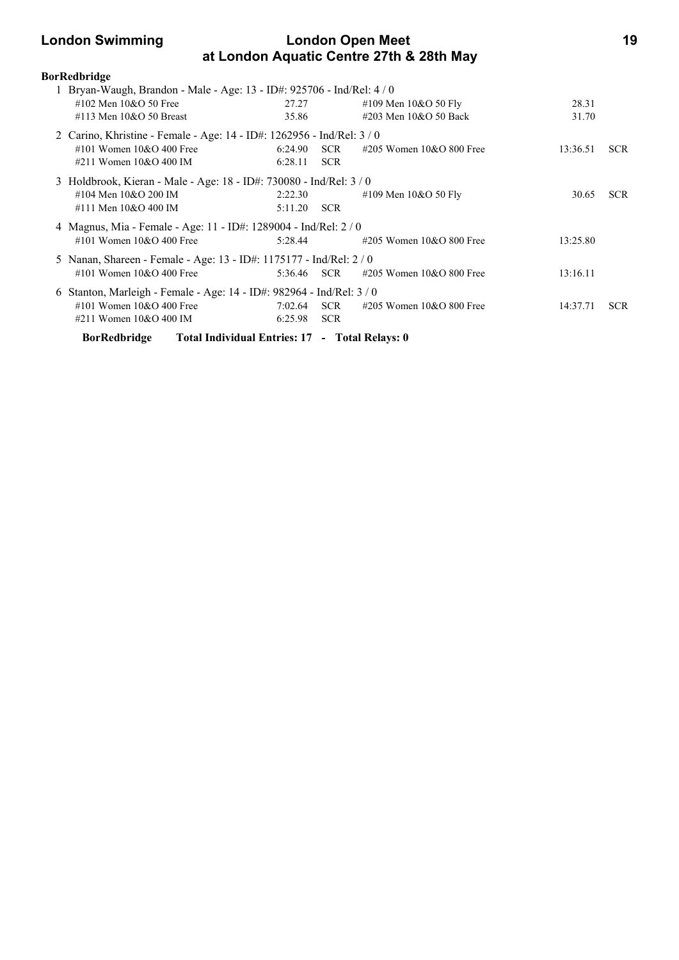# **London Swimming London Open Meet 19 at London Aquatic Centre 27th & 28th May**

| <b>BorRedbridge</b>                                                    |                |            |                                                 |                |            |
|------------------------------------------------------------------------|----------------|------------|-------------------------------------------------|----------------|------------|
| 1 Bryan-Waugh, Brandon - Male - Age: 13 - ID#: 925706 - Ind/Rel: 4 / 0 |                |            |                                                 |                |            |
| #102 Men 10&O 50 Free<br>#113 Men $10&O$ 50 Breast                     | 27.27<br>35.86 |            | #109 Men $10&O 50$ Fly<br>#203 Men 10&O 50 Back | 28.31<br>31.70 |            |
|                                                                        |                |            |                                                 |                |            |
| 2 Carino, Khristine - Female - Age: 14 - ID#: 1262956 - Ind/Rel: 3 / 0 |                |            |                                                 |                |            |
| #101 Women $10&O$ 400 Free                                             | 6:24.90        | <b>SCR</b> | $\#205$ Women 10&O 800 Free                     | 13:36.51       | <b>SCR</b> |
| #211 Women 10&O 400 IM                                                 | 6:28.11        | <b>SCR</b> |                                                 |                |            |
| 3 Holdbrook, Kieran - Male - Age: 18 - ID#: 730080 - Ind/Rel: 3 / 0    |                |            |                                                 |                |            |
| #104 Men 10&O 200 IM                                                   | 2:22.30        |            | #109 Men $10&O$ 50 Fly                          | 30.65          | <b>SCR</b> |
| #111 Men 10&O 400 IM                                                   | 5:11.20        | <b>SCR</b> |                                                 |                |            |
| 4 Magnus, Mia - Female - Age: 11 - ID#: 1289004 - Ind/Rel: 2 / 0       |                |            |                                                 |                |            |
| #101 Women 10&O 400 Free                                               | 5:28.44        |            | #205 Women 10&O 800 Free                        | 13:25.80       |            |
| 5 Nanan, Shareen - Female - Age: 13 - ID#: 1175177 - Ind/Rel: 2 / 0    |                |            |                                                 |                |            |
| #101 Women 10&O 400 Free                                               | 5:36.46 SCR    |            | #205 Women 10&O 800 Free                        | 13:16.11       |            |
| 6 Stanton, Marleigh - Female - Age: 14 - ID#: 982964 - Ind/Rel: 3 / 0  |                |            |                                                 |                |            |
| #101 Women $10&O$ 400 Free                                             | 7:02.64        | <b>SCR</b> | #205 Women $10&O 800$ Free                      | 14:37.71       | <b>SCR</b> |
| #211 Women $10&O$ 400 IM                                               | 6:25.98        | <b>SCR</b> |                                                 |                |            |
| Total Individual Entries: 17 - Total Relays: 0<br><b>BorRedbridge</b>  |                |            |                                                 |                |            |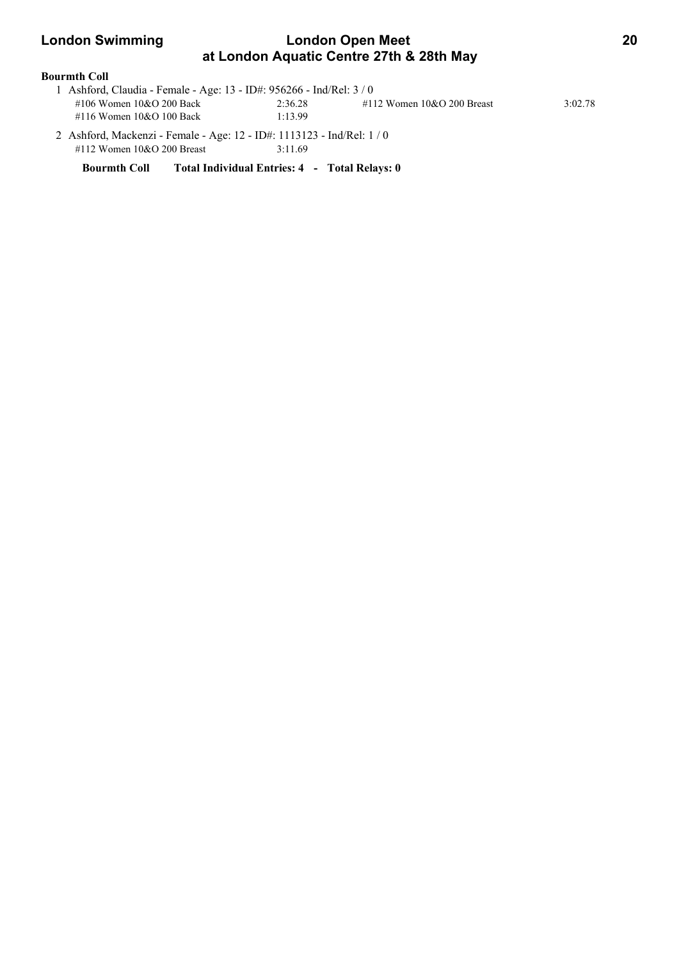# **London Swimming Condon Open Meet 20 at London Aquatic Centre 27th & 28th May**

### **Bourmth Coll**

| 1 Ashford, Claudia - Female - Age: 13 - ID#: 956266 - Ind/Rel: 3 / 0 |         |                               |         |
|----------------------------------------------------------------------|---------|-------------------------------|---------|
| #106 Women 10&O 200 Back                                             | 2:36.28 | $\#112$ Women 10&O 200 Breast | 3:02.78 |
| #116 Women 10&O 100 Back                                             | 1:13.99 |                               |         |

 2 Ashford, Mackenzi - Female - Age: 12 - ID#: 1113123 - Ind/Rel: 1 / 0 #112 Women 10&O 200 Breast 3:11.69

**Bourmth Coll Total Individual Entries: 4 - Total Relays: 0**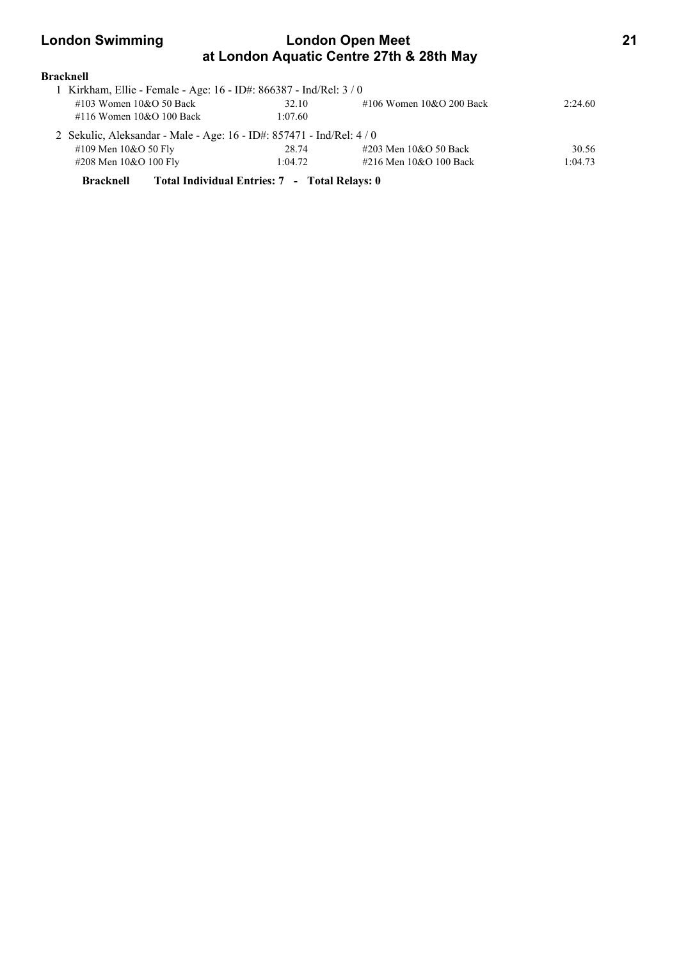# **London Swimming London Open Meet 21 at London Aquatic Centre 27th & 28th May**

| <b>Bracknell</b>                                                      |         |                            |         |
|-----------------------------------------------------------------------|---------|----------------------------|---------|
| 1 Kirkham, Ellie - Female - Age: 16 - ID#: 866387 - Ind/Rel: 3 / 0    |         |                            |         |
| #103 Women 10&O 50 Back                                               | 32.10   | #106 Women $10&O$ 200 Back | 2:24.60 |
| #116 Women 10&O 100 Back                                              | 1:07.60 |                            |         |
| 2 Sekulic, Aleksandar - Male - Age: 16 - ID#: 857471 - Ind/Rel: 4 / 0 |         |                            |         |
| #109 Men 10&O 50 Fly                                                  | 28.74   | #203 Men 10&O 50 Back      | 30.56   |
| #208 Men 10&O 100 Fly                                                 | 1:04.72 | #216 Men 10&O 100 Back     | 1:04.73 |
|                                                                       |         |                            |         |

**Bracknell Total Individual Entries: 7 - Total Relays: 0**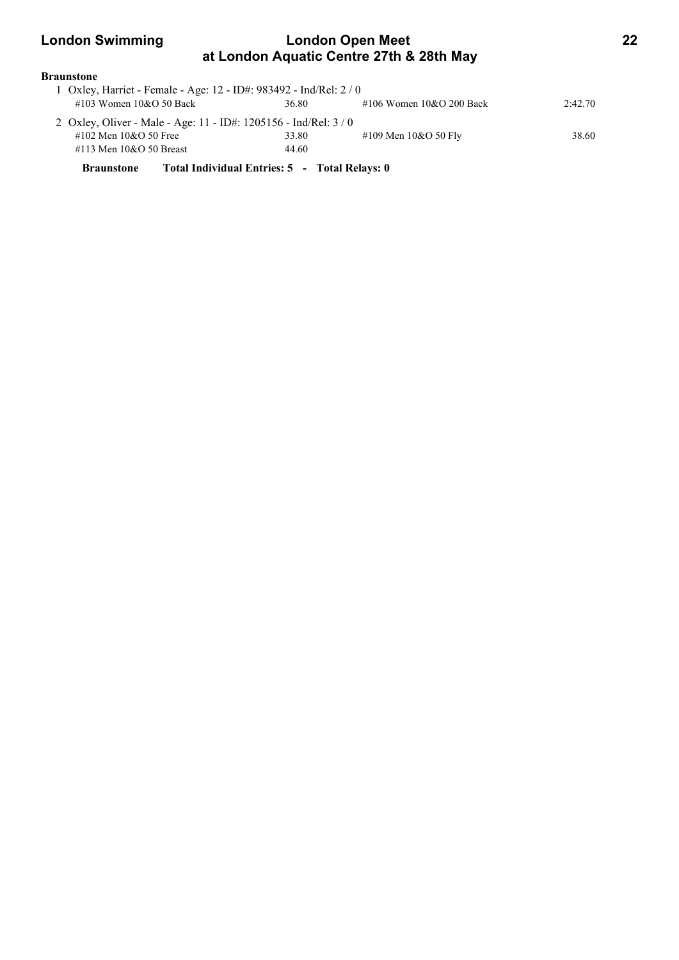# **London Swimming London Open Meet 22 at London Aquatic Centre 27th & 28th May**

# **Braunstone**

| 1 Oxley, Harriet - Female - Age: 12 - ID#: 983492 - Ind/Rel: 2 / 0 |                                                                |                            |         |  |  |  |
|--------------------------------------------------------------------|----------------------------------------------------------------|----------------------------|---------|--|--|--|
| #103 Women 10&O 50 Back                                            | 36.80                                                          | #106 Women $10&O$ 200 Back | 2:42.70 |  |  |  |
|                                                                    | 2 Oxley, Oliver - Male - Age: 11 - ID#: 1205156 - Ind/Rel: 3/0 |                            |         |  |  |  |
| #102 Men $10&O$ 50 Free                                            | 33.80                                                          | #109 Men $10&O 50$ Fly     | 38.60   |  |  |  |
| #113 Men $10&O$ 50 Breast                                          | 44.60                                                          |                            |         |  |  |  |
| <b>Braunstone</b>                                                  | Total Individual Entries: 5 - Total Relays: 0                  |                            |         |  |  |  |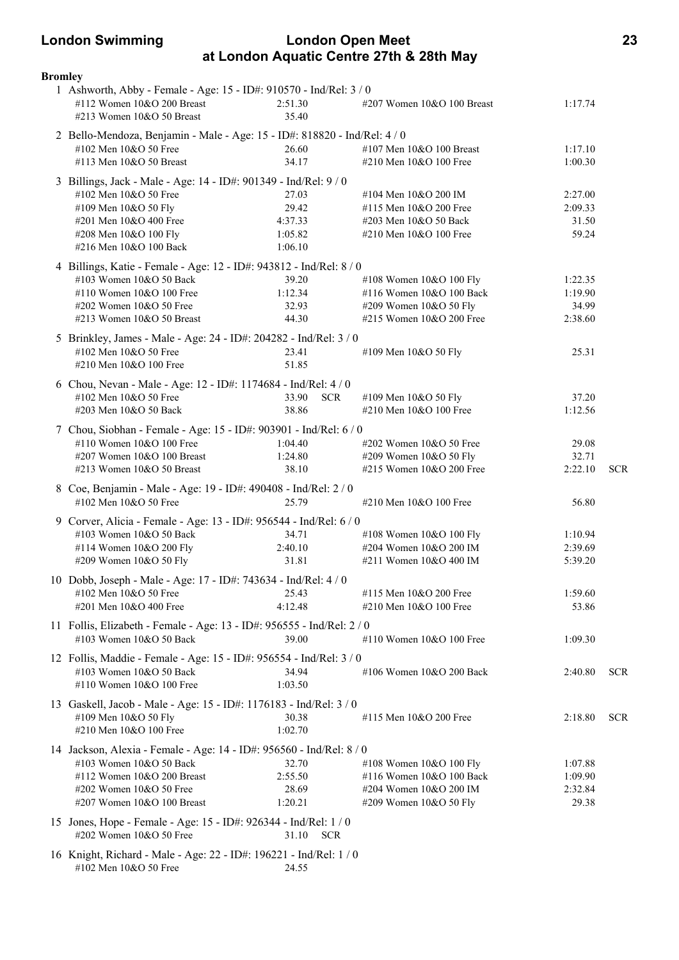# **London Swimming London Open Meet 23 at London Aquatic Centre 27th & 28th May**

| <b>Bromley</b> |                                                                                                                               |                     |                            |                    |            |
|----------------|-------------------------------------------------------------------------------------------------------------------------------|---------------------|----------------------------|--------------------|------------|
|                | 1 Ashworth, Abby - Female - Age: 15 - ID#: 910570 - Ind/Rel: 3 / 0<br>#112 Women 10&O 200 Breast<br>#213 Women 10&O 50 Breast | 2:51.30<br>35.40    | #207 Women 10&O 100 Breast | 1:17.74            |            |
|                | 2 Bello-Mendoza, Benjamin - Male - Age: 15 - ID#: 818820 - Ind/Rel: 4 / 0                                                     |                     |                            |                    |            |
|                | #102 Men 10&O 50 Free                                                                                                         | 26.60               | #107 Men 10&O 100 Breast   | 1:17.10            |            |
|                | #113 Men 10&O 50 Breast                                                                                                       | 34.17               | #210 Men 10&O 100 Free     | 1:00.30            |            |
|                |                                                                                                                               |                     |                            |                    |            |
|                | 3 Billings, Jack - Male - Age: 14 - ID#: 901349 - Ind/Rel: 9 / 0                                                              |                     |                            |                    |            |
|                | #102 Men 10&O 50 Free                                                                                                         | 27.03               | #104 Men 10&O 200 IM       | 2:27.00            |            |
|                | #109 Men 10&O 50 Fly                                                                                                          | 29.42               | #115 Men 10&O 200 Free     | 2:09.33            |            |
|                | #201 Men 10&O 400 Free                                                                                                        | 4:37.33             | #203 Men 10&O 50 Back      | 31.50              |            |
|                | #208 Men 10&O 100 Fly                                                                                                         | 1:05.82             | #210 Men 10&O 100 Free     | 59.24              |            |
|                | #216 Men 10&O 100 Back                                                                                                        | 1:06.10             |                            |                    |            |
|                | 4 Billings, Katie - Female - Age: 12 - ID#: 943812 - Ind/Rel: 8 / 0                                                           |                     |                            |                    |            |
|                | #103 Women 10&O 50 Back                                                                                                       | 39.20               | #108 Women 10&O 100 Fly    | 1:22.35            |            |
|                | #110 Women 10&O 100 Free                                                                                                      | 1:12.34             | #116 Women 10&O 100 Back   | 1:19.90            |            |
|                | #202 Women 10&O 50 Free                                                                                                       | 32.93               | #209 Women 10&O 50 Fly     | 34.99              |            |
|                | #213 Women 10&O 50 Breast                                                                                                     | 44.30               | #215 Women 10&O 200 Free   | 2:38.60            |            |
|                | 5 Brinkley, James - Male - Age: 24 - ID#: 204282 - Ind/Rel: 3 / 0                                                             |                     |                            |                    |            |
|                | #102 Men 10&O 50 Free                                                                                                         | 23.41               | #109 Men 10&O 50 Fly       | 25.31              |            |
|                | #210 Men 10&O 100 Free                                                                                                        | 51.85               |                            |                    |            |
|                |                                                                                                                               |                     |                            |                    |            |
|                | 6 Chou, Nevan - Male - Age: 12 - ID#: 1174684 - Ind/Rel: 4 / 0                                                                |                     |                            |                    |            |
|                | #102 Men 10&O 50 Free                                                                                                         | 33.90<br><b>SCR</b> | #109 Men 10&O 50 Fly       | 37.20              |            |
|                | #203 Men 10&O 50 Back                                                                                                         | 38.86               | #210 Men 10&O 100 Free     | 1:12.56            |            |
|                | 7 Chou, Siobhan - Female - Age: 15 - ID#: 903901 - Ind/Rel: 6 / 0                                                             |                     |                            |                    |            |
|                | #110 Women 10&O 100 Free                                                                                                      | 1:04.40             | #202 Women 10&O 50 Free    | 29.08              |            |
|                | #207 Women 10&O 100 Breast                                                                                                    | 1:24.80             | #209 Women 10&O 50 Fly     | 32.71              |            |
|                | #213 Women 10&O 50 Breast                                                                                                     | 38.10               | #215 Women 10&O 200 Free   | 2:22.10            | <b>SCR</b> |
|                | 8 Coe, Benjamin - Male - Age: 19 - ID#: 490408 - Ind/Rel: 2 / 0                                                               |                     |                            |                    |            |
|                | #102 Men 10&O 50 Free                                                                                                         | 25.79               | #210 Men 10&O 100 Free     | 56.80              |            |
|                |                                                                                                                               |                     |                            |                    |            |
|                | 9 Corver, Alicia - Female - Age: 13 - ID#: 956544 - Ind/Rel: 6 / 0<br>#103 Women 10&O 50 Back                                 | 34.71               | #108 Women 10&O 100 Fly    |                    |            |
|                | #114 Women 10&O 200 Fly                                                                                                       | 2:40.10             | #204 Women 10&O 200 IM     | 1:10.94<br>2:39.69 |            |
|                | #209 Women 10&O 50 Fly                                                                                                        | 31.81               | #211 Women 10&O 400 IM     | 5:39.20            |            |
|                |                                                                                                                               |                     |                            |                    |            |
|                | 10 Dobb, Joseph - Male - Age: 17 - ID#: 743634 - Ind/Rel: 4 / 0                                                               |                     |                            |                    |            |
|                | #102 Men 10&O 50 Free                                                                                                         | 25.43               | #115 Men 10&O 200 Free     | 1:59.60            |            |
|                | #201 Men 10&O 400 Free                                                                                                        | 4:12.48             | #210 Men 10&O 100 Free     | 53.86              |            |
|                | 11 Follis, Elizabeth - Female - Age: 13 - ID#: 956555 - Ind/Rel: 2 / 0                                                        |                     |                            |                    |            |
|                | #103 Women 10&O 50 Back                                                                                                       | 39.00               | #110 Women 10&O 100 Free   | 1:09.30            |            |
|                | 12 Follis, Maddie - Female - Age: 15 - ID#: 956554 - Ind/Rel: 3 / 0                                                           |                     |                            |                    |            |
|                | #103 Women 10&O 50 Back                                                                                                       | 34.94               | #106 Women 10&O 200 Back   | 2:40.80            | <b>SCR</b> |
|                | #110 Women 10&O 100 Free                                                                                                      | 1:03.50             |                            |                    |            |
|                |                                                                                                                               |                     |                            |                    |            |
|                | 13 Gaskell, Jacob - Male - Age: 15 - ID#: 1176183 - Ind/Rel: 3 / 0                                                            |                     |                            |                    |            |
|                | #109 Men 10&O 50 Fly                                                                                                          | 30.38               | #115 Men 10&O 200 Free     | 2:18.80            | <b>SCR</b> |
|                | #210 Men 10&O 100 Free                                                                                                        | 1:02.70             |                            |                    |            |
|                | 14 Jackson, Alexia - Female - Age: 14 - ID#: 956560 - Ind/Rel: 8 / 0                                                          |                     |                            |                    |            |
|                | #103 Women 10&O 50 Back                                                                                                       | 32.70               | #108 Women 10&O 100 Fly    | 1:07.88            |            |
|                | #112 Women 10&O 200 Breast                                                                                                    | 2:55.50             | #116 Women 10&O 100 Back   | 1:09.90            |            |
|                | #202 Women 10&O 50 Free                                                                                                       | 28.69               | #204 Women 10&O 200 IM     | 2:32.84            |            |
|                | #207 Women 10&O 100 Breast                                                                                                    | 1:20.21             | #209 Women 10&O 50 Fly     | 29.38              |            |
|                |                                                                                                                               |                     |                            |                    |            |
|                | 15 Jones, Hope - Female - Age: 15 - ID#: 926344 - Ind/Rel: 1 / 0<br>#202 Women 10&O 50 Free                                   | 31.10<br><b>SCR</b> |                            |                    |            |
|                | 16 Knight, Richard - Male - Age: 22 - ID#: 196221 - Ind/Rel: 1 / 0                                                            |                     |                            |                    |            |
|                | #102 Men 10&O 50 Free                                                                                                         | 24.55               |                            |                    |            |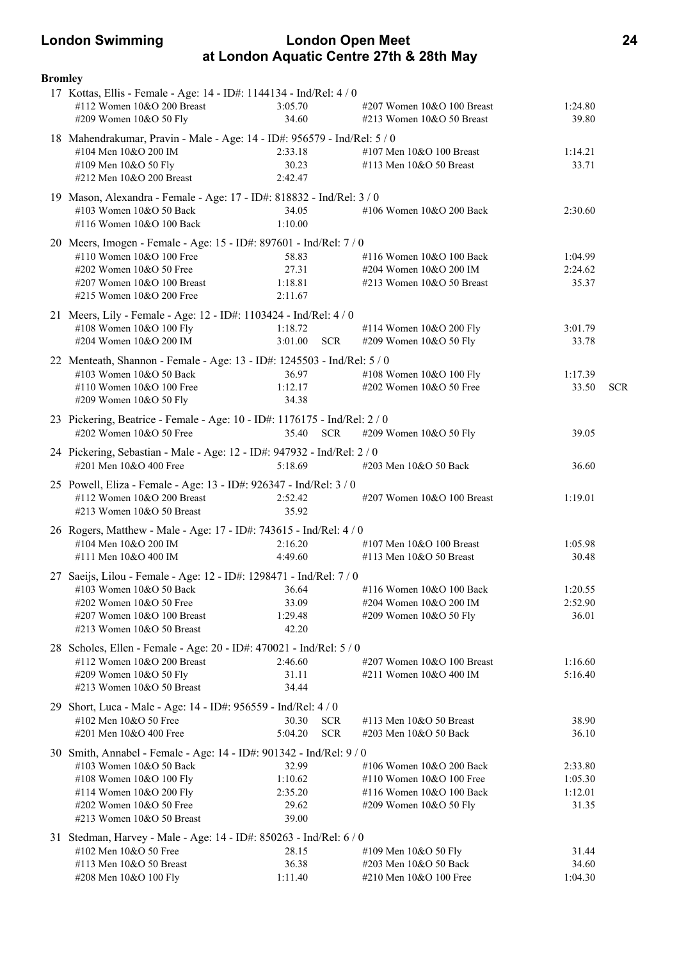# **London Swimming London Open Meet 24 at London Aquatic Centre 27th & 28th May**

| <b>Bromley</b> |                                                                                                      |                    |            |                               |         |            |
|----------------|------------------------------------------------------------------------------------------------------|--------------------|------------|-------------------------------|---------|------------|
|                | 17 Kottas, Ellis - Female - Age: 14 - ID#: 1144134 - Ind/Rel: 4 / 0                                  |                    |            |                               |         |            |
|                | #112 Women 10&O 200 Breast                                                                           | 3:05.70            |            | $\#207$ Women 10&O 100 Breast | 1:24.80 |            |
|                | #209 Women 10&O 50 Fly                                                                               | 34.60              |            | #213 Women 10&O 50 Breast     | 39.80   |            |
|                | 18 Mahendrakumar, Pravin - Male - Age: 14 - ID#: 956579 - Ind/Rel: 5 / 0                             |                    |            |                               |         |            |
|                | #104 Men 10&O 200 IM                                                                                 | 2:33.18            |            | #107 Men 10&O 100 Breast      | 1:14.21 |            |
|                | #109 Men 10&O 50 Fly                                                                                 | 30.23              |            | #113 Men 10&O 50 Breast       | 33.71   |            |
|                | #212 Men 10&O 200 Breast                                                                             | 2:42.47            |            |                               |         |            |
|                | 19 Mason, Alexandra - Female - Age: 17 - ID#: 818832 - Ind/Rel: 3 / 0                                |                    |            |                               |         |            |
|                | #103 Women 10&O 50 Back                                                                              | 34.05              |            | #106 Women 10&O 200 Back      | 2:30.60 |            |
|                | #116 Women 10&O 100 Back                                                                             | 1:10.00            |            |                               |         |            |
|                |                                                                                                      |                    |            |                               |         |            |
|                | 20 Meers, Imogen - Female - Age: 15 - ID#: 897601 - Ind/Rel: 7/0<br>#110 Women 10&O 100 Free         |                    |            |                               |         |            |
|                |                                                                                                      | 58.83              |            | #116 Women 10&O 100 Back      | 1:04.99 |            |
|                | #202 Women 10&O 50 Free                                                                              | 27.31              |            | #204 Women 10&O 200 IM        | 2:24.62 |            |
|                | #207 Women $10&O 100$ Breast<br>#215 Women 10&O 200 Free                                             | 1:18.81<br>2:11.67 |            | $\#213$ Women 10&O 50 Breast  | 35.37   |            |
|                |                                                                                                      |                    |            |                               |         |            |
|                | 21 Meers, Lily - Female - Age: 12 - ID#: 1103424 - Ind/Rel: 4 / 0                                    |                    |            |                               |         |            |
|                | #108 Women 10&O 100 Fly                                                                              | 1:18.72            |            | #114 Women 10&O 200 Fly       | 3:01.79 |            |
|                | #204 Women 10&O 200 IM                                                                               | 3:01.00            | <b>SCR</b> | #209 Women 10&O 50 Fly        | 33.78   |            |
|                | 22 Menteath, Shannon - Female - Age: 13 - ID#: 1245503 - Ind/Rel: 5 / 0                              |                    |            |                               |         |            |
|                | #103 Women 10&O 50 Back                                                                              | 36.97              |            | #108 Women 10&O 100 Fly       | 1:17.39 |            |
|                | #110 Women 10&O 100 Free                                                                             | 1:12.17            |            | #202 Women 10&O 50 Free       | 33.50   | <b>SCR</b> |
|                | #209 Women 10&O 50 Fly                                                                               | 34.38              |            |                               |         |            |
|                |                                                                                                      |                    |            |                               |         |            |
|                | 23 Pickering, Beatrice - Female - Age: 10 - ID#: 1176175 - Ind/Rel: 2 / 0<br>#202 Women 10&O 50 Free | 35.40              | <b>SCR</b> | #209 Women 10&O 50 Fly        | 39.05   |            |
|                |                                                                                                      |                    |            |                               |         |            |
|                | 24 Pickering, Sebastian - Male - Age: 12 - ID#: 947932 - Ind/Rel: 2 / 0                              |                    |            |                               |         |            |
|                | #201 Men 10&O 400 Free                                                                               | 5:18.69            |            | #203 Men 10&O 50 Back         | 36.60   |            |
|                | 25 Powell, Eliza - Female - Age: 13 - ID#: 926347 - Ind/Rel: 3 / 0                                   |                    |            |                               |         |            |
|                | #112 Women 10&O 200 Breast                                                                           | 2:52.42            |            | #207 Women 10&O 100 Breast    | 1:19.01 |            |
|                | #213 Women 10&O 50 Breast                                                                            | 35.92              |            |                               |         |            |
|                | 26 Rogers, Matthew - Male - Age: 17 - ID#: 743615 - Ind/Rel: 4 / 0                                   |                    |            |                               |         |            |
|                | #104 Men 10&O 200 IM                                                                                 | 2:16.20            |            | #107 Men $10&O$ 100 Breast    | 1:05.98 |            |
|                | #111 Men 10&O 400 IM                                                                                 | 4:49.60            |            | #113 Men 10&O 50 Breast       | 30.48   |            |
|                |                                                                                                      |                    |            |                               |         |            |
|                | 27 Saeijs, Lilou - Female - Age: 12 - ID#: 1298471 - Ind/Rel: 7 / 0                                  |                    |            |                               |         |            |
|                | #103 Women 10&O 50 Back                                                                              | 36.64              |            | #116 Women 10&O 100 Back      | 1:20.55 |            |
|                | #202 Women 10&O 50 Free                                                                              | 33.09              |            | #204 Women 10&O 200 IM        | 2:52.90 |            |
|                | #207 Women 10&O 100 Breast                                                                           | 1:29.48            |            | #209 Women 10&O 50 Fly        | 36.01   |            |
|                | #213 Women 10&O 50 Breast                                                                            | 42.20              |            |                               |         |            |
|                | 28 Scholes, Ellen - Female - Age: 20 - ID#: 470021 - Ind/Rel: 5 / 0                                  |                    |            |                               |         |            |
|                | #112 Women 10&O 200 Breast                                                                           | 2:46.60            |            | #207 Women 10&O 100 Breast    | 1:16.60 |            |
|                | #209 Women 10&O 50 Fly                                                                               | 31.11              |            | #211 Women 10&O 400 IM        | 5:16.40 |            |
|                | #213 Women 10&O 50 Breast                                                                            | 34.44              |            |                               |         |            |
|                | 29 Short, Luca - Male - Age: 14 - ID#: 956559 - Ind/Rel: 4 / 0                                       |                    |            |                               |         |            |
|                | #102 Men 10&O 50 Free                                                                                | 30.30              | <b>SCR</b> | #113 Men 10&O 50 Breast       | 38.90   |            |
|                | #201 Men 10&O 400 Free                                                                               | 5:04.20            | <b>SCR</b> | #203 Men 10&O 50 Back         | 36.10   |            |
|                |                                                                                                      |                    |            |                               |         |            |
|                | 30 Smith, Annabel - Female - Age: 14 - ID#: 901342 - Ind/Rel: 9 / 0                                  |                    |            |                               |         |            |
|                | #103 Women 10&O 50 Back                                                                              | 32.99              |            | #106 Women 10&O 200 Back      | 2:33.80 |            |
|                | #108 Women 10&O 100 Fly                                                                              | 1:10.62            |            | #110 Women 10&O 100 Free      | 1:05.30 |            |
|                | #114 Women 10&O 200 Fly                                                                              | 2:35.20            |            | #116 Women 10&O 100 Back      | 1:12.01 |            |
|                | #202 Women 10&O 50 Free                                                                              | 29.62              |            | #209 Women 10&O 50 Fly        | 31.35   |            |
|                | #213 Women 10&O 50 Breast                                                                            | 39.00              |            |                               |         |            |
|                | 31 Stedman, Harvey - Male - Age: 14 - ID#: 850263 - Ind/Rel: 6 / 0                                   |                    |            |                               |         |            |
|                | #102 Men 10&O 50 Free                                                                                | 28.15              |            | #109 Men 10&O 50 Fly          | 31.44   |            |
|                | #113 Men 10&O 50 Breast                                                                              | 36.38              |            | #203 Men 10&O 50 Back         | 34.60   |            |
|                | #208 Men 10&O 100 Fly                                                                                | 1:11.40            |            | #210 Men 10&O 100 Free        | 1:04.30 |            |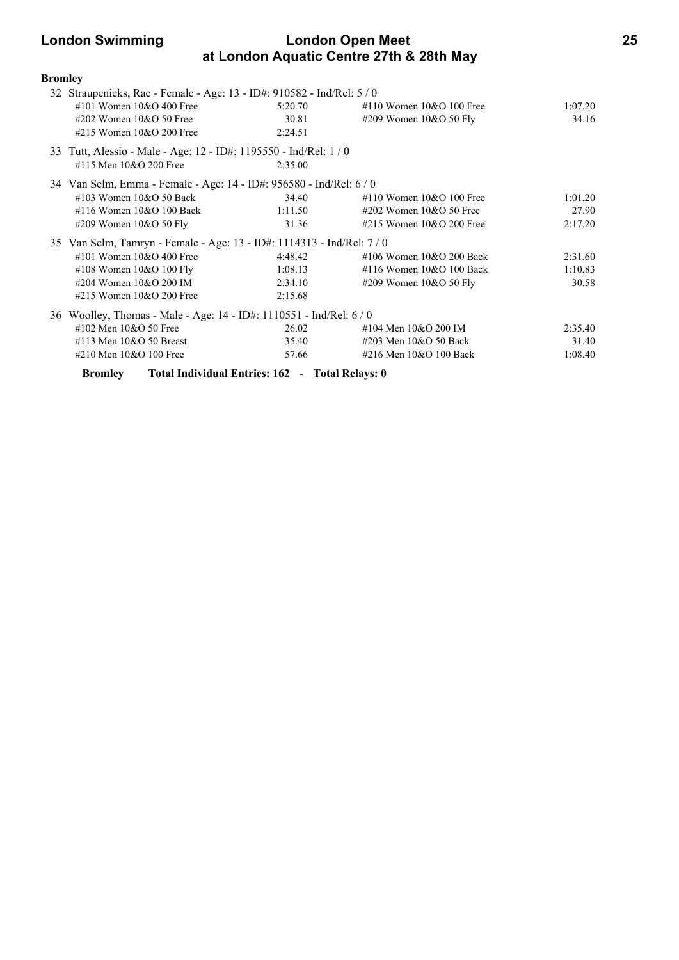# **London Swimming London Open Meet 25 at London Aquatic Centre 27th & 28th May**

| <b>Bromley</b> |                                                                        |         |                                |         |
|----------------|------------------------------------------------------------------------|---------|--------------------------------|---------|
|                | 32 Straupenieks, Rae - Female - Age: 13 - ID#: 910582 - Ind/Rel: 5 / 0 |         |                                |         |
|                | #101 Women $10&O$ 400 Free                                             | 5:20.70 | $\#110$ Women $10\&O$ 100 Free | 1:07.20 |
|                | #202 Women $10&O$ 50 Free                                              | 30.81   | #209 Women 10&O 50 Fly         | 34.16   |
|                | #215 Women $10&O$ 200 Free                                             | 2:24.51 |                                |         |
|                | 33 Tutt, Alessio - Male - Age: 12 - ID#: 1195550 - Ind/Rel: 1 / 0      |         |                                |         |
|                | #115 Men 10&O 200 Free                                                 | 2:35.00 |                                |         |
|                | 34 Van Selm, Emma - Female - Age: 14 - ID#: 956580 - Ind/Rel: 6 / 0    |         |                                |         |
|                | #103 Women $10&O$ 50 Back                                              | 34.40   | #110 Women $10&O$ 100 Free     | 1:01.20 |
|                | #116 Women $10&O$ 100 Back                                             | 1:11.50 | $\#202$ Women 10&O 50 Free     | 27.90   |
|                | #209 Women 10&O 50 Fly                                                 | 31.36   | #215 Women $10&O$ 200 Free     | 2:17.20 |
|                | 35 Van Selm, Tamryn - Female - Age: 13 - ID#: 1114313 - Ind/Rel: 7 / 0 |         |                                |         |
|                | #101 Women $10&O$ 400 Free                                             | 4:48.42 | #106 Women $10&O$ 200 Back     | 2:31.60 |
|                | #108 Women $10&O 100$ Fly                                              | 1:08.13 | #116 Women 10&O 100 Back       | 1:10.83 |
|                | #204 Women 10&O 200 IM                                                 | 2:34.10 | #209 Women $10&O 50$ Fly       | 30.58   |
|                | #215 Women $10&O$ 200 Free                                             | 2:15.68 |                                |         |
|                | 36 Woolley, Thomas - Male - Age: 14 - ID#: 1110551 - Ind/Rel: 6 / 0    |         |                                |         |
|                | #102 Men 10&O 50 Free                                                  | 26.02   | #104 Men 10&O 200 IM           | 2:35.40 |
|                | #113 Men $10&O$ 50 Breast                                              | 35.40   | #203 Men 10&O 50 Back          | 31.40   |
|                | #210 Men 10&O 100 Free                                                 | 57.66   | #216 Men 10&O 100 Back         | 1:08.40 |
|                | <b>Bromley</b> Total Individual Entries: 162 - Total Relays: 0         |         |                                |         |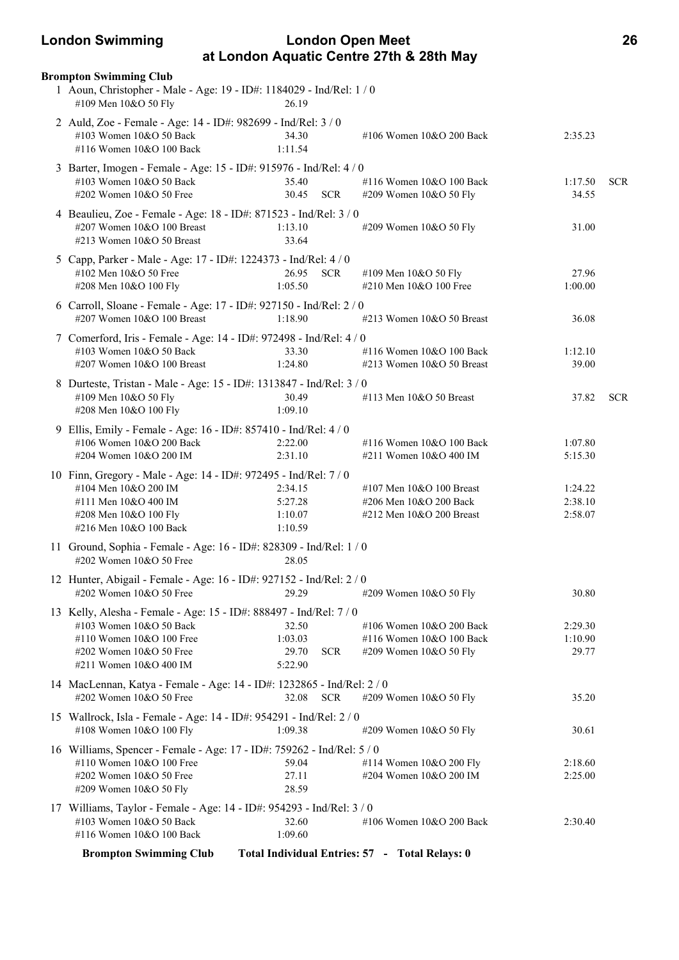# **London Swimming London Open Meet 26 at London Aquatic Centre 27th & 28th May**

| <b>Brompton Swimming Club</b>                                                                                                                                                  |                                                    |                                                                                |                               |            |
|--------------------------------------------------------------------------------------------------------------------------------------------------------------------------------|----------------------------------------------------|--------------------------------------------------------------------------------|-------------------------------|------------|
| 1 Aoun, Christopher - Male - Age: 19 - ID#: 1184029 - Ind/Rel: 1 / 0<br>#109 Men 10&O 50 Fly                                                                                   | 26.19                                              |                                                                                |                               |            |
| 2 Auld, Zoe - Female - Age: 14 - ID#: 982699 - Ind/Rel: 3 / 0<br>#103 Women 10&O 50 Back<br>#116 Women 10&O 100 Back                                                           | 34.30<br>1:11.54                                   | #106 Women 10&O 200 Back                                                       | 2:35.23                       |            |
| 3 Barter, Imogen - Female - Age: 15 - ID#: 915976 - Ind/Rel: 4 / 0<br>#103 Women 10&O 50 Back<br>#202 Women 10&O 50 Free                                                       | 35.40<br>30.45<br><b>SCR</b>                       | #116 Women 10&O 100 Back<br>#209 Women 10&O 50 Fly                             | 1:17.50<br>34.55              | <b>SCR</b> |
| 4 Beaulieu, Zoe - Female - Age: 18 - ID#: 871523 - Ind/Rel: 3 / 0<br>#207 Women 10&O 100 Breast<br>#213 Women 10&O 50 Breast                                                   | 1:13.10<br>33.64                                   | #209 Women 10&O 50 Fly                                                         | 31.00                         |            |
| 5 Capp, Parker - Male - Age: 17 - ID#: 1224373 - Ind/Rel: 4 / 0<br>#102 Men 10&O 50 Free<br>#208 Men 10&O 100 Fly                                                              | 26.95 SCR<br>1:05.50                               | #109 Men 10&O 50 Fly<br>#210 Men 10&O 100 Free                                 | 27.96<br>1:00.00              |            |
| 6 Carroll, Sloane - Female - Age: 17 - ID#: 927150 - Ind/Rel: 2 / 0<br>#207 Women 10&O 100 Breast                                                                              | 1:18.90                                            | #213 Women 10&O 50 Breast                                                      | 36.08                         |            |
| 7 Comerford, Iris - Female - Age: 14 - ID#: 972498 - Ind/Rel: 4 / 0<br>#103 Women 10&O 50 Back<br>#207 Women 10&O 100 Breast                                                   | 33.30<br>1:24.80                                   | #116 Women 10&O 100 Back<br>#213 Women 10&O 50 Breast                          | 1:12.10<br>39.00              |            |
| 8 Durteste, Tristan - Male - Age: 15 - ID#: 1313847 - Ind/Rel: 3 / 0<br>#109 Men 10&O 50 Fly<br>#208 Men 10&O 100 Fly                                                          | 30.49<br>1:09.10                                   | #113 Men 10&O 50 Breast                                                        | 37.82                         | <b>SCR</b> |
| 9 Ellis, Emily - Female - Age: 16 - ID#: 857410 - Ind/Rel: 4 / 0<br>#106 Women 10&O 200 Back<br>#204 Women 10&O 200 IM                                                         | 2:22.00<br>2:31.10                                 | #116 Women 10&O 100 Back<br>#211 Women 10&O 400 IM                             | 1:07.80<br>5:15.30            |            |
| 10 Finn, Gregory - Male - Age: 14 - ID#: 972495 - Ind/Rel: 7 / 0<br>#104 Men 10&O 200 IM<br>#111 Men 10&O 400 IM<br>#208 Men 10&O 100 Fly<br>#216 Men 10&O 100 Back            | 2:34.15<br>5:27.28<br>1:10.07<br>1:10.59           | #107 Men 10&O 100 Breast<br>#206 Men 10&O 200 Back<br>#212 Men 10&O 200 Breast | 1:24.22<br>2:38.10<br>2:58.07 |            |
| 11 Ground, Sophia - Female - Age: 16 - ID#: 828309 - Ind/Rel: 1 / 0<br>#202 Women 10&O 50 Free                                                                                 | 28.05                                              |                                                                                |                               |            |
| 12 Hunter, Abigail - Female - Age: 16 - ID#: 927152 - Ind/Rel: 2 / 0<br>#202 Women 10&O 50 Free                                                                                | 29.29                                              | #209 Women 10&O 50 Fly                                                         | 30.80                         |            |
| 13 Kelly, Alesha - Female - Age: 15 - ID#: 888497 - Ind/Rel: 7 / 0<br>#103 Women 10&O 50 Back<br>#110 Women 10&O 100 Free<br>#202 Women 10&O 50 Free<br>#211 Women 10&O 400 IM | 32.50<br>1:03.03<br>29.70<br><b>SCR</b><br>5:22.90 | #106 Women 10&O 200 Back<br>#116 Women 10&O 100 Back<br>#209 Women 10&O 50 Fly | 2:29.30<br>1:10.90<br>29.77   |            |
| 14 MacLennan, Katya - Female - Age: 14 - ID#: 1232865 - Ind/Rel: 2 / 0<br>#202 Women 10&O 50 Free                                                                              | 32.08<br><b>SCR</b>                                | #209 Women 10&O 50 Fly                                                         | 35.20                         |            |
| 15 Wallrock, Isla - Female - Age: 14 - ID#: 954291 - Ind/Rel: 2 / 0<br>#108 Women 10&O 100 Fly                                                                                 | 1:09.38                                            | #209 Women 10&O 50 Fly                                                         | 30.61                         |            |
| 16 Williams, Spencer - Female - Age: 17 - ID#: 759262 - Ind/Rel: 5 / 0<br>#110 Women 10&O 100 Free<br>#202 Women 10&O 50 Free<br>#209 Women 10&O 50 Fly                        | 59.04<br>27.11<br>28.59                            | #114 Women 10&O 200 Fly<br>#204 Women 10&O 200 IM                              | 2:18.60<br>2:25.00            |            |
| 17 Williams, Taylor - Female - Age: 14 - ID#: 954293 - Ind/Rel: 3 / 0<br>#103 Women 10&O 50 Back<br>#116 Women 10&O 100 Back                                                   | 32.60<br>1:09.60                                   | #106 Women 10&O 200 Back                                                       | 2:30.40                       |            |
| <b>Brompton Swimming Club</b>                                                                                                                                                  |                                                    | Total Individual Entries: 57 - Total Relays: 0                                 |                               |            |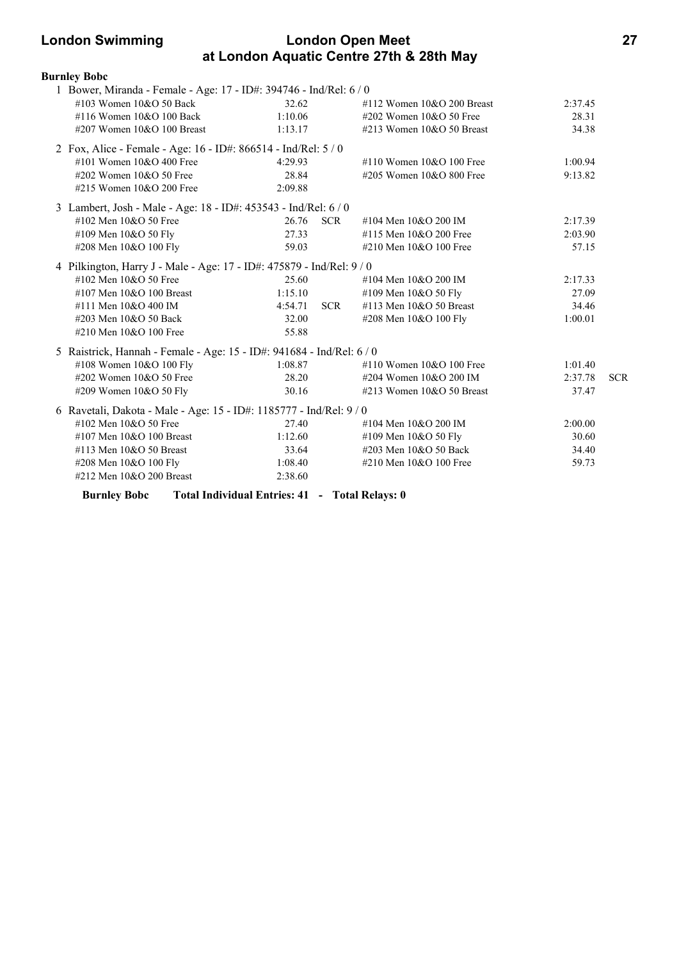# **London Swimming London Open Meet 27 at London Aquatic Centre 27th & 28th May**

| <b>Burnley Bobc</b>                                                   |                                                |            |                              |         |            |
|-----------------------------------------------------------------------|------------------------------------------------|------------|------------------------------|---------|------------|
| 1 Bower, Miranda - Female - Age: 17 - ID#: 394746 - Ind/Rel: 6 / 0    |                                                |            |                              |         |            |
| #103 Women 10&O 50 Back                                               | 32.62                                          |            | #112 Women $10&O$ 200 Breast | 2:37.45 |            |
| #116 Women 10&O 100 Back                                              | 1:10.06                                        |            | #202 Women $10&O$ 50 Free    | 28.31   |            |
| $\#207$ Women 10&O 100 Breast                                         | 1:13.17                                        |            | #213 Women $10&O$ 50 Breast  | 34.38   |            |
| 2 Fox, Alice - Female - Age: 16 - ID#: 866514 - Ind/Rel: 5 / 0        |                                                |            |                              |         |            |
| #101 Women 10&O 400 Free                                              | 4:29.93                                        |            | #110 Women 10&O 100 Free     | 1:00.94 |            |
| #202 Women 10&O 50 Free                                               | 28.84                                          |            | #205 Women 10&O 800 Free     | 9:13.82 |            |
| #215 Women 10&O 200 Free                                              | 2:09.88                                        |            |                              |         |            |
| 3 Lambert, Josh - Male - Age: 18 - ID#: 453543 - Ind/Rel: 6 / 0       |                                                |            |                              |         |            |
| #102 Men 10&O 50 Free                                                 | 26.76                                          | <b>SCR</b> | #104 Men 10&O 200 IM         | 2:17.39 |            |
| #109 Men 10&O 50 Fly                                                  | 27.33                                          |            | #115 Men 10&O 200 Free       | 2:03.90 |            |
| #208 Men 10&O 100 Fly                                                 | 59.03                                          |            | #210 Men 10&O 100 Free       | 57.15   |            |
| 4 Pilkington, Harry J - Male - Age: 17 - ID#: 475879 - Ind/Rel: 9 / 0 |                                                |            |                              |         |            |
| #102 Men 10&O 50 Free                                                 | 25.60                                          |            | #104 Men 10&O 200 IM         | 2:17.33 |            |
| #107 Men $10&O$ 100 Breast                                            | 1:15.10                                        |            | #109 Men 10&O 50 Fly         | 27.09   |            |
| #111 Men 10&O 400 IM                                                  | 4:54.71                                        | <b>SCR</b> | #113 Men 10&O 50 Breast      | 34.46   |            |
| #203 Men 10&O 50 Back                                                 | 32.00                                          |            | #208 Men 10&O 100 Fly        | 1:00.01 |            |
| #210 Men 10&O 100 Free                                                | 55.88                                          |            |                              |         |            |
| 5 Raistrick, Hannah - Female - Age: 15 - ID#: 941684 - Ind/Rel: 6 / 0 |                                                |            |                              |         |            |
| #108 Women 10&O 100 Fly                                               | 1:08.87                                        |            | #110 Women $10&O 100$ Free   | 1:01.40 |            |
| #202 Women 10&O 50 Free                                               | 28.20                                          |            | #204 Women 10&O 200 IM       | 2:37.78 | <b>SCR</b> |
| #209 Women 10&O 50 Fly                                                | 30.16                                          |            | #213 Women 10&O 50 Breast    | 37.47   |            |
| 6 Ravetali, Dakota - Male - Age: 15 - ID#: 1185777 - Ind/Rel: 9 / 0   |                                                |            |                              |         |            |
| #102 Men $10&O$ 50 Free                                               | 27.40                                          |            | #104 Men 10&O 200 IM         | 2:00.00 |            |
| #107 Men 10&O 100 Breast                                              | 1:12.60                                        |            | #109 Men 10&O 50 Fly         | 30.60   |            |
| #113 Men 10&O 50 Breast                                               | 33.64                                          |            | #203 Men 10&O 50 Back        | 34.40   |            |
| #208 Men 10&O 100 Fly                                                 | 1:08.40                                        |            | #210 Men 10&O 100 Free       | 59.73   |            |
| #212 Men 10&O 200 Breast                                              | 2:38.60                                        |            |                              |         |            |
| <b>Burnley Bobc</b>                                                   | Total Individual Entries: 41 - Total Relays: 0 |            |                              |         |            |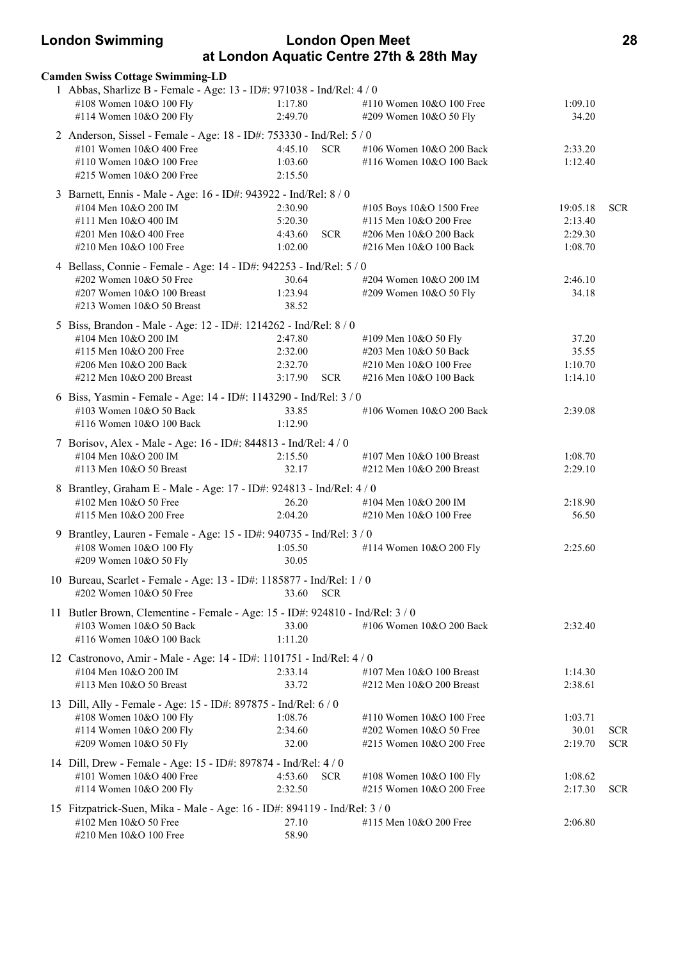| <b>London Swimming</b>                                                        |                       | <b>London Open Meet</b>                  |          | 28         |
|-------------------------------------------------------------------------------|-----------------------|------------------------------------------|----------|------------|
|                                                                               |                       | at London Aquatic Centre 27th & 28th May |          |            |
| <b>Camden Swiss Cottage Swimming-LD</b>                                       |                       |                                          |          |            |
| 1 Abbas, Sharlize B - Female - Age: 13 - ID#: 971038 - Ind/Rel: 4 / 0         |                       |                                          |          |            |
| #108 Women 10&O 100 Fly                                                       | 1:17.80               | #110 Women 10&O 100 Free                 | 1:09.10  |            |
| #114 Women 10&O 200 Fly                                                       | 2:49.70               | #209 Women 10&O 50 Fly                   | 34.20    |            |
| 2 Anderson, Sissel - Female - Age: 18 - ID#: 753330 - Ind/Rel: 5 / 0          |                       |                                          |          |            |
| #101 Women 10&O 400 Free                                                      | <b>SCR</b><br>4:45.10 | #106 Women 10&O 200 Back                 | 2:33.20  |            |
| #110 Women 10&O 100 Free                                                      | 1:03.60               | #116 Women 10&O 100 Back                 | 1:12.40  |            |
| #215 Women 10&O 200 Free                                                      | 2:15.50               |                                          |          |            |
| 3 Barnett, Ennis - Male - Age: 16 - ID#: 943922 - Ind/Rel: 8 / 0              |                       |                                          |          |            |
| #104 Men 10&O 200 IM                                                          | 2:30.90               | #105 Boys 10&O 1500 Free                 | 19:05.18 | <b>SCR</b> |
| #111 Men 10&O 400 IM                                                          | 5:20.30               | #115 Men 10&O 200 Free                   | 2:13.40  |            |
| #201 Men 10&O 400 Free                                                        | 4:43.60               | <b>SCR</b><br>#206 Men 10&O 200 Back     | 2:29.30  |            |
| #210 Men 10&O 100 Free                                                        | 1:02.00               | #216 Men 10&O 100 Back                   | 1:08.70  |            |
| 4 Bellass, Connie - Female - Age: 14 - ID#: 942253 - Ind/Rel: 5 / 0           |                       |                                          |          |            |
| #202 Women 10&O 50 Free                                                       | 30.64                 | #204 Women 10&O 200 IM                   | 2:46.10  |            |
| #207 Women 10&O 100 Breast                                                    | 1:23.94               | #209 Women 10&O 50 Fly                   | 34.18    |            |
| #213 Women 10&O 50 Breast                                                     | 38.52                 |                                          |          |            |
| 5 Biss, Brandon - Male - Age: 12 - ID#: 1214262 - Ind/Rel: 8 / 0              |                       |                                          |          |            |
| #104 Men 10&O 200 IM                                                          | 2:47.80               | #109 Men 10&O 50 Fly                     | 37.20    |            |
| #115 Men 10&O 200 Free                                                        | 2:32.00               | #203 Men 10&O 50 Back                    | 35.55    |            |
| #206 Men 10&O 200 Back                                                        | 2:32.70               | #210 Men 10&O 100 Free                   | 1:10.70  |            |
| #212 Men 10&O 200 Breast                                                      | 3:17.90<br>SCR        | #216 Men 10&O 100 Back                   | 1:14.10  |            |
| 6 Biss, Yasmin - Female - Age: 14 - ID#: 1143290 - Ind/Rel: 3 / 0             |                       |                                          |          |            |
| #103 Women 10&O 50 Back                                                       | 33.85                 | #106 Women 10&O 200 Back                 | 2:39.08  |            |
| #116 Women 10&O 100 Back                                                      | 1:12.90               |                                          |          |            |
| 7 Borisov, Alex - Male - Age: 16 - ID#: 844813 - Ind/Rel: 4 / 0               |                       |                                          |          |            |
| #104 Men 10&O 200 IM                                                          | 2:15.50               | #107 Men 10&O 100 Breast                 | 1:08.70  |            |
| #113 Men 10&O 50 Breast                                                       | 32.17                 | #212 Men 10&O 200 Breast                 | 2:29.10  |            |
| 8 Brantley, Graham E - Male - Age: 17 - ID#: 924813 - Ind/Rel: 4 / 0          |                       |                                          |          |            |
| #102 Men 10&O 50 Free                                                         | 26.20                 | #104 Men 10&O 200 IM                     | 2:18.90  |            |
| #115 Men 10&O 200 Free                                                        | 2:04.20               | #210 Men 10&O 100 Free                   | 56.50    |            |
| 9 Brantley, Lauren - Female - Age: 15 - ID#: 940735 - Ind/Rel: 3 / 0          |                       |                                          |          |            |
| #108 Women 10&O 100 Fly                                                       | 1:05.50               | #114 Women 10&O 200 Fly                  | 2:25.60  |            |
| #209 Women 10&O 50 Fly                                                        | 30.05                 |                                          |          |            |
|                                                                               |                       |                                          |          |            |
| 10 Bureau, Scarlet - Female - Age: 13 - ID#: 1185877 - Ind/Rel: 1 / 0         |                       |                                          |          |            |
| #202 Women 10&O 50 Free                                                       | 33.60<br><b>SCR</b>   |                                          |          |            |
| 11 Butler Brown, Clementine - Female - Age: 15 - ID#: 924810 - Ind/Rel: 3 / 0 |                       |                                          |          |            |
| #103 Women 10&O 50 Back                                                       | 33.00                 | #106 Women 10&O 200 Back                 | 2:32.40  |            |
| #116 Women 10&O 100 Back                                                      | 1:11.20               |                                          |          |            |
| 12 Castronovo, Amir - Male - Age: 14 - ID#: 1101751 - Ind/Rel: 4 / 0          |                       |                                          |          |            |
| #104 Men 10&O 200 IM                                                          | 2:33.14               | #107 Men $10&O$ 100 Breast               | 1:14.30  |            |
| #113 Men $10&O$ 50 Breast                                                     | 33.72                 | #212 Men 10&O 200 Breast                 | 2:38.61  |            |
| 13 Dill, Ally - Female - Age: 15 - ID#: 897875 - Ind/Rel: 6 / 0               |                       |                                          |          |            |
| #108 Women 10&O 100 Fly                                                       | 1:08.76               | #110 Women 10&O 100 Free                 | 1:03.71  |            |
| #114 Women 10&O 200 Fly                                                       | 2:34.60               | #202 Women 10&O 50 Free                  | 30.01    | <b>SCR</b> |
| #209 Women 10&O 50 Fly                                                        | 32.00                 | #215 Women 10&O 200 Free                 | 2:19.70  | <b>SCR</b> |
| 14 Dill, Drew - Female - Age: 15 - ID#: 897874 - Ind/Rel: 4 / 0               |                       |                                          |          |            |
| #101 Women 10&O 400 Free                                                      | <b>SCR</b><br>4:53.60 | #108 Women 10&O 100 Fly                  | 1:08.62  |            |
| #114 Women 10&O 200 Fly                                                       | 2:32.50               | #215 Women 10&O 200 Free                 | 2:17.30  | <b>SCR</b> |
| 15 Fitzpatrick-Suen, Mika - Male - Age: 16 - ID#: 894119 - Ind/Rel: 3 / 0     |                       |                                          |          |            |
| #102 Men 10&O 50 Free                                                         | 27.10                 | #115 Men 10&O 200 Free                   | 2:06.80  |            |
| #210 Men 10&O 100 Free                                                        | 58.90                 |                                          |          |            |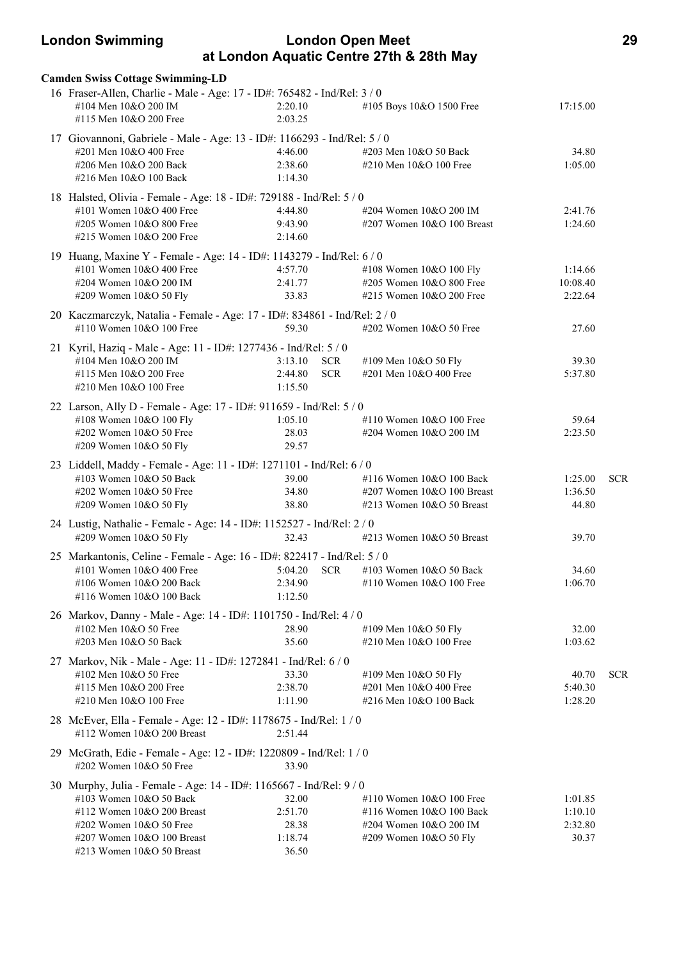# **London Swimming London Open Meet 29 at London Aquatic Centre 27th & 28th May**

| <b>Camden Swiss Cottage Swimming-LD</b><br>16 Fraser-Allen, Charlie - Male - Age: 17 - ID#: 765482 - Ind/Rel: 3 / 0 |                    |            |                                                    |                    |            |
|---------------------------------------------------------------------------------------------------------------------|--------------------|------------|----------------------------------------------------|--------------------|------------|
| #104 Men 10&O 200 IM<br>#115 Men 10&O 200 Free                                                                      | 2:20.10<br>2:03.25 |            | #105 Boys 10&O 1500 Free                           | 17:15.00           |            |
| 17 Giovannoni, Gabriele - Male - Age: 13 - ID#: 1166293 - Ind/Rel: 5 / 0                                            |                    |            |                                                    |                    |            |
| #201 Men 10&O 400 Free                                                                                              | 4:46.00            |            | #203 Men 10&O 50 Back                              | 34.80              |            |
| #206 Men 10&O 200 Back                                                                                              | 2:38.60            |            | #210 Men 10&O 100 Free                             | 1:05.00            |            |
| #216 Men 10&O 100 Back                                                                                              | 1:14.30            |            |                                                    |                    |            |
| 18 Halsted, Olivia - Female - Age: 18 - ID#: 729188 - Ind/Rel: 5 / 0                                                |                    |            |                                                    |                    |            |
| #101 Women 10&O 400 Free                                                                                            | 4:44.80            |            | #204 Women 10&O 200 IM                             | 2:41.76            |            |
| #205 Women 10&O 800 Free<br>#215 Women 10&O 200 Free                                                                | 9:43.90<br>2:14.60 |            | #207 Women 10&O 100 Breast                         | 1:24.60            |            |
|                                                                                                                     |                    |            |                                                    |                    |            |
| 19 Huang, Maxine Y - Female - Age: 14 - ID#: 1143279 - Ind/Rel: 6 / 0<br>#101 Women 10&O 400 Free                   | 4:57.70            |            | #108 Women 10&O 100 Fly                            | 1:14.66            |            |
| #204 Women 10&O 200 IM                                                                                              | 2:41.77            |            | #205 Women 10&O 800 Free                           | 10:08.40           |            |
| #209 Women 10&O 50 Fly                                                                                              | 33.83              |            | #215 Women 10&O 200 Free                           | 2:22.64            |            |
| 20 Kaczmarczyk, Natalia - Female - Age: 17 - ID#: 834861 - Ind/Rel: 2 / 0                                           |                    |            |                                                    |                    |            |
| #110 Women 10&O 100 Free                                                                                            | 59.30              |            | #202 Women 10&O 50 Free                            | 27.60              |            |
|                                                                                                                     |                    |            |                                                    |                    |            |
| 21 Kyril, Haziq - Male - Age: 11 - ID#: 1277436 - Ind/Rel: 5 / 0<br>#104 Men 10&O 200 IM                            | 3:13.10            | <b>SCR</b> | #109 Men 10&O 50 Fly                               | 39.30              |            |
| #115 Men 10&O 200 Free                                                                                              | 2:44.80            | <b>SCR</b> | #201 Men 10&O 400 Free                             | 5:37.80            |            |
| #210 Men 10&O 100 Free                                                                                              | 1:15.50            |            |                                                    |                    |            |
| 22 Larson, Ally D - Female - Age: 17 - ID#: 911659 - Ind/Rel: 5 / 0                                                 |                    |            |                                                    |                    |            |
| #108 Women 10&O 100 Fly                                                                                             | 1:05.10            |            | #110 Women 10&O 100 Free                           | 59.64              |            |
| #202 Women 10&O 50 Free                                                                                             | 28.03              |            | #204 Women 10&O 200 IM                             | 2:23.50            |            |
| #209 Women 10&O 50 Fly                                                                                              | 29.57              |            |                                                    |                    |            |
| 23 Liddell, Maddy - Female - Age: 11 - ID#: 1271101 - Ind/Rel: 6 / 0                                                |                    |            |                                                    |                    |            |
| #103 Women 10&O 50 Back                                                                                             | 39.00              |            | #116 Women 10&O 100 Back                           | 1:25.00            | <b>SCR</b> |
| #202 Women 10&O 50 Free                                                                                             | 34.80              |            | #207 Women 10&O 100 Breast                         | 1:36.50            |            |
| #209 Women 10&O 50 Fly                                                                                              | 38.80              |            | #213 Women 10&O 50 Breast                          | 44.80              |            |
| 24 Lustig, Nathalie - Female - Age: 14 - ID#: 1152527 - Ind/Rel: 2 / 0                                              |                    |            |                                                    |                    |            |
| #209 Women 10&O 50 Fly                                                                                              | 32.43              |            | #213 Women $10&O$ 50 Breast                        | 39.70              |            |
| 25 Markantonis, Celine - Female - Age: 16 - ID#: 822417 - Ind/Rel: 5 / 0                                            |                    |            |                                                    |                    |            |
| #101 Women $10&O$ 400 Free                                                                                          | 5:04.20            | <b>SCR</b> | #103 Women 10&O 50 Back                            | 34.60              |            |
| #106 Women 10&O 200 Back                                                                                            | 2:34.90            |            | #110 Women 10&O 100 Free                           | 1:06.70            |            |
| #116 Women 10&O 100 Back                                                                                            | 1:12.50            |            |                                                    |                    |            |
| 26 Markov, Danny - Male - Age: 14 - ID#: 1101750 - Ind/Rel: 4 / 0                                                   |                    |            |                                                    |                    |            |
| #102 Men 10&O 50 Free                                                                                               | 28.90              |            | #109 Men 10&O 50 Fly                               | 32.00              |            |
| #203 Men 10&O 50 Back                                                                                               | 35.60              |            | #210 Men 10&O 100 Free                             | 1:03.62            |            |
| 27 Markov, Nik - Male - Age: 11 - ID#: 1272841 - Ind/Rel: 6 / 0                                                     |                    |            |                                                    |                    |            |
| #102 Men 10&O 50 Free                                                                                               | 33.30              |            | #109 Men 10&O 50 Fly                               | 40.70              | <b>SCR</b> |
| #115 Men 10&O 200 Free<br>#210 Men 10&O 100 Free                                                                    | 2:38.70<br>1:11.90 |            | #201 Men 10&O 400 Free<br>#216 Men 10&O 100 Back   | 5:40.30<br>1:28.20 |            |
|                                                                                                                     |                    |            |                                                    |                    |            |
| 28 McEver, Ella - Female - Age: 12 - ID#: 1178675 - Ind/Rel: 1 / 0<br>#112 Women 10&O 200 Breast                    | 2:51.44            |            |                                                    |                    |            |
|                                                                                                                     |                    |            |                                                    |                    |            |
| 29 McGrath, Edie - Female - Age: 12 - ID#: 1220809 - Ind/Rel: 1 / 0                                                 |                    |            |                                                    |                    |            |
| $\#202$ Women $10&O$ 50 Free                                                                                        | 33.90              |            |                                                    |                    |            |
| 30 Murphy, Julia - Female - Age: 14 - ID#: 1165667 - Ind/Rel: 9 / 0                                                 |                    |            |                                                    |                    |            |
| #103 Women 10&O 50 Back                                                                                             | 32.00              |            | #110 Women $10&O 100$ Free                         | 1:01.85            |            |
| #112 Women 10&O 200 Breast<br>#202 Women 10&O 50 Free                                                               | 2:51.70<br>28.38   |            | #116 Women 10&O 100 Back<br>#204 Women 10&O 200 IM | 1:10.10<br>2:32.80 |            |
| #207 Women 10&O 100 Breast                                                                                          | 1:18.74            |            | #209 Women 10&O 50 Fly                             | 30.37              |            |
| #213 Women 10&O 50 Breast                                                                                           | 36.50              |            |                                                    |                    |            |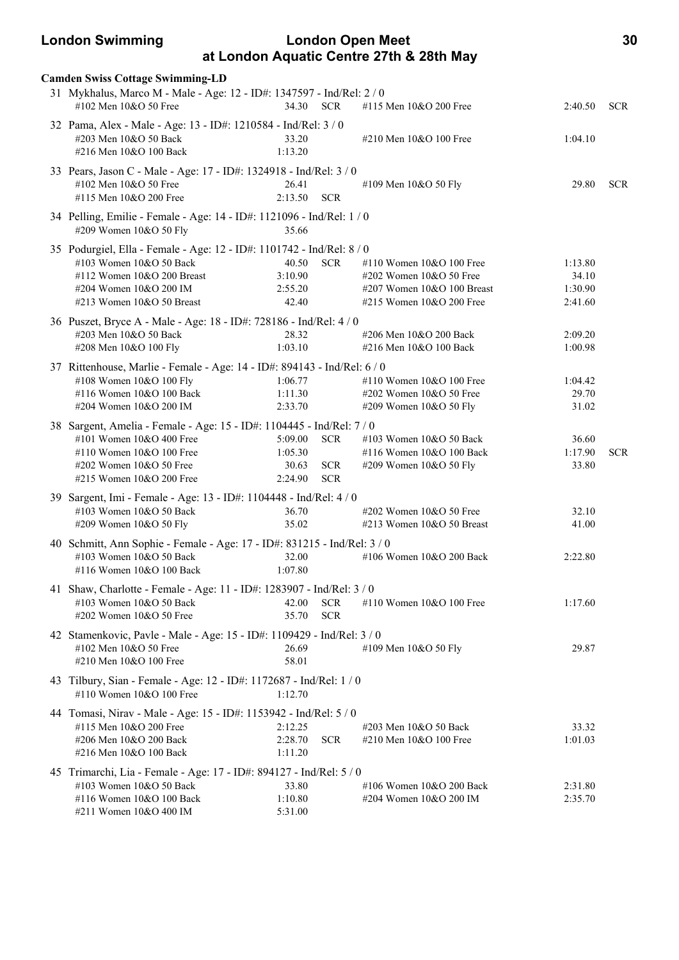# **London Swimming London Open Meet 30 at London Aquatic Centre 27th & 28th May**

| <b>Camden Swiss Cottage Swimming-LD</b>                                                                                                                                               |                                        |                                        |                                                                                                                    |                                        |            |
|---------------------------------------------------------------------------------------------------------------------------------------------------------------------------------------|----------------------------------------|----------------------------------------|--------------------------------------------------------------------------------------------------------------------|----------------------------------------|------------|
| 31 Mykhalus, Marco M - Male - Age: 12 - ID#: 1347597 - Ind/Rel: 2 / 0<br>#102 Men 10&O 50 Free                                                                                        | 34.30                                  | <b>SCR</b>                             | #115 Men 10&O 200 Free                                                                                             | 2:40.50                                | <b>SCR</b> |
| 32 Pama, Alex - Male - Age: 13 - ID#: 1210584 - Ind/Rel: 3 / 0<br>#203 Men 10&O 50 Back<br>#216 Men 10&O 100 Back                                                                     | 33.20<br>1:13.20                       |                                        | #210 Men $10&O$ 100 Free                                                                                           | 1:04.10                                |            |
| 33 Pears, Jason C - Male - Age: 17 - ID#: 1324918 - Ind/Rel: 3 / 0<br>#102 Men 10&O 50 Free<br>#115 Men 10&O 200 Free                                                                 | 26.41<br>2:13.50                       | <b>SCR</b>                             | #109 Men 10&O 50 Fly                                                                                               | 29.80                                  | <b>SCR</b> |
| 34 Pelling, Emilie - Female - Age: 14 - ID#: 1121096 - Ind/Rel: 1 / 0<br>#209 Women 10&O 50 Fly                                                                                       | 35.66                                  |                                        |                                                                                                                    |                                        |            |
| 35 Podurgiel, Ella - Female - Age: 12 - ID#: 1101742 - Ind/Rel: 8 / 0<br>#103 Women 10&O 50 Back<br>#112 Women 10&O 200 Breast<br>#204 Women 10&O 200 IM<br>#213 Women 10&O 50 Breast | 40.50<br>3:10.90<br>2:55.20<br>42.40   | <b>SCR</b>                             | #110 Women 10&O 100 Free<br>$\#202$ Women $10&O$ 50 Free<br>#207 Women 10&O 100 Breast<br>#215 Women 10&O 200 Free | 1:13.80<br>34.10<br>1:30.90<br>2:41.60 |            |
| 36 Puszet, Bryce A - Male - Age: 18 - ID#: 728186 - Ind/Rel: 4 / 0<br>#203 Men 10&O 50 Back<br>#208 Men 10&O 100 Fly                                                                  | 28.32<br>1:03.10                       |                                        | #206 Men 10&O 200 Back<br>#216 Men 10&O 100 Back                                                                   | 2:09.20<br>1:00.98                     |            |
| 37 Rittenhouse, Marlie - Female - Age: 14 - ID#: 894143 - Ind/Rel: 6 / 0<br>#108 Women 10&O 100 Fly<br>#116 Women 10&O 100 Back<br>#204 Women 10&O 200 IM                             | 1:06.77<br>1:11.30<br>2:33.70          |                                        | #110 Women 10&O 100 Free<br>#202 Women 10&O 50 Free<br>#209 Women 10&O 50 Fly                                      | 1:04.42<br>29.70<br>31.02              |            |
| 38 Sargent, Amelia - Female - Age: 15 - ID#: 1104445 - Ind/Rel: 7 / 0<br>#101 Women 10&O 400 Free<br>#110 Women 10&O 100 Free<br>#202 Women 10&O 50 Free<br>#215 Women 10&O 200 Free  | 5:09.00<br>1:05.30<br>30.63<br>2:24.90 | <b>SCR</b><br><b>SCR</b><br><b>SCR</b> | #103 Women 10&O 50 Back<br>#116 Women 10&O 100 Back<br>#209 Women 10&O 50 Fly                                      | 36.60<br>1:17.90<br>33.80              | <b>SCR</b> |
| 39 Sargent, Imi - Female - Age: 13 - ID#: 1104448 - Ind/Rel: 4 / 0<br>#103 Women 10&O 50 Back<br>#209 Women 10&O 50 Fly                                                               | 36.70<br>35.02                         |                                        | #202 Women 10&O 50 Free<br>#213 Women 10&O 50 Breast                                                               | 32.10<br>41.00                         |            |
| 40 Schmitt, Ann Sophie - Female - Age: 17 - ID#: 831215 - Ind/Rel: 3 / 0<br>#103 Women 10&O 50 Back<br>#116 Women 10&O 100 Back                                                       | 32.00<br>1:07.80                       |                                        | #106 Women 10&O 200 Back                                                                                           | 2:22.80                                |            |
| 41 Shaw, Charlotte - Female - Age: 11 - ID#: 1283907 - Ind/Rel: 3 / 0<br>#103 Women 10&O 50 Back<br>#202 Women 10&O 50 Free                                                           | 42.00<br>35.70                         | <b>SCR</b><br><b>SCR</b>               | #110 Women 10&O 100 Free                                                                                           | 1:17.60                                |            |
| 42 Stamenkovic, Pavle - Male - Age: 15 - ID#: 1109429 - Ind/Rel: 3 / 0<br>#102 Men 10&O 50 Free<br>#210 Men 10&O 100 Free                                                             | 26.69<br>58.01                         |                                        | #109 Men 10&O 50 Fly                                                                                               | 29.87                                  |            |
| 43 Tilbury, Sian - Female - Age: 12 - ID#: 1172687 - Ind/Rel: 1 / 0<br>#110 Women 10&O 100 Free                                                                                       | 1:12.70                                |                                        |                                                                                                                    |                                        |            |
| 44 Tomasi, Nirav - Male - Age: 15 - ID#: 1153942 - Ind/Rel: 5 / 0<br>#115 Men 10&O 200 Free<br>#206 Men 10&O 200 Back<br>#216 Men 10&O 100 Back                                       | 2:12.25<br>2:28.70<br>1:11.20          | <b>SCR</b>                             | #203 Men 10&O 50 Back<br>#210 Men 10&O 100 Free                                                                    | 33.32<br>1:01.03                       |            |
| 45 Trimarchi, Lia - Female - Age: 17 - ID#: 894127 - Ind/Rel: 5 / 0<br>#103 Women 10&O 50 Back<br>#116 Women 10&O 100 Back<br>#211 Women 10&O 400 IM                                  | 33.80<br>1:10.80<br>5:31.00            |                                        | #106 Women 10&O 200 Back<br>#204 Women 10&O 200 IM                                                                 | 2:31.80<br>2:35.70                     |            |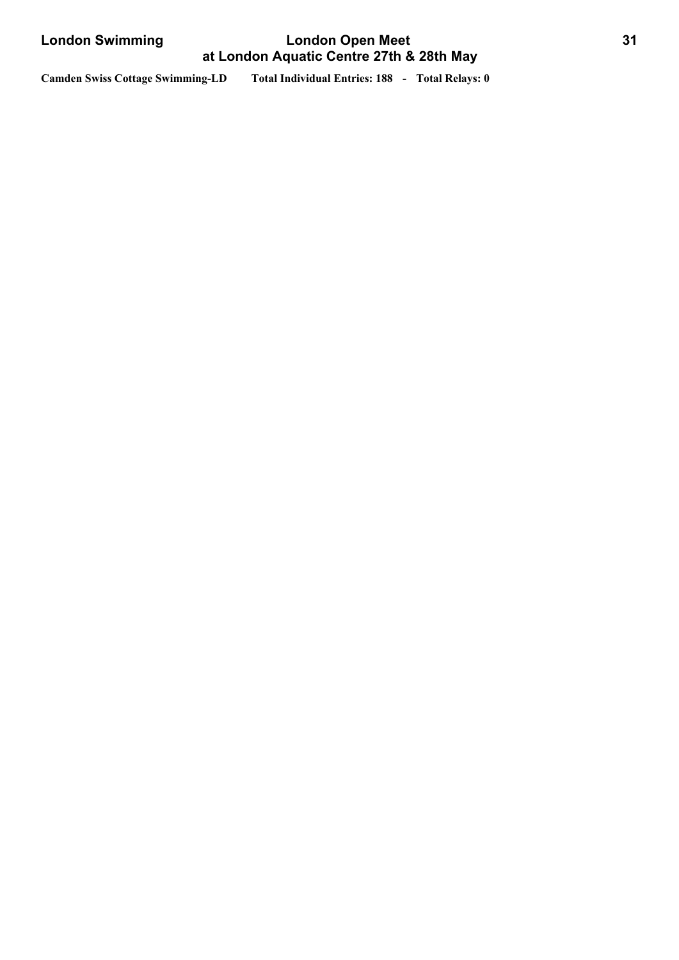# **London Swimming London Open Meet 31 at London Aquatic Centre 27th & 28th May**

**Camden Swiss Cottage Swimming-LD Total Individual Entries: 188 - Total Relays: 0**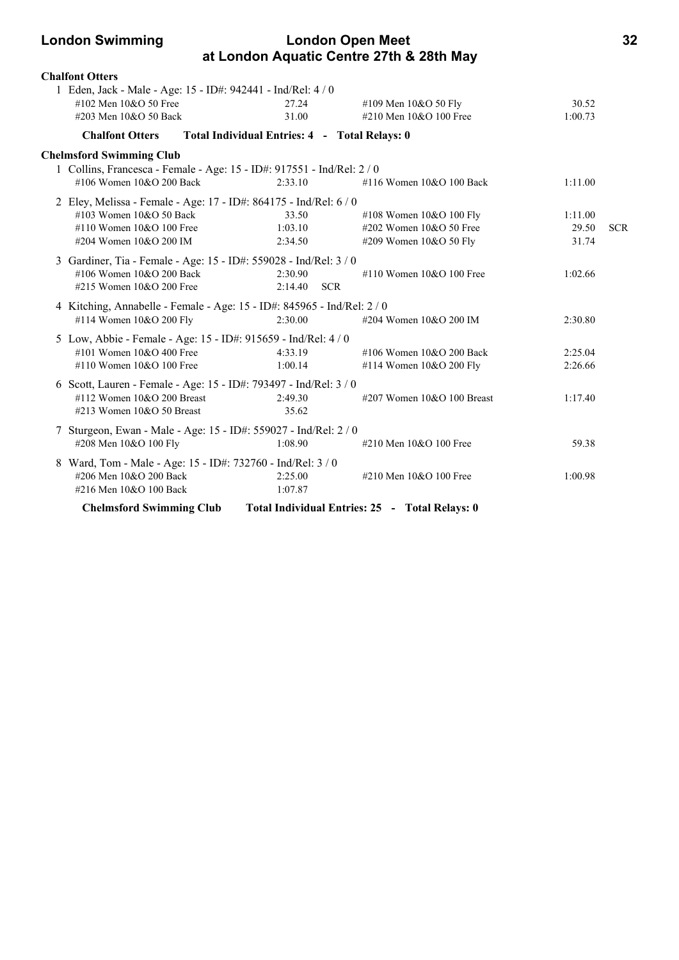# **London Swimming London Open Meet 32 at London Aquatic Centre 27th & 28th May**

| <b>Chalfont Otters</b>                                                                                                                               |                                               |                                                                                |                           |            |
|------------------------------------------------------------------------------------------------------------------------------------------------------|-----------------------------------------------|--------------------------------------------------------------------------------|---------------------------|------------|
| 1 Eden, Jack - Male - Age: 15 - ID#: 942441 - Ind/Rel: 4 / 0<br>#102 Men $10&O$ 50 Free<br>#203 Men 10&O 50 Back                                     | 27.24<br>31.00                                | #109 Men 10&O 50 Fly<br>#210 Men 10&O 100 Free                                 | 30.52<br>1:00.73          |            |
| <b>Chalfont Otters</b>                                                                                                                               | Total Individual Entries: 4 - Total Relays: 0 |                                                                                |                           |            |
| <b>Chelmsford Swimming Club</b>                                                                                                                      |                                               |                                                                                |                           |            |
| 1 Collins, Francesca - Female - Age: 15 - ID#: 917551 - Ind/Rel: 2 / 0<br>#106 Women 10&O 200 Back                                                   | 2:33.10                                       | #116 Women $10&O 100$ Back                                                     | 1:11.00                   |            |
| 2 Eley, Melissa - Female - Age: 17 - ID#: 864175 - Ind/Rel: 6 / 0<br>#103 Women 10&O 50 Back<br>#110 Women $10&O 100$ Free<br>#204 Women 10&O 200 IM | 33.50<br>1:03.10<br>2:34.50                   | #108 Women $10&O 100$ Fly<br>#202 Women 10&O 50 Free<br>#209 Women 10&O 50 Fly | 1:11.00<br>29.50<br>31.74 | <b>SCR</b> |
| 3 Gardiner, Tia - Female - Age: 15 - ID#: 559028 - Ind/Rel: 3 / 0<br>#106 Women 10&O 200 Back<br>#215 Women 10&O 200 Free                            | 2:30.90<br>2:14.40<br><b>SCR</b>              | #110 Women $10&O 100$ Free                                                     | 1:02.66                   |            |
| 4 Kitching, Annabelle - Female - Age: 15 - ID#: 845965 - Ind/Rel: 2 / 0<br>#114 Women 10&O 200 Fly                                                   | 2:30.00                                       | #204 Women 10&O 200 IM                                                         | 2:30.80                   |            |
| 5 Low, Abbie - Female - Age: 15 - ID#: 915659 - Ind/Rel: 4 / 0<br>#101 Women 10&O 400 Free<br>#110 Women 10&O 100 Free                               | 4:33.19<br>1:00.14                            | #106 Women 10&O 200 Back<br>#114 Women 10&O 200 Fly                            | 2:25.04<br>2:26.66        |            |
| 6 Scott, Lauren - Female - Age: 15 - ID#: 793497 - Ind/Rel: 3 / 0<br>#112 Women 10&O 200 Breast<br>#213 Women $10&O$ 50 Breast                       | 2:49.30<br>35.62                              | #207 Women $10&O$ 100 Breast                                                   | 1:17.40                   |            |
| 7 Sturgeon, Ewan - Male - Age: 15 - ID#: 559027 - Ind/Rel: 2 / 0<br>#208 Men 10&O 100 Fly                                                            | 1:08.90                                       | #210 Men 10&O 100 Free                                                         | 59.38                     |            |
| 8 Ward, Tom - Male - Age: 15 - ID#: 732760 - Ind/Rel: 3 / 0<br>#206 Men 10&O 200 Back<br>#216 Men 10&O 100 Back                                      | 2:25.00<br>1:07.87                            | #210 Men 10&O 100 Free                                                         | 1:00.98                   |            |
| <b>Chelmsford Swimming Club</b>                                                                                                                      |                                               | Total Individual Entries: 25 - Total Relays: 0                                 |                           |            |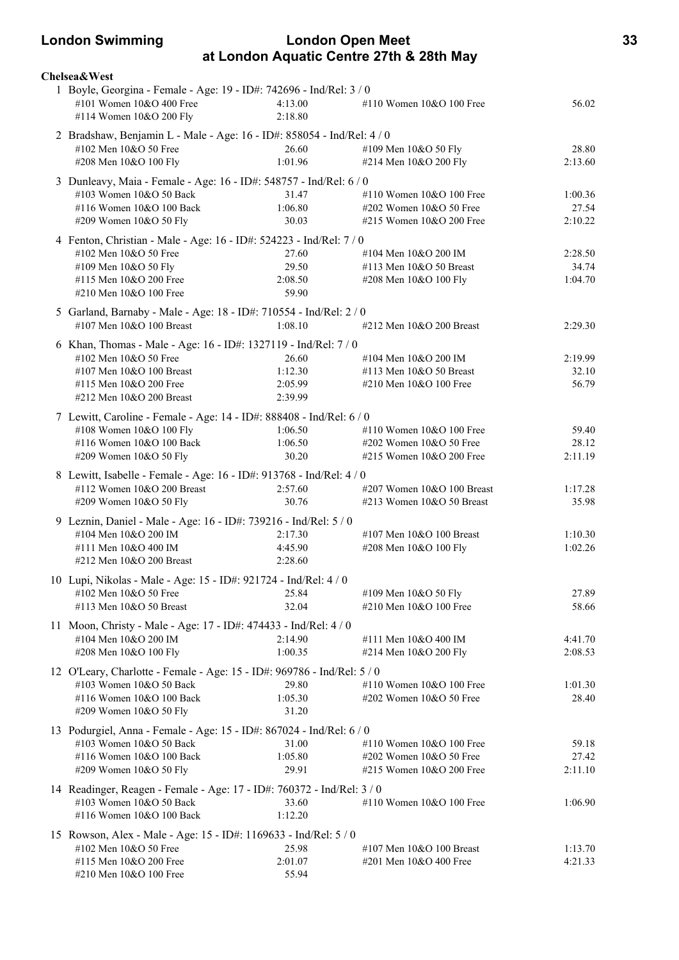# **London Swimming London Open Meet 33 at London Aquatic Centre 27th & 28th May**

| <b>Chelsea&amp;West</b>                                                 |                    |                                                     |                    |
|-------------------------------------------------------------------------|--------------------|-----------------------------------------------------|--------------------|
| 1 Boyle, Georgina - Female - Age: 19 - ID#: 742696 - Ind/Rel: 3 / 0     |                    |                                                     |                    |
| #101 Women 10&O 400 Free<br>#114 Women 10&O 200 Fly                     | 4:13.00<br>2:18.80 | #110 Women $10&O 100$ Free                          | 56.02              |
| 2 Bradshaw, Benjamin L - Male - Age: 16 - ID#: 858054 - Ind/Rel: 4 / 0  |                    |                                                     |                    |
| #102 Men 10&O 50 Free                                                   | 26.60              | #109 Men 10&O 50 Fly                                | 28.80              |
| #208 Men 10&O 100 Fly                                                   | 1:01.96            | #214 Men 10&O 200 Fly                               | 2:13.60            |
| 3 Dunleavy, Maia - Female - Age: 16 - ID#: 548757 - Ind/Rel: 6 / 0      |                    |                                                     |                    |
| #103 Women 10&O 50 Back                                                 | 31.47              | #110 Women 10&O 100 Free                            | 1:00.36            |
| #116 Women 10&O 100 Back                                                | 1:06.80            | #202 Women 10&O 50 Free                             | 27.54              |
| #209 Women 10&O 50 Fly                                                  | 30.03              | #215 Women 10&O 200 Free                            | 2:10.22            |
| 4 Fenton, Christian - Male - Age: 16 - ID#: 524223 - Ind/Rel: 7 / 0     |                    |                                                     |                    |
| #102 Men 10&O 50 Free                                                   | 27.60              | #104 Men 10&O 200 IM                                | 2:28.50            |
| #109 Men 10&O 50 Fly                                                    | 29.50              | #113 Men 10&O 50 Breast                             | 34.74              |
| #115 Men 10&O 200 Free                                                  | 2:08.50            | #208 Men 10&O 100 Fly                               | 1:04.70            |
| #210 Men 10&O 100 Free                                                  | 59.90              |                                                     |                    |
| 5 Garland, Barnaby - Male - Age: 18 - ID#: 710554 - Ind/Rel: 2 / 0      |                    |                                                     |                    |
| #107 Men 10&O 100 Breast                                                | 1:08.10            | #212 Men 10&O 200 Breast                            | 2:29.30            |
| 6 Khan, Thomas - Male - Age: 16 - ID#: 1327119 - Ind/Rel: 7 / 0         |                    |                                                     |                    |
| #102 Men 10&O 50 Free                                                   | 26.60              | #104 Men 10&O 200 IM                                | 2:19.99            |
| #107 Men 10&O 100 Breast                                                | 1:12.30            | #113 Men 10&O 50 Breast                             | 32.10              |
| #115 Men 10&O 200 Free                                                  | 2:05.99            | #210 Men $10&O$ 100 Free                            | 56.79              |
| #212 Men 10&O 200 Breast                                                | 2:39.99            |                                                     |                    |
| 7 Lewitt, Caroline - Female - Age: 14 - ID#: 888408 - Ind/Rel: 6 / 0    |                    |                                                     |                    |
| #108 Women 10&O 100 Fly                                                 | 1:06.50            | #110 Women 10&O 100 Free                            | 59.40              |
| #116 Women 10&O 100 Back                                                | 1:06.50            | #202 Women 10&O 50 Free                             | 28.12              |
| #209 Women 10&O 50 Fly                                                  | 30.20              | #215 Women 10&O 200 Free                            | 2:11.19            |
| 8 Lewitt, Isabelle - Female - Age: 16 - ID#: 913768 - Ind/Rel: 4 / 0    |                    |                                                     |                    |
| #112 Women 10&O 200 Breast                                              | 2:57.60            | #207 Women 10&O 100 Breast                          | 1:17.28            |
| #209 Women 10&O 50 Fly                                                  | 30.76              | #213 Women 10&O 50 Breast                           | 35.98              |
| 9 Leznin, Daniel - Male - Age: 16 - ID#: 739216 - Ind/Rel: 5 / 0        |                    |                                                     |                    |
| #104 Men 10&O 200 IM                                                    | 2:17.30            | #107 Men 10&O 100 Breast                            | 1:10.30            |
| #111 Men 10&O 400 IM<br>#212 Men 10&O 200 Breast                        | 4:45.90<br>2:28.60 | #208 Men 10&O 100 Fly                               | 1:02.26            |
|                                                                         |                    |                                                     |                    |
| 10 Lupi, Nikolas - Male - Age: 15 - ID#: 921724 - Ind/Rel: 4 / 0        |                    |                                                     |                    |
| #102 Men 10&O 50 Free                                                   | 25.84              | #109 Men 10&O 50 Fly                                | 27.89              |
| #113 Men 10&O 50 Breast                                                 | 32.04              | #210 Men 10&O 100 Free                              | 58.66              |
| 11 Moon, Christy - Male - Age: 17 - ID#: 474433 - Ind/Rel: 4 / 0        |                    |                                                     |                    |
| #104 Men 10&O 200 IM<br>#208 Men 10&O 100 Fly                           | 2:14.90<br>1:00.35 | #111 Men 10&O 400 IM                                | 4:41.70            |
|                                                                         |                    | #214 Men 10&O 200 Fly                               | 2:08.53            |
| 12 O'Leary, Charlotte - Female - Age: 15 - ID#: 969786 - Ind/Rel: 5 / 0 |                    |                                                     |                    |
| #103 Women 10&O 50 Back                                                 | 29.80              | #110 Women 10&O 100 Free                            | 1:01.30            |
| #116 Women 10&O 100 Back<br>#209 Women 10&O 50 Fly                      | 1:05.30<br>31.20   | #202 Women 10&O 50 Free                             | 28.40              |
|                                                                         |                    |                                                     |                    |
| 13 Podurgiel, Anna - Female - Age: 15 - ID#: 867024 - Ind/Rel: 6 / 0    |                    |                                                     |                    |
| #103 Women 10&O 50 Back                                                 | 31.00<br>1:05.80   | #110 Women 10&O 100 Free                            | 59.18<br>27.42     |
| #116 Women 10&O 100 Back<br>#209 Women 10&O 50 Fly                      | 29.91              | #202 Women 10&O 50 Free<br>#215 Women 10&O 200 Free | 2:11.10            |
|                                                                         |                    |                                                     |                    |
| 14 Readinger, Reagen - Female - Age: 17 - ID#: 760372 - Ind/Rel: 3 / 0  |                    |                                                     |                    |
| #103 Women 10&O 50 Back<br>#116 Women 10&O 100 Back                     | 33.60<br>1:12.20   | #110 Women 10&O 100 Free                            | 1:06.90            |
|                                                                         |                    |                                                     |                    |
| 15 Rowson, Alex - Male - Age: 15 - ID#: 1169633 - Ind/Rel: 5 / 0        |                    |                                                     |                    |
| #102 Men 10&O 50 Free<br>#115 Men 10&O 200 Free                         | 25.98<br>2:01.07   | #107 Men 10&O 100 Breast<br>#201 Men 10&O 400 Free  | 1:13.70<br>4:21.33 |
| #210 Men 10&O 100 Free                                                  | 55.94              |                                                     |                    |
|                                                                         |                    |                                                     |                    |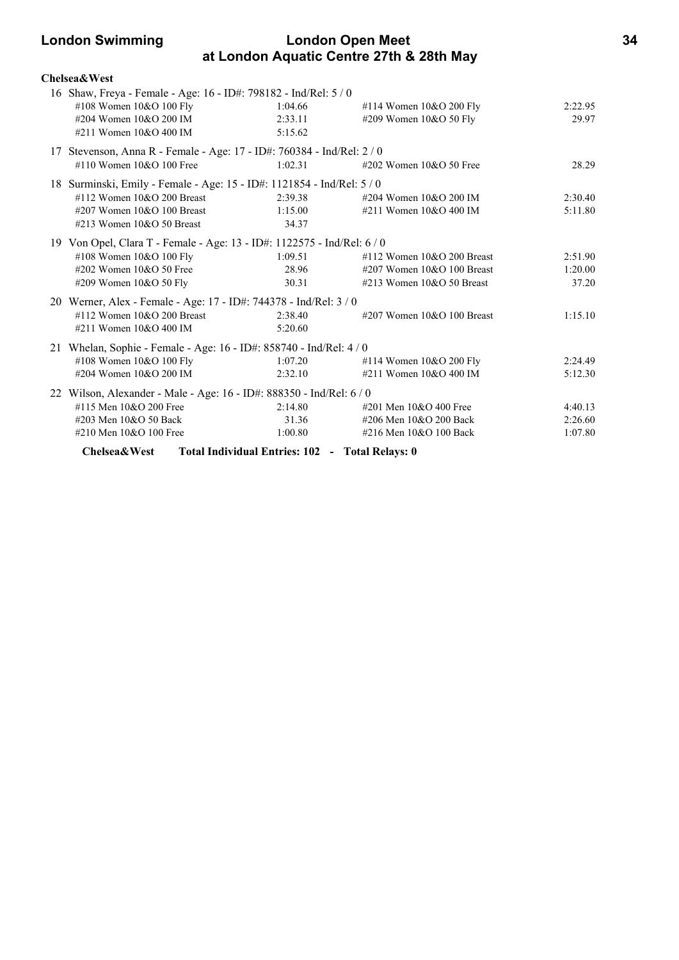# **London Swimming London Open Meet 34 at London Aquatic Centre 27th & 28th May**

| <b>Chelsea&amp;West</b>                                                 |                                                 |                              |         |
|-------------------------------------------------------------------------|-------------------------------------------------|------------------------------|---------|
| 16 Shaw, Freya - Female - Age: 16 - ID#: 798182 - Ind/Rel: 5 / 0        |                                                 |                              |         |
| #108 Women 10&O 100 Fly                                                 | 1:04.66                                         | #114 Women 10&O 200 Fly      | 2:22.95 |
| #204 Women 10&O 200 IM                                                  | 2:33.11                                         | #209 Women 10&O 50 Fly       | 29.97   |
| #211 Women 10&O 400 IM                                                  | 5:15.62                                         |                              |         |
| 17 Stevenson, Anna R - Female - Age: 17 - ID#: 760384 - Ind/Rel: 2 / 0  |                                                 |                              |         |
| #110 Women $10&O$ 100 Free                                              | 1:02.31                                         | #202 Women $10&O$ 50 Free    | 28.29   |
| 18 Surminski, Emily - Female - Age: 15 - ID#: 1121854 - Ind/Rel: 5 / 0  |                                                 |                              |         |
| #112 Women 10&O 200 Breast                                              | 2:39.38                                         | #204 Women 10&O 200 IM       | 2:30.40 |
| #207 Women $10&O 100$ Breast                                            | 1:15.00                                         | #211 Women $10&O 400$ IM     | 5:11.80 |
| #213 Women $10&O$ 50 Breast                                             | 34.37                                           |                              |         |
| 19 Von Opel, Clara T - Female - Age: 13 - ID#: 1122575 - Ind/Rel: 6 / 0 |                                                 |                              |         |
| #108 Women 10&O 100 Fly                                                 | 1:09.51                                         | #112 Women $10&O$ 200 Breast | 2:51.90 |
| #202 Women 10&O 50 Free                                                 | 28.96                                           | #207 Women $10&O 100$ Breast | 1:20.00 |
| #209 Women 10&O 50 Fly                                                  | 30.31                                           | $\#213$ Women 10&O 50 Breast | 37.20   |
| 20 Werner, Alex - Female - Age: 17 - ID#: 744378 - Ind/Rel: 3 / 0       |                                                 |                              |         |
| #112 Women $10&O$ 200 Breast                                            | 2:38.40                                         | #207 Women $10&O$ 100 Breast | 1:15.10 |
| #211 Women 10&O 400 IM                                                  | 5:20.60                                         |                              |         |
| 21 Whelan, Sophie - Female - Age: 16 - ID#: 858740 - Ind/Rel: 4 / 0     |                                                 |                              |         |
| #108 Women 10&O 100 Fly                                                 | 1:07.20                                         | #114 Women $10&O$ 200 Fly    | 2:24.49 |
| #204 Women 10&O 200 IM                                                  | 2:32.10                                         | #211 Women 10&O 400 IM       | 5:12.30 |
| 22 Wilson, Alexander - Male - Age: 16 - ID#: 888350 - Ind/Rel: 6 / 0    |                                                 |                              |         |
| #115 Men 10&O 200 Free                                                  | 2:14.80                                         | #201 Men 10&O 400 Free       | 4:40.13 |
| #203 Men 10&O 50 Back                                                   | 31.36                                           | #206 Men 10&O 200 Back       | 2:26.60 |
| #210 Men 10&O 100 Free                                                  | 1:00.80                                         | #216 Men 10&O 100 Back       | 1:07.80 |
| Chelsea&West                                                            | Total Individual Entries: 102 - Total Relays: 0 |                              |         |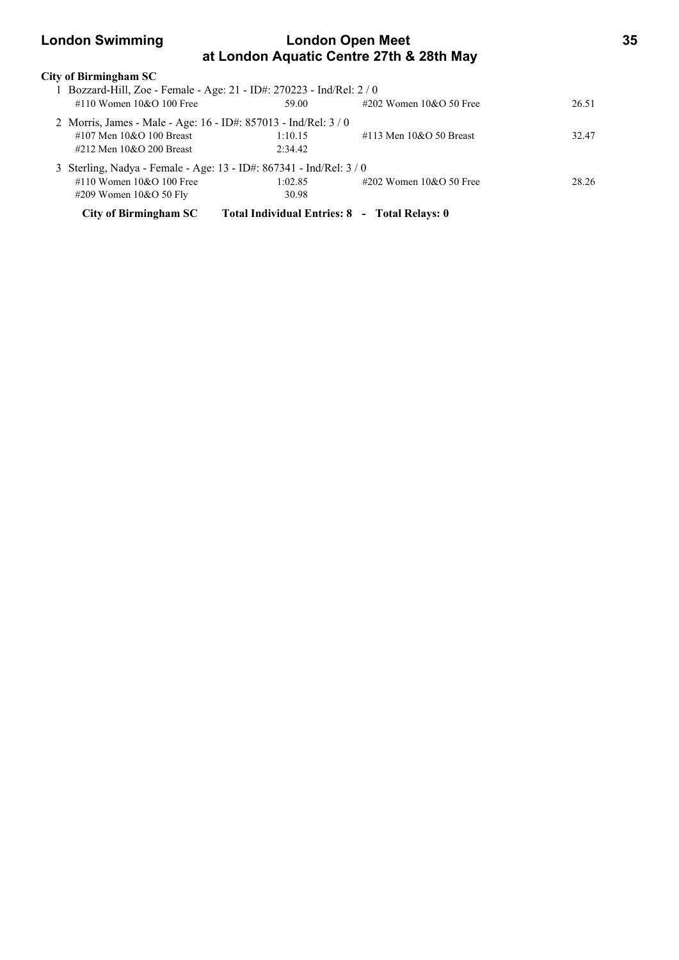# **London Swimming London Open Meet 35 at London Aquatic Centre 27th & 28th May**

| City of Birmingham SC                                               |                                               |                           |       |
|---------------------------------------------------------------------|-----------------------------------------------|---------------------------|-------|
| Bozzard-Hill, Zoe - Female - Age: 21 - ID#: 270223 - Ind/Rel: 2 / 0 |                                               |                           |       |
| #110 Women $10\&O$ 100 Free                                         | 59.00                                         | #202 Women $10&O 50$ Free | 26.51 |
| 2 Morris, James - Male - Age: 16 - ID#: 857013 - Ind/Rel: 3/0       |                                               |                           |       |
| #107 Men $10&O$ 100 Breast                                          | 1:10.15                                       | #113 Men $10&O$ 50 Breast | 32.47 |
| #212 Men $10&O$ 200 Breast                                          | 2.34.42                                       |                           |       |
| 3 Sterling, Nadya - Female - Age: 13 - ID#: 867341 - Ind/Rel: 3 / 0 |                                               |                           |       |
| #110 Women $10&O$ 100 Free                                          | 1:02.85                                       | #202 Women $10&O 50$ Free | 28.26 |
| $\#209$ Women $10&O$ 50 Fly                                         | 30.98                                         |                           |       |
| City of Birmingham SC                                               | Total Individual Entries: 8 - Total Relays: 0 |                           |       |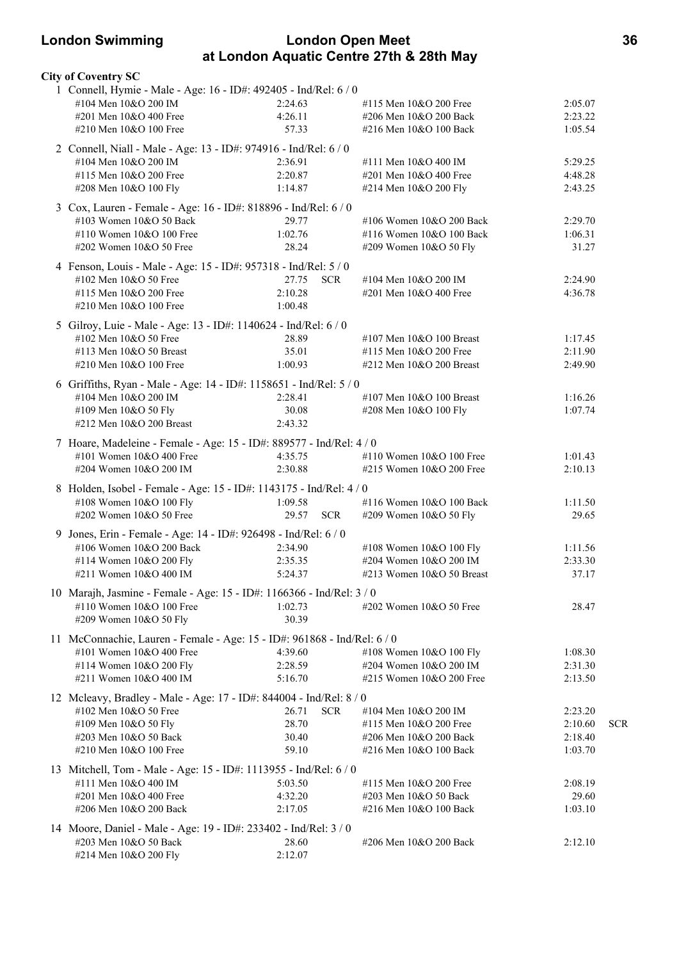# **London Swimming London Open Meet 36 at London Aquatic Centre 27th & 28th May**

|  | <b>City of Coventry SC</b>                                               |                     |                              |         |            |
|--|--------------------------------------------------------------------------|---------------------|------------------------------|---------|------------|
|  | 1 Connell, Hymie - Male - Age: 16 - ID#: 492405 - Ind/Rel: 6 / 0         |                     |                              |         |            |
|  | #104 Men 10&O 200 IM                                                     | 2:24.63             | #115 Men 10&O 200 Free       | 2:05.07 |            |
|  | #201 Men 10&O 400 Free                                                   | 4:26.11             | #206 Men 10&O 200 Back       | 2:23.22 |            |
|  | #210 Men 10&O 100 Free                                                   | 57.33               | #216 Men 10&O 100 Back       | 1:05.54 |            |
|  | 2 Connell, Niall - Male - Age: 13 - ID#: 974916 - Ind/Rel: 6 / 0         |                     |                              |         |            |
|  | #104 Men 10&O 200 IM                                                     | 2:36.91             | #111 Men 10&O 400 IM         | 5:29.25 |            |
|  | #115 Men 10&O 200 Free                                                   | 2:20.87             | #201 Men 10&O 400 Free       | 4:48.28 |            |
|  | #208 Men 10&O 100 Fly                                                    | 1:14.87             | #214 Men 10&O 200 Fly        | 2:43.25 |            |
|  | 3 Cox, Lauren - Female - Age: 16 - ID#: 818896 - Ind/Rel: 6 / 0          |                     |                              |         |            |
|  | #103 Women 10&O 50 Back                                                  | 29.77               | #106 Women 10&O 200 Back     | 2:29.70 |            |
|  | #110 Women 10&O 100 Free                                                 | 1:02.76             | #116 Women 10&O 100 Back     | 1:06.31 |            |
|  | #202 Women 10&O 50 Free                                                  | 28.24               | #209 Women 10&O 50 Fly       | 31.27   |            |
|  | 4 Fenson, Louis - Male - Age: 15 - ID#: 957318 - Ind/Rel: 5 / 0          |                     |                              |         |            |
|  | #102 Men 10&O 50 Free                                                    | 27.75<br><b>SCR</b> | #104 Men 10&O 200 IM         | 2:24.90 |            |
|  | #115 Men 10&O 200 Free                                                   | 2:10.28             | #201 Men 10&O 400 Free       | 4:36.78 |            |
|  | #210 Men 10&O 100 Free                                                   | 1:00.48             |                              |         |            |
|  | 5 Gilroy, Luie - Male - Age: 13 - ID#: 1140624 - Ind/Rel: 6 / 0          |                     |                              |         |            |
|  | #102 Men 10&O 50 Free                                                    | 28.89               | #107 Men $10&O$ 100 Breast   | 1:17.45 |            |
|  | #113 Men $10&O$ 50 Breast                                                | 35.01               | #115 Men 10&O 200 Free       | 2:11.90 |            |
|  | #210 Men 10&O 100 Free                                                   | 1:00.93             | #212 Men 10&O 200 Breast     | 2:49.90 |            |
|  | 6 Griffiths, Ryan - Male - Age: 14 - ID#: 1158651 - Ind/Rel: 5 / 0       |                     |                              |         |            |
|  | #104 Men 10&O 200 IM                                                     | 2:28.41             | #107 Men 10&O 100 Breast     | 1:16.26 |            |
|  | #109 Men 10&O 50 Fly                                                     | 30.08               | #208 Men 10&O 100 Fly        | 1:07.74 |            |
|  | #212 Men 10&O 200 Breast                                                 | 2:43.32             |                              |         |            |
|  | 7 Hoare, Madeleine - Female - Age: 15 - ID#: 889577 - Ind/Rel: 4 / 0     |                     |                              |         |            |
|  | #101 Women 10&O 400 Free                                                 | 4:35.75             | #110 Women 10&O 100 Free     | 1:01.43 |            |
|  | #204 Women 10&O 200 IM                                                   | 2:30.88             | #215 Women 10&O 200 Free     | 2:10.13 |            |
|  | 8 Holden, Isobel - Female - Age: 15 - ID#: 1143175 - Ind/Rel: 4 / 0      |                     |                              |         |            |
|  | #108 Women 10&O 100 Fly                                                  | 1:09.58             | #116 Women 10&O 100 Back     | 1:11.50 |            |
|  | #202 Women 10&O 50 Free                                                  | 29.57<br><b>SCR</b> | #209 Women 10&O 50 Fly       | 29.65   |            |
|  | 9 Jones, Erin - Female - Age: 14 - ID#: 926498 - Ind/Rel: 6 / 0          |                     |                              |         |            |
|  | #106 Women 10&O 200 Back                                                 | 2:34.90             | #108 Women 10&O 100 Fly      | 1:11.56 |            |
|  | #114 Women 10&O 200 Fly                                                  | 2:35.35             | #204 Women 10&O 200 IM       | 2:33.30 |            |
|  | #211 Women 10&O 400 IM                                                   | 5:24.37             | $\#213$ Women 10&O 50 Breast | 37.17   |            |
|  | 10 Marajh, Jasmine - Female - Age: 15 - ID#: 1166366 - Ind/Rel: 3 / 0    |                     |                              |         |            |
|  | #110 Women 10&O 100 Free                                                 | 1:02.73             | #202 Women $10&O$ 50 Free    | 28.47   |            |
|  | #209 Women 10&O 50 Fly                                                   | 30.39               |                              |         |            |
|  | 11 McConnachie, Lauren - Female - Age: 15 - ID#: 961868 - Ind/Rel: 6 / 0 |                     |                              |         |            |
|  | #101 Women 10&O 400 Free                                                 | 4:39.60             | #108 Women 10&O 100 Fly      | 1:08.30 |            |
|  | #114 Women 10&O 200 Fly                                                  | 2:28.59             | #204 Women 10&O 200 IM       | 2:31.30 |            |
|  | #211 Women 10&O 400 IM                                                   | 5:16.70             | #215 Women 10&O 200 Free     | 2:13.50 |            |
|  | 12 Mcleavy, Bradley - Male - Age: 17 - ID#: 844004 - Ind/Rel: 8 / 0      |                     |                              |         |            |
|  | #102 Men 10&O 50 Free                                                    | 26.71<br><b>SCR</b> | #104 Men 10&O 200 IM         | 2:23.20 |            |
|  | #109 Men 10&O 50 Fly                                                     | 28.70               | #115 Men 10&O 200 Free       | 2:10.60 | <b>SCR</b> |
|  | #203 Men 10&O 50 Back                                                    | 30.40               | #206 Men 10&O 200 Back       | 2:18.40 |            |
|  | #210 Men 10&O 100 Free                                                   | 59.10               | #216 Men 10&O 100 Back       | 1:03.70 |            |
|  | 13 Mitchell, Tom - Male - Age: 15 - ID#: 1113955 - Ind/Rel: 6 / 0        |                     |                              |         |            |
|  | #111 Men 10&O 400 IM                                                     | 5:03.50             | #115 Men $10&O$ 200 Free     | 2:08.19 |            |
|  | #201 Men 10&O 400 Free                                                   | 4:32.20             | #203 Men 10&O 50 Back        | 29.60   |            |
|  | #206 Men 10&O 200 Back                                                   | 2:17.05             | #216 Men 10&O 100 Back       | 1:03.10 |            |
|  | 14 Moore, Daniel - Male - Age: 19 - ID#: 233402 - Ind/Rel: 3 / 0         |                     |                              |         |            |
|  | #203 Men 10&O 50 Back                                                    | 28.60               | #206 Men 10&O 200 Back       | 2:12.10 |            |
|  | #214 Men 10&O 200 Fly                                                    | 2:12.07             |                              |         |            |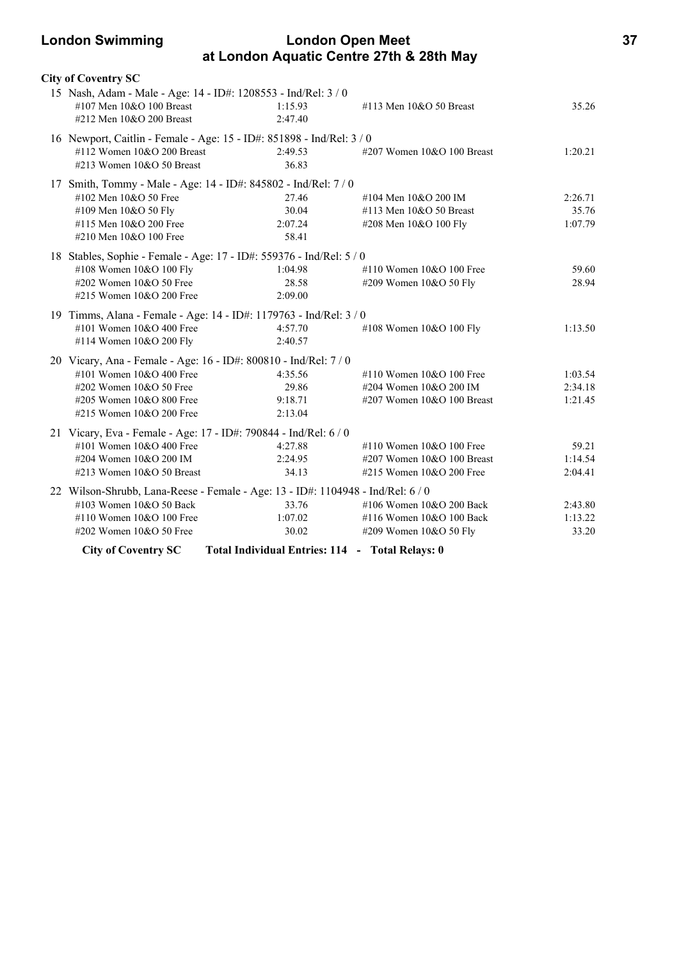### **London Swimming London Open Meet 37 at London Aquatic Centre 27th & 28th May**

| <b>City of Coventry SC</b>                                                      |         |                            |         |
|---------------------------------------------------------------------------------|---------|----------------------------|---------|
| 15 Nash, Adam - Male - Age: 14 - ID#: 1208553 - Ind/Rel: 3 / 0                  |         |                            |         |
| #107 Men 10&O 100 Breast                                                        | 1:15.93 | #113 Men 10&O 50 Breast    | 35.26   |
| #212 Men 10&O 200 Breast                                                        | 2:47.40 |                            |         |
| 16 Newport, Caitlin - Female - Age: 15 - ID#: 851898 - Ind/Rel: 3 / 0           |         |                            |         |
| #112 Women 10&O 200 Breast                                                      | 2:49.53 | #207 Women 10&O 100 Breast | 1:20.21 |
| #213 Women 10&O 50 Breast                                                       | 36.83   |                            |         |
| 17 Smith, Tommy - Male - Age: 14 - ID#: 845802 - Ind/Rel: 7 / 0                 |         |                            |         |
| #102 Men 10&O 50 Free                                                           | 27.46   | #104 Men 10&O 200 IM       | 2:26.71 |
| #109 Men 10&O 50 Fly                                                            | 30.04   | #113 Men 10&O 50 Breast    | 35.76   |
| #115 Men 10&O 200 Free                                                          | 2:07.24 | #208 Men 10&O 100 Fly      | 1:07.79 |
| #210 Men 10&O 100 Free                                                          | 58.41   |                            |         |
| 18 Stables, Sophie - Female - Age: 17 - ID#: 559376 - Ind/Rel: 5 / 0            |         |                            |         |
| #108 Women 10&O 100 Fly                                                         | 1:04.98 | #110 Women 10&O 100 Free   | 59.60   |
| #202 Women 10&O 50 Free                                                         | 28.58   | #209 Women 10&O 50 Fly     | 28.94   |
| #215 Women 10&O 200 Free                                                        | 2:09.00 |                            |         |
| 19 Timms, Alana - Female - Age: 14 - ID#: 1179763 - Ind/Rel: 3 / 0              |         |                            |         |
| #101 Women 10&O 400 Free                                                        | 4:57.70 | #108 Women 10&O 100 Fly    | 1:13.50 |
| #114 Women 10&O 200 Fly                                                         | 2:40.57 |                            |         |
| 20 Vicary, Ana - Female - Age: 16 - ID#: 800810 - Ind/Rel: 7 / 0                |         |                            |         |
| #101 Women 10&O 400 Free                                                        | 4:35.56 | #110 Women $10&O 100$ Free | 1:03.54 |
| #202 Women 10&O 50 Free                                                         | 29.86   | #204 Women 10&O 200 IM     | 2:34.18 |
| #205 Women 10&O 800 Free                                                        | 9:18.71 | #207 Women 10&O 100 Breast | 1:21.45 |
| #215 Women 10&O 200 Free                                                        | 2:13.04 |                            |         |
| 21 Vicary, Eva - Female - Age: 17 - ID#: 790844 - Ind/Rel: 6 / 0                |         |                            |         |
| #101 Women 10&O 400 Free                                                        | 4:27.88 | #110 Women 10&O 100 Free   | 59.21   |
| #204 Women 10&O 200 IM                                                          | 2:24.95 | #207 Women 10&O 100 Breast | 1:14.54 |
| #213 Women $10&O$ 50 Breast                                                     | 34.13   | #215 Women 10&O 200 Free   | 2:04.41 |
| 22 Wilson-Shrubb, Lana-Reese - Female - Age: 13 - ID#: 1104948 - Ind/Rel: 6 / 0 |         |                            |         |
| #103 Women 10&O 50 Back                                                         | 33.76   | #106 Women 10&O 200 Back   | 2:43.80 |
| #110 Women 10&O 100 Free                                                        | 1:07.02 | #116 Women 10&O 100 Back   | 1:13.22 |
| #202 Women 10&O 50 Free                                                         | 30.02   | #209 Women 10&O 50 Fly     | 33.20   |
|                                                                                 |         |                            |         |

**City of Coventry SC Total Individual Entries: 114 - Total Relays: 0**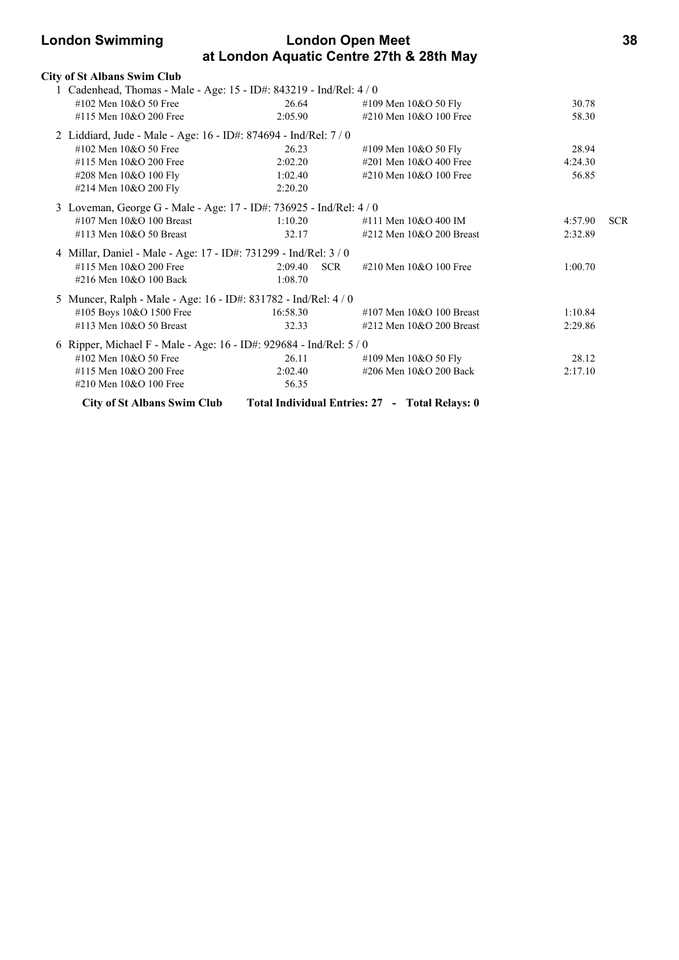## **London Swimming London Open Meet 38 at London Aquatic Centre 27th & 28th May**

| <b>City of St Albans Swim Club</b>                                  |          |                                                |         |            |
|---------------------------------------------------------------------|----------|------------------------------------------------|---------|------------|
| 1 Cadenhead, Thomas - Male - Age: 15 - ID#: 843219 - Ind/Rel: 4 / 0 |          |                                                |         |            |
| #102 Men $10&O$ 50 Free                                             | 26.64    | #109 Men $10&O 50$ Fly                         | 30.78   |            |
| #115 Men 10&O 200 Free                                              | 2:05.90  | #210 Men 10&O 100 Free                         | 58.30   |            |
| 2 Liddiard, Jude - Male - Age: 16 - ID#: 874694 - Ind/Rel: 7 / 0    |          |                                                |         |            |
| #102 Men $10&O$ 50 Free                                             | 26.23    | #109 Men $10&O 50$ Fly                         | 28.94   |            |
| #115 Men 10&O 200 Free                                              | 2:02.20  | #201 Men 10&O 400 Free                         | 4:24.30 |            |
| #208 Men 10&O 100 Fly                                               | 1:02.40  | #210 Men 10&O 100 Free                         | 56.85   |            |
| #214 Men 10&O 200 Fly                                               | 2:20.20  |                                                |         |            |
| 3 Loveman, George G - Male - Age: 17 - ID#: 736925 - Ind/Rel: 4 / 0 |          |                                                |         |            |
| #107 Men $10&O$ 100 Breast                                          | 1:10.20  | #111 Men 10&O 400 IM                           | 4:57.90 | <b>SCR</b> |
| #113 Men 10&O 50 Breast                                             | 32.17    | #212 Men $10&O$ 200 Breast                     | 2:32.89 |            |
| 4 Millar, Daniel - Male - Age: 17 - ID#: 731299 - Ind/Rel: 3 / 0    |          |                                                |         |            |
| #115 Men 10&O 200 Free                                              | 2:09.40  | <b>SCR</b><br>#210 Men $10&O$ 100 Free         | 1:00.70 |            |
| #216 Men 10&O 100 Back                                              | 1:08.70  |                                                |         |            |
| 5 Muncer, Ralph - Male - Age: 16 - ID#: 831782 - Ind/Rel: 4 / 0     |          |                                                |         |            |
| #105 Boys 10&O 1500 Free                                            | 16:58.30 | #107 Men $10&O$ 100 Breast                     | 1:10.84 |            |
| #113 Men 10&O 50 Breast                                             | 32.33    | #212 Men $10&O$ 200 Breast                     | 2:29.86 |            |
| 6 Ripper, Michael F - Male - Age: 16 - ID#: 929684 - Ind/Rel: 5 / 0 |          |                                                |         |            |
| #102 Men 10&O 50 Free                                               | 26.11    | #109 Men $10&O 50$ Fly                         | 28.12   |            |
| #115 Men 10&O 200 Free                                              | 2:02.40  | #206 Men 10&O 200 Back                         | 2:17.10 |            |
| #210 Men $10&O$ 100 Free                                            | 56.35    |                                                |         |            |
| <b>City of St Albans Swim Club</b>                                  |          | Total Individual Entries: 27 - Total Relays: 0 |         |            |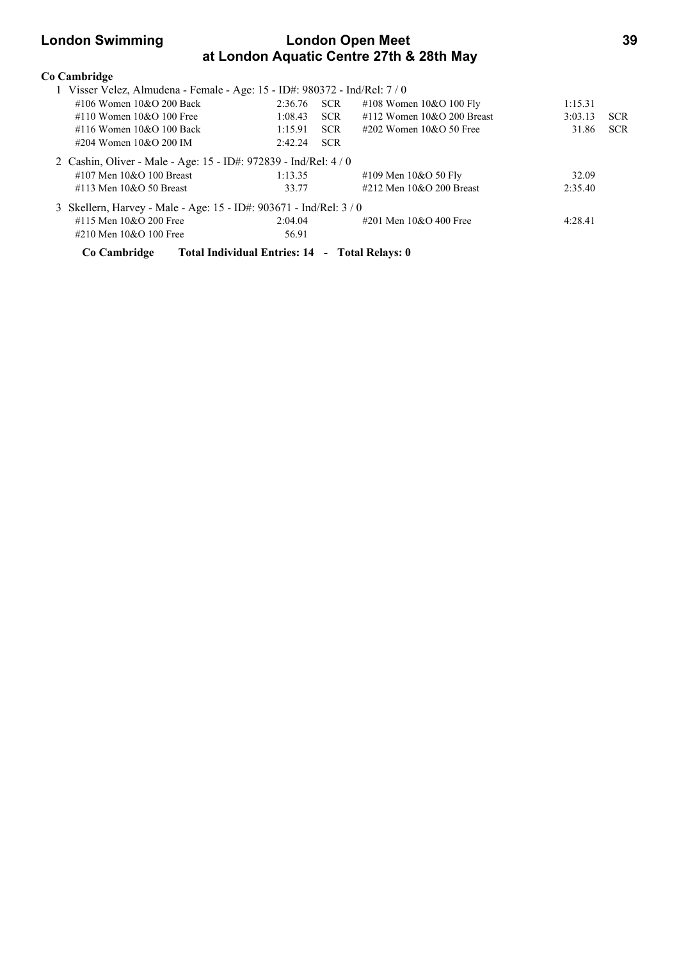## **London Swimming London Open Meet 39 at London Aquatic Centre 27th & 28th May**

| Co Cambridge                                                             |                                                |            |                               |         |            |
|--------------------------------------------------------------------------|------------------------------------------------|------------|-------------------------------|---------|------------|
| 1 Visser Velez, Almudena - Female - Age: 15 - ID#: 980372 - Ind/Rel: 7/0 |                                                |            |                               |         |            |
| #106 Women 10&O 200 Back                                                 | 2:36.76 SCR                                    |            | #108 Women $10&O 100$ Fly     | 1:15.31 |            |
| #110 Women $10&O$ 100 Free                                               | 1:08.43                                        | <b>SCR</b> | $\#112$ Women 10&O 200 Breast | 3:03.13 | <b>SCR</b> |
| #116 Women $10&O$ 100 Back                                               | 1:15.91                                        | <b>SCR</b> | $\#202$ Women 10&O 50 Free    | 31.86   | <b>SCR</b> |
| #204 Women $10&O$ 200 IM                                                 | 2:42.24                                        | <b>SCR</b> |                               |         |            |
| 2 Cashin, Oliver - Male - Age: 15 - ID#: 972839 - Ind/Rel: 4 / 0         |                                                |            |                               |         |            |
| #107 Men $10&O$ 100 Breast                                               | 1:13.35                                        |            | #109 Men $10&O 50$ Fly        | 32.09   |            |
| #113 Men $10&O$ 50 Breast                                                | 33.77                                          |            | #212 Men $10&O$ 200 Breast    | 2:35.40 |            |
| 3 Skellern, Harvey - Male - Age: 15 - ID#: 903671 - Ind/Rel: 3 / 0       |                                                |            |                               |         |            |
| #115 Men $10&O$ 200 Free                                                 | 2:04.04                                        |            | #201 Men $10&O$ 400 Free      | 4:28.41 |            |
| #210 Men 10&O 100 Free                                                   | 56.91                                          |            |                               |         |            |
| Co Cambridge                                                             | Total Individual Entries: 14 - Total Relays: 0 |            |                               |         |            |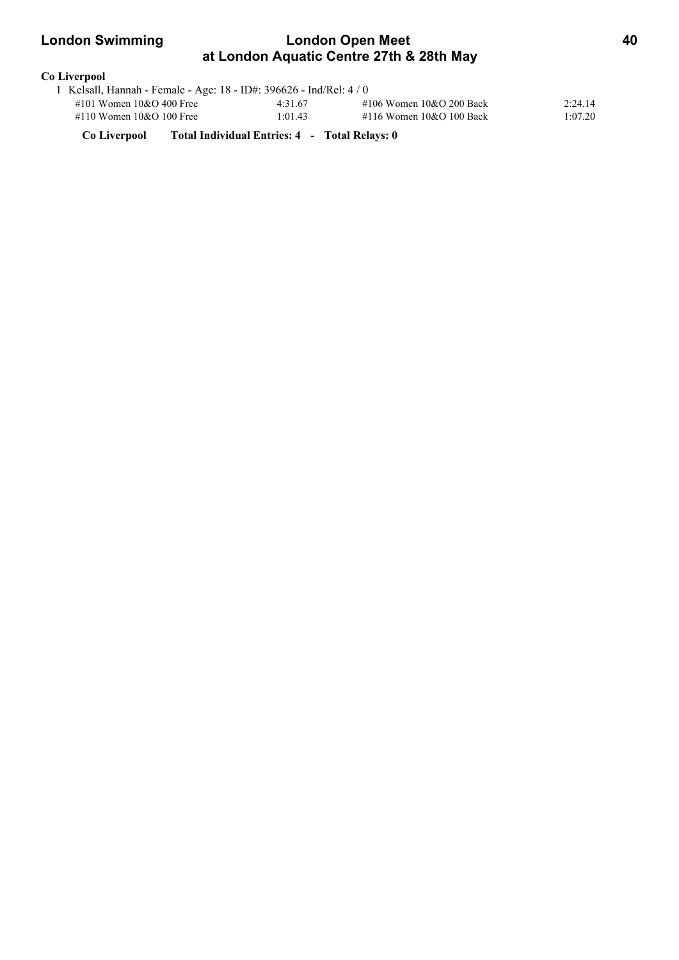## **London Swimming London Open Meet 40 at London Aquatic Centre 27th & 28th May**

# **Co Liverpool**

| 1 Kelsall, Hannah - Female - Age: 18 - ID#: 396626 - Ind/Rel: 4 / 0 |         |                            |         |
|---------------------------------------------------------------------|---------|----------------------------|---------|
| #101 Women $10&O$ 400 Free                                          | 4:31.67 | #106 Women $10&O$ 200 Back | 2:24.14 |
| #110 Women $10&O 100$ Free                                          | 1:01.43 | #116 Women $10&O 100$ Back | 1:07.20 |

**Co Liverpool Total Individual Entries: 4 - Total Relays: 0**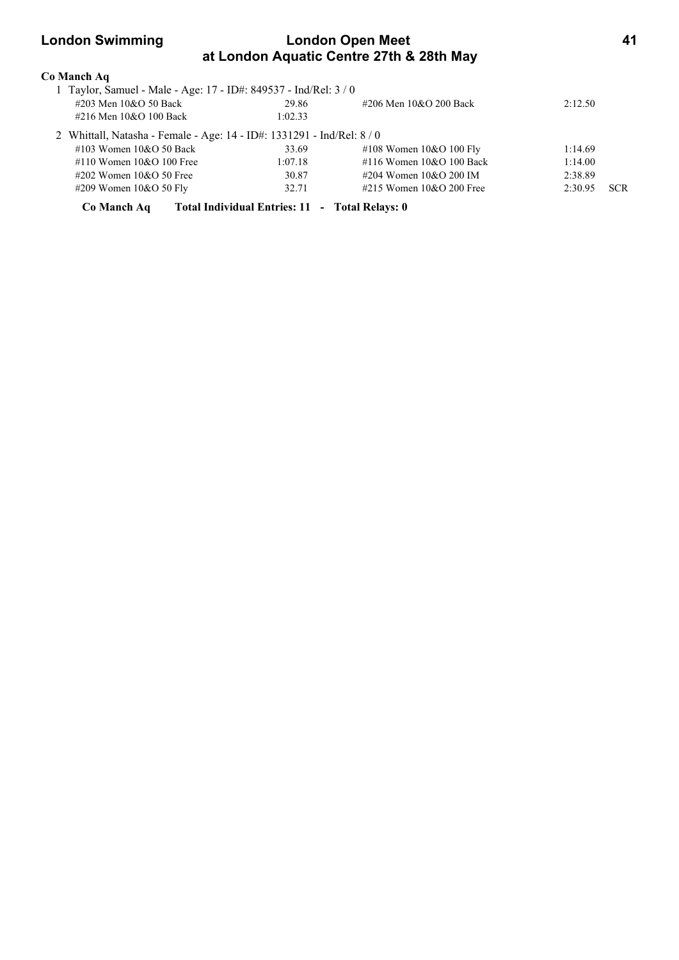## **London Swimming London Open Meet 41 at London Aquatic Centre 27th & 28th May**

| Co Manch Aq                                                            |                                                |                            |         |            |
|------------------------------------------------------------------------|------------------------------------------------|----------------------------|---------|------------|
| 1 Taylor, Samuel - Male - Age: 17 - ID#: 849537 - Ind/Rel: 3 / 0       |                                                |                            |         |            |
| #203 Men 10&O 50 Back                                                  | 29.86                                          | #206 Men 10&O 200 Back     | 2:12.50 |            |
| #216 Men 10&O 100 Back                                                 | 1:02.33                                        |                            |         |            |
| 2 Whittall, Natasha - Female - Age: 14 - ID#: 1331291 - Ind/Rel: 8 / 0 |                                                |                            |         |            |
| #103 Women $10&O$ 50 Back                                              | 33.69                                          | #108 Women $10&O 100$ Fly  | 1:14.69 |            |
| #110 Women $10&O$ 100 Free                                             | 1:07.18                                        | #116 Women $10&O 100$ Back | 1:14.00 |            |
| #202 Women $10&O$ 50 Free                                              | 30.87                                          | #204 Women $10&O$ 200 IM   | 2:38.89 |            |
| $\#209$ Women 10&O 50 Fly                                              | 32.71                                          | #215 Women $10&O$ 200 Free | 2:30.95 | <b>SCR</b> |
| Co Manch Aq                                                            | Total Individual Entries: 11 - Total Relays: 0 |                            |         |            |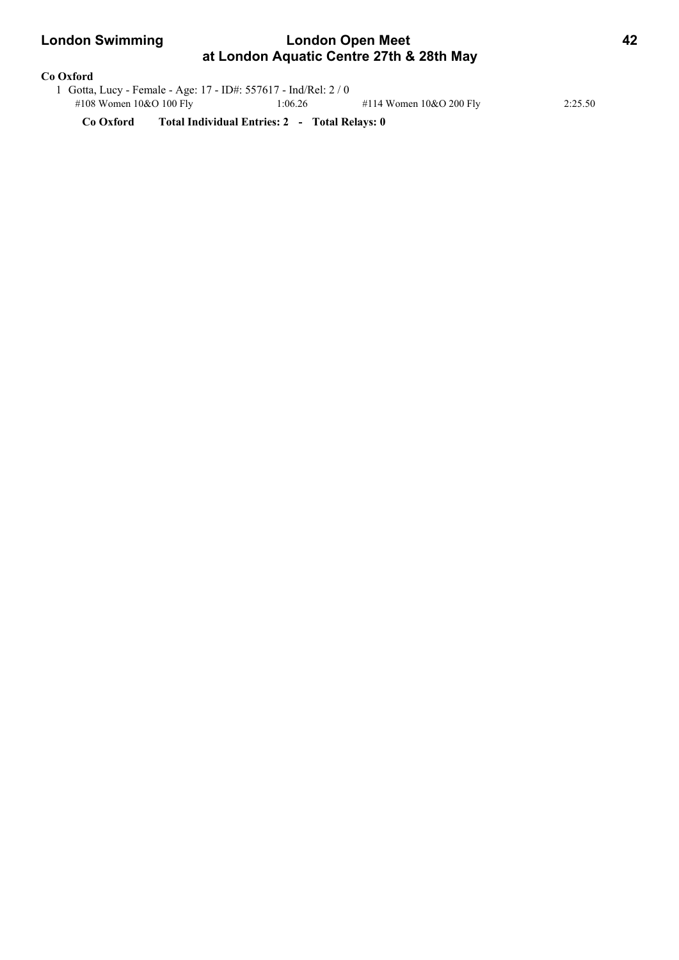### **London Swimming London Open Meet 42 at London Aquatic Centre 27th & 28th May**

### **Co Oxford**

|                           | 1 Gotta, Lucy - Female - Age: 17 - ID#: 557617 - Ind/Rel: 2 / 0 |         |                           |         |
|---------------------------|-----------------------------------------------------------------|---------|---------------------------|---------|
| #108 Women $10&O 100$ Fly |                                                                 | 1:06.26 | #114 Women $10&O$ 200 Fly | 2:25.50 |

**Co Oxford Total Individual Entries: 2 - Total Relays: 0**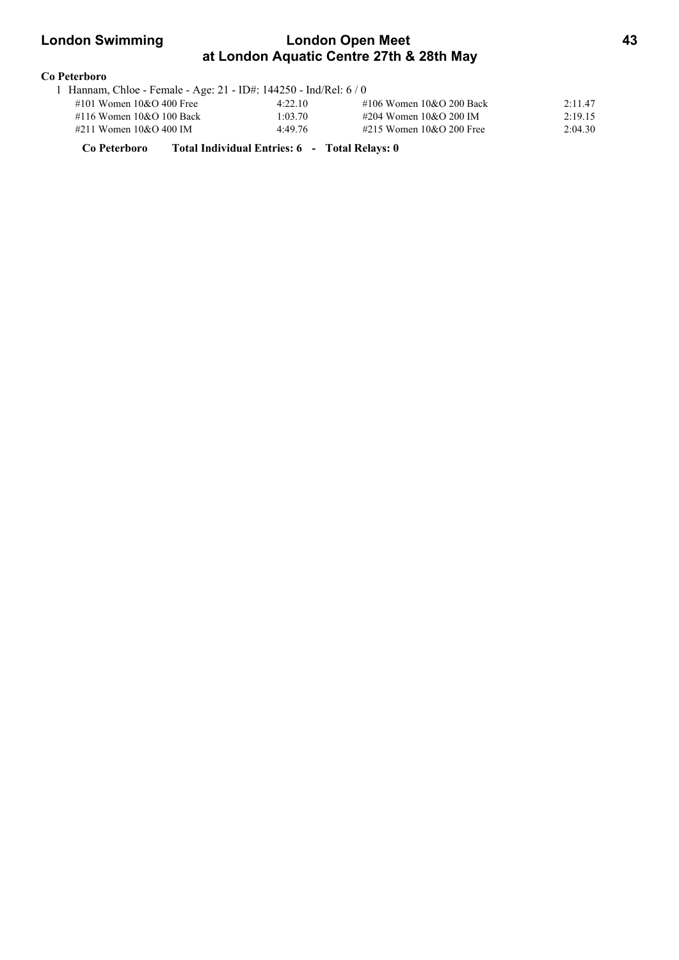## **London Swimming London Open Meet 43 at London Aquatic Centre 27th & 28th May**

### **Co Peterboro**

| 1 Hannam, Chloe - Female - Age: 21 - ID#: 144250 - Ind/Rel: $6/0$ |         |                            |         |
|-------------------------------------------------------------------|---------|----------------------------|---------|
| #101 Women $10&O$ 400 Free                                        | 4:22.10 | #106 Women $10&O$ 200 Back | 2:11.47 |
| #116 Women $10&O$ 100 Back                                        | 1:03.70 | #204 Women 10&O 200 IM     | 2:19.15 |
| #211 Women $10&O$ 400 IM                                          | 4:49.76 | #215 Women $10&O$ 200 Free | 2:04.30 |
|                                                                   |         |                            |         |

**Co Peterboro Total Individual Entries: 6 - Total Relays: 0**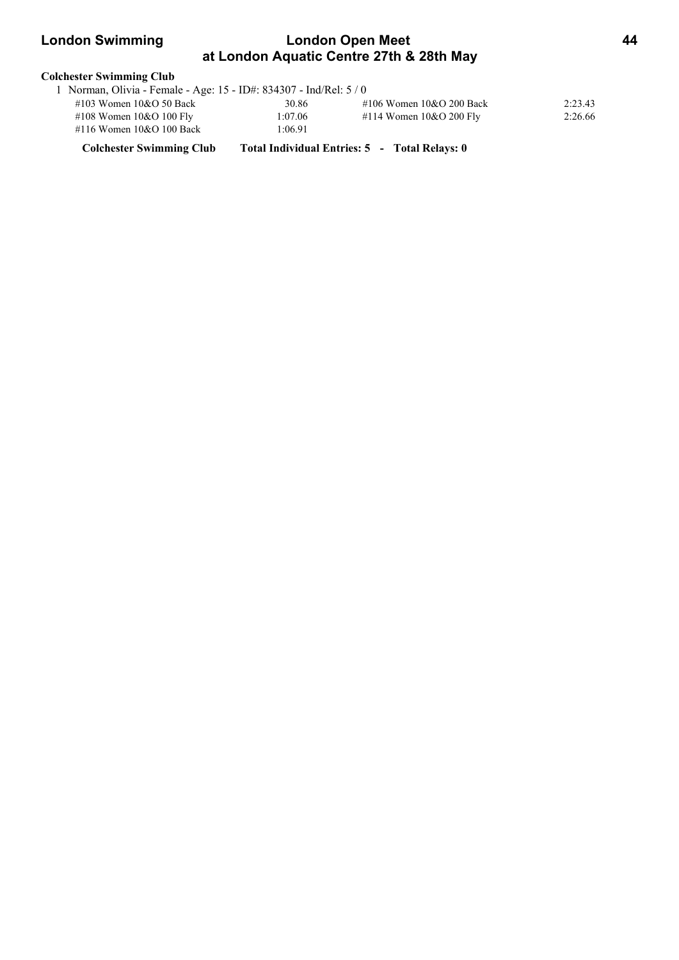# **London Swimming Condon Open Meet 44 at London Aquatic Centre 27th & 28th May**

| <b>Colchester Swimming Club</b>                                  |         |                            |         |  |  |  |  |
|------------------------------------------------------------------|---------|----------------------------|---------|--|--|--|--|
| Norman, Olivia - Female - Age: 15 - ID#: 834307 - Ind/Rel: 5 / 0 |         |                            |         |  |  |  |  |
| $\#103$ Women $10&O$ 50 Back                                     | 30.86   | #106 Women $10&O$ 200 Back | 2:23.43 |  |  |  |  |
| #108 Women $10&O 100$ Fly                                        | 1:07.06 | #114 Women $10&O$ 200 Fly  | 2:26.66 |  |  |  |  |
| #116 Women 10&O 100 Back                                         | 1:06.91 |                            |         |  |  |  |  |

**Colchester Swimming Club Total Individual Entries: 5 - Total Relays: 0**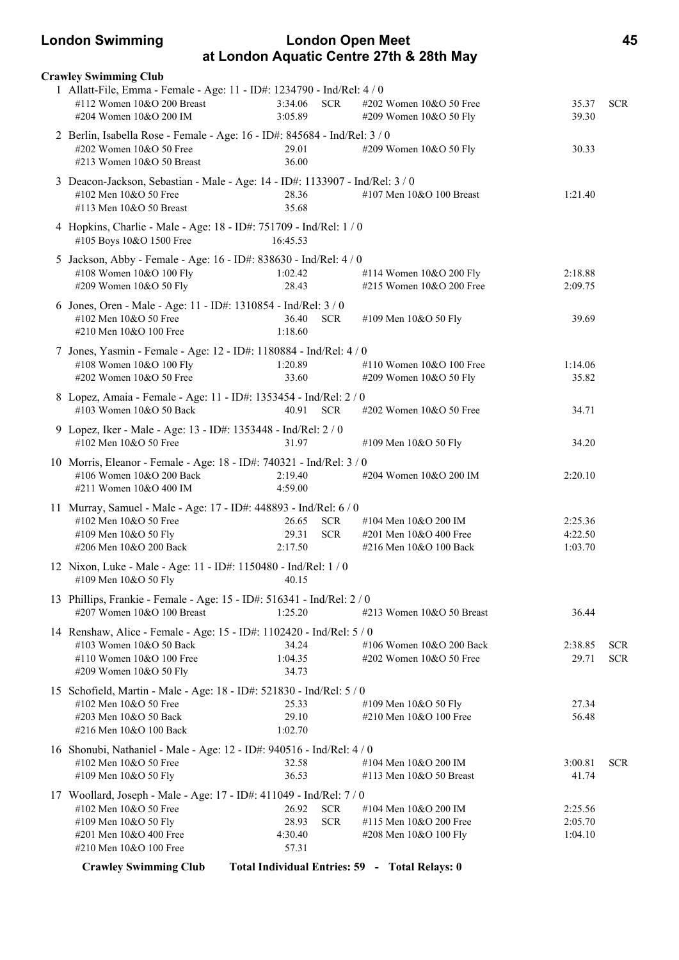### **London Swimming London Open Meet 45 at London Aquatic Centre 27th & 28th May**

| <b>Crawley Swimming Club</b>                                                                                                                                           |                                                |                          |                                                                          |                               |                          |
|------------------------------------------------------------------------------------------------------------------------------------------------------------------------|------------------------------------------------|--------------------------|--------------------------------------------------------------------------|-------------------------------|--------------------------|
| 1 Allatt-File, Emma - Female - Age: 11 - ID#: 1234790 - Ind/Rel: 4 / 0<br>#112 Women 10&O 200 Breast<br>#204 Women 10&O 200 IM                                         | 3:34.06<br>3:05.89                             | <b>SCR</b>               | #202 Women 10&O 50 Free<br>#209 Women 10&O 50 Fly                        | 35.37<br>39.30                | <b>SCR</b>               |
| 2 Berlin, Isabella Rose - Female - Age: 16 - ID#: 845684 - Ind/Rel: 3 / 0<br>#202 Women 10&O 50 Free<br>#213 Women 10&O 50 Breast                                      | 29.01<br>36.00                                 |                          | #209 Women 10&O 50 Fly                                                   | 30.33                         |                          |
| 3 Deacon-Jackson, Sebastian - Male - Age: 14 - ID#: 1133907 - Ind/Rel: 3 / 0<br>#102 Men 10&O 50 Free<br>#113 Men 10&O 50 Breast                                       | 28.36<br>35.68                                 |                          | #107 Men 10&O 100 Breast                                                 | 1:21.40                       |                          |
| 4 Hopkins, Charlie - Male - Age: 18 - ID#: 751709 - Ind/Rel: 1 / 0<br>#105 Boys 10&O 1500 Free                                                                         | 16:45.53                                       |                          |                                                                          |                               |                          |
| 5 Jackson, Abby - Female - Age: 16 - ID#: 838630 - Ind/Rel: 4 / 0<br>#108 Women 10&O 100 Fly<br>#209 Women 10&O 50 Fly                                                 | 1:02.42<br>28.43                               |                          | #114 Women 10&O 200 Fly<br>#215 Women 10&O 200 Free                      | 2:18.88<br>2:09.75            |                          |
| 6 Jones, Oren - Male - Age: 11 - ID#: 1310854 - Ind/Rel: 3 / 0<br>#102 Men 10&O 50 Free<br>#210 Men 10&O 100 Free                                                      | 36.40<br>1:18.60                               | <b>SCR</b>               | #109 Men 10&O 50 Fly                                                     | 39.69                         |                          |
| 7 Jones, Yasmin - Female - Age: 12 - ID#: 1180884 - Ind/Rel: 4 / 0<br>#108 Women 10&O 100 Fly<br>#202 Women 10&O 50 Free                                               | 1:20.89<br>33.60                               |                          | #110 Women 10&O 100 Free<br>#209 Women 10&O 50 Fly                       | 1:14.06<br>35.82              |                          |
| 8 Lopez, Amaia - Female - Age: 11 - ID#: 1353454 - Ind/Rel: 2 / 0<br>#103 Women 10&O 50 Back                                                                           | 40.91 SCR                                      |                          | #202 Women 10&O 50 Free                                                  | 34.71                         |                          |
| 9 Lopez, Iker - Male - Age: 13 - ID#: 1353448 - Ind/Rel: 2 / 0<br>#102 Men 10&O 50 Free                                                                                | 31.97                                          |                          | #109 Men 10&O 50 Fly                                                     | 34.20                         |                          |
| 10 Morris, Eleanor - Female - Age: 18 - ID#: 740321 - Ind/Rel: 3 / 0<br>#106 Women 10&O 200 Back<br>#211 Women 10&O 400 IM                                             | 2:19.40<br>4:59.00                             |                          | #204 Women 10&O 200 IM                                                   | 2:20.10                       |                          |
| 11 Murray, Samuel - Male - Age: 17 - ID#: 448893 - Ind/Rel: 6 / 0<br>#102 Men 10&O 50 Free<br>#109 Men 10&O 50 Fly<br>#206 Men 10&O 200 Back                           | 26.65<br>29.31<br>2:17.50                      | <b>SCR</b><br><b>SCR</b> | #104 Men 10&O 200 IM<br>#201 Men 10&O 400 Free<br>#216 Men 10&O 100 Back | 2:25.36<br>4:22.50<br>1:03.70 |                          |
| 12 Nixon, Luke - Male - Age: 11 - ID#: 1150480 - Ind/Rel: 1/0<br>#109 Men 10&O 50 Fly 40.15                                                                            |                                                |                          |                                                                          |                               |                          |
| 13 Phillips, Frankie - Female - Age: 15 - ID#: 516341 - Ind/Rel: 2 / 0<br>#207 Women 10&O 100 Breast                                                                   | 1:25.20                                        |                          | #213 Women $10&O$ 50 Breast                                              | 36.44                         |                          |
| 14 Renshaw, Alice - Female - Age: 15 - ID#: 1102420 - Ind/Rel: 5 / 0<br>#103 Women 10&O 50 Back<br>#110 Women 10&O 100 Free<br>#209 Women 10&O 50 Fly                  | 34.24<br>1:04.35<br>34.73                      |                          | #106 Women 10&O 200 Back<br>#202 Women 10&O 50 Free                      | 2:38.85<br>29.71              | <b>SCR</b><br><b>SCR</b> |
| 15 Schofield, Martin - Male - Age: 18 - ID#: 521830 - Ind/Rel: 5 / 0<br>#102 Men 10&O 50 Free<br>#203 Men 10&O 50 Back<br>#216 Men 10&O 100 Back                       | 25.33<br>29.10<br>1:02.70                      |                          | #109 Men 10&O 50 Fly<br>#210 Men 10&O 100 Free                           | 27.34<br>56.48                |                          |
| 16 Shonubi, Nathaniel - Male - Age: 12 - ID#: 940516 - Ind/Rel: 4 / 0<br>#102 Men 10&O 50 Free<br>#109 Men 10&O 50 Fly                                                 | 32.58<br>36.53                                 |                          | #104 Men 10&O 200 IM<br>#113 Men 10&O 50 Breast                          | 3:00.81<br>41.74              | <b>SCR</b>               |
| 17 Woollard, Joseph - Male - Age: 17 - ID#: 411049 - Ind/Rel: 7/0<br>#102 Men 10&O 50 Free<br>#109 Men 10&O 50 Fly<br>#201 Men 10&O 400 Free<br>#210 Men 10&O 100 Free | 26.92<br>28.93<br>4:30.40<br>57.31             | <b>SCR</b><br><b>SCR</b> | #104 Men 10&O 200 IM<br>#115 Men 10&O 200 Free<br>#208 Men 10&O 100 Fly  | 2:25.56<br>2:05.70<br>1:04.10 |                          |
| <b>Crawley Swimming Club</b>                                                                                                                                           | Total Individual Entries: 59 - Total Relays: 0 |                          |                                                                          |                               |                          |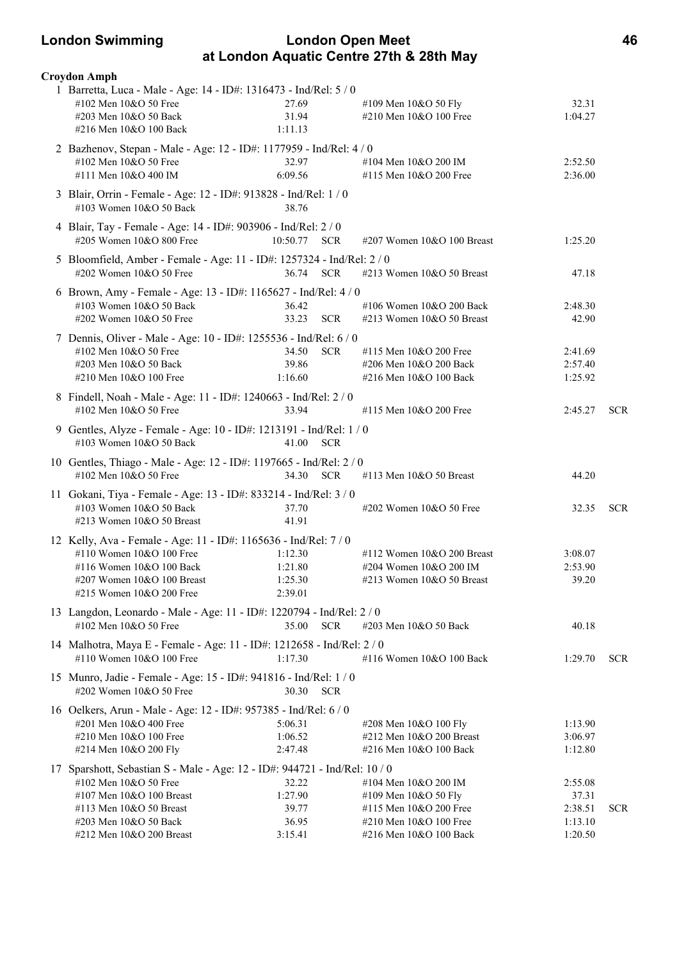### **London Swimming London Open Meet 46 at London Aquatic Centre 27th & 28th May**

| Croydon Amph                                                                                                                                                                                                    |                                               |                                                                                                                            |                                                   |            |
|-----------------------------------------------------------------------------------------------------------------------------------------------------------------------------------------------------------------|-----------------------------------------------|----------------------------------------------------------------------------------------------------------------------------|---------------------------------------------------|------------|
| 1 Barretta, Luca - Male - Age: 14 - ID#: 1316473 - Ind/Rel: 5 / 0<br>#102 Men 10&O 50 Free<br>#203 Men 10&O 50 Back<br>#216 Men 10&O 100 Back                                                                   | 27.69<br>31.94<br>1:11.13                     | #109 Men 10&O 50 Fly<br>#210 Men 10&O 100 Free                                                                             | 32.31<br>1:04.27                                  |            |
| 2 Bazhenov, Stepan - Male - Age: 12 - ID#: 1177959 - Ind/Rel: 4 / 0<br>#102 Men 10&O 50 Free<br>#111 Men 10&O 400 IM                                                                                            | 32.97<br>6:09.56                              | #104 Men 10&O 200 IM<br>#115 Men 10&O 200 Free                                                                             | 2:52.50<br>2:36.00                                |            |
| 3 Blair, Orrin - Female - Age: 12 - ID#: 913828 - Ind/Rel: 1 / 0<br>#103 Women 10&O 50 Back                                                                                                                     | 38.76                                         |                                                                                                                            |                                                   |            |
| 4 Blair, Tay - Female - Age: 14 - ID#: 903906 - Ind/Rel: 2 / 0<br>#205 Women 10&O 800 Free                                                                                                                      | 10:50.77 SCR                                  | #207 Women 10&O 100 Breast                                                                                                 | 1:25.20                                           |            |
| 5 Bloomfield, Amber - Female - Age: 11 - ID#: 1257324 - Ind/Rel: 2 / 0<br>#202 Women 10&O 50 Free                                                                                                               | 36.74 SCR                                     | #213 Women 10&O 50 Breast                                                                                                  | 47.18                                             |            |
| 6 Brown, Amy - Female - Age: 13 - ID#: 1165627 - Ind/Rel: 4 / 0<br>#103 Women 10&O 50 Back<br>#202 Women 10&O 50 Free<br>7 Dennis, Oliver - Male - Age: 10 - ID#: 1255536 - Ind/Rel: 6 / 0                      | 36.42<br>33.23<br><b>SCR</b>                  | #106 Women 10&O 200 Back<br>#213 Women 10&O 50 Breast                                                                      | 2:48.30<br>42.90                                  |            |
| #102 Men 10&O 50 Free<br>#203 Men 10&O 50 Back<br>#210 Men 10&O 100 Free                                                                                                                                        | 34.50<br><b>SCR</b><br>39.86<br>1:16.60       | #115 Men 10&O 200 Free<br>#206 Men 10&O 200 Back<br>#216 Men 10&O 100 Back                                                 | 2:41.69<br>2:57.40<br>1:25.92                     |            |
| 8 Findell, Noah - Male - Age: 11 - ID#: 1240663 - Ind/Rel: 2 / 0<br>#102 Men 10&O 50 Free                                                                                                                       | 33.94                                         | #115 Men 10&O 200 Free                                                                                                     | 2:45.27                                           | <b>SCR</b> |
| 9 Gentles, Alyze - Female - Age: 10 - ID#: 1213191 - Ind/Rel: 1 / 0<br>#103 Women 10&O 50 Back                                                                                                                  | 41.00 SCR                                     |                                                                                                                            |                                                   |            |
| 10 Gentles, Thiago - Male - Age: 12 - ID#: 1197665 - Ind/Rel: 2 / 0<br>#102 Men 10&O 50 Free                                                                                                                    | 34.30 SCR                                     | #113 Men 10&O 50 Breast                                                                                                    | 44.20                                             |            |
| 11 Gokani, Tiya - Female - Age: 13 - ID#: 833214 - Ind/Rel: 3 / 0<br>#103 Women 10&O 50 Back<br>#213 Women 10&O 50 Breast                                                                                       | 37.70<br>41.91                                | #202 Women 10&O 50 Free                                                                                                    | 32.35                                             | <b>SCR</b> |
| 12 Kelly, Ava - Female - Age: 11 - ID#: 1165636 - Ind/Rel: 7 / 0<br>#110 Women 10&O 100 Free<br>#116 Women 10&O 100 Back<br>#207 Women 10&O 100 Breast<br>#215 Women 10&O 200 Free                              | 1:12.30<br>1:21.80<br>1:25.30<br>2:39.01      | #112 Women $10&O$ 200 Breast<br>#204 Women 10&O 200 IM<br>#213 Women $10&O$ 50 Breast                                      | 3:08.07<br>2:53.90<br>39.20                       |            |
| 13 Langdon, Leonardo - Male - Age: 11 - ID#: 1220794 - Ind/Rel: 2 / 0<br>#102 Men 10&O 50 Free                                                                                                                  | 35.00<br><b>SCR</b>                           | #203 Men 10&O 50 Back                                                                                                      | 40.18                                             |            |
| 14 Malhotra, Maya E - Female - Age: 11 - ID#: 1212658 - Ind/Rel: 2 / 0<br>#110 Women 10&O 100 Free                                                                                                              | 1:17.30                                       | #116 Women 10&O 100 Back                                                                                                   | 1:29.70                                           | SCR.       |
| 15 Munro, Jadie - Female - Age: 15 - ID#: 941816 - Ind/Rel: 1 / 0<br>#202 Women 10&O 50 Free                                                                                                                    | 30.30<br><b>SCR</b>                           |                                                                                                                            |                                                   |            |
| 16 Oelkers, Arun - Male - Age: 12 - ID#: 957385 - Ind/Rel: 6 / 0<br>#201 Men 10&O 400 Free<br>#210 Men 10&O 100 Free<br>#214 Men 10&O 200 Fly                                                                   | 5:06.31<br>1:06.52<br>2:47.48                 | #208 Men 10&O 100 Fly<br>#212 Men 10&O 200 Breast<br>#216 Men 10&O 100 Back                                                | 1:13.90<br>3:06.97<br>1:12.80                     |            |
| 17 Sparshott, Sebastian S - Male - Age: 12 - ID#: 944721 - Ind/Rel: 10 / 0<br>#102 Men 10&O 50 Free<br>#107 Men 10&O 100 Breast<br>#113 Men 10&O 50 Breast<br>#203 Men 10&O 50 Back<br>#212 Men 10&O 200 Breast | 32.22<br>1:27.90<br>39.77<br>36.95<br>3:15.41 | #104 Men 10&O 200 IM<br>#109 Men 10&O 50 Fly<br>#115 Men 10&O 200 Free<br>#210 Men 10&O 100 Free<br>#216 Men 10&O 100 Back | 2:55.08<br>37.31<br>2:38.51<br>1:13.10<br>1:20.50 | <b>SCR</b> |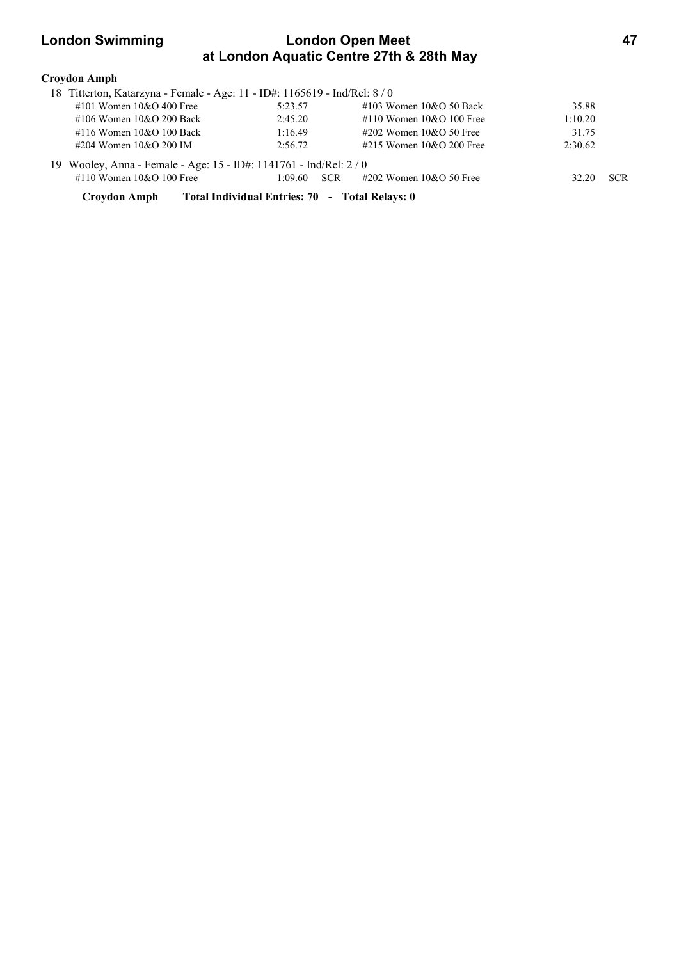## **London Swimming London Open Meet 47 at London Aquatic Centre 27th & 28th May**

| Croydon Amph                                                             |                                                |                              |         |            |
|--------------------------------------------------------------------------|------------------------------------------------|------------------------------|---------|------------|
| 18 Titterton, Katarzyna - Female - Age: 11 - ID#: 1165619 - Ind/Rel: 8/0 |                                                |                              |         |            |
| #101 Women $10&O 400$ Free                                               | 5:23.57                                        | $\#103$ Women $10&O$ 50 Back | 35.88   |            |
| #106 Women $10&O$ 200 Back                                               | 2:45.20                                        | #110 Women $10&O$ 100 Free   | 1:10.20 |            |
| #116 Women $10&O$ 100 Back                                               | 1:16.49                                        | $\#202$ Women 10&O 50 Free   | 31.75   |            |
| #204 Women $10&O$ 200 IM                                                 | 2:56.72                                        | #215 Women $10&O$ 200 Free   | 2:30.62 |            |
| 19 Wooley, Anna - Female - Age: 15 - ID#: 1141761 - Ind/Rel: 2/0         |                                                |                              |         |            |
| #110 Women $10&O 100$ Free                                               | 1:09.60<br><b>SCR</b>                          | $\#202$ Women 10&O 50 Free   | 32.20   | <b>SCR</b> |
| Croydon Amph                                                             | Total Individual Entries: 70 - Total Relays: 0 |                              |         |            |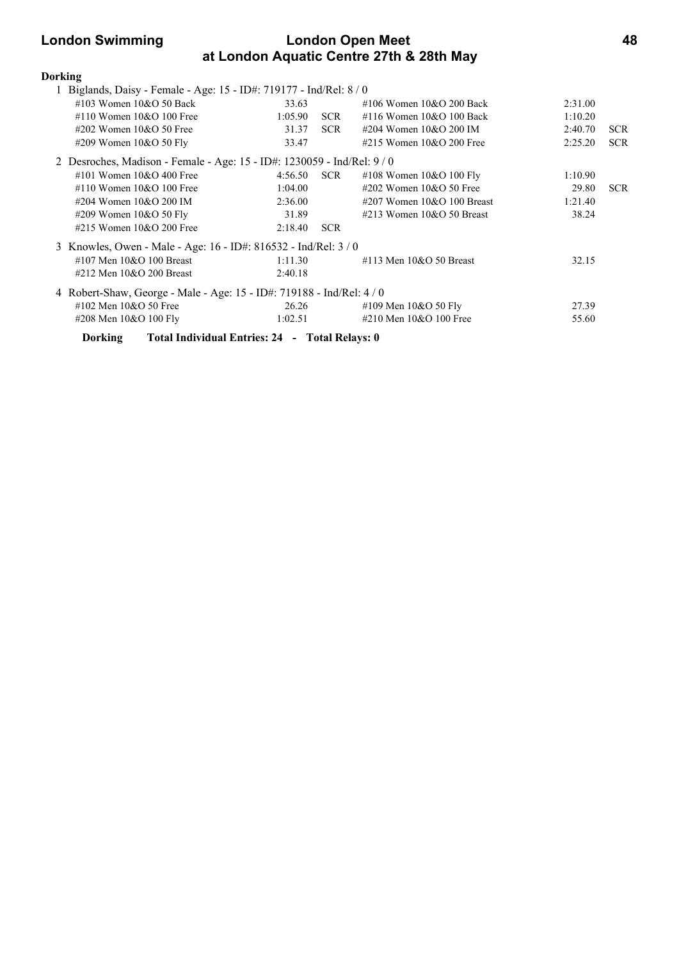## **London Swimming London Open Meet 48 at London Aquatic Centre 27th & 28th May**

| <b>Dorking</b> |                               |                                                                         |                  |                                |         |            |
|----------------|-------------------------------|-------------------------------------------------------------------------|------------------|--------------------------------|---------|------------|
|                |                               | 1 Biglands, Daisy - Female - Age: 15 - ID#: 719177 - Ind/Rel: 8 / 0     |                  |                                |         |            |
|                | #103 Women $10&O$ 50 Back     | 33.63                                                                   |                  | $\#106$ Women $10\&O$ 200 Back | 2:31.00 |            |
|                | #110 Women $10&O$ 100 Free    | 1:05.90                                                                 | <b>SCR</b>       | $\#116$ Women $10&O$ 100 Back  | 1:10.20 |            |
|                | #202 Women $10&O$ 50 Free     | 31.37                                                                   | <b>SCR</b>       | #204 Women 10&O 200 IM         | 2:40.70 | <b>SCR</b> |
|                | #209 Women 10&O 50 Fly        | 33.47                                                                   |                  | #215 Women $10&O$ 200 Free     | 2:25.20 | <b>SCR</b> |
|                |                               | 2 Desroches, Madison - Female - Age: 15 - ID#: 1230059 - Ind/Rel: 9 / 0 |                  |                                |         |            |
|                | #101 Women $10&O$ 400 Free    | 4:56.50                                                                 | SCR <sub>1</sub> | #108 Women $10&O 100$ Fly      | 1:10.90 |            |
|                | #110 Women $10&O$ 100 Free    | 1:04.00                                                                 |                  | #202 Women $10&O$ 50 Free      | 29.80   | <b>SCR</b> |
|                | #204 Women 10&O 200 IM        | 2:36.00                                                                 |                  | $\#207$ Women 10&O 100 Breast  | 1:21.40 |            |
|                | #209 Women 10&O 50 Fly        | 31.89                                                                   |                  | $\#213$ Women $10&O$ 50 Breast | 38.24   |            |
|                | #215 Women 10&O 200 Free      | 2:18.40                                                                 | <b>SCR</b>       |                                |         |            |
|                |                               | 3 Knowles, Owen - Male - Age: 16 - ID#: 816532 - Ind/Rel: 3 / 0         |                  |                                |         |            |
|                | #107 Men $10&O$ 100 Breast    | 1:11.30                                                                 |                  | $\#113$ Men $10&O$ 50 Breast   | 32.15   |            |
|                | $\#212$ Men $10&O$ 200 Breast | 2:40.18                                                                 |                  |                                |         |            |
|                |                               | 4 Robert-Shaw, George - Male - Age: 15 - ID#: 719188 - Ind/Rel: 4 / 0   |                  |                                |         |            |
|                | #102 Men 10&O 50 Free         | 26.26                                                                   |                  | #109 Men 10&O 50 Fly           | 27.39   |            |
|                | #208 Men 10&O 100 Fly         | 1:02.51                                                                 |                  | #210 Men 10&O 100 Free         | 55.60   |            |
|                | <b>Dorking</b>                | Total Individual Entries: 24 - Total Relays: 0                          |                  |                                |         |            |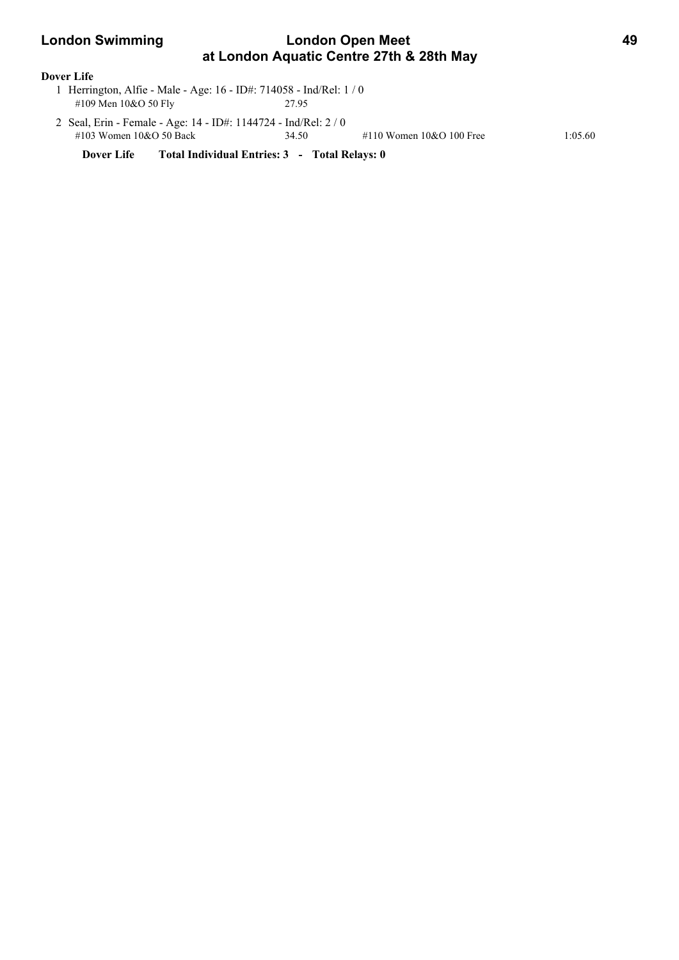# **London Swimming Condon Open Meet 49 at London Aquatic Centre 27th & 28th May**

### **Dover Life**

- 1 Herrington, Alfie Male Age: 16 ID#: 714058 Ind/Rel: 1 / 0 #109 Men 10&O 50 Fly 27.95
- 2 Seal, Erin Female Age: 14 ID#: 1144724 Ind/Rel: 2 / 0 #103 Women 10&O 50 Back 34.50 #110 Women 10&O 100 Free 1:05.60

**Dover Life Total Individual Entries: 3 - Total Relays: 0**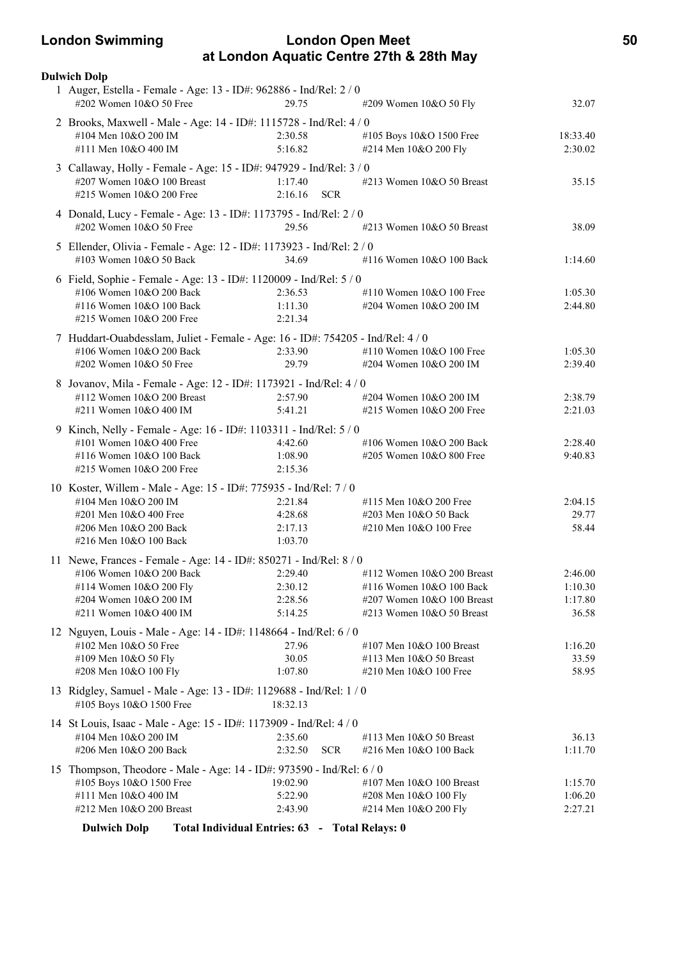### **London Swimming London Open Meet 50 at London Aquatic Centre 27th & 28th May**

| <b>Dulwich Dolp</b>                                                                             |                                                |                            |          |
|-------------------------------------------------------------------------------------------------|------------------------------------------------|----------------------------|----------|
| 1 Auger, Estella - Female - Age: 13 - ID#: 962886 - Ind/Rel: 2 / 0<br>#202 Women 10&O 50 Free   | 29.75                                          | #209 Women 10&O 50 Fly     | 32.07    |
| 2 Brooks, Maxwell - Male - Age: 14 - ID#: 1115728 - Ind/Rel: 4 / 0                              |                                                |                            |          |
| #104 Men 10&O 200 IM                                                                            | 2:30.58                                        | #105 Boys 10&O 1500 Free   | 18:33.40 |
| #111 Men 10&O 400 IM                                                                            | 5:16.82                                        | #214 Men 10&O 200 Fly      | 2:30.02  |
| 3 Callaway, Holly - Female - Age: 15 - ID#: 947929 - Ind/Rel: 3 / 0                             |                                                |                            |          |
| #207 Women 10&O 100 Breast                                                                      | 1:17.40                                        | #213 Women 10&O 50 Breast  | 35.15    |
| #215 Women 10&O 200 Free                                                                        | 2:16.16<br><b>SCR</b>                          |                            |          |
| 4 Donald, Lucy - Female - Age: 13 - ID#: 1173795 - Ind/Rel: 2 / 0                               |                                                |                            |          |
| #202 Women 10&O 50 Free                                                                         | 29.56                                          | #213 Women 10&O 50 Breast  | 38.09    |
| 5 Ellender, Olivia - Female - Age: 12 - ID#: 1173923 - Ind/Rel: 2 / 0                           |                                                |                            |          |
| #103 Women 10&O 50 Back                                                                         | 34.69                                          | #116 Women 10&O 100 Back   | 1:14.60  |
| 6 Field, Sophie - Female - Age: 13 - ID#: 1120009 - Ind/Rel: 5 / 0                              |                                                |                            |          |
| #106 Women 10&O 200 Back                                                                        | 2:36.53                                        | #110 Women 10&O 100 Free   | 1:05.30  |
| #116 Women 10&O 100 Back                                                                        | 1:11.30                                        | #204 Women 10&O 200 IM     | 2:44.80  |
| #215 Women 10&O 200 Free                                                                        | 2:21.34                                        |                            |          |
| 7 Huddart-Ouabdesslam, Juliet - Female - Age: 16 - ID#: 754205 - Ind/Rel: 4/0                   |                                                |                            |          |
| #106 Women 10&O 200 Back                                                                        | 2:33.90                                        | #110 Women 10&O 100 Free   | 1:05.30  |
| #202 Women 10&O 50 Free                                                                         | 29.79                                          | #204 Women 10&O 200 IM     | 2:39.40  |
| 8 Jovanov, Mila - Female - Age: 12 - ID#: 1173921 - Ind/Rel: 4 / 0                              |                                                |                            |          |
| #112 Women 10&O 200 Breast                                                                      | 2:57.90                                        | #204 Women 10&O 200 IM     | 2:38.79  |
| #211 Women 10&O 400 IM                                                                          | 5:41.21                                        | #215 Women 10&O 200 Free   | 2:21.03  |
| 9 Kinch, Nelly - Female - Age: 16 - ID#: 1103311 - Ind/Rel: 5 / 0                               |                                                |                            |          |
| #101 Women 10&O 400 Free                                                                        | 4:42.60                                        | #106 Women 10&O 200 Back   | 2:28.40  |
| #116 Women 10&O 100 Back                                                                        | 1:08.90                                        | #205 Women 10&O 800 Free   | 9:40.83  |
| #215 Women 10&O 200 Free                                                                        | 2:15.36                                        |                            |          |
| 10 Koster, Willem - Male - Age: 15 - ID#: 775935 - Ind/Rel: 7 / 0                               |                                                |                            |          |
| #104 Men 10&O 200 IM                                                                            | 2:21.84                                        | #115 Men $10&O$ 200 Free   | 2:04.15  |
| #201 Men 10&O 400 Free                                                                          | 4:28.68                                        | #203 Men 10&O 50 Back      | 29.77    |
| #206 Men 10&O 200 Back                                                                          | 2:17.13                                        | #210 Men 10&O 100 Free     | 58.44    |
| #216 Men 10&O 100 Back                                                                          | 1:03.70                                        |                            |          |
| 11 Newe, Frances - Female - Age: 14 - ID#: 850271 - Ind/Rel: 8 / 0                              |                                                |                            |          |
| #106 Women 10&O 200 Back                                                                        | 2:29.40                                        | #112 Women 10&O 200 Breast | 2:46.00  |
| #114 Women 10&O 200 Fly                                                                         | 2:30.12                                        | #116 Women 10&O 100 Back   | 1:10.30  |
| #204 Women 10&O 200 IM                                                                          | 2:28.56                                        | #207 Women 10&O 100 Breast | 1:17.80  |
| #211 Women 10&O 400 IM                                                                          | 5:14.25                                        | #213 Women 10&O 50 Breast  | 36.58    |
| 12 Nguyen, Louis - Male - Age: 14 - ID#: 1148664 - Ind/Rel: 6 / 0                               |                                                |                            |          |
| #102 Men 10&O 50 Free                                                                           | 27.96                                          | #107 Men 10&O 100 Breast   | 1:16.20  |
| #109 Men 10&O 50 Fly                                                                            | 30.05                                          | #113 Men 10&O 50 Breast    | 33.59    |
| #208 Men 10&O 100 Fly                                                                           | 1:07.80                                        | #210 Men 10&O 100 Free     | 58.95    |
| 13 Ridgley, Samuel - Male - Age: 13 - ID#: 1129688 - Ind/Rel: 1 / 0<br>#105 Boys 10&O 1500 Free | 18:32.13                                       |                            |          |
| 14 St Louis, Isaac - Male - Age: 15 - ID#: 1173909 - Ind/Rel: 4 / 0                             |                                                |                            |          |
| #104 Men 10&O 200 IM                                                                            | 2:35.60                                        | #113 Men 10&O 50 Breast    | 36.13    |
| #206 Men 10&O 200 Back                                                                          | 2:32.50<br><b>SCR</b>                          | #216 Men 10&O 100 Back     | 1:11.70  |
| 15 Thompson, Theodore - Male - Age: 14 - ID#: 973590 - Ind/Rel: 6 / 0                           |                                                |                            |          |
| #105 Boys 10&O 1500 Free                                                                        | 19:02.90                                       | #107 Men 10&O 100 Breast   | 1:15.70  |
| #111 Men 10&O 400 IM                                                                            | 5:22.90                                        | #208 Men 10&O 100 Fly      | 1:06.20  |
| #212 Men 10&O 200 Breast                                                                        | 2:43.90                                        | #214 Men 10&O 200 Fly      | 2:27.21  |
| <b>Dulwich Dolp</b>                                                                             | Total Individual Entries: 63 - Total Relays: 0 |                            |          |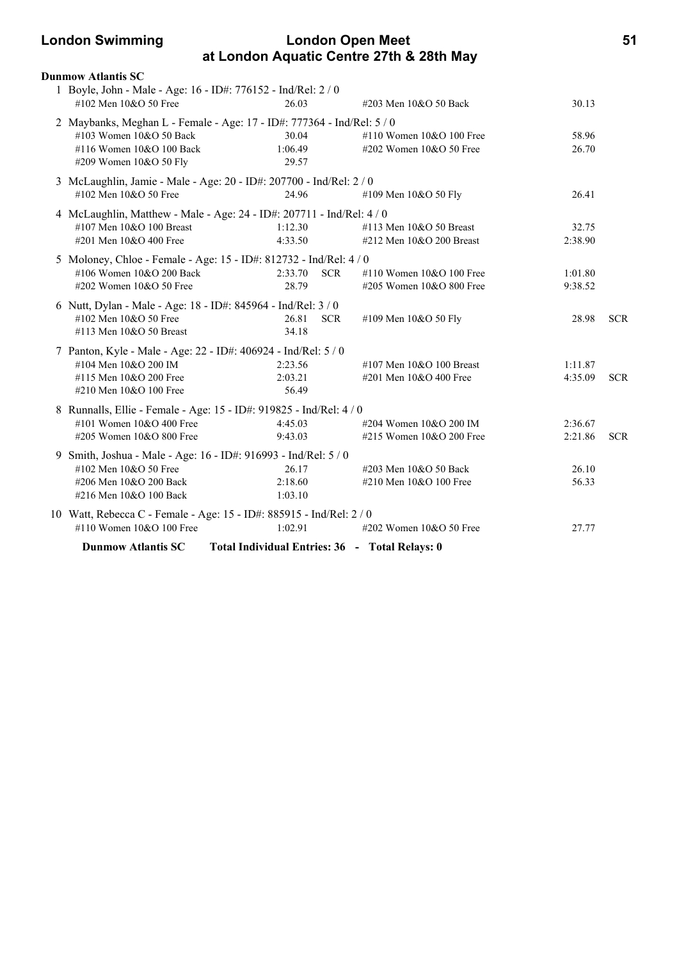### **London Swimming London Open Meet 51 at London Aquatic Centre 27th & 28th May**

| <b>Dunmow Atlantis SC</b>                                                              |                       |                                                |         |            |
|----------------------------------------------------------------------------------------|-----------------------|------------------------------------------------|---------|------------|
| 1 Boyle, John - Male - Age: 16 - ID#: 776152 - Ind/Rel: 2 / 0<br>#102 Men 10&O 50 Free | 26.03                 | #203 Men 10&O 50 Back                          | 30.13   |            |
| 2 Maybanks, Meghan L - Female - Age: 17 - ID#: 777364 - Ind/Rel: 5 / 0                 |                       |                                                |         |            |
| #103 Women 10&O 50 Back                                                                | 30.04                 | #110 Women $10&O$ 100 Free                     | 58.96   |            |
| #116 Women 10&O 100 Back                                                               | 1:06.49               | $\#202$ Women 10&O 50 Free                     | 26.70   |            |
| #209 Women 10&O 50 Fly                                                                 | 29.57                 |                                                |         |            |
| 3 McLaughlin, Jamie - Male - Age: 20 - ID#: 207700 - Ind/Rel: 2 / 0                    |                       |                                                |         |            |
| #102 Men 10&O 50 Free                                                                  | 24.96                 | #109 Men 10&O 50 Fly                           | 26.41   |            |
| 4 McLaughlin, Matthew - Male - Age: 24 - ID#: 207711 - Ind/Rel: 4 / 0                  |                       |                                                |         |            |
| #107 Men 10&O 100 Breast                                                               | 1:12.30               | #113 Men 10&O 50 Breast                        | 32.75   |            |
| #201 Men 10&O 400 Free                                                                 | 4:33.50               | #212 Men 10&O 200 Breast                       | 2:38.90 |            |
| 5 Moloney, Chloe - Female - Age: 15 - ID#: 812732 - Ind/Rel: 4 / 0                     |                       |                                                |         |            |
| #106 Women 10&O 200 Back                                                               | 2:33.70<br><b>SCR</b> | #110 Women $10&O 100$ Free                     | 1:01.80 |            |
| #202 Women 10&O 50 Free                                                                | 28.79                 | #205 Women 10&O 800 Free                       | 9:38.52 |            |
| 6 Nutt, Dylan - Male - Age: 18 - ID#: 845964 - Ind/Rel: 3 / 0                          |                       |                                                |         |            |
| #102 Men 10&O 50 Free                                                                  | 26.81<br><b>SCR</b>   | #109 Men 10&O 50 Fly                           | 28.98   | <b>SCR</b> |
| #113 Men 10&O 50 Breast                                                                | 34.18                 |                                                |         |            |
| 7 Panton, Kyle - Male - Age: 22 - ID#: 406924 - Ind/Rel: 5 / 0                         |                       |                                                |         |            |
| #104 Men 10&O 200 IM                                                                   | 2:23.56               | #107 Men 10&O 100 Breast                       | 1:11.87 |            |
| #115 Men 10&O 200 Free                                                                 | 2:03.21               | #201 Men 10&O 400 Free                         | 4:35.09 | <b>SCR</b> |
| #210 Men 10&O 100 Free                                                                 | 56.49                 |                                                |         |            |
| 8 Runnalls, Ellie - Female - Age: 15 - ID#: 919825 - Ind/Rel: 4 / 0                    |                       |                                                |         |            |
| #101 Women 10&O 400 Free                                                               | 4:45.03               | #204 Women 10&O 200 IM                         | 2:36.67 |            |
| #205 Women 10&O 800 Free                                                               | 9:43.03               | #215 Women 10&O 200 Free                       | 2:21.86 | <b>SCR</b> |
| 9 Smith, Joshua - Male - Age: 16 - ID#: 916993 - Ind/Rel: 5 / 0                        |                       |                                                |         |            |
| #102 Men 10&O 50 Free                                                                  | 26.17                 | #203 Men 10&O 50 Back                          | 26.10   |            |
| #206 Men 10&O 200 Back                                                                 | 2:18.60               | #210 Men 10&O 100 Free                         | 56.33   |            |
| #216 Men 10&O 100 Back                                                                 | 1:03.10               |                                                |         |            |
| 10 Watt, Rebecca C - Female - Age: 15 - ID#: 885915 - Ind/Rel: 2 / 0                   |                       |                                                |         |            |
| #110 Women 10&O 100 Free                                                               | 1:02.91               | $\#202$ Women $10&O$ 50 Free                   | 27.77   |            |
| <b>Dunmow Atlantis SC</b>                                                              |                       | Total Individual Entries: 36 - Total Relays: 0 |         |            |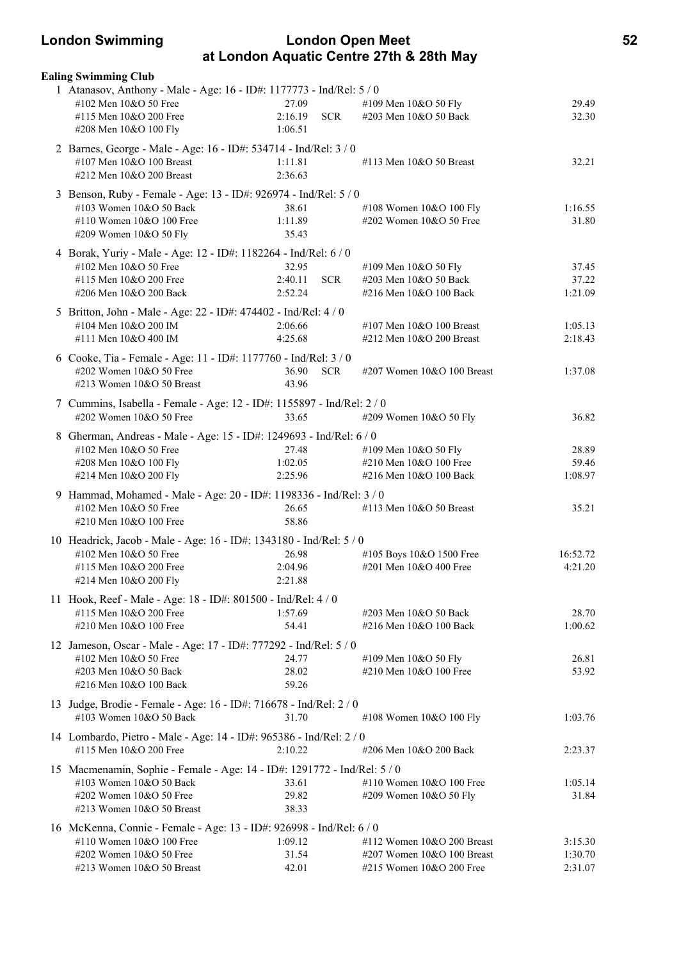### **London Swimming London Open Meet 52 at London Aquatic Centre 27th & 28th May**

| <b>Ealing Swimming Club</b>                                              |         |            |                              |          |
|--------------------------------------------------------------------------|---------|------------|------------------------------|----------|
| 1 Atanasov, Anthony - Male - Age: 16 - ID#: 1177773 - Ind/Rel: 5 / 0     |         |            |                              |          |
| #102 Men 10&O 50 Free                                                    | 27.09   |            | #109 Men 10&O 50 Fly         | 29.49    |
| #115 Men 10&O 200 Free                                                   | 2:16.19 | <b>SCR</b> | #203 Men 10&O 50 Back        | 32.30    |
| #208 Men 10&O 100 Fly                                                    | 1:06.51 |            |                              |          |
| 2 Barnes, George - Male - Age: 16 - ID#: 534714 - Ind/Rel: 3 / 0         |         |            |                              |          |
| #107 Men 10&O 100 Breast                                                 | 1:11.81 |            | #113 Men 10&O 50 Breast      | 32.21    |
| #212 Men 10&O 200 Breast                                                 | 2:36.63 |            |                              |          |
| 3 Benson, Ruby - Female - Age: 13 - ID#: 926974 - Ind/Rel: 5 / 0         |         |            |                              |          |
| #103 Women 10&O 50 Back                                                  | 38.61   |            | #108 Women 10&O 100 Fly      | 1:16.55  |
| #110 Women 10&O 100 Free                                                 | 1:11.89 |            | #202 Women 10&O 50 Free      | 31.80    |
| #209 Women 10&O 50 Fly                                                   | 35.43   |            |                              |          |
| 4 Borak, Yuriy - Male - Age: 12 - ID#: 1182264 - Ind/Rel: 6 / 0          |         |            |                              |          |
| #102 Men 10&O 50 Free                                                    | 32.95   |            | #109 Men 10&O 50 Fly         | 37.45    |
| #115 Men 10&O 200 Free                                                   | 2:40.11 | <b>SCR</b> | #203 Men 10&O 50 Back        | 37.22    |
| #206 Men 10&O 200 Back                                                   | 2:52.24 |            | #216 Men 10&O 100 Back       | 1:21.09  |
| 5 Britton, John - Male - Age: 22 - ID#: 474402 - Ind/Rel: 4 / 0          |         |            |                              |          |
| #104 Men 10&O 200 IM                                                     | 2:06.66 |            | #107 Men $10&O$ 100 Breast   | 1:05.13  |
| #111 Men 10&O 400 IM                                                     | 4:25.68 |            | #212 Men 10&O 200 Breast     | 2:18.43  |
| 6 Cooke, Tia - Female - Age: 11 - ID#: 1177760 - Ind/Rel: 3 / 0          |         |            |                              |          |
| #202 Women 10&O 50 Free                                                  | 36.90   | <b>SCR</b> | #207 Women 10&O 100 Breast   | 1:37.08  |
| #213 Women 10&O 50 Breast                                                | 43.96   |            |                              |          |
| 7 Cummins, Isabella - Female - Age: 12 - ID#: 1155897 - Ind/Rel: 2 / 0   |         |            |                              |          |
| #202 Women 10&O 50 Free                                                  | 33.65   |            | #209 Women 10&O 50 Fly       | 36.82    |
| 8 Gherman, Andreas - Male - Age: 15 - ID#: 1249693 - Ind/Rel: 6 / 0      |         |            |                              |          |
| #102 Men 10&O 50 Free                                                    | 27.48   |            | #109 Men 10&O 50 Fly         | 28.89    |
| #208 Men 10&O 100 Fly                                                    | 1:02.05 |            | #210 Men 10&O 100 Free       | 59.46    |
| #214 Men 10&O 200 Fly                                                    | 2:25.96 |            | #216 Men 10&O 100 Back       | 1:08.97  |
| 9 Hammad, Mohamed - Male - Age: 20 - ID#: 1198336 - Ind/Rel: 3 / 0       |         |            |                              |          |
| #102 Men 10&O 50 Free                                                    | 26.65   |            | #113 Men 10&O 50 Breast      | 35.21    |
| #210 Men 10&O 100 Free                                                   | 58.86   |            |                              |          |
| 10 Headrick, Jacob - Male - Age: 16 - ID#: 1343180 - Ind/Rel: 5 / 0      |         |            |                              |          |
| #102 Men 10&O 50 Free                                                    | 26.98   |            | #105 Boys 10&O 1500 Free     | 16:52.72 |
| #115 Men 10&O 200 Free                                                   | 2:04.96 |            | #201 Men 10&O 400 Free       | 4:21.20  |
| #214 Men 10&O 200 Fly                                                    | 2:21.88 |            |                              |          |
| 11 Hook, Reef - Male - Age: 18 - ID#: 801500 - Ind/Rel: 4 / 0            |         |            |                              |          |
| #115 Men 10&O 200 Free                                                   | 1:57.69 |            | #203 Men 10&O 50 Back        | 28.70    |
| #210 Men 10&O 100 Free                                                   | 54.41   |            | #216 Men 10&O 100 Back       | 1:00.62  |
| 12 Jameson, Oscar - Male - Age: 17 - ID#: 777292 - Ind/Rel: 5 / 0        |         |            |                              |          |
| #102 Men 10&O 50 Free                                                    | 24.77   |            | #109 Men 10&O 50 Fly         | 26.81    |
| #203 Men 10&O 50 Back                                                    | 28.02   |            | #210 Men 10&O 100 Free       | 53.92    |
| #216 Men 10&O 100 Back                                                   | 59.26   |            |                              |          |
| 13 Judge, Brodie - Female - Age: 16 - ID#: 716678 - Ind/Rel: 2 / 0       |         |            |                              |          |
| #103 Women 10&O 50 Back                                                  | 31.70   |            | #108 Women 10&O 100 Fly      | 1:03.76  |
| 14 Lombardo, Pietro - Male - Age: 14 - ID#: 965386 - Ind/Rel: 2 / 0      |         |            |                              |          |
| #115 Men 10&O 200 Free                                                   | 2:10.22 |            | #206 Men 10&O 200 Back       | 2:23.37  |
| 15 Macmenamin, Sophie - Female - Age: 14 - ID#: 1291772 - Ind/Rel: 5 / 0 |         |            |                              |          |
| #103 Women 10&O 50 Back                                                  | 33.61   |            | #110 Women 10&O 100 Free     | 1:05.14  |
| #202 Women 10&O 50 Free                                                  | 29.82   |            | #209 Women 10&O 50 Fly       | 31.84    |
| #213 Women 10&O 50 Breast                                                | 38.33   |            |                              |          |
| 16 McKenna, Connie - Female - Age: 13 - ID#: 926998 - Ind/Rel: 6 / 0     |         |            |                              |          |
| #110 Women 10&O 100 Free                                                 | 1:09.12 |            | #112 Women $10&O$ 200 Breast | 3:15.30  |
| #202 Women 10&O 50 Free                                                  | 31.54   |            | #207 Women 10&O 100 Breast   | 1:30.70  |
| #213 Women 10&O 50 Breast                                                | 42.01   |            | #215 Women 10&O 200 Free     | 2:31.07  |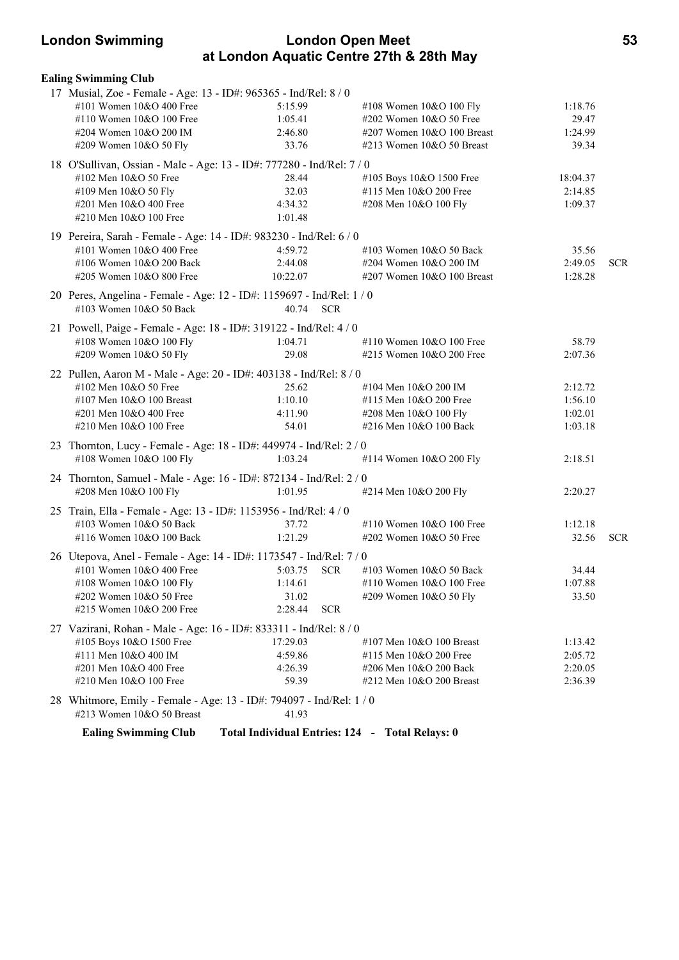### **London Swimming London Open Meet 53 at London Aquatic Centre 27th & 28th May**

| <b>Ealing Swimming Club</b>                                           |                                                 |                              |          |            |
|-----------------------------------------------------------------------|-------------------------------------------------|------------------------------|----------|------------|
| 17 Musial, Zoe - Female - Age: 13 - ID#: 965365 - Ind/Rel: 8 / 0      |                                                 |                              |          |            |
| #101 Women 10&O 400 Free                                              | 5:15.99                                         | #108 Women 10&O 100 Fly      | 1:18.76  |            |
| #110 Women 10&O 100 Free                                              | 1:05.41                                         | #202 Women 10&O 50 Free      | 29.47    |            |
| #204 Women 10&O 200 IM                                                | 2:46.80                                         | #207 Women 10&O 100 Breast   | 1:24.99  |            |
| #209 Women 10&O 50 Fly                                                | 33.76                                           | $\#213$ Women 10&O 50 Breast | 39.34    |            |
| 18 O'Sullivan, Ossian - Male - Age: 13 - ID#: 777280 - Ind/Rel: 7 / 0 |                                                 |                              |          |            |
| #102 Men 10&O 50 Free                                                 | 28.44                                           | #105 Boys 10&O 1500 Free     | 18:04.37 |            |
| #109 Men 10&O 50 Fly                                                  | 32.03                                           | #115 Men 10&O 200 Free       | 2:14.85  |            |
| #201 Men 10&O 400 Free                                                | 4:34.32                                         | #208 Men 10&O 100 Fly        | 1:09.37  |            |
| #210 Men 10&O 100 Free                                                | 1:01.48                                         |                              |          |            |
| 19 Pereira, Sarah - Female - Age: 14 - ID#: 983230 - Ind/Rel: 6 / 0   |                                                 |                              |          |            |
| #101 Women 10&O 400 Free                                              | 4:59.72                                         | #103 Women 10&O 50 Back      | 35.56    |            |
| #106 Women 10&O 200 Back                                              | 2:44.08                                         | #204 Women 10&O 200 IM       | 2:49.05  | <b>SCR</b> |
| #205 Women 10&O 800 Free                                              | 10:22.07                                        | #207 Women 10&O 100 Breast   | 1:28.28  |            |
| 20 Peres, Angelina - Female - Age: 12 - ID#: 1159697 - Ind/Rel: 1 / 0 |                                                 |                              |          |            |
| #103 Women 10&O 50 Back                                               | 40.74<br><b>SCR</b>                             |                              |          |            |
|                                                                       |                                                 |                              |          |            |
| 21 Powell, Paige - Female - Age: 18 - ID#: 319122 - Ind/Rel: 4 / 0    |                                                 |                              |          |            |
| #108 Women 10&O 100 Fly                                               | 1:04.71                                         | #110 Women 10&O 100 Free     | 58.79    |            |
| #209 Women 10&O 50 Fly                                                | 29.08                                           | #215 Women 10&O 200 Free     | 2:07.36  |            |
| 22 Pullen, Aaron M - Male - Age: 20 - ID#: 403138 - Ind/Rel: 8 / 0    |                                                 |                              |          |            |
| #102 Men 10&O 50 Free                                                 | 25.62                                           | #104 Men 10&O 200 IM         | 2:12.72  |            |
| #107 Men 10&O 100 Breast                                              | 1:10.10                                         | #115 Men 10&O 200 Free       | 1:56.10  |            |
| #201 Men 10&O 400 Free                                                | 4:11.90                                         | #208 Men 10&O 100 Fly        | 1:02.01  |            |
| #210 Men 10&O 100 Free                                                | 54.01                                           | #216 Men 10&O 100 Back       | 1:03.18  |            |
| 23 Thornton, Lucy - Female - Age: 18 - ID#: 449974 - Ind/Rel: 2 / 0   |                                                 |                              |          |            |
| #108 Women 10&O 100 Fly                                               | 1:03.24                                         | #114 Women 10&O 200 Fly      | 2:18.51  |            |
| 24 Thornton, Samuel - Male - Age: 16 - ID#: 872134 - Ind/Rel: 2 / 0   |                                                 |                              |          |            |
| #208 Men 10&O 100 Fly                                                 | 1:01.95                                         | #214 Men 10&O 200 Fly        | 2:20.27  |            |
|                                                                       |                                                 |                              |          |            |
| 25 Train, Ella - Female - Age: 13 - ID#: 1153956 - Ind/Rel: 4 / 0     |                                                 |                              |          |            |
| #103 Women 10&O 50 Back                                               | 37.72                                           | #110 Women 10&O 100 Free     | 1:12.18  |            |
| #116 Women 10&O 100 Back                                              | 1:21.29                                         | #202 Women 10&O 50 Free      | 32.56    | <b>SCR</b> |
| 26 Utepova, Anel - Female - Age: 14 - ID#: 1173547 - Ind/Rel: 7 / 0   |                                                 |                              |          |            |
| #101 Women 10&O 400 Free                                              | 5:03.75<br><b>SCR</b>                           | $\#103$ Women $10&O$ 50 Back | 34.44    |            |
| #108 Women 10&O 100 Fly                                               | 1:14.61                                         | #110 Women 10&O 100 Free     | 1:07.88  |            |
| #202 Women 10&O 50 Free                                               | 31.02                                           | #209 Women 10&O 50 Fly       | 33.50    |            |
| #215 Women 10&O 200 Free                                              | 2:28.44<br><b>SCR</b>                           |                              |          |            |
| 27 Vazirani, Rohan - Male - Age: 16 - ID#: 833311 - Ind/Rel: 8 / 0    |                                                 |                              |          |            |
| #105 Boys 10&O 1500 Free                                              | 17:29.03                                        | #107 Men $10&O$ 100 Breast   | 1:13.42  |            |
| #111 Men 10&O 400 IM                                                  | 4:59.86                                         | #115 Men 10&O 200 Free       | 2:05.72  |            |
| #201 Men 10&O 400 Free                                                | 4:26.39                                         | #206 Men 10&O 200 Back       | 2:20.05  |            |
| #210 Men 10&O 100 Free                                                | 59.39                                           | #212 Men $10&O$ 200 Breast   | 2:36.39  |            |
| 28 Whitmore, Emily - Female - Age: 13 - ID#: 794097 - Ind/Rel: 1 / 0  |                                                 |                              |          |            |
| #213 Women $10&O$ 50 Breast                                           | 41.93                                           |                              |          |            |
|                                                                       |                                                 |                              |          |            |
| <b>Ealing Swimming Club</b>                                           | Total Individual Entries: 124 - Total Relays: 0 |                              |          |            |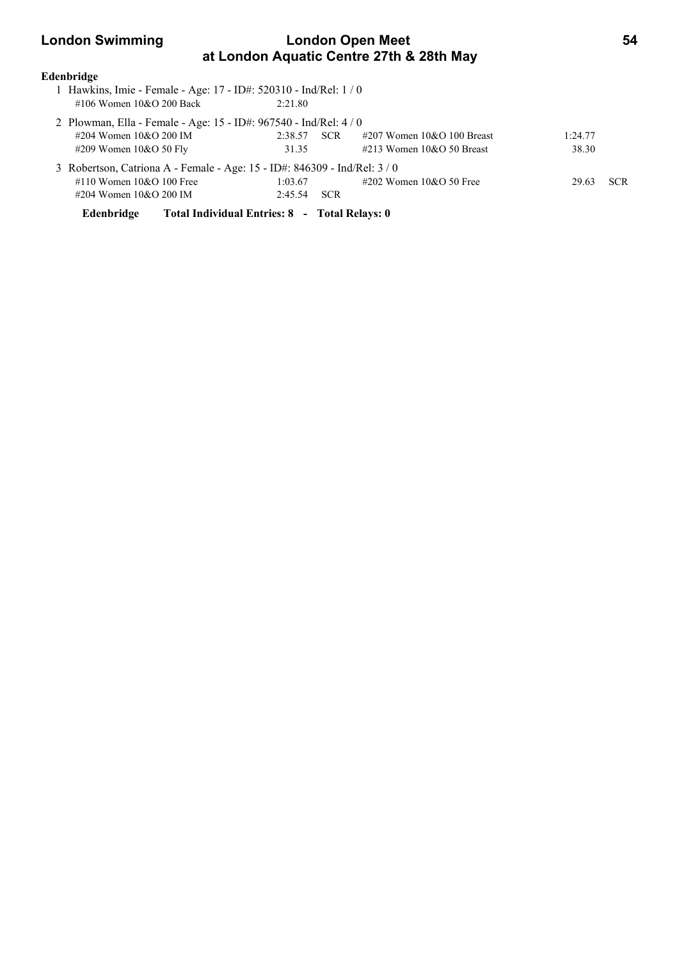## **London Swimming Condon Open Meet 64 at London Aquatic Centre 27th & 28th May**

### **Edenbridge**

- 1 Hawkins, Imie Female Age: 17 ID#: 520310 Ind/Rel: 1 / 0 #106 Women 10&O 200 Back 2:21.80
- 2 Plowman, Ella Female Age: 15 ID#: 967540 Ind/Rel: 4 / 0 #204 Women 10&O 200 IM 2:38.57 SCR #207 Women 10&O 100 Breast 1:24.77 #209 Women 10&O 50 Fly 31.35 #213 Women 10&O 50 Breast 38.30 3 Robertson, Catriona A - Female - Age: 15 - ID#: 846309 - Ind/Rel: 3 / 0 #110 Women 10&O 100 Free 1:03.67 #202 Women 10&O 50 Free 29.63 SCR #204 Women 10&O 200 IM 2:45.54 SCR

**Edenbridge Total Individual Entries: 8 - Total Relays: 0**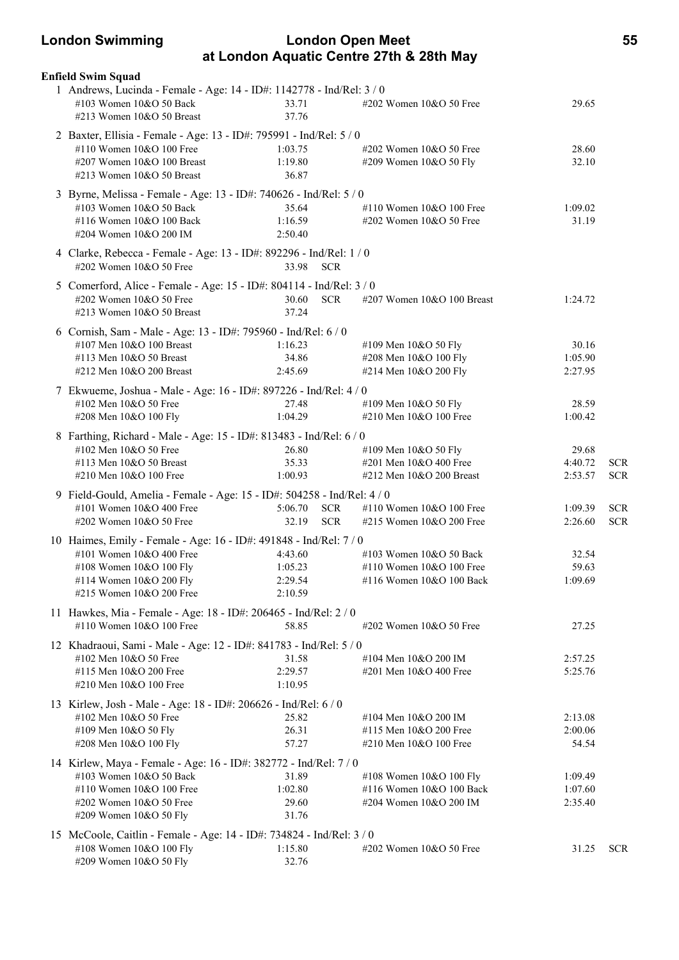### **London Swimming London Open Meet 55 at London Aquatic Centre 27th & 28th May**

| Enfield Swim Squad                                                                                                                                                                 |                                          |                          |                                                                                   |                               |                          |
|------------------------------------------------------------------------------------------------------------------------------------------------------------------------------------|------------------------------------------|--------------------------|-----------------------------------------------------------------------------------|-------------------------------|--------------------------|
| 1 Andrews, Lucinda - Female - Age: 14 - ID#: 1142778 - Ind/Rel: 3 / 0<br>#103 Women 10&O 50 Back<br>#213 Women 10&O 50 Breast                                                      | 33.71<br>37.76                           |                          | #202 Women 10&O 50 Free                                                           | 29.65                         |                          |
| 2 Baxter, Ellisia - Female - Age: 13 - ID#: 795991 - Ind/Rel: 5 / 0<br>#110 Women 10&O 100 Free<br>#207 Women 10&O 100 Breast<br>#213 Women 10&O 50 Breast                         | 1:03.75<br>1:19.80<br>36.87              |                          | #202 Women 10&O 50 Free<br>#209 Women 10&O 50 Fly                                 | 28.60<br>32.10                |                          |
| 3 Byrne, Melissa - Female - Age: 13 - ID#: 740626 - Ind/Rel: 5 / 0<br>#103 Women 10&O 50 Back<br>#116 Women 10&O 100 Back<br>#204 Women 10&O 200 IM                                | 35.64<br>1:16.59<br>2:50.40              |                          | #110 Women 10&O 100 Free<br>#202 Women 10&O 50 Free                               | 1:09.02<br>31.19              |                          |
| 4 Clarke, Rebecca - Female - Age: 13 - ID#: 892296 - Ind/Rel: 1 / 0<br>#202 Women 10&O 50 Free                                                                                     | 33.98 SCR                                |                          |                                                                                   |                               |                          |
| 5 Comerford, Alice - Female - Age: 15 - ID#: 804114 - Ind/Rel: 3 / 0<br>#202 Women 10&O 50 Free<br>#213 Women 10&O 50 Breast                                                       | 30.60<br>37.24                           | <b>SCR</b>               | #207 Women 10&O 100 Breast                                                        | 1:24.72                       |                          |
| 6 Cornish, Sam - Male - Age: 13 - ID#: 795960 - Ind/Rel: 6 / 0<br>#107 Men 10&O 100 Breast<br>#113 Men 10&O 50 Breast<br>#212 Men 10&O 200 Breast                                  | 1:16.23<br>34.86<br>2:45.69              |                          | #109 Men 10&O 50 Fly<br>#208 Men 10&O 100 Fly<br>#214 Men 10&O 200 Fly            | 30.16<br>1:05.90<br>2:27.95   |                          |
| 7 Ekwueme, Joshua - Male - Age: 16 - ID#: 897226 - Ind/Rel: 4 / 0<br>#102 Men 10&O 50 Free<br>#208 Men 10&O 100 Fly                                                                | 27.48<br>1:04.29                         |                          | #109 Men 10&O 50 Fly<br>#210 Men 10&O 100 Free                                    | 28.59<br>1:00.42              |                          |
| 8 Farthing, Richard - Male - Age: 15 - ID#: 813483 - Ind/Rel: 6 / 0<br>#102 Men 10&O 50 Free<br>#113 Men 10&O 50 Breast<br>#210 Men 10&O 100 Free                                  | 26.80<br>35.33<br>1:00.93                |                          | #109 Men 10&O 50 Fly<br>#201 Men 10&O 400 Free<br>#212 Men 10&O 200 Breast        | 29.68<br>4:40.72<br>2:53.57   | <b>SCR</b><br><b>SCR</b> |
| 9 Field-Gould, Amelia - Female - Age: 15 - ID#: 504258 - Ind/Rel: 4 / 0<br>#101 Women 10&O 400 Free<br>#202 Women 10&O 50 Free                                                     | 5:06.70<br>32.19                         | <b>SCR</b><br><b>SCR</b> | #110 Women 10&O 100 Free<br>#215 Women 10&O 200 Free                              | 1:09.39<br>2:26.60            | <b>SCR</b><br><b>SCR</b> |
| 10 Haimes, Emily - Female - Age: 16 - ID#: 491848 - Ind/Rel: 7 / 0<br>#101 Women $10&O$ 400 Free<br>#108 Women 10&O 100 Fly<br>#114 Women 10&O 200 Fly<br>#215 Women 10&O 200 Free | 4:43.60<br>1:05.23<br>2:29.54<br>2:10.59 |                          | #103 Women 10&O 50 Back<br>#110 Women $10&O 100$ Free<br>#116 Women 10&O 100 Back | 32.54<br>59.63<br>1:09.69     |                          |
| 11 Hawkes, Mia - Female - Age: 18 - ID#: 206465 - Ind/Rel: 2 / 0<br>#110 Women 10&O 100 Free                                                                                       | 58.85                                    |                          | #202 Women 10&O 50 Free                                                           | 27.25                         |                          |
| 12 Khadraoui, Sami - Male - Age: 12 - ID#: 841783 - Ind/Rel: 5 / 0<br>#102 Men 10&O 50 Free<br>#115 Men 10&O 200 Free<br>#210 Men 10&O 100 Free                                    | 31.58<br>2:29.57<br>1:10.95              |                          | #104 Men 10&O 200 IM<br>#201 Men 10&O 400 Free                                    | 2:57.25<br>5:25.76            |                          |
| 13 Kirlew, Josh - Male - Age: 18 - ID#: 206626 - Ind/Rel: 6 / 0<br>#102 Men 10&O 50 Free<br>#109 Men 10&O 50 Fly<br>#208 Men 10&O 100 Fly                                          | 25.82<br>26.31<br>57.27                  |                          | #104 Men 10&O 200 IM<br>#115 Men 10&O 200 Free<br>#210 Men $10&O$ 100 Free        | 2:13.08<br>2:00.06<br>54.54   |                          |
| 14 Kirlew, Maya - Female - Age: 16 - ID#: 382772 - Ind/Rel: 7 / 0<br>#103 Women 10&O 50 Back<br>#110 Women 10&O 100 Free<br>#202 Women 10&O 50 Free<br>#209 Women 10&O 50 Fly      | 31.89<br>1:02.80<br>29.60<br>31.76       |                          | #108 Women 10&O 100 Fly<br>#116 Women 10&O 100 Back<br>#204 Women 10&O 200 IM     | 1:09.49<br>1:07.60<br>2:35.40 |                          |
| 15 McCoole, Caitlin - Female - Age: 14 - ID#: 734824 - Ind/Rel: 3 / 0<br>#108 Women 10&O 100 Fly<br>#209 Women 10&O 50 Fly                                                         | 1:15.80<br>32.76                         |                          | $\#202$ Women $10&O$ 50 Free                                                      | 31.25                         | <b>SCR</b>               |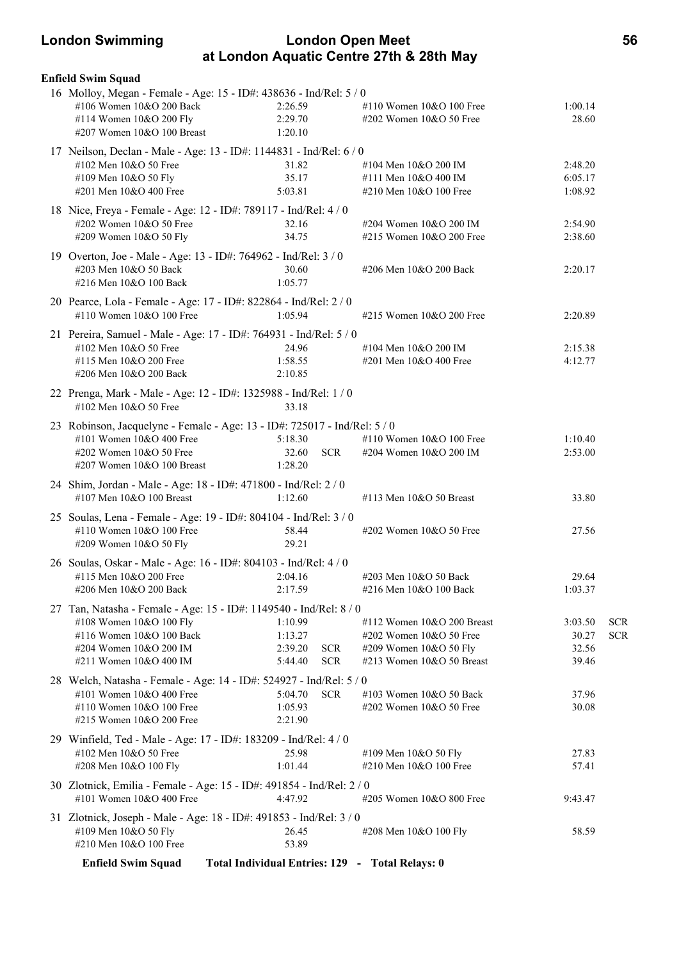### **London Swimming London Open Meet 56 at London Aquatic Centre 27th & 28th May**

| <b>Enfield Swim Squad</b>                                                 |                                                 |            |                            |         |            |
|---------------------------------------------------------------------------|-------------------------------------------------|------------|----------------------------|---------|------------|
| 16 Molloy, Megan - Female - Age: 15 - ID#: 438636 - Ind/Rel: 5 / 0        |                                                 |            |                            |         |            |
| #106 Women 10&O 200 Back                                                  | 2:26.59                                         |            | #110 Women 10&O 100 Free   | 1:00.14 |            |
| #114 Women 10&O 200 Fly                                                   | 2:29.70                                         |            | #202 Women 10&O 50 Free    | 28.60   |            |
| #207 Women 10&O 100 Breast                                                | 1:20.10                                         |            |                            |         |            |
| 17 Neilson, Declan - Male - Age: 13 - ID#: 1144831 - Ind/Rel: 6 / 0       |                                                 |            |                            |         |            |
| #102 Men $10&O$ 50 Free                                                   | 31.82                                           |            | #104 Men 10&O 200 IM       | 2:48.20 |            |
| #109 Men 10&O 50 Fly                                                      | 35.17                                           |            | #111 Men 10&O 400 IM       | 6:05.17 |            |
| #201 Men 10&O 400 Free                                                    | 5:03.81                                         |            | #210 Men 10&O 100 Free     | 1:08.92 |            |
| 18 Nice, Freya - Female - Age: 12 - ID#: 789117 - Ind/Rel: 4 / 0          |                                                 |            |                            |         |            |
| #202 Women 10&O 50 Free                                                   | 32.16                                           |            | #204 Women 10&O 200 IM     | 2:54.90 |            |
| #209 Women 10&O 50 Fly                                                    | 34.75                                           |            | #215 Women 10&O 200 Free   | 2:38.60 |            |
| 19 Overton, Joe - Male - Age: 13 - ID#: 764962 - Ind/Rel: 3 / 0           |                                                 |            |                            |         |            |
| #203 Men 10&O 50 Back                                                     | 30.60                                           |            | #206 Men 10&O 200 Back     | 2:20.17 |            |
| #216 Men 10&O 100 Back                                                    | 1:05.77                                         |            |                            |         |            |
|                                                                           |                                                 |            |                            |         |            |
| 20 Pearce, Lola - Female - Age: 17 - ID#: 822864 - Ind/Rel: 2 / 0         |                                                 |            |                            |         |            |
| #110 Women 10&O 100 Free                                                  | 1:05.94                                         |            | #215 Women 10&O 200 Free   | 2:20.89 |            |
| 21 Pereira, Samuel - Male - Age: 17 - ID#: 764931 - Ind/Rel: 5 / 0        |                                                 |            |                            |         |            |
| #102 Men 10&O 50 Free                                                     | 24.96                                           |            | #104 Men 10&O 200 IM       | 2:15.38 |            |
| #115 Men 10&O 200 Free                                                    | 1:58.55                                         |            | #201 Men 10&O 400 Free     | 4:12.77 |            |
| #206 Men 10&O 200 Back                                                    | 2:10.85                                         |            |                            |         |            |
| 22 Prenga, Mark - Male - Age: 12 - ID#: 1325988 - Ind/Rel: 1 / 0          |                                                 |            |                            |         |            |
| #102 Men 10&O 50 Free                                                     | 33.18                                           |            |                            |         |            |
| 23 Robinson, Jacquelyne - Female - Age: 13 - ID#: 725017 - Ind/Rel: 5 / 0 |                                                 |            |                            |         |            |
| #101 Women 10&O 400 Free                                                  | 5:18.30                                         |            | #110 Women 10&O 100 Free   | 1:10.40 |            |
| #202 Women 10&O 50 Free                                                   | 32.60                                           | <b>SCR</b> | #204 Women 10&O 200 IM     | 2:53.00 |            |
| #207 Women 10&O 100 Breast                                                | 1:28.20                                         |            |                            |         |            |
| 24 Shim, Jordan - Male - Age: 18 - ID#: 471800 - Ind/Rel: 2 / 0           |                                                 |            |                            |         |            |
| #107 Men 10&O 100 Breast                                                  | 1:12.60                                         |            | #113 Men 10&O 50 Breast    | 33.80   |            |
|                                                                           |                                                 |            |                            |         |            |
| 25 Soulas, Lena - Female - Age: 19 - ID#: 804104 - Ind/Rel: 3 / 0         |                                                 |            |                            |         |            |
| #110 Women 10&O 100 Free                                                  | 58.44<br>29.21                                  |            | #202 Women 10&O 50 Free    | 27.56   |            |
| #209 Women 10&O 50 Fly                                                    |                                                 |            |                            |         |            |
| 26 Soulas, Oskar - Male - Age: 16 - ID#: 804103 - Ind/Rel: 4 / 0          |                                                 |            |                            |         |            |
| #115 Men 10&O 200 Free                                                    | 2:04.16                                         |            | #203 Men 10&O 50 Back      | 29.64   |            |
| #206 Men 10&O 200 Back                                                    | 2:17.59                                         |            | #216 Men 10&O 100 Back     | 1:03.37 |            |
| 27 Tan, Natasha - Female - Age: 15 - ID#: 1149540 - Ind/Rel: 8 / 0        |                                                 |            |                            |         |            |
| #108 Women 10&O 100 Fly                                                   | 1:10.99                                         |            | #112 Women 10&O 200 Breast | 3:03.50 | <b>SCR</b> |
| #116 Women 10&O 100 Back                                                  | 1:13.27                                         |            | #202 Women 10&O 50 Free    | 30.27   | <b>SCR</b> |
| #204 Women 10&O 200 IM                                                    | 2:39.20                                         | <b>SCR</b> | #209 Women 10&O 50 Fly     | 32.56   |            |
| #211 Women 10&O 400 IM                                                    | 5:44.40                                         | <b>SCR</b> | #213 Women 10&O 50 Breast  | 39.46   |            |
| 28 Welch, Natasha - Female - Age: 14 - ID#: 524927 - Ind/Rel: 5 / 0       |                                                 |            |                            |         |            |
| #101 Women 10&O 400 Free                                                  | 5:04.70                                         | <b>SCR</b> | #103 Women 10&O 50 Back    | 37.96   |            |
| #110 Women 10&O 100 Free                                                  | 1:05.93                                         |            | #202 Women 10&O 50 Free    | 30.08   |            |
| #215 Women 10&O 200 Free                                                  | 2:21.90                                         |            |                            |         |            |
| 29 Winfield, Ted - Male - Age: 17 - ID#: 183209 - Ind/Rel: 4 / 0          |                                                 |            |                            |         |            |
| #102 Men 10&O 50 Free                                                     | 25.98                                           |            | #109 Men 10&O 50 Fly       | 27.83   |            |
| #208 Men 10&O 100 Fly                                                     | 1:01.44                                         |            | #210 Men $10&O$ 100 Free   | 57.41   |            |
| 30 Zlotnick, Emilia - Female - Age: 15 - ID#: 491854 - Ind/Rel: 2 / 0     |                                                 |            |                            |         |            |
| #101 Women 10&O 400 Free                                                  | 4:47.92                                         |            | #205 Women 10&O 800 Free   | 9:43.47 |            |
|                                                                           |                                                 |            |                            |         |            |
| 31 Zlotnick, Joseph - Male - Age: 18 - ID#: 491853 - Ind/Rel: 3 / 0       |                                                 |            |                            |         |            |
| #109 Men 10&O 50 Fly<br>#210 Men 10&O 100 Free                            | 26.45<br>53.89                                  |            | #208 Men 10&O 100 Fly      | 58.59   |            |
|                                                                           |                                                 |            |                            |         |            |
| <b>Enfield Swim Squad</b>                                                 | Total Individual Entries: 129 - Total Relays: 0 |            |                            |         |            |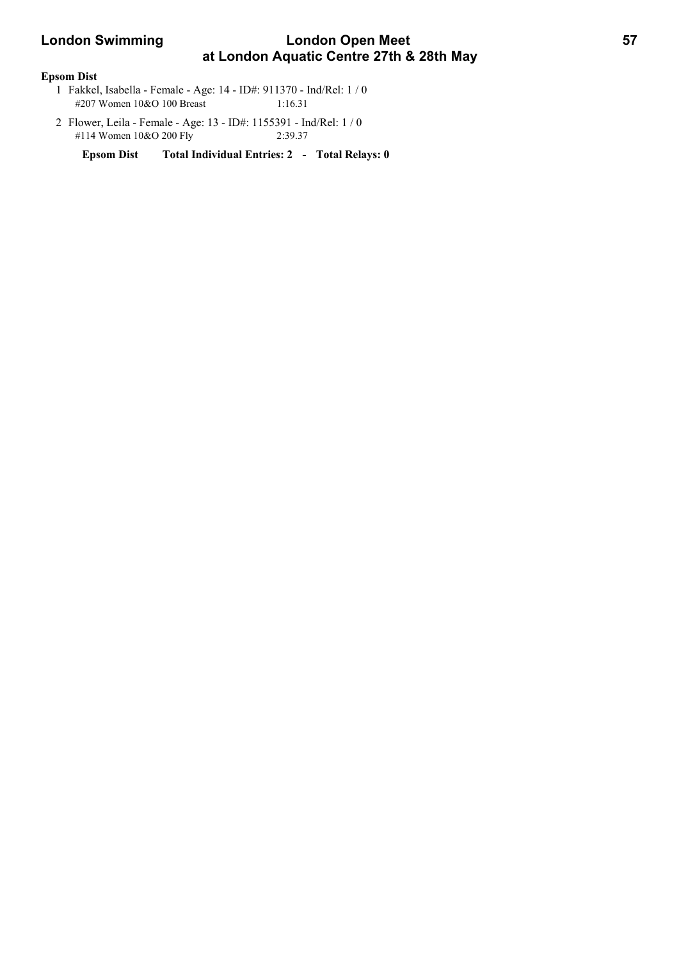# **London Swimming Condon Open Meet 67 Apr 10 11 12 13 13 14 14 15 16 17 17 18 18 18 18 18 18 18 18 18 18 18 18 1 at London Aquatic Centre 27th & 28th May**

### **Epsom Dist**

- 1 Fakkel, Isabella Female Age: 14 ID#: 911370 Ind/Rel: 1 / 0 #207 Women 10&O 100 Breast 1:16.31
- 2 Flower, Leila Female Age: 13 ID#: 1155391 Ind/Rel: 1 / 0 #114 Women 10&O 200 Fly 2:39.37

**Epsom Dist Total Individual Entries: 2 - Total Relays: 0**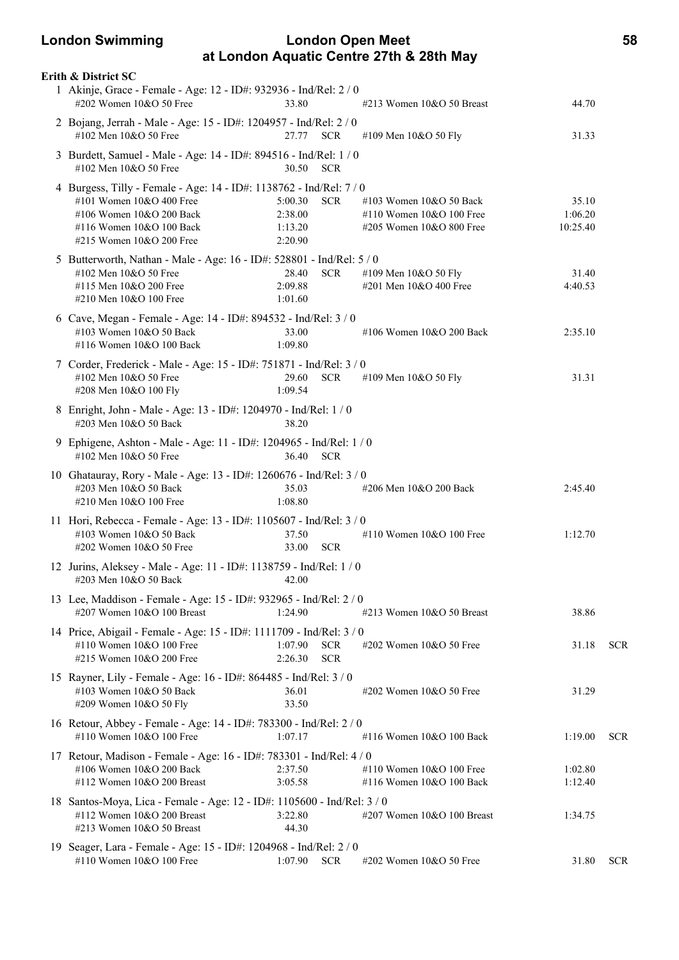### **London Swimming London Open Meet 58 at London Aquatic Centre 27th & 28th May**

| Erith & District SC                                                                                                                                                                   |                                          |                          |                                                                                   |                              |            |
|---------------------------------------------------------------------------------------------------------------------------------------------------------------------------------------|------------------------------------------|--------------------------|-----------------------------------------------------------------------------------|------------------------------|------------|
| 1 Akinje, Grace - Female - Age: 12 - ID#: 932936 - Ind/Rel: 2 / 0<br>#202 Women 10&O 50 Free                                                                                          | 33.80                                    |                          | #213 Women 10&O 50 Breast                                                         | 44.70                        |            |
| 2 Bojang, Jerrah - Male - Age: 15 - ID#: 1204957 - Ind/Rel: 2 / 0<br>#102 Men 10&O 50 Free                                                                                            | 27.77 SCR                                |                          | #109 Men 10&O 50 Fly                                                              | 31.33                        |            |
| 3 Burdett, Samuel - Male - Age: 14 - ID#: 894516 - Ind/Rel: 1 / 0<br>#102 Men 10&O 50 Free                                                                                            | 30.50 SCR                                |                          |                                                                                   |                              |            |
| 4 Burgess, Tilly - Female - Age: 14 - ID#: 1138762 - Ind/Rel: 7 / 0<br>#101 Women $10&O$ 400 Free<br>#106 Women 10&O 200 Back<br>#116 Women 10&O 100 Back<br>#215 Women 10&O 200 Free | 5:00.30<br>2:38.00<br>1:13.20<br>2:20.90 | <b>SCR</b>               | #103 Women 10&O 50 Back<br>#110 Women $10&O 100$ Free<br>#205 Women 10&O 800 Free | 35.10<br>1:06.20<br>10:25.40 |            |
| 5 Butterworth, Nathan - Male - Age: 16 - ID#: 528801 - Ind/Rel: 5 / 0<br>#102 Men $10&O$ 50 Free<br>#115 Men 10&O 200 Free<br>#210 Men 10&O 100 Free                                  | 28.40<br>2:09.88<br>1:01.60              | <b>SCR</b>               | #109 Men 10&O 50 Fly<br>#201 Men 10&O 400 Free                                    | 31.40<br>4:40.53             |            |
| 6 Cave, Megan - Female - Age: 14 - ID#: 894532 - Ind/Rel: 3 / 0<br>#103 Women 10&O 50 Back<br>#116 Women 10&O 100 Back                                                                | 33.00<br>1:09.80                         |                          | #106 Women 10&O 200 Back                                                          | 2:35.10                      |            |
| 7 Corder, Frederick - Male - Age: 15 - ID#: 751871 - Ind/Rel: 3 / 0<br>#102 Men 10&O 50 Free<br>#208 Men 10&O 100 Fly                                                                 | 29.60<br>1:09.54                         | <b>SCR</b>               | #109 Men 10&O 50 Fly                                                              | 31.31                        |            |
| 8 Enright, John - Male - Age: 13 - ID#: 1204970 - Ind/Rel: 1 / 0<br>#203 Men 10&O 50 Back                                                                                             | 38.20                                    |                          |                                                                                   |                              |            |
| 9 Ephigene, Ashton - Male - Age: 11 - ID#: 1204965 - Ind/Rel: 1 / 0<br>#102 Men 10&O 50 Free                                                                                          | 36.40                                    | <b>SCR</b>               |                                                                                   |                              |            |
| 10 Ghatauray, Rory - Male - Age: 13 - ID#: 1260676 - Ind/Rel: 3 / 0<br>#203 Men 10&O 50 Back<br>#210 Men 10&O 100 Free                                                                | 35.03<br>1:08.80                         |                          | #206 Men 10&O 200 Back                                                            | 2:45.40                      |            |
| 11 Hori, Rebecca - Female - Age: 13 - ID#: 1105607 - Ind/Rel: 3 / 0<br>#103 Women 10&O 50 Back<br>#202 Women 10&O 50 Free                                                             | 37.50<br>33.00                           | <b>SCR</b>               | #110 Women 10&O 100 Free                                                          | 1:12.70                      |            |
| 12 Jurins, Aleksey - Male - Age: 11 - ID#: 1138759 - Ind/Rel: 1/0<br>#203 Men 10&O 50 Back 42.00                                                                                      |                                          |                          |                                                                                   |                              |            |
| 13 Lee, Maddison - Female - Age: 15 - ID#: 932965 - Ind/Rel: 2 / 0<br>#207 Women 10&O 100 Breast                                                                                      | 1:24.90                                  |                          | #213 Women 10&O 50 Breast                                                         | 38.86                        |            |
| 14 Price, Abigail - Female - Age: 15 - ID#: 1111709 - Ind/Rel: 3 / 0<br>#110 Women 10&O 100 Free<br>#215 Women 10&O 200 Free                                                          | 1:07.90<br>2:26.30                       | <b>SCR</b><br><b>SCR</b> | #202 Women 10&O 50 Free                                                           | 31.18                        | <b>SCR</b> |
| 15 Rayner, Lily - Female - Age: 16 - ID#: 864485 - Ind/Rel: 3 / 0<br>#103 Women 10&O 50 Back<br>#209 Women 10&O 50 Fly                                                                | 36.01<br>33.50                           |                          | #202 Women 10&O 50 Free                                                           | 31.29                        |            |
| 16 Retour, Abbey - Female - Age: 14 - ID#: 783300 - Ind/Rel: 2 / 0<br>#110 Women 10&O 100 Free                                                                                        | 1:07.17                                  |                          | #116 Women 10&O 100 Back                                                          | 1:19.00                      | <b>SCR</b> |
| 17 Retour, Madison - Female - Age: 16 - ID#: 783301 - Ind/Rel: 4 / 0<br>#106 Women 10&O 200 Back<br>#112 Women 10&O 200 Breast                                                        | 2:37.50<br>3:05.58                       |                          | #110 Women $10&O 100$ Free<br>#116 Women 10&O 100 Back                            | 1:02.80<br>1:12.40           |            |
| 18 Santos-Moya, Lica - Female - Age: 12 - ID#: 1105600 - Ind/Rel: 3 / 0<br>#112 Women 10&O 200 Breast<br>#213 Women 10&O 50 Breast                                                    | 3:22.80<br>44.30                         |                          | #207 Women 10&O 100 Breast                                                        | 1:34.75                      |            |
| 19 Seager, Lara - Female - Age: 15 - ID#: 1204968 - Ind/Rel: 2 / 0<br>#110 Women 10&O 100 Free                                                                                        | 1:07.90                                  | <b>SCR</b>               | #202 Women 10&O 50 Free                                                           | 31.80                        | <b>SCR</b> |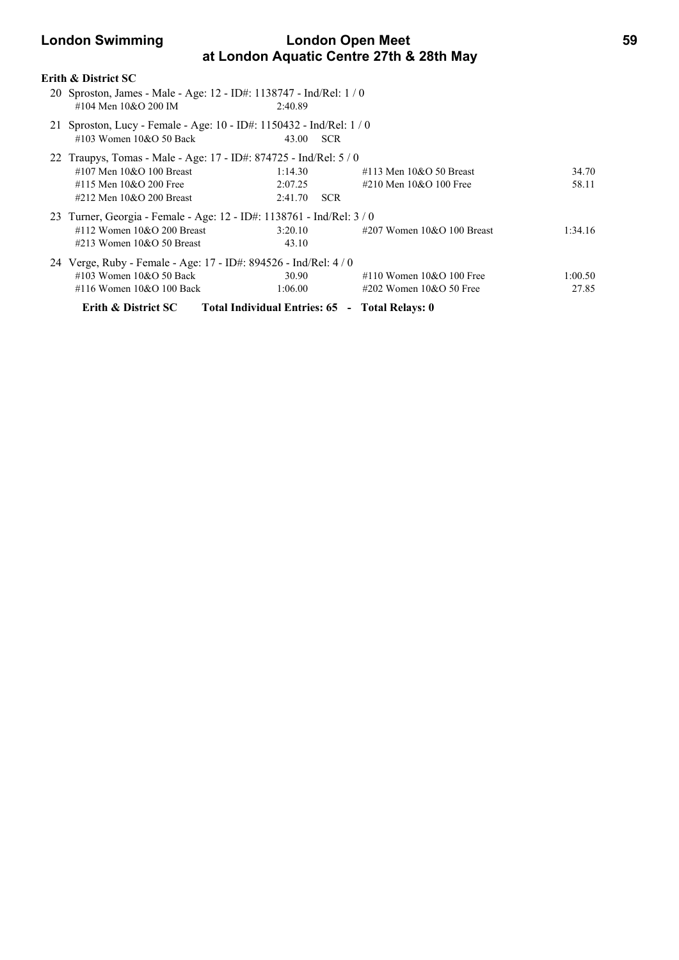# **London Swimming Condon Open Meet 69 at London Aquatic Centre 27th & 28th May**

### **Erith & District SC**

- 20 Sproston, James Male Age: 12 ID#: 1138747 Ind/Rel: 1 / 0 #104 Men 10&O 200 IM 2:40.89
- 21 Sproston, Lucy Female Age: 10 ID#: 1150432 Ind/Rel: 1 / 0 #103 Women 10&O 50 Back 43.00 SCR

| <b>Erith &amp; District SC</b>   |         |                                                                                                                                                                                                                                                                                |                                                                                                                                                           |
|----------------------------------|---------|--------------------------------------------------------------------------------------------------------------------------------------------------------------------------------------------------------------------------------------------------------------------------------|-----------------------------------------------------------------------------------------------------------------------------------------------------------|
| #116 Women $10&O$ 100 Back       | 1:06.00 | 27.85                                                                                                                                                                                                                                                                          |                                                                                                                                                           |
| #103 Women $10&O$ 50 Back        | 30.90   | 1:00.50                                                                                                                                                                                                                                                                        |                                                                                                                                                           |
|                                  |         |                                                                                                                                                                                                                                                                                |                                                                                                                                                           |
| $\#213$ Women $10\&O$ 50 Breast  | 43.10   |                                                                                                                                                                                                                                                                                |                                                                                                                                                           |
| $\#112$ Women $10\&O$ 200 Breast | 3:20.10 | 1:34.16                                                                                                                                                                                                                                                                        |                                                                                                                                                           |
|                                  |         |                                                                                                                                                                                                                                                                                |                                                                                                                                                           |
| #212 Men $10&O$ 200 Breast       | 2:41.70 |                                                                                                                                                                                                                                                                                |                                                                                                                                                           |
| #115 Men $10&O$ 200 Free         | 2:07.25 | 58.11                                                                                                                                                                                                                                                                          |                                                                                                                                                           |
| #107 Men $10&O$ 100 Breast       | 1:14.30 | 34.70                                                                                                                                                                                                                                                                          |                                                                                                                                                           |
|                                  |         |                                                                                                                                                                                                                                                                                |                                                                                                                                                           |
|                                  |         | 22 Traupys, Tomas - Male - Age: 17 - ID#: $874725$ - Ind/Rel: $5/0$<br><b>SCR</b><br>23 Turner, Georgia - Female - Age: 12 - ID#: 1138761 - Ind/Rel: 3/0<br>24 Verge, Ruby - Female - Age: 17 - ID#: 894526 - Ind/Rel: 4 / 0<br>Total Individual Entries: 65 - Total Relays: 0 | $\#113$ Men $10\&O$ 50 Breast<br>#210 Men $10&O$ 100 Free<br>$\#207$ Women $10\&O$ 100 Breast<br>#110 Women $10&O$ 100 Free<br>$\#202$ Women 10&O 50 Free |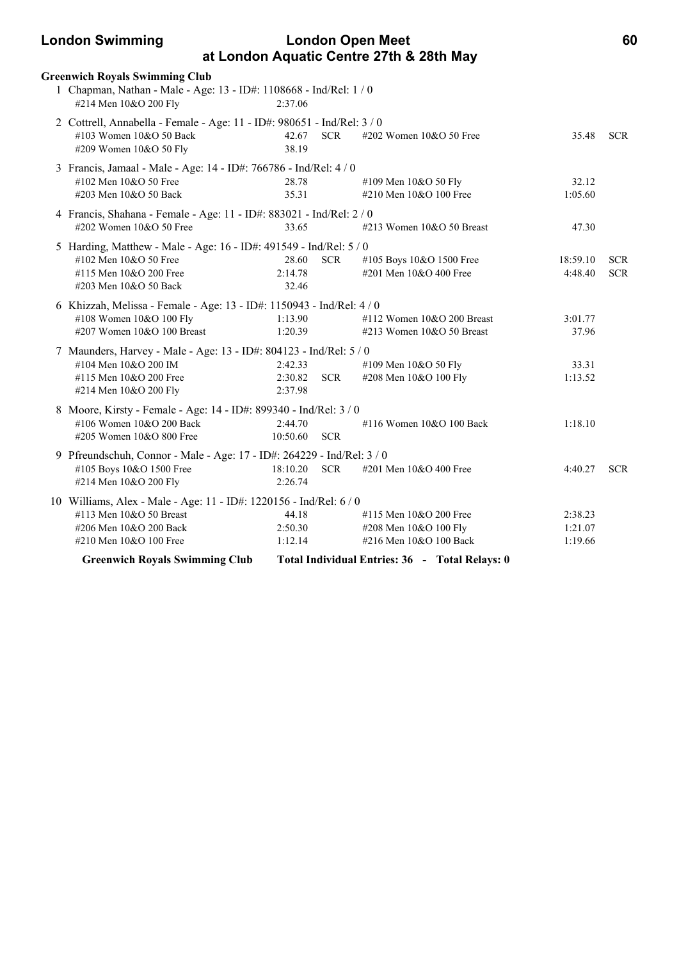## **London Swimming London Open Meet 60 at London Aquatic Centre 27th & 28th May**

| <b>Greenwich Royals Swimming Club</b>                                                                                                                                                      |                               |            |                                                                                                                             |                               |                          |
|--------------------------------------------------------------------------------------------------------------------------------------------------------------------------------------------|-------------------------------|------------|-----------------------------------------------------------------------------------------------------------------------------|-------------------------------|--------------------------|
| 1 Chapman, Nathan - Male - Age: 13 - ID#: 1108668 - Ind/Rel: 1 / 0<br>#214 Men 10&O 200 Fly                                                                                                | 2:37.06                       |            |                                                                                                                             |                               |                          |
| 2 Cottrell, Annabella - Female - Age: 11 - ID#: 980651 - Ind/Rel: 3 / 0<br>#103 Women 10&O 50 Back<br>#209 Women 10&O 50 Fly                                                               | 42.67<br>38.19                | <b>SCR</b> | #202 Women 10&O 50 Free                                                                                                     | 35.48                         | <b>SCR</b>               |
| 3 Francis, Jamaal - Male - Age: 14 - ID#: 766786 - Ind/Rel: 4 / 0<br>#102 Men 10&O 50 Free<br>#203 Men 10&O 50 Back                                                                        | 28.78<br>35.31                |            | #109 Men 10&O 50 Fly<br>#210 Men 10&O 100 Free                                                                              | 32.12<br>1:05.60              |                          |
| 4 Francis, Shahana - Female - Age: 11 - ID#: 883021 - Ind/Rel: 2 / 0<br>#202 Women 10&O 50 Free                                                                                            | 33.65                         |            | #213 Women 10&O 50 Breast                                                                                                   | 47.30                         |                          |
| 5 Harding, Matthew - Male - Age: 16 - ID#: 491549 - Ind/Rel: 5 / 0<br>#102 Men 10&O 50 Free<br>#115 Men 10&O 200 Free<br>#203 Men 10&O 50 Back                                             | 28.60<br>2:14.78<br>32.46     | <b>SCR</b> | #105 Boys 10&O 1500 Free<br>#201 Men 10&O 400 Free                                                                          | 18:59.10<br>4:48.40           | <b>SCR</b><br><b>SCR</b> |
| 6 Khizzah, Melissa - Female - Age: 13 - ID#: 1150943 - Ind/Rel: 4 / 0<br>#108 Women 10&O 100 Fly<br>#207 Women 10&O 100 Breast                                                             | 1:13.90<br>1:20.39            |            | #112 Women $10&O$ 200 Breast<br>#213 Women 10&O 50 Breast                                                                   | 3:01.77<br>37.96              |                          |
| 7 Maunders, Harvey - Male - Age: 13 - ID#: 804123 - Ind/Rel: 5 / 0<br>#104 Men 10&O 200 IM<br>#115 Men 10&O 200 Free<br>#214 Men 10&O 200 Fly                                              | 2:42.33<br>2:30.82<br>2:37.98 | <b>SCR</b> | #109 Men 10&O 50 Fly<br>#208 Men 10&O 100 Fly                                                                               | 33.31<br>1:13.52              |                          |
| 8 Moore, Kirsty - Female - Age: 14 - ID#: 899340 - Ind/Rel: 3 / 0<br>#106 Women 10&O 200 Back<br>#205 Women 10&O 800 Free                                                                  | 2:44.70<br>10:50.60           | <b>SCR</b> | #116 Women 10&O 100 Back                                                                                                    | 1:18.10                       |                          |
| 9 Pfreundschuh, Connor - Male - Age: 17 - ID#: 264229 - Ind/Rel: 3 / 0<br>#105 Boys 10&O 1500 Free<br>#214 Men 10&O 200 Fly                                                                | 18:10.20<br>2:26.74           | <b>SCR</b> | #201 Men 10&O 400 Free                                                                                                      | 4:40.27                       | <b>SCR</b>               |
| 10 Williams, Alex - Male - Age: 11 - ID#: 1220156 - Ind/Rel: 6 / 0<br>#113 Men 10&O 50 Breast<br>#206 Men 10&O 200 Back<br>#210 Men 10&O 100 Free<br><b>Greenwich Royals Swimming Club</b> | 44.18<br>2:50.30<br>1:12.14   |            | #115 Men 10&O 200 Free<br>#208 Men 10&O 100 Fly<br>#216 Men 10&O 100 Back<br>Total Individual Entries: 36 - Total Relays: 0 | 2:38.23<br>1:21.07<br>1:19.66 |                          |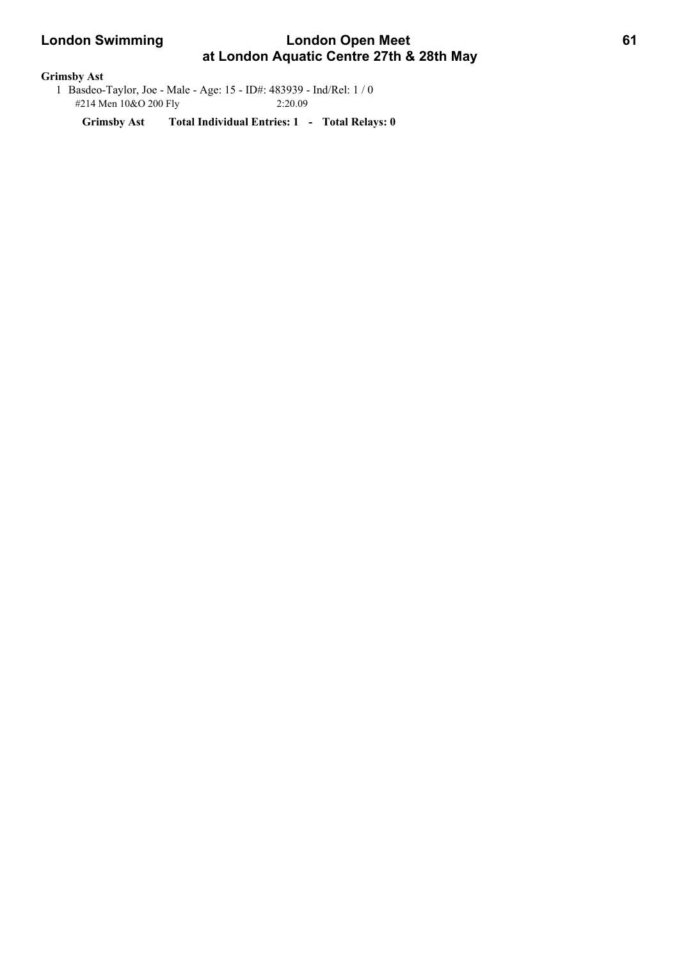# **London Swimming Condon Open Meet 61 at London Aquatic Centre 27th & 28th May**

### **Grimsby Ast**

 1 Basdeo-Taylor, Joe - Male - Age: 15 - ID#: 483939 - Ind/Rel: 1 / 0 #214 Men 10&O 200 Fly 2:20.09

**Grimsby Ast Total Individual Entries: 1 - Total Relays: 0**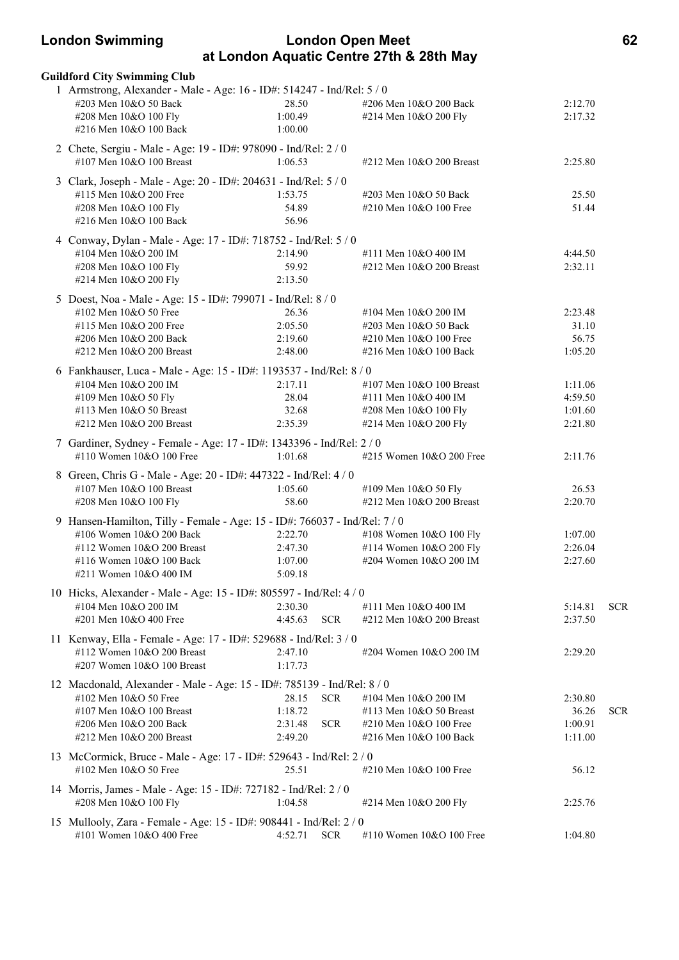### **London Swimming London Open Meet 62 at London Aquatic Centre 27th & 28th May**

| <b>Guildford City Swimming Club</b>                                                                                                                                                        |                                          |                          |                                                                                                     |                                          |            |
|--------------------------------------------------------------------------------------------------------------------------------------------------------------------------------------------|------------------------------------------|--------------------------|-----------------------------------------------------------------------------------------------------|------------------------------------------|------------|
| 1 Armstrong, Alexander - Male - Age: 16 - ID#: 514247 - Ind/Rel: 5 / 0<br>#203 Men 10&O 50 Back<br>#208 Men 10&O 100 Fly<br>#216 Men 10&O 100 Back                                         | 28.50<br>1:00.49<br>1:00.00              |                          | #206 Men 10&O 200 Back<br>#214 Men 10&O 200 Fly                                                     | 2:12.70<br>2:17.32                       |            |
| 2 Chete, Sergiu - Male - Age: 19 - ID#: 978090 - Ind/Rel: 2 / 0<br>#107 Men 10&O 100 Breast                                                                                                | 1:06.53                                  |                          | #212 Men 10&O 200 Breast                                                                            | 2:25.80                                  |            |
| 3 Clark, Joseph - Male - Age: 20 - ID#: 204631 - Ind/Rel: 5 / 0<br>#115 Men 10&O 200 Free<br>#208 Men 10&O 100 Fly<br>#216 Men 10&O 100 Back                                               | 1:53.75<br>54.89<br>56.96                |                          | #203 Men 10&O 50 Back<br>#210 Men 10&O 100 Free                                                     | 25.50<br>51.44                           |            |
| 4 Conway, Dylan - Male - Age: 17 - ID#: 718752 - Ind/Rel: 5 / 0<br>#104 Men 10&O 200 IM<br>#208 Men 10&O 100 Fly<br>#214 Men 10&O 200 Fly                                                  | 2:14.90<br>59.92<br>2:13.50              |                          | #111 Men 10&O 400 IM<br>#212 Men 10&O 200 Breast                                                    | 4:44.50<br>2:32.11                       |            |
| 5 Doest, Noa - Male - Age: 15 - ID#: 799071 - Ind/Rel: 8 / 0<br>#102 Men 10&O 50 Free<br>#115 Men 10&O 200 Free<br>#206 Men 10&O 200 Back<br>#212 Men 10&O 200 Breast                      | 26.36<br>2:05.50<br>2:19.60<br>2:48.00   |                          | #104 Men 10&O 200 IM<br>#203 Men 10&O 50 Back<br>#210 Men 10&O 100 Free<br>#216 Men 10&O 100 Back   | 2:23.48<br>31.10<br>56.75<br>1:05.20     |            |
| 6 Fankhauser, Luca - Male - Age: 15 - ID#: 1193537 - Ind/Rel: 8 / 0<br>#104 Men 10&O 200 IM<br>#109 Men 10&O 50 Fly<br>#113 Men 10&O 50 Breast<br>#212 Men 10&O 200 Breast                 | 2:17.11<br>28.04<br>32.68<br>2:35.39     |                          | #107 Men 10&O 100 Breast<br>#111 Men 10&O 400 IM<br>#208 Men 10&O 100 Fly<br>#214 Men 10&O 200 Fly  | 1:11.06<br>4:59.50<br>1:01.60<br>2:21.80 |            |
| 7 Gardiner, Sydney - Female - Age: 17 - ID#: 1343396 - Ind/Rel: 2 / 0<br>#110 Women 10&O 100 Free                                                                                          | 1:01.68                                  |                          | #215 Women 10&O 200 Free                                                                            | 2:11.76                                  |            |
| 8 Green, Chris G - Male - Age: 20 - ID#: 447322 - Ind/Rel: 4 / 0<br>#107 Men 10&O 100 Breast<br>#208 Men 10&O 100 Fly                                                                      | 1:05.60<br>58.60                         |                          | #109 Men 10&O 50 Fly<br>#212 Men 10&O 200 Breast                                                    | 26.53<br>2:20.70                         |            |
| 9 Hansen-Hamilton, Tilly - Female - Age: 15 - ID#: 766037 - Ind/Rel: 7 / 0<br>#106 Women 10&O 200 Back<br>#112 Women 10&O 200 Breast<br>#116 Women 10&O 100 Back<br>#211 Women 10&O 400 IM | 2:22.70<br>2:47.30<br>1:07.00<br>5:09.18 |                          | #108 Women 10&O 100 Fly<br>#114 Women 10&O 200 Fly<br>#204 Women 10&O 200 IM                        | 1:07.00<br>2:26.04<br>2:27.60            |            |
| 10 Hicks, Alexander - Male - Age: 15 - ID#: 805597 - Ind/Rel: 4 / 0<br>#104 Men 10&O 200 IM<br>#201 Men 10&O 400 Free                                                                      | 2:30.30<br>4:45.63                       | <b>SCR</b>               | #111 Men 10&O 400 IM<br>#212 Men 10&O 200 Breast                                                    | 5:14.81<br>2:37.50                       | <b>SCR</b> |
| 11 Kenway, Ella - Female - Age: 17 - ID#: 529688 - Ind/Rel: 3 / 0<br>#112 Women 10&O 200 Breast<br>#207 Women 10&O 100 Breast                                                              | 2:47.10<br>1:17.73                       |                          | #204 Women 10&O 200 IM                                                                              | 2:29.20                                  |            |
| 12 Macdonald, Alexander - Male - Age: 15 - ID#: 785139 - Ind/Rel: 8 / 0<br>#102 Men 10&O 50 Free<br>#107 Men 10&O 100 Breast<br>#206 Men 10&O 200 Back<br>$\#212$ Men $10&O$ 200 Breast    | 28.15<br>1:18.72<br>2:31.48<br>2:49.20   | <b>SCR</b><br><b>SCR</b> | #104 Men 10&O 200 IM<br>#113 Men 10&O 50 Breast<br>#210 Men 10&O 100 Free<br>#216 Men 10&O 100 Back | 2:30.80<br>36.26<br>1:00.91<br>1:11.00   | <b>SCR</b> |
| 13 McCormick, Bruce - Male - Age: 17 - ID#: 529643 - Ind/Rel: 2 / 0<br>#102 Men 10&O 50 Free                                                                                               | 25.51                                    |                          | #210 Men 10&O 100 Free                                                                              | 56.12                                    |            |
| 14 Morris, James - Male - Age: 15 - ID#: 727182 - Ind/Rel: 2 / 0<br>#208 Men 10&O 100 Fly                                                                                                  | 1:04.58                                  |                          | #214 Men 10&O 200 Fly                                                                               | 2:25.76                                  |            |
| 15 Mullooly, Zara - Female - Age: 15 - ID#: 908441 - Ind/Rel: 2 / 0<br>#101 Women 10&O 400 Free                                                                                            | 4:52.71                                  | <b>SCR</b>               | #110 Women $10&O 100$ Free                                                                          | 1:04.80                                  |            |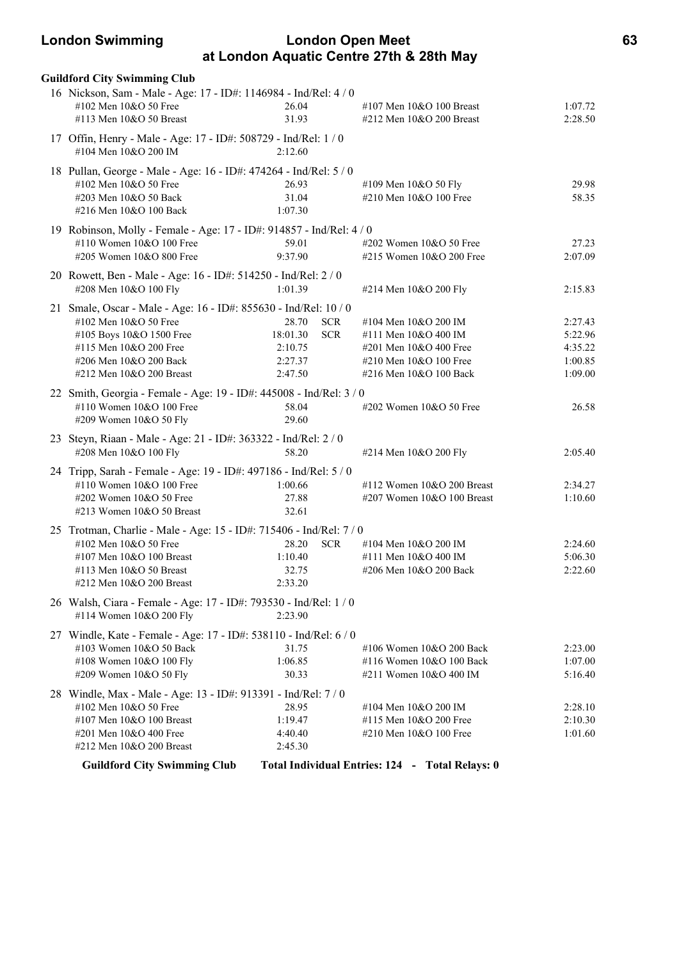### **London Swimming London Open Meet 63 at London Aquatic Centre 27th & 28th May**

| <b>Guildford City Swimming Club</b>                                                                                                                                                                   |                                                                                |                                                                                                                            |                                                     |
|-------------------------------------------------------------------------------------------------------------------------------------------------------------------------------------------------------|--------------------------------------------------------------------------------|----------------------------------------------------------------------------------------------------------------------------|-----------------------------------------------------|
| 16 Nickson, Sam - Male - Age: 17 - ID#: 1146984 - Ind/Rel: 4 / 0<br>#102 Men 10&O 50 Free<br>#113 Men 10&O 50 Breast                                                                                  | 26.04<br>31.93                                                                 | #107 Men 10&O 100 Breast<br>#212 Men 10&O 200 Breast                                                                       | 1:07.72<br>2:28.50                                  |
| 17 Offin, Henry - Male - Age: 17 - ID#: 508729 - Ind/Rel: 1 / 0<br>#104 Men 10&O 200 IM                                                                                                               | 2:12.60                                                                        |                                                                                                                            |                                                     |
| 18 Pullan, George - Male - Age: 16 - ID#: 474264 - Ind/Rel: 5 / 0<br>#102 Men 10&O 50 Free<br>#203 Men 10&O 50 Back<br>#216 Men 10&O 100 Back                                                         | 26.93<br>31.04<br>1:07.30                                                      | #109 Men 10&O 50 Fly<br>#210 Men 10&O 100 Free                                                                             | 29.98<br>58.35                                      |
| 19 Robinson, Molly - Female - Age: 17 - ID#: 914857 - Ind/Rel: 4 / 0<br>#110 Women 10&O 100 Free<br>#205 Women 10&O 800 Free                                                                          | 59.01<br>9:37.90                                                               | #202 Women 10&O 50 Free<br>#215 Women 10&O 200 Free                                                                        | 27.23<br>2:07.09                                    |
| 20 Rowett, Ben - Male - Age: 16 - ID#: 514250 - Ind/Rel: 2 / 0<br>#208 Men 10&O 100 Fly                                                                                                               | 1:01.39                                                                        | #214 Men 10&O 200 Fly                                                                                                      | 2:15.83                                             |
| 21 Smale, Oscar - Male - Age: 16 - ID#: 855630 - Ind/Rel: 10 / 0<br>#102 Men 10&O 50 Free<br>#105 Boys 10&O 1500 Free<br>#115 Men 10&O 200 Free<br>#206 Men 10&O 200 Back<br>#212 Men 10&O 200 Breast | 28.70<br><b>SCR</b><br>18:01.30<br><b>SCR</b><br>2:10.75<br>2:27.37<br>2:47.50 | #104 Men 10&O 200 IM<br>#111 Men 10&O 400 IM<br>#201 Men 10&O 400 Free<br>#210 Men 10&O 100 Free<br>#216 Men 10&O 100 Back | 2:27.43<br>5:22.96<br>4:35.22<br>1:00.85<br>1:09.00 |
| 22 Smith, Georgia - Female - Age: 19 - ID#: 445008 - Ind/Rel: 3 / 0<br>#110 Women 10&O 100 Free<br>#209 Women 10&O 50 Fly                                                                             | 58.04<br>29.60                                                                 | #202 Women 10&O 50 Free                                                                                                    | 26.58                                               |
| 23 Steyn, Riaan - Male - Age: 21 - ID#: 363322 - Ind/Rel: 2 / 0<br>#208 Men 10&O 100 Fly                                                                                                              | 58.20                                                                          | #214 Men 10&O 200 Fly                                                                                                      | 2:05.40                                             |
| 24 Tripp, Sarah - Female - Age: 19 - ID#: 497186 - Ind/Rel: 5 / 0<br>#110 Women 10&O 100 Free<br>#202 Women 10&O 50 Free<br>#213 Women 10&O 50 Breast                                                 | 1:00.66<br>27.88<br>32.61                                                      | #112 Women 10&O 200 Breast<br>#207 Women 10&O 100 Breast                                                                   | 2:34.27<br>1:10.60                                  |
| 25 Trotman, Charlie - Male - Age: 15 - ID#: 715406 - Ind/Rel: 7 / 0<br>#102 Men 10&O 50 Free<br>#107 Men 10&O 100 Breast<br>#113 Men 10&O 50 Breast<br>#212 Men 10&O 200 Breast                       | <b>SCR</b><br>28.20<br>1:10.40<br>32.75<br>2:33.20                             | #104 Men 10&O 200 IM<br>#111 Men 10&O 400 IM<br>#206 Men 10&O 200 Back                                                     | 2:24.60<br>5:06.30<br>2:22.60                       |
| 26 Walsh, Ciara - Female - Age: 17 - ID#: 793530 - Ind/Rel: 1/0<br>#114 Women 10&O 200 Fly                                                                                                            | 2:23.90                                                                        |                                                                                                                            |                                                     |
| 27 Windle, Kate - Female - Age: 17 - ID#: 538110 - Ind/Rel: 6 / 0<br>#103 Women 10&O 50 Back<br>#108 Women 10&O 100 Fly<br>#209 Women 10&O 50 Fly                                                     | 31.75<br>1:06.85<br>30.33                                                      | #106 Women 10&O 200 Back<br>#116 Women 10&O 100 Back<br>#211 Women 10&O 400 IM                                             | 2:23.00<br>1:07.00<br>5:16.40                       |
| 28 Windle, Max - Male - Age: 13 - ID#: 913391 - Ind/Rel: 7 / 0<br>#102 Men 10&O 50 Free<br>#107 Men 10&O 100 Breast<br>#201 Men 10&O 400 Free<br>#212 Men 10&O 200 Breast                             | 28.95<br>1:19.47<br>4:40.40<br>2:45.30                                         | #104 Men 10&O 200 IM<br>#115 Men 10&O 200 Free<br>#210 Men 10&O 100 Free                                                   | 2:28.10<br>2:10.30<br>1:01.60                       |
| <b>Guildford City Swimming Club</b>                                                                                                                                                                   |                                                                                | Total Individual Entries: 124 - Total Relays: 0                                                                            |                                                     |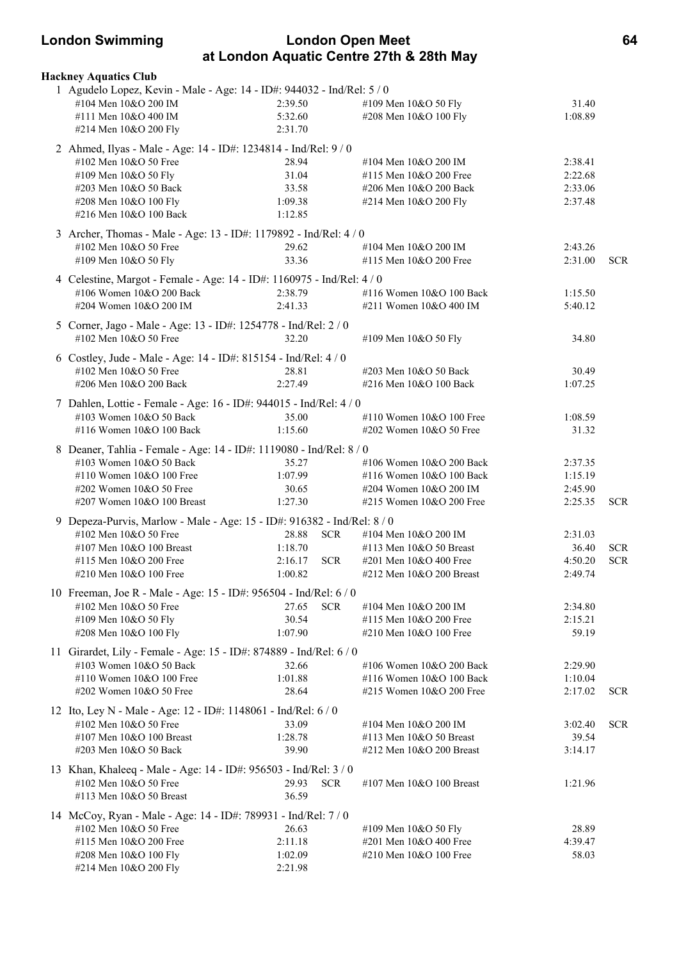### **London Swimming London Open Meet 64 at London Aquatic Centre 27th & 28th May**

| <b>Hackney Aquatics Club</b>                                                               |         |            |                                                |                  |            |
|--------------------------------------------------------------------------------------------|---------|------------|------------------------------------------------|------------------|------------|
| 1 Agudelo Lopez, Kevin - Male - Age: 14 - ID#: 944032 - Ind/Rel: 5 / 0                     |         |            |                                                |                  |            |
| #104 Men 10&O 200 IM                                                                       | 2:39.50 |            | #109 Men 10&O 50 Fly                           | 31.40            |            |
| #111 Men 10&O 400 IM                                                                       | 5:32.60 |            | #208 Men 10&O 100 Fly                          | 1:08.89          |            |
| #214 Men 10&O 200 Fly                                                                      | 2:31.70 |            |                                                |                  |            |
| 2 Ahmed, Ilyas - Male - Age: 14 - ID#: 1234814 - Ind/Rel: 9 / 0                            |         |            |                                                |                  |            |
| #102 Men 10&O 50 Free                                                                      | 28.94   |            | #104 Men 10&O 200 IM                           | 2:38.41          |            |
| #109 Men 10&O 50 Fly                                                                       | 31.04   |            | #115 Men 10&O 200 Free                         | 2:22.68          |            |
| #203 Men 10&O 50 Back                                                                      | 33.58   |            | #206 Men 10&O 200 Back                         | 2:33.06          |            |
| #208 Men 10&O 100 Fly                                                                      | 1:09.38 |            | #214 Men 10&O 200 Fly                          | 2:37.48          |            |
| #216 Men 10&O 100 Back                                                                     | 1:12.85 |            |                                                |                  |            |
|                                                                                            |         |            |                                                |                  |            |
| 3 Archer, Thomas - Male - Age: 13 - ID#: 1179892 - Ind/Rel: 4 / 0<br>#102 Men 10&O 50 Free | 29.62   |            | #104 Men 10&O 200 IM                           | 2:43.26          |            |
| #109 Men 10&O 50 Fly                                                                       | 33.36   |            | #115 Men 10&O 200 Free                         | 2:31.00          | <b>SCR</b> |
|                                                                                            |         |            |                                                |                  |            |
| 4 Celestine, Margot - Female - Age: 14 - ID#: 1160975 - Ind/Rel: 4 / 0                     |         |            |                                                |                  |            |
| #106 Women 10&O 200 Back                                                                   | 2:38.79 |            | #116 Women 10&O 100 Back                       | 1:15.50          |            |
| #204 Women 10&O 200 IM                                                                     | 2:41.33 |            | #211 Women 10&O 400 IM                         | 5:40.12          |            |
| 5 Corner, Jago - Male - Age: 13 - ID#: 1254778 - Ind/Rel: 2 / 0                            |         |            |                                                |                  |            |
| #102 Men 10&O 50 Free                                                                      | 32.20   |            | #109 Men 10&O 50 Fly                           | 34.80            |            |
| 6 Costley, Jude - Male - Age: 14 - ID#: 815154 - Ind/Rel: 4 / 0                            |         |            |                                                |                  |            |
| #102 Men 10&O 50 Free                                                                      | 28.81   |            | #203 Men 10&O 50 Back                          |                  |            |
| #206 Men 10&O 200 Back                                                                     | 2:27.49 |            | #216 Men 10&O 100 Back                         | 30.49<br>1:07.25 |            |
|                                                                                            |         |            |                                                |                  |            |
| 7 Dahlen, Lottie - Female - Age: 16 - ID#: 944015 - Ind/Rel: 4 / 0                         |         |            |                                                |                  |            |
| #103 Women 10&O 50 Back                                                                    | 35.00   |            | #110 Women 10&O 100 Free                       | 1:08.59          |            |
| #116 Women 10&O 100 Back                                                                   | 1:15.60 |            | #202 Women 10&O 50 Free                        | 31.32            |            |
| 8 Deaner, Tahlia - Female - Age: 14 - ID#: 1119080 - Ind/Rel: 8 / 0                        |         |            |                                                |                  |            |
| #103 Women 10&O 50 Back                                                                    | 35.27   |            | #106 Women 10&O 200 Back                       | 2:37.35          |            |
| #110 Women 10&O 100 Free                                                                   | 1:07.99 |            | #116 Women 10&O 100 Back                       | 1:15.19          |            |
| #202 Women 10&O 50 Free                                                                    | 30.65   |            | #204 Women 10&O 200 IM                         | 2:45.90          |            |
| #207 Women 10&O 100 Breast                                                                 | 1:27.30 |            | #215 Women 10&O 200 Free                       | 2:25.35          | <b>SCR</b> |
|                                                                                            |         |            |                                                |                  |            |
| 9 Depeza-Purvis, Marlow - Male - Age: 15 - ID#: 916382 - Ind/Rel: 8 / 0                    |         |            |                                                |                  |            |
| #102 Men 10&O 50 Free                                                                      | 28.88   | <b>SCR</b> | #104 Men 10&O 200 IM                           | 2:31.03          |            |
| #107 Men 10&O 100 Breast                                                                   | 1:18.70 |            | #113 Men 10&O 50 Breast                        | 36.40            | <b>SCR</b> |
| #115 Men 10&O 200 Free                                                                     | 2:16.17 | <b>SCR</b> | #201 Men 10&O 400 Free                         | 4:50.20          | <b>SCR</b> |
| #210 Men 10&O 100 Free                                                                     | 1:00.82 |            | #212 Men 10&O 200 Breast                       | 2:49.74          |            |
| 10 Freeman, Joe R - Male - Age: 15 - ID#: 956504 - Ind/Rel: 6 / 0                          |         |            |                                                |                  |            |
| #102 Men 10&O 50 Free                                                                      | 27.65   | <b>SCR</b> | #104 Men 10&O 200 IM                           | 2:34.80          |            |
| #109 Men 10&O 50 Fly                                                                       | 30.54   |            | #115 Men 10&O 200 Free                         | 2:15.21          |            |
| #208 Men 10&O 100 Fly                                                                      | 1:07.90 |            | #210 Men 10&O 100 Free                         | 59.19            |            |
| 11 Girardet, Lily - Female - Age: 15 - ID#: 874889 - Ind/Rel: 6 / 0                        |         |            |                                                |                  |            |
| #103 Women 10&O 50 Back                                                                    | 32.66   |            | #106 Women 10&O 200 Back                       | 2:29.90          |            |
| #110 Women 10&O 100 Free                                                                   | 1:01.88 |            | #116 Women 10&O 100 Back                       | 1:10.04          |            |
| #202 Women 10&O 50 Free                                                                    | 28.64   |            | #215 Women 10&O 200 Free                       | 2:17.02          | <b>SCR</b> |
|                                                                                            |         |            |                                                |                  |            |
| 12 Ito, Ley N - Male - Age: 12 - ID#: 1148061 - Ind/Rel: 6 / 0                             |         |            |                                                |                  |            |
| #102 Men 10&O 50 Free                                                                      | 33.09   |            | #104 Men 10&O 200 IM                           | 3:02.40          | <b>SCR</b> |
| #107 Men 10&O 100 Breast                                                                   | 1:28.78 |            | #113 Men 10&O 50 Breast                        | 39.54            |            |
| #203 Men 10&O 50 Back                                                                      | 39.90   |            | #212 Men 10&O 200 Breast                       | 3:14.17          |            |
| 13 Khan, Khaleeq - Male - Age: 14 - ID#: 956503 - Ind/Rel: 3 / 0                           |         |            |                                                |                  |            |
| #102 Men 10&O 50 Free                                                                      | 29.93   | <b>SCR</b> | #107 Men 10&O 100 Breast                       | 1:21.96          |            |
| #113 Men 10&O 50 Breast                                                                    | 36.59   |            |                                                |                  |            |
|                                                                                            |         |            |                                                |                  |            |
| 14 McCoy, Ryan - Male - Age: 14 - ID#: 789931 - Ind/Rel: 7 / 0<br>#102 Men 10&O 50 Free    | 26.63   |            |                                                | 28.89            |            |
| #115 Men 10&O 200 Free                                                                     | 2:11.18 |            | #109 Men 10&O 50 Fly<br>#201 Men 10&O 400 Free | 4:39.47          |            |
|                                                                                            | 1:02.09 |            | #210 Men 10&O 100 Free                         | 58.03            |            |
| #208 Men 10&O 100 Fly<br>#214 Men 10&O 200 Fly                                             | 2:21.98 |            |                                                |                  |            |
|                                                                                            |         |            |                                                |                  |            |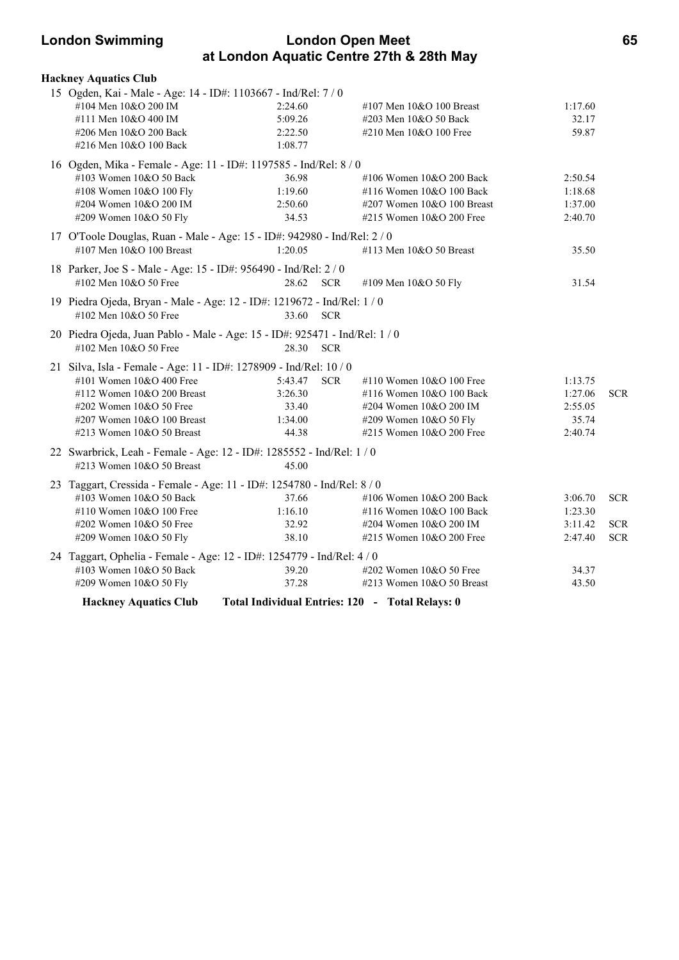### **London Swimming London Open Meet 65 at London Aquatic Centre 27th & 28th May**

| <b>Hackney Aquatics Club</b>                                                                      |                                                 |                            |         |            |
|---------------------------------------------------------------------------------------------------|-------------------------------------------------|----------------------------|---------|------------|
| 15 Ogden, Kai - Male - Age: 14 - ID#: 1103667 - Ind/Rel: 7 / 0                                    |                                                 |                            |         |            |
| #104 Men 10&O 200 IM                                                                              | 2:24.60                                         | #107 Men $10&O$ 100 Breast | 1:17.60 |            |
| #111 Men 10&O 400 IM                                                                              | 5:09.26                                         | #203 Men 10&O 50 Back      | 32.17   |            |
| #206 Men 10&O 200 Back                                                                            | 2:22.50                                         | #210 Men 10&O 100 Free     | 59.87   |            |
| #216 Men 10&O 100 Back                                                                            | 1:08.77                                         |                            |         |            |
| 16 Ogden, Mika - Female - Age: 11 - ID#: 1197585 - Ind/Rel: 8 / 0                                 |                                                 |                            |         |            |
| #103 Women 10&O 50 Back                                                                           | 36.98                                           | #106 Women 10&O 200 Back   | 2:50.54 |            |
| #108 Women 10&O 100 Fly                                                                           | 1:19.60                                         | #116 Women 10&O 100 Back   | 1:18.68 |            |
| #204 Women 10&O 200 IM                                                                            | 2:50.60                                         | #207 Women 10&O 100 Breast | 1:37.00 |            |
| #209 Women 10&O 50 Fly                                                                            | 34.53                                           | #215 Women 10&O 200 Free   | 2:40.70 |            |
| 17 O'Toole Douglas, Ruan - Male - Age: 15 - ID#: 942980 - Ind/Rel: 2 / 0                          |                                                 |                            |         |            |
| #107 Men 10&O 100 Breast                                                                          | 1:20.05                                         | #113 Men 10&O 50 Breast    | 35.50   |            |
|                                                                                                   |                                                 |                            |         |            |
| 18 Parker, Joe S - Male - Age: 15 - ID#: 956490 - Ind/Rel: 2 / 0                                  |                                                 |                            |         |            |
| #102 Men $10&O$ 50 Free                                                                           | 28.62 SCR                                       | #109 Men 10&O 50 Fly       | 31.54   |            |
| 19 Piedra Ojeda, Bryan - Male - Age: 12 - ID#: 1219672 - Ind/Rel: 1 / 0                           |                                                 |                            |         |            |
| #102 Men 10&O 50 Free                                                                             | 33.60<br><b>SCR</b>                             |                            |         |            |
| 20 Piedra Ojeda, Juan Pablo - Male - Age: 15 - ID#: 925471 - Ind/Rel: 1 / 0                       |                                                 |                            |         |            |
| #102 Men 10&O 50 Free                                                                             | 28.30<br><b>SCR</b>                             |                            |         |            |
|                                                                                                   |                                                 |                            |         |            |
| 21 Silva, Isla - Female - Age: 11 - ID#: 1278909 - Ind/Rel: 10 / 0                                |                                                 |                            |         |            |
| #101 Women 10&O 400 Free                                                                          | <b>SCR</b><br>5:43.47                           | #110 Women $10&O 100$ Free | 1:13.75 |            |
| #112 Women 10&O 200 Breast                                                                        | 3:26.30                                         | #116 Women 10&O 100 Back   | 1:27.06 | <b>SCR</b> |
| $\#202$ Women $10&O$ 50 Free                                                                      | 33.40                                           | #204 Women 10&O 200 IM     | 2:55.05 |            |
| #207 Women $10&O 100$ Breast                                                                      | 1:34.00                                         | #209 Women 10&O 50 Fly     | 35.74   |            |
| #213 Women 10&O 50 Breast                                                                         | 44.38                                           | #215 Women 10&O 200 Free   | 2:40.74 |            |
| 22 Swarbrick, Leah - Female - Age: 12 - ID#: 1285552 - Ind/Rel: 1 / 0                             |                                                 |                            |         |            |
| #213 Women $10&O$ 50 Breast                                                                       | 45.00                                           |                            |         |            |
| 23 Taggart, Cressida - Female - Age: 11 - ID#: 1254780 - Ind/Rel: 8 / 0                           |                                                 |                            |         |            |
| #103 Women 10&O 50 Back                                                                           | 37.66                                           | #106 Women 10&O 200 Back   | 3:06.70 | <b>SCR</b> |
| #110 Women 10&O 100 Free                                                                          | 1:16.10                                         | #116 Women 10&O 100 Back   | 1:23.30 |            |
| #202 Women 10&O 50 Free                                                                           | 32.92                                           | #204 Women 10&O 200 IM     | 3:11.42 | <b>SCR</b> |
| #209 Women 10&O 50 Fly                                                                            | 38.10                                           | #215 Women $10&O$ 200 Free | 2:47.40 | <b>SCR</b> |
|                                                                                                   |                                                 |                            |         |            |
| 24 Taggart, Ophelia - Female - Age: 12 - ID#: 1254779 - Ind/Rel: 4 / 0<br>#103 Women 10&O 50 Back | 39.20                                           | #202 Women 10&O 50 Free    | 34.37   |            |
| #209 Women 10&O 50 Fly                                                                            | 37.28                                           | #213 Women 10&O 50 Breast  | 43.50   |            |
|                                                                                                   |                                                 |                            |         |            |
| <b>Hackney Aquatics Club</b>                                                                      | Total Individual Entries: 120 - Total Relays: 0 |                            |         |            |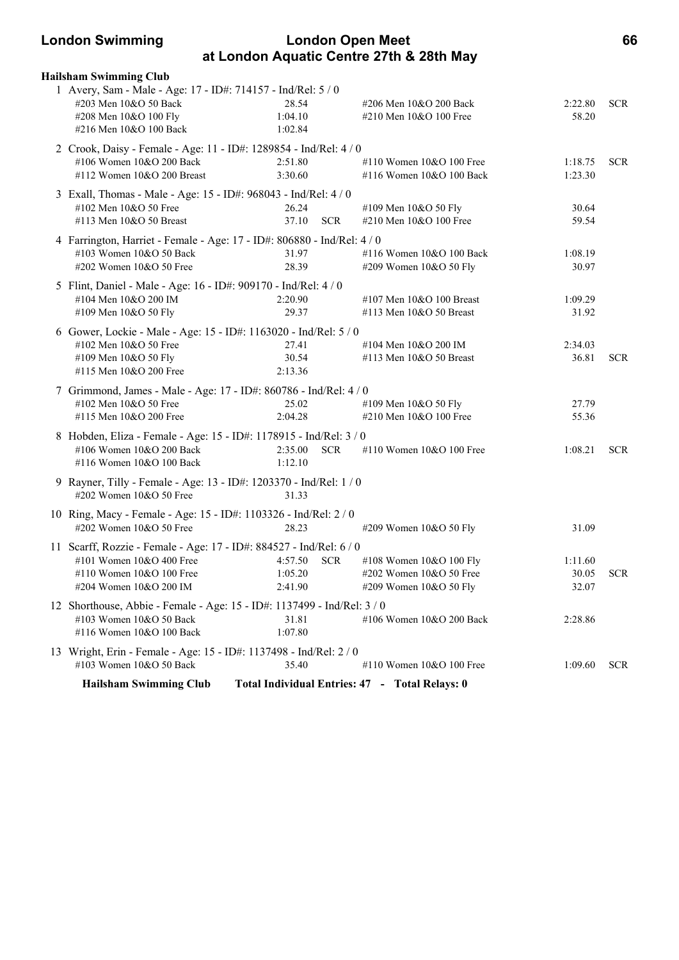### **London Swimming London Open Meet 66 at London Aquatic Centre 27th & 28th May**

| <b>Hailsham Swimming Club</b>                                                                                                                         |                               |            |                                                                              |                           |            |
|-------------------------------------------------------------------------------------------------------------------------------------------------------|-------------------------------|------------|------------------------------------------------------------------------------|---------------------------|------------|
| 1 Avery, Sam - Male - Age: 17 - ID#: 714157 - Ind/Rel: 5 / 0<br>#203 Men 10&O 50 Back<br>#208 Men 10&O 100 Fly<br>#216 Men 10&O 100 Back              | 28.54<br>1:04.10<br>1:02.84   |            | #206 Men 10&O 200 Back<br>#210 Men 10&O 100 Free                             | 2:22.80<br>58.20          | <b>SCR</b> |
| 2 Crook, Daisy - Female - Age: 11 - ID#: 1289854 - Ind/Rel: 4 / 0<br>#106 Women 10&O 200 Back<br>#112 Women 10&O 200 Breast                           | 2:51.80<br>3:30.60            |            | #110 Women 10&O 100 Free<br>#116 Women 10&O 100 Back                         | 1:18.75<br>1:23.30        | <b>SCR</b> |
| 3 Exall, Thomas - Male - Age: 15 - ID#: 968043 - Ind/Rel: 4 / 0<br>#102 Men 10&O 50 Free<br>#113 Men 10&O 50 Breast                                   | 26.24<br>37.10                | <b>SCR</b> | #109 Men 10&O 50 Fly<br>#210 Men 10&O 100 Free                               | 30.64<br>59.54            |            |
| 4 Farrington, Harriet - Female - Age: 17 - ID#: 806880 - Ind/Rel: 4 / 0<br>#103 Women 10&O 50 Back<br>#202 Women 10&O 50 Free                         | 31.97<br>28.39                |            | #116 Women 10&O 100 Back<br>#209 Women 10&O 50 Fly                           | 1:08.19<br>30.97          |            |
| 5 Flint, Daniel - Male - Age: 16 - ID#: 909170 - Ind/Rel: 4 / 0<br>#104 Men 10&O 200 IM<br>#109 Men 10&O 50 Fly                                       | 2:20.90<br>29.37              |            | #107 Men 10&O 100 Breast<br>#113 Men 10&O 50 Breast                          | 1:09.29<br>31.92          |            |
| 6 Gower, Lockie - Male - Age: 15 - ID#: 1163020 - Ind/Rel: 5 / 0<br>#102 Men 10&O 50 Free<br>#109 Men 10&O 50 Fly<br>#115 Men 10&O 200 Free           | 27.41<br>30.54<br>2:13.36     |            | #104 Men 10&O 200 IM<br>#113 Men 10&O 50 Breast                              | 2:34.03<br>36.81          | <b>SCR</b> |
| 7 Grimmond, James - Male - Age: 17 - ID#: 860786 - Ind/Rel: 4 / 0<br>#102 Men 10&O 50 Free<br>#115 Men 10&O 200 Free                                  | 25.02<br>2:04.28              |            | #109 Men 10&O 50 Fly<br>#210 Men 10&O 100 Free                               | 27.79<br>55.36            |            |
| 8 Hobden, Eliza - Female - Age: 15 - ID#: 1178915 - Ind/Rel: 3 / 0<br>#106 Women 10&O 200 Back<br>#116 Women 10&O 100 Back                            | 2:35.00<br>1:12.10            | <b>SCR</b> | #110 Women 10&O 100 Free                                                     | 1:08.21                   | <b>SCR</b> |
| 9 Rayner, Tilly - Female - Age: 13 - ID#: 1203370 - Ind/Rel: 1 / 0<br>#202 Women 10&O 50 Free                                                         | 31.33                         |            |                                                                              |                           |            |
| 10 Ring, Macy - Female - Age: 15 - ID#: 1103326 - Ind/Rel: 2 / 0<br>#202 Women 10&O 50 Free                                                           | 28.23                         |            | #209 Women 10&O 50 Fly                                                       | 31.09                     |            |
| 11 Scarff, Rozzie - Female - Age: 17 - ID#: 884527 - Ind/Rel: 6 / 0<br>#101 Women 10&O 400 Free<br>#110 Women 10&O 100 Free<br>#204 Women 10&O 200 IM | 4:57.50<br>1:05.20<br>2:41.90 | <b>SCR</b> | #108 Women 10&O 100 Fly<br>#202 Women 10&O 50 Free<br>#209 Women 10&O 50 Fly | 1:11.60<br>30.05<br>32.07 | <b>SCR</b> |
| 12 Shorthouse, Abbie - Female - Age: 15 - ID#: 1137499 - Ind/Rel: 3 / 0<br>#103 Women 10&O 50 Back<br>#116 Women 10&O 100 Back                        | 31.81<br>1:07.80              |            | #106 Women 10&O 200 Back                                                     | 2:28.86                   |            |
| 13 Wright, Erin - Female - Age: 15 - ID#: 1137498 - Ind/Rel: 2 / 0<br>#103 Women 10&O 50 Back                                                         | 35.40                         |            | #110 Women $10&O 100$ Free                                                   | 1:09.60                   | SCR.       |
| <b>Hailsham Swimming Club</b>                                                                                                                         |                               |            | Total Individual Entries: 47 - Total Relays: 0                               |                           |            |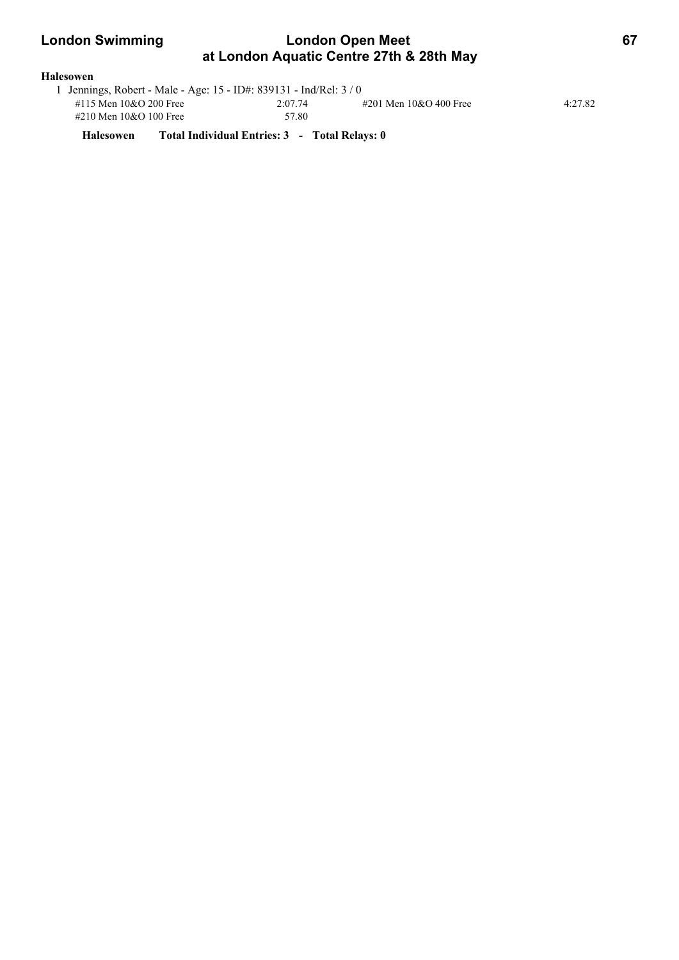| <b>London Swimming</b> | <b>London Open Meet</b>                  |  |
|------------------------|------------------------------------------|--|
|                        | at London Aquatic Centre 27th & 28th May |  |
| Halesowen              |                                          |  |

| 1 Jennings, Robert - Male - Age: 15 - ID#: 839131 - Ind/Rel: 3 / 0 |         |                        |         |  |  |  |
|--------------------------------------------------------------------|---------|------------------------|---------|--|--|--|
| #115 Men 10&O 200 Free                                             | 2:07.74 | #201 Men 10&O 400 Free | 4:27.82 |  |  |  |
| #210 Men 10&O 100 Free                                             | 57.80   |                        |         |  |  |  |

**Halesowen Total Individual Entries: 3 - Total Relays: 0**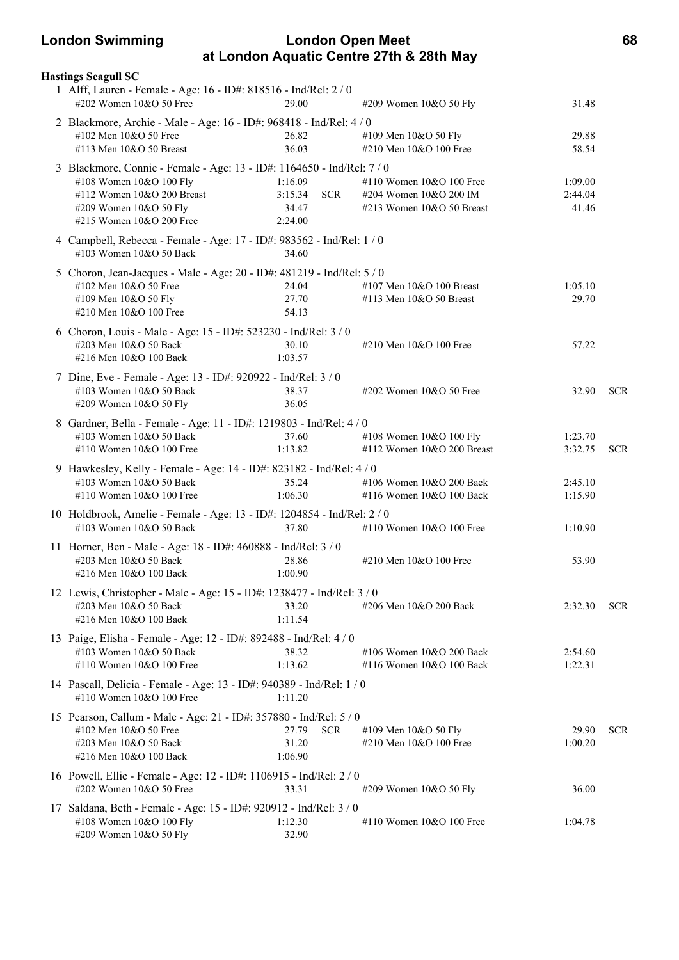### **London Swimming London Open Meet 68 at London Aquatic Centre 27th & 28th May**

| <b>Hastings Seagull SC</b>                                                                        |                       |                              |         |            |
|---------------------------------------------------------------------------------------------------|-----------------------|------------------------------|---------|------------|
| 1 Alff, Lauren - Female - Age: 16 - ID#: 818516 - Ind/Rel: 2 / 0<br>#202 Women 10&O 50 Free       | 29.00                 | #209 Women 10&O 50 Fly       | 31.48   |            |
| 2 Blackmore, Archie - Male - Age: 16 - ID#: 968418 - Ind/Rel: 4 / 0                               |                       |                              |         |            |
| #102 Men 10&O 50 Free                                                                             | 26.82                 | #109 Men 10&O 50 Fly         | 29.88   |            |
| #113 Men 10&O 50 Breast                                                                           | 36.03                 | #210 Men 10&O 100 Free       | 58.54   |            |
| 3 Blackmore, Connie - Female - Age: 13 - ID#: 1164650 - Ind/Rel: 7 / 0                            |                       |                              |         |            |
| #108 Women 10&O 100 Fly                                                                           | 1:16.09               | #110 Women 10&O 100 Free     | 1:09.00 |            |
| #112 Women 10&O 200 Breast                                                                        | <b>SCR</b><br>3:15.34 | #204 Women 10&O 200 IM       | 2:44.04 |            |
| #209 Women 10&O 50 Fly                                                                            | 34.47                 | $\#213$ Women 10&O 50 Breast | 41.46   |            |
| #215 Women 10&O 200 Free                                                                          | 2:24.00               |                              |         |            |
| 4 Campbell, Rebecca - Female - Age: 17 - ID#: 983562 - Ind/Rel: 1 / 0<br>#103 Women 10&O 50 Back  | 34.60                 |                              |         |            |
| 5 Choron, Jean-Jacques - Male - Age: 20 - ID#: 481219 - Ind/Rel: 5 / 0                            |                       |                              |         |            |
| #102 Men 10&O 50 Free                                                                             | 24.04                 | #107 Men $10&O$ 100 Breast   | 1:05.10 |            |
| #109 Men 10&O 50 Fly                                                                              | 27.70                 | #113 Men 10&O 50 Breast      | 29.70   |            |
| #210 Men 10&O 100 Free                                                                            | 54.13                 |                              |         |            |
| 6 Choron, Louis - Male - Age: 15 - ID#: 523230 - Ind/Rel: 3 / 0                                   |                       |                              |         |            |
| #203 Men 10&O 50 Back                                                                             | 30.10                 | #210 Men 10&O 100 Free       | 57.22   |            |
| #216 Men 10&O 100 Back                                                                            | 1:03.57               |                              |         |            |
| 7 Dine, Eve - Female - Age: 13 - ID#: 920922 - Ind/Rel: 3 / 0                                     |                       |                              |         |            |
| #103 Women 10&O 50 Back                                                                           | 38.37                 | #202 Women 10&O 50 Free      | 32.90   | <b>SCR</b> |
| #209 Women 10&O 50 Fly                                                                            | 36.05                 |                              |         |            |
| 8 Gardner, Bella - Female - Age: 11 - ID#: 1219803 - Ind/Rel: 4 / 0                               |                       |                              |         |            |
| #103 Women 10&O 50 Back                                                                           | 37.60                 | #108 Women 10&O 100 Fly      | 1:23.70 |            |
| #110 Women 10&O 100 Free                                                                          | 1:13.82               | #112 Women $10&O$ 200 Breast | 3:32.75 | <b>SCR</b> |
| 9 Hawkesley, Kelly - Female - Age: 14 - ID#: 823182 - Ind/Rel: 4 / 0                              |                       |                              |         |            |
| #103 Women 10&O 50 Back                                                                           | 35.24                 | #106 Women 10&O 200 Back     | 2:45.10 |            |
| #110 Women 10&O 100 Free                                                                          | 1:06.30               | #116 Women 10&O 100 Back     | 1:15.90 |            |
| 10 Holdbrook, Amelie - Female - Age: 13 - ID#: 1204854 - Ind/Rel: 2 / 0                           |                       |                              |         |            |
| #103 Women 10&O 50 Back                                                                           | 37.80                 | #110 Women 10&O 100 Free     | 1:10.90 |            |
|                                                                                                   |                       |                              |         |            |
| 11 Horner, Ben - Male - Age: 18 - ID#: 460888 - Ind/Rel: 3 / 0<br>#203 Men 10&O 50 Back           | 28.86                 | #210 Men 10&O 100 Free       | 53.90   |            |
| #216 Men 10&O 100 Back                                                                            | 1:00.90               |                              |         |            |
|                                                                                                   |                       |                              |         |            |
| 12 Lewis, Christopher - Male - Age: 15 - ID#: 1238477 - Ind/Rel: 3 / 0<br>#203 Men 10&O 50 Back   | 33.20                 | #206 Men 10&O 200 Back       | 2:32.30 | <b>SCR</b> |
| #216 Men 10&O 100 Back                                                                            | 1:11.54               |                              |         |            |
|                                                                                                   |                       |                              |         |            |
| 13 Paige, Elisha - Female - Age: 12 - ID#: 892488 - Ind/Rel: 4 / 0<br>#103 Women 10&O 50 Back     | 38.32                 | #106 Women 10&O 200 Back     | 2:54.60 |            |
| #110 Women 10&O 100 Free                                                                          | 1:13.62               | #116 Women 10&O 100 Back     | 1:22.31 |            |
|                                                                                                   |                       |                              |         |            |
| 14 Pascall, Delicia - Female - Age: 13 - ID#: 940389 - Ind/Rel: 1 / 0<br>#110 Women 10&O 100 Free |                       |                              |         |            |
|                                                                                                   | 1:11.20               |                              |         |            |
| 15 Pearson, Callum - Male - Age: 21 - ID#: 357880 - Ind/Rel: 5 / 0                                |                       |                              |         |            |
| #102 Men 10&O 50 Free                                                                             | 27.79<br><b>SCR</b>   | #109 Men 10&O 50 Fly         | 29.90   | <b>SCR</b> |
| #203 Men 10&O 50 Back                                                                             | 31.20                 | #210 Men 10&O 100 Free       | 1:00.20 |            |
| #216 Men 10&O 100 Back                                                                            | 1:06.90               |                              |         |            |
| 16 Powell, Ellie - Female - Age: 12 - ID#: 1106915 - Ind/Rel: 2 / 0                               |                       |                              |         |            |
| #202 Women 10&O 50 Free                                                                           | 33.31                 | #209 Women 10&O 50 Fly       | 36.00   |            |
| 17 Saldana, Beth - Female - Age: 15 - ID#: 920912 - Ind/Rel: 3 / 0                                |                       |                              |         |            |
| #108 Women 10&O 100 Fly                                                                           | 1:12.30               | #110 Women 10&O 100 Free     | 1:04.78 |            |
| #209 Women 10&O 50 Fly                                                                            | 32.90                 |                              |         |            |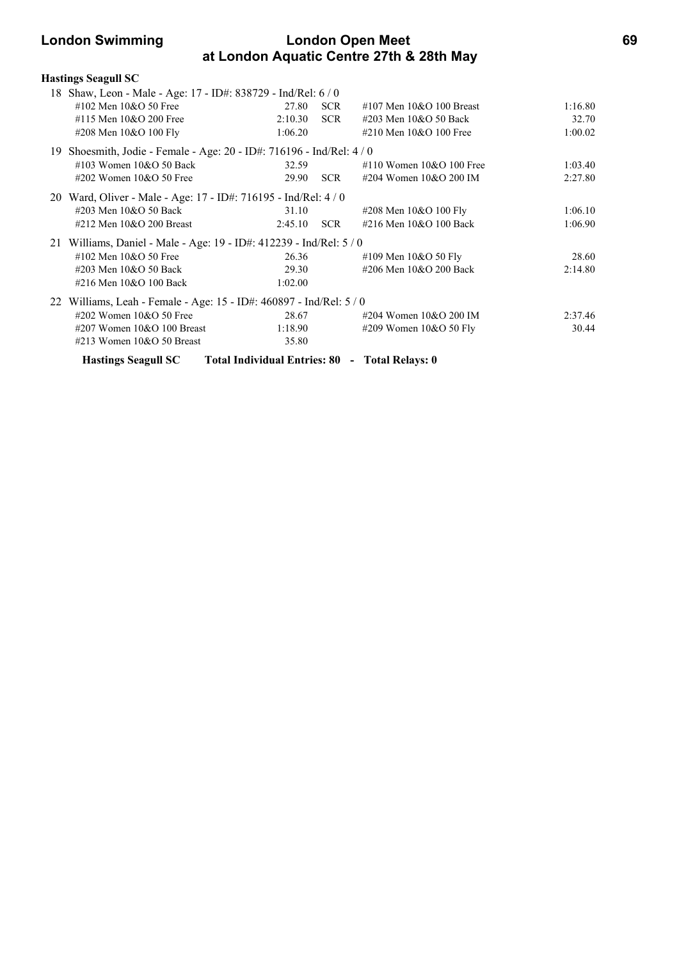## **London Swimming London Open Meet 69 at London Aquatic Centre 27th & 28th May**

|     | <b>Hastings Seagull SC</b>                                          |                                                |            |                                |         |
|-----|---------------------------------------------------------------------|------------------------------------------------|------------|--------------------------------|---------|
|     | 18 Shaw, Leon - Male - Age: 17 - ID#: 838729 - Ind/Rel: 6 / 0       |                                                |            |                                |         |
|     | #102 Men 10&O 50 Free                                               | 27.80                                          | <b>SCR</b> | #107 Men $10&O$ 100 Breast     | 1:16.80 |
|     | #115 Men 10&O 200 Free                                              | 2:10.30                                        | SCR        | #203 Men 10&O 50 Back          | 32.70   |
|     | #208 Men 10&O 100 Fly                                               | 1:06.20                                        |            | #210 Men $10&O$ 100 Free       | 1:00.02 |
| 19. | Shoesmith, Jodie - Female - Age: 20 - ID#: 716196 - Ind/Rel: 4 / 0  |                                                |            |                                |         |
|     | #103 Women $10&O$ 50 Back                                           | 32.59                                          |            | $\#110$ Women $10\&O$ 100 Free | 1:03.40 |
|     | #202 Women $10&O$ 50 Free                                           | 29.90                                          | <b>SCR</b> | #204 Women 10&O 200 IM         | 2:27.80 |
|     | 20 Ward, Oliver - Male - Age: 17 - ID#: 716195 - Ind/Rel: 4 / 0     |                                                |            |                                |         |
|     | #203 Men 10&O 50 Back                                               | 31.10                                          |            | #208 Men 10&O 100 Fly          | 1:06.10 |
|     | $\#212$ Men $10&O$ 200 Breast                                       | 2:45.10                                        | <b>SCR</b> | #216 Men 10&O 100 Back         | 1:06.90 |
|     | 21 Williams, Daniel - Male - Age: 19 - ID#: 412239 - Ind/Rel: 5 / 0 |                                                |            |                                |         |
|     | #102 Men 10&O 50 Free                                               | 26.36                                          |            | #109 Men 10&O 50 Fly           | 28.60   |
|     | #203 Men 10&O 50 Back                                               | 29.30                                          |            | #206 Men 10&O 200 Back         | 2:14.80 |
|     | #216 Men 10&O 100 Back                                              | 1:02.00                                        |            |                                |         |
|     | 22 Williams, Leah - Female - Age: 15 - ID#: 460897 - Ind/Rel: 5 / 0 |                                                |            |                                |         |
|     | #202 Women 10&O 50 Free                                             | 28.67                                          |            | #204 Women 10&O 200 IM         | 2:37.46 |
|     | #207 Women $10&O 100$ Breast                                        | 1:18.90                                        |            | #209 Women $10&O$ 50 Fly       | 30.44   |
|     | #213 Women $10&O$ 50 Breast                                         | 35.80                                          |            |                                |         |
|     | <b>Hastings Seagull SC</b>                                          | Total Individual Entries: 80 - Total Relays: 0 |            |                                |         |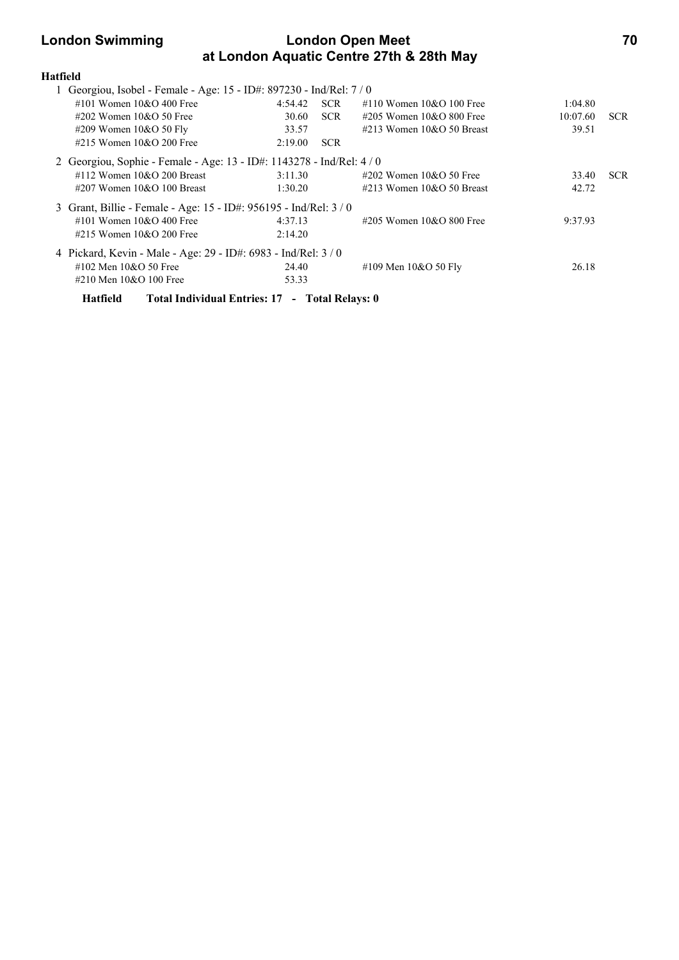## **London Swimming London Open Meet 70 at London Aquatic Centre 27th & 28th May**

| <b>Hatfield</b> |                                                                       |         |            |                                |          |            |
|-----------------|-----------------------------------------------------------------------|---------|------------|--------------------------------|----------|------------|
|                 | 1 Georgiou, Isobel - Female - Age: 15 - ID#: 897230 - Ind/Rel: 7 / 0  |         |            |                                |          |            |
|                 | #101 Women $10\&O$ 400 Free                                           | 4:54.42 | <b>SCR</b> | #110 Women $10&O$ 100 Free     | 1:04.80  |            |
|                 | $\#202$ Women $10\&O$ 50 Free                                         | 30.60   | <b>SCR</b> | $\#205$ Women 10&O 800 Free    | 10:07.60 | <b>SCR</b> |
|                 | #209 Women $10&O 50$ Fly                                              | 33.57   |            | $\#213$ Women $10&O$ 50 Breast | 39.51    |            |
|                 | #215 Women $10&O$ 200 Free                                            | 2:19.00 | <b>SCR</b> |                                |          |            |
|                 | 2 Georgiou, Sophie - Female - Age: 13 - ID#: 1143278 - Ind/Rel: 4 / 0 |         |            |                                |          |            |
|                 | #112 Women $10\&O$ 200 Breast                                         | 3:11.30 |            | $\#202$ Women 10&O 50 Free     | 33.40    | <b>SCR</b> |
|                 | $\#207$ Women 10&O 100 Breast                                         | 1:30.20 |            | $\#213$ Women $10&O$ 50 Breast | 42.72    |            |
|                 | 3 Grant, Billie - Female - Age: 15 - ID#: 956195 - Ind/Rel: 3/0       |         |            |                                |          |            |
|                 | #101 Women $10\&O$ 400 Free                                           | 4:37.13 |            | #205 Women $10&O 800$ Free     | 9:37.93  |            |
|                 | #215 Women $10&O$ 200 Free                                            | 2:14.20 |            |                                |          |            |
|                 | 4 Pickard, Kevin - Male - Age: 29 - ID#: 6983 - Ind/Rel: 3 / 0        |         |            |                                |          |            |
|                 | #102 Men $10\&O$ 50 Free                                              | 24.40   |            | #109 Men $10&O 50$ Fly         | 26.18    |            |
|                 | #210 Men 10&O 100 Free                                                | 53.33   |            |                                |          |            |
|                 |                                                                       |         |            |                                |          |            |

**Hatfield Total Individual Entries: 17 - Total Relays: 0**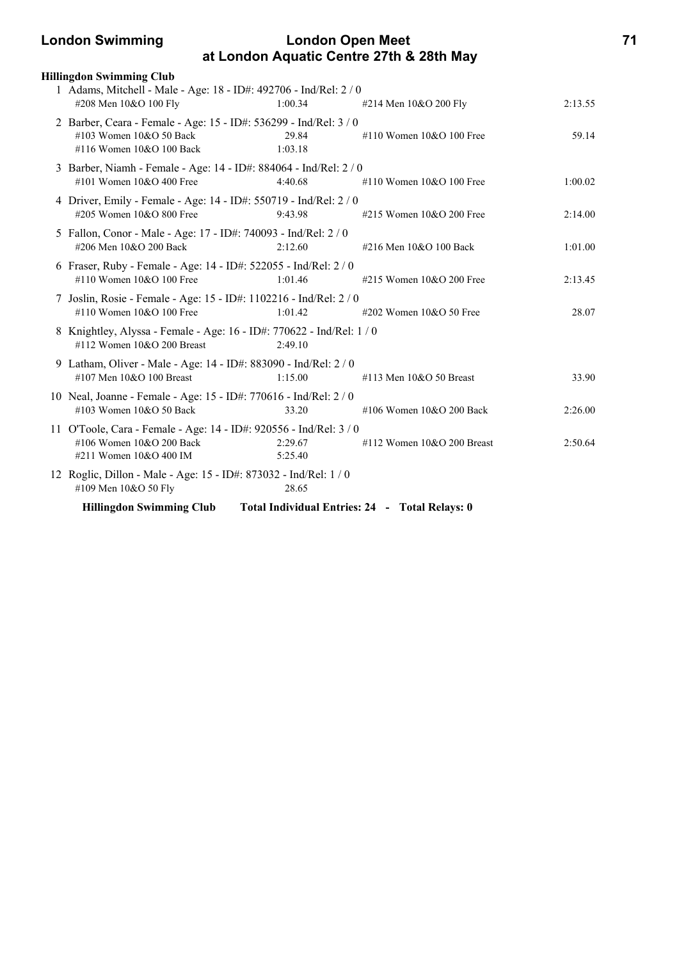### **London Swimming London Open Meet 71 at London Aquatic Centre 27th & 28th May**

| <b>Hillingdon Swimming Club</b>                                                                                          |                    |                                                |         |
|--------------------------------------------------------------------------------------------------------------------------|--------------------|------------------------------------------------|---------|
| 1 Adams, Mitchell - Male - Age: 18 - ID#: 492706 - Ind/Rel: 2 / 0                                                        |                    |                                                |         |
| #208 Men 10&O 100 Fly                                                                                                    | 1:00.34            | #214 Men 10&O 200 Fly                          | 2:13.55 |
| 2 Barber, Ceara - Female - Age: 15 - ID#: 536299 - Ind/Rel: 3 / 0<br>#103 Women 10&O 50 Back<br>#116 Women 10&O 100 Back | 29.84<br>1:03.18   | #110 Women 10&O 100 Free                       | 59.14   |
| 3 Barber, Niamh - Female - Age: 14 - ID#: 884064 - Ind/Rel: 2 / 0<br>#101 Women $10&O 400$ Free                          | 4:40.68            | #110 Women 10&O 100 Free                       | 1:00.02 |
| 4 Driver, Emily - Female - Age: 14 - ID#: 550719 - Ind/Rel: 2 / 0<br>#205 Women 10&O 800 Free                            | 9:43.98            | #215 Women 10&O 200 Free                       | 2:14.00 |
| 5 Fallon, Conor - Male - Age: 17 - ID#: 740093 - Ind/Rel: 2 / 0<br>#206 Men 10&O 200 Back                                | 2:12.60            | #216 Men 10&O 100 Back                         | 1:01.00 |
| 6 Fraser, Ruby - Female - Age: 14 - ID#: 522055 - Ind/Rel: 2 / 0<br>#110 Women $10&O 100$ Free                           | 1:01.46            | #215 Women 10&O 200 Free                       | 2:13.45 |
| 7 Joslin, Rosie - Female - Age: 15 - ID#: 1102216 - Ind/Rel: 2/0<br>#110 Women 10&O 100 Free                             | 1:01.42            | #202 Women 10&O 50 Free                        | 28.07   |
| 8 Knightley, Alyssa - Female - Age: 16 - ID#: 770622 - Ind/Rel: 1 / 0<br>#112 Women 10&O 200 Breast                      | 2:49.10            |                                                |         |
| 9 Latham, Oliver - Male - Age: 14 - ID#: 883090 - Ind/Rel: 2 / 0<br>#107 Men 10&O 100 Breast                             | 1:15.00            | #113 Men $10&O$ 50 Breast                      | 33.90   |
| 10 Neal, Joanne - Female - Age: 15 - ID#: 770616 - Ind/Rel: 2 / 0<br>#103 Women 10&O 50 Back                             | 33.20              | #106 Women 10&O 200 Back                       | 2:26.00 |
| 11 O'Toole, Cara - Female - Age: 14 - ID#: 920556 - Ind/Rel: 3 / 0<br>#106 Women 10&O 200 Back<br>#211 Women 10&O 400 IM | 2:29.67<br>5:25.40 | #112 Women $10&O$ 200 Breast                   | 2:50.64 |
| 12 Roglic, Dillon - Male - Age: 15 - ID#: 873032 - Ind/Rel: 1 / 0<br>#109 Men 10&O 50 Fly                                | 28.65              |                                                |         |
| <b>Hillingdon Swimming Club</b>                                                                                          |                    | Total Individual Entries: 24 - Total Relays: 0 |         |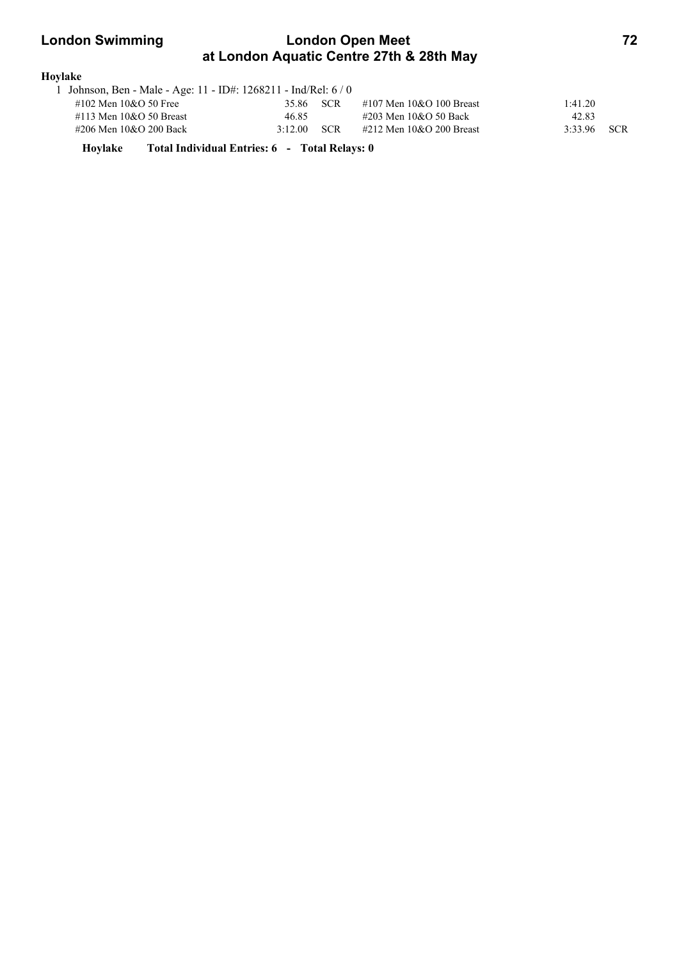## **London Swimming London Open Meet 72 at London Aquatic Centre 27th & 28th May**

| Hovlake                                                         |         |            |                            |         |            |
|-----------------------------------------------------------------|---------|------------|----------------------------|---------|------------|
| . Johnson, Ben - Male - Age: 11 - ID#: 1268211 - Ind/Rel: 6 / 0 |         |            |                            |         |            |
| #102 Men 10&O 50 Free                                           | 35.86   | SCR        | #107 Men $10&O$ 100 Breast | 1:41.20 |            |
| $\#113$ Men $10&O$ 50 Breast                                    | 46.85   |            | #203 Men 10&O 50 Back      | 42.83   |            |
| #206 Men 10&O 200 Back                                          | 3:12.00 | <b>SCR</b> | #212 Men 10&O 200 Breast   | 3:33.96 | <b>SCR</b> |

**Hoylake Total Individual Entries: 6 - Total Relays: 0**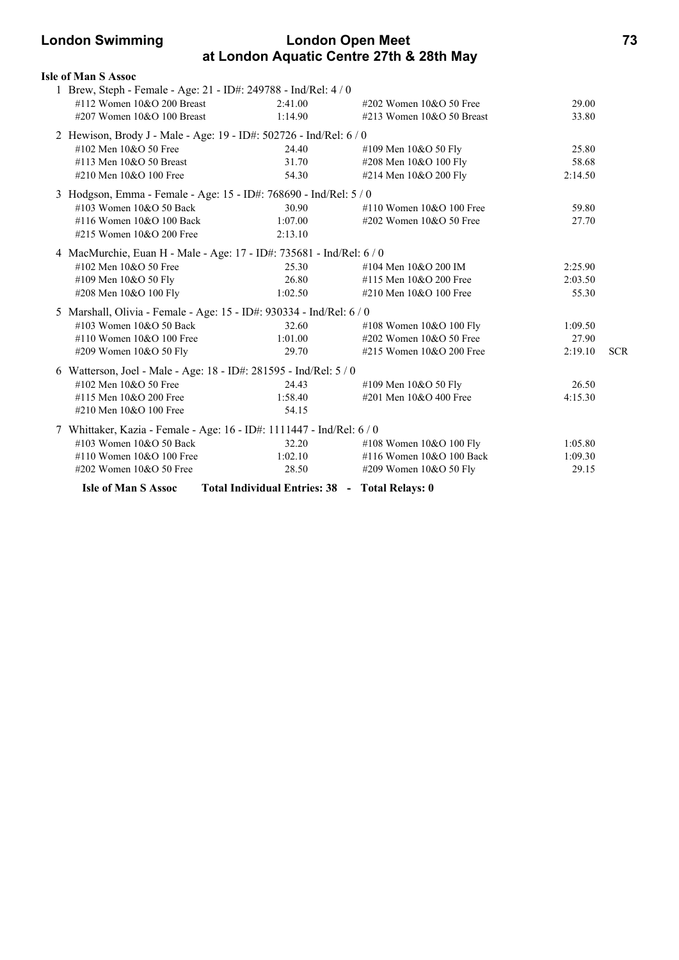### **London Swimming London Open Meet 73 at London Aquatic Centre 27th & 28th May**

| <b>Isle of Man S Assoc</b>   |                                                                       |                             |         |            |
|------------------------------|-----------------------------------------------------------------------|-----------------------------|---------|------------|
|                              | 1 Brew, Steph - Female - Age: 21 - ID#: 249788 - Ind/Rel: 4 / 0       |                             |         |            |
| #112 Women $10&O$ 200 Breast | 2:41.00                                                               | #202 Women $10&O$ 50 Free   | 29.00   |            |
| #207 Women 10&O 100 Breast   | 1:14.90                                                               | #213 Women $10&O$ 50 Breast | 33.80   |            |
|                              | 2 Hewison, Brody J - Male - Age: 19 - ID#: 502726 - Ind/Rel: 6 / 0    |                             |         |            |
| #102 Men 10&O 50 Free        | 24.40                                                                 | #109 Men 10&O 50 Fly        | 25.80   |            |
| #113 Men $10&O$ 50 Breast    | 31.70                                                                 | #208 Men 10&O 100 Fly       | 58.68   |            |
| #210 Men 10&O 100 Free       | 54.30                                                                 | #214 Men 10&O 200 Fly       | 2:14.50 |            |
|                              | 3 Hodgson, Emma - Female - Age: 15 - ID#: 768690 - Ind/Rel: 5 / 0     |                             |         |            |
| #103 Women 10&O 50 Back      | 30.90                                                                 | #110 Women $10&O 100$ Free  | 59.80   |            |
| #116 Women 10&O 100 Back     | 1:07.00                                                               | #202 Women $10&O$ 50 Free   | 27.70   |            |
| #215 Women 10&O 200 Free     | 2:13.10                                                               |                             |         |            |
|                              | 4 MacMurchie, Euan H - Male - Age: 17 - ID#: 735681 - Ind/Rel: 6 / 0  |                             |         |            |
| #102 Men 10&O 50 Free        | 25.30                                                                 | #104 Men 10&O 200 IM        | 2:25.90 |            |
| #109 Men 10&O 50 Fly         | 26.80                                                                 | #115 Men 10&O 200 Free      | 2:03.50 |            |
| #208 Men 10&O 100 Fly        | 1:02.50                                                               | #210 Men 10&O 100 Free      | 55.30   |            |
|                              | 5 Marshall, Olivia - Female - Age: 15 - ID#: 930334 - Ind/Rel: 6 / 0  |                             |         |            |
| #103 Women 10&O 50 Back      | 32.60                                                                 | #108 Women 10&O 100 Fly     | 1:09.50 |            |
| #110 Women 10&O 100 Free     | 1:01.00                                                               | #202 Women 10&O 50 Free     | 27.90   |            |
| #209 Women 10&O 50 Fly       | 29.70                                                                 | #215 Women 10&O 200 Free    | 2:19.10 | <b>SCR</b> |
|                              | 6 Watterson, Joel - Male - Age: 18 - ID#: 281595 - Ind/Rel: 5 / 0     |                             |         |            |
| #102 Men 10&O 50 Free        | 24.43                                                                 | #109 Men 10&O 50 Fly        | 26.50   |            |
| #115 Men 10&O 200 Free       | 1:58.40                                                               | #201 Men 10&O 400 Free      | 4:15.30 |            |
| #210 Men 10&O 100 Free       | 54.15                                                                 |                             |         |            |
|                              | 7 Whittaker, Kazia - Female - Age: 16 - ID#: 1111447 - Ind/Rel: 6 / 0 |                             |         |            |
| #103 Women 10&O 50 Back      | 32.20                                                                 | #108 Women 10&O 100 Fly     | 1:05.80 |            |
| #110 Women 10&O 100 Free     | 1:02.10                                                               | #116 Women 10&O 100 Back    | 1:09.30 |            |
| #202 Women 10&O 50 Free      | 28.50                                                                 | #209 Women 10&O 50 Fly      | 29.15   |            |
| <b>Isle of Man S Assoc</b>   | Total Individual Entries: 38 - Total Relays: 0                        |                             |         |            |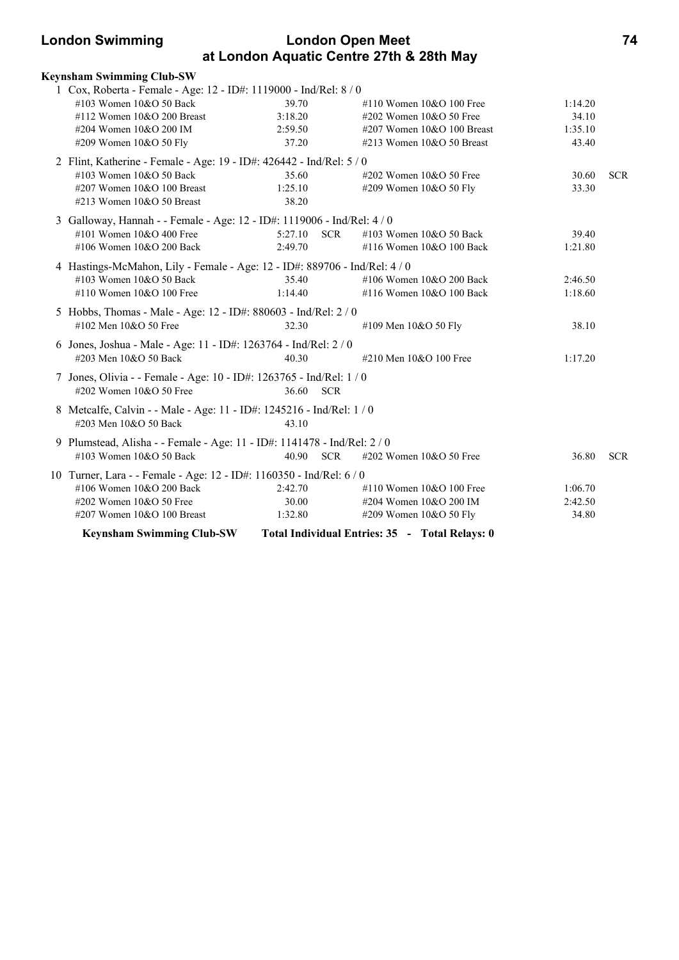| <b>London Swimming</b><br><b>London Open Meet</b><br>at London Aquatic Centre 27th & 28th May |         |                                 |         | 74         |
|-----------------------------------------------------------------------------------------------|---------|---------------------------------|---------|------------|
| Keynsham Swimming Club-SW                                                                     |         |                                 |         |            |
| 1 Cox, Roberta - Female - Age: 12 - ID#: 1119000 - Ind/Rel: 8 / 0                             |         |                                 |         |            |
| $\#103$ Women $10\&O$ 50 Back                                                                 | 39.70   | $\#110$ Women $10\&O$ 100 Free  | 1:14.20 |            |
| $\#112$ Women 10&O 200 Breast                                                                 | 3:18.20 | $\#202$ Women 10&O 50 Free      | 34.10   |            |
| #204 Women $10&O$ 200 IM                                                                      | 2:59.50 | $\#207$ Women $10&O$ 100 Breast | 1:35.10 |            |
| $\#209$ Women $10&O$ 50 Fly                                                                   | 37.20   | $\#213$ Women $10&O$ 50 Breast  | 43.40   |            |
| 2 Flint, Katherine - Female - Age: 19 - ID#: 426442 - Ind/Rel: 5 / 0                          |         |                                 |         |            |
| #103 Women $10&O$ 50 Back                                                                     | 35.60   | $\#202$ Women 10&O 50 Free      | 30.60   | <b>SCR</b> |
| $\#207$ Women 10&O 100 Breast                                                                 | 1:25.10 | #209 Women $10&O$ 50 Fly        | 33.30   |            |
| $\#213$ Women $10&O$ 50 Breast                                                                | 38.20   |                                 |         |            |
| 3 Galloway, Hannah - - Female - Age: 12 - ID#: 1119006 - Ind/Rel: 4/0                         |         |                                 |         |            |

#101 Women 10&O 400 Free 5:27.10 SCR #103 Women 10&O 50 Back 39.40 #106 Women 10&O 200 Back 2:49.70 #116 Women 10&O 100 Back 1:21.80

4 Hastings-McMahon, Lily - Female - Age: 12 - ID#: 889706 - Ind/Rel: 4 / 0

| <b>Keynsham Swimming Club-SW</b>                                                                      |                     | Total Individual Entries: 35 - Total Relays: 0           |                    |            |
|-------------------------------------------------------------------------------------------------------|---------------------|----------------------------------------------------------|--------------------|------------|
| #207 Women $10&O 100$ Breast                                                                          | 1:32.80             | $\#209$ Women 10&O 50 Fly                                | 34.80              |            |
| $\#202$ Women $10&O$ 50 Free                                                                          | 30.00               | #204 Women $10&O$ 200 IM                                 | 2:42.50            |            |
| #106 Women $10&O$ 200 Back                                                                            | 2:42.70             | #110 Women $10&O 100$ Free                               | 1:06.70            |            |
| 10 Turner, Lara - - Female - Age: 12 - ID#: 1160350 - Ind/Rel: 6 / 0                                  |                     |                                                          |                    |            |
| 9 Plumstead, Alisha - - Female - Age: 11 - ID#: 1141478 - Ind/Rel: 2 / 0<br>#103 Women $10&O$ 50 Back | <b>SCR</b><br>40.90 | $\#202$ Women 10&O 50 Free                               | 36.80              | <b>SCR</b> |
| 8 Metcalfe, Calvin - - Male - Age: 11 - ID#: 1245216 - Ind/Rel: 1/0<br>#203 Men $10&O$ 50 Back        | 43.10               |                                                          |                    |            |
| 7 Jones, Olivia - - Female - Age: 10 - ID#: 1263765 - Ind/Rel: 1/0<br>#202 Women $10&O$ 50 Free       | 36.60<br><b>SCR</b> |                                                          |                    |            |
| 6 Jones, Joshua - Male - Age: 11 - ID#: 1263764 - Ind/Rel: 2 / 0<br>#203 Men 10&O 50 Back             | 40.30               | #210 Men 10&O 100 Free                                   | 1:17.20            |            |
| 5 Hobbs, Thomas - Male - Age: 12 - ID#: 880603 - Ind/Rel: 2 / 0<br>#102 Men $10&O$ 50 Free            | 32.30               | #109 Men 10&O 50 Fly                                     | 38.10              |            |
| $\#103$ Women $10&O$ 50 Back<br>#110 Women $10&O 100$ Free                                            | 35.40<br>1:14.40    | #106 Women $10&O$ 200 Back<br>#116 Women $10&O 100$ Back | 2:46.50<br>1:18.60 |            |
|                                                                                                       |                     |                                                          |                    |            |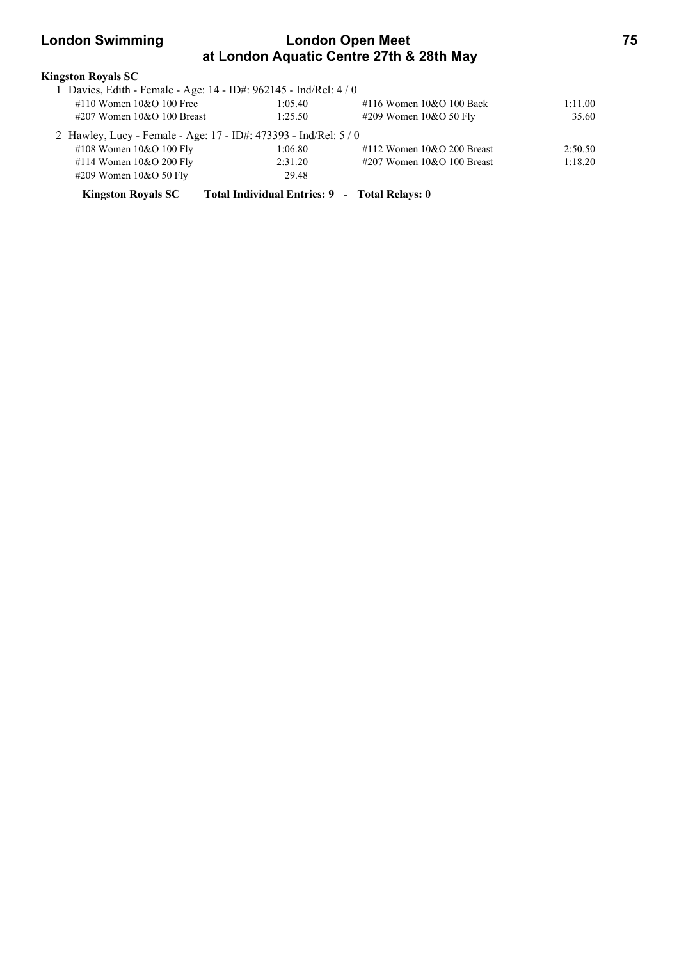### **London Swimming London Open Meet 75 at London Aquatic Centre 27th & 28th May**

| Kingston Royals SC                                                                            |                                               |                               |         |
|-----------------------------------------------------------------------------------------------|-----------------------------------------------|-------------------------------|---------|
| 1 Davies, Edith - Female - Age: 14 - ID#: 962145 - Ind/Rel: 4 / 0                             |                                               |                               |         |
| #110 Women $10&O 100$ Free                                                                    | 1:05.40                                       | #116 Women 10&O 100 Back      | 1:11.00 |
| $\#207$ Women 10&O 100 Breast                                                                 | 1:25.50                                       | #209 Women $10&O$ 50 Fly      | 35.60   |
| 2 Hawley, Lucy - Female - Age: 17 - ID#: 473393 - Ind/Rel: 5 / 0<br>#108 Women $10&O 100$ Fly | 1:06.80                                       | #112 Women $10&O$ 200 Breast  | 2:50.50 |
| #114 Women $10&O$ 200 Fly                                                                     | 2:31.20                                       | $\#207$ Women 10&O 100 Breast | 1:18.20 |
| $\#209$ Women 10&O 50 Fly                                                                     | 29.48                                         |                               |         |
| <b>Kingston Rovals SC</b>                                                                     | Total Individual Entries: 9 - Total Relays: 0 |                               |         |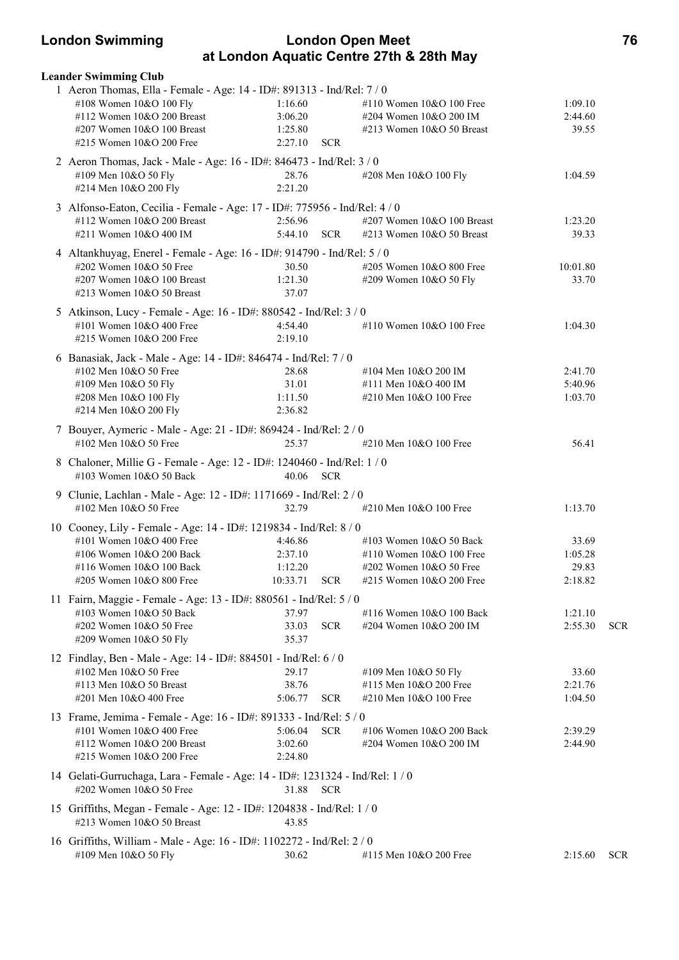### **London Swimming London Open Meet 76 at London Aquatic Centre 27th & 28th May**

| <b>Leander Swimming Club</b>                                                                             |                                  |                                                     |                    |            |
|----------------------------------------------------------------------------------------------------------|----------------------------------|-----------------------------------------------------|--------------------|------------|
| 1 Aeron Thomas, Ella - Female - Age: 14 - ID#: 891313 - Ind/Rel: 7 / 0<br>#108 Women 10&O 100 Fly        | 1:16.60                          | #110 Women $10&O 100$ Free                          | 1:09.10            |            |
| #112 Women 10&O 200 Breast                                                                               | 3:06.20                          | #204 Women 10&O 200 IM                              | 2:44.60            |            |
| #207 Women 10&O 100 Breast                                                                               | 1:25.80                          | #213 Women $10&O$ 50 Breast                         | 39.55              |            |
| #215 Women 10&O 200 Free                                                                                 | 2:27.10<br><b>SCR</b>            |                                                     |                    |            |
| 2 Aeron Thomas, Jack - Male - Age: 16 - ID#: 846473 - Ind/Rel: 3 / 0                                     |                                  |                                                     |                    |            |
| #109 Men 10&O 50 Fly<br>#214 Men 10&O 200 Fly                                                            | 28.76<br>2:21.20                 | #208 Men 10&O 100 Fly                               | 1:04.59            |            |
|                                                                                                          |                                  |                                                     |                    |            |
| 3 Alfonso-Eaton, Cecilia - Female - Age: 17 - ID#: 775956 - Ind/Rel: 4 / 0<br>#112 Women 10&O 200 Breast | 2:56.96                          | #207 Women 10&O 100 Breast                          | 1:23.20            |            |
| #211 Women 10&O 400 IM                                                                                   | 5:44.10 SCR                      | #213 Women 10&O 50 Breast                           | 39.33              |            |
| 4 Altankhuyag, Enerel - Female - Age: 16 - ID#: 914790 - Ind/Rel: 5 / 0                                  |                                  |                                                     |                    |            |
| #202 Women 10&O 50 Free                                                                                  | 30.50                            | #205 Women 10&O 800 Free                            | 10:01.80           |            |
| #207 Women 10&O 100 Breast                                                                               | 1:21.30                          | #209 Women 10&O 50 Fly                              | 33.70              |            |
| #213 Women 10&O 50 Breast                                                                                | 37.07                            |                                                     |                    |            |
| 5 Atkinson, Lucy - Female - Age: 16 - ID#: 880542 - Ind/Rel: 3 / 0                                       |                                  |                                                     |                    |            |
| #101 Women $10&O 400$ Free                                                                               | 4:54.40                          | #110 Women 10&O 100 Free                            | 1:04.30            |            |
| #215 Women 10&O 200 Free                                                                                 | 2:19.10                          |                                                     |                    |            |
| 6 Banasiak, Jack - Male - Age: 14 - ID#: 846474 - Ind/Rel: 7 / 0                                         |                                  |                                                     |                    |            |
| #102 Men 10&O 50 Free<br>#109 Men 10&O 50 Fly                                                            | 28.68<br>31.01                   | #104 Men 10&O 200 IM<br>#111 Men 10&O 400 IM        | 2:41.70<br>5:40.96 |            |
| #208 Men 10&O 100 Fly                                                                                    | 1:11.50                          | #210 Men 10&O 100 Free                              | 1:03.70            |            |
| #214 Men 10&O 200 Fly                                                                                    | 2:36.82                          |                                                     |                    |            |
| 7 Bouyer, Aymeric - Male - Age: 21 - ID#: 869424 - Ind/Rel: 2 / 0                                        |                                  |                                                     |                    |            |
| #102 Men $10&O$ 50 Free                                                                                  | 25.37                            | #210 Men 10&O 100 Free                              | 56.41              |            |
| 8 Chaloner, Millie G - Female - Age: 12 - ID#: 1240460 - Ind/Rel: 1 / 0                                  |                                  |                                                     |                    |            |
| #103 Women 10&O 50 Back                                                                                  | 40.06 SCR                        |                                                     |                    |            |
| 9 Clunie, Lachlan - Male - Age: 12 - ID#: 1171669 - Ind/Rel: 2 / 0                                       |                                  |                                                     |                    |            |
| #102 Men 10&O 50 Free                                                                                    | 32.79                            | #210 Men 10&O 100 Free                              | 1:13.70            |            |
| 10 Cooney, Lily - Female - Age: 14 - ID#: 1219834 - Ind/Rel: 8 / 0                                       |                                  |                                                     |                    |            |
| #101 Women $10&O 400$ Free                                                                               | 4:46.86                          | #103 Women 10&O 50 Back                             | 33.69              |            |
| #106 Women 10&O 200 Back                                                                                 | 2:37.10                          | #110 Women $10&O 100$ Free                          | 1:05.28            |            |
| #116 Women 10&O 100 Back<br>#205 Women 10&O 800 Free                                                     | 1:12.20<br>10:33.71 SCR          | #202 Women 10&O 50 Free<br>#215 Women 10&O 200 Free | 29.83<br>2:18.82   |            |
|                                                                                                          |                                  |                                                     |                    |            |
| 11 Fairn, Maggie - Female - Age: 13 - ID#: 880561 - Ind/Rel: 5 / 0<br>#103 Women 10&O 50 Back            | 37.97                            | #116 Women 10&O 100 Back                            | 1:21.10            |            |
| #202 Women 10&O 50 Free                                                                                  | <b>SCR</b><br>33.03              | #204 Women 10&O 200 IM                              | 2:55.30            | <b>SCR</b> |
| #209 Women 10&O 50 Fly                                                                                   | 35.37                            |                                                     |                    |            |
| 12 Findlay, Ben - Male - Age: 14 - ID#: 884501 - Ind/Rel: 6 / 0                                          |                                  |                                                     |                    |            |
| #102 Men 10&O 50 Free                                                                                    | 29.17                            | #109 Men 10&O 50 Fly                                | 33.60              |            |
| #113 Men 10&O 50 Breast                                                                                  | 38.76                            | #115 Men 10&O 200 Free                              | 2:21.76            |            |
| #201 Men 10&O 400 Free                                                                                   | 5:06.77<br><b>SCR</b>            | #210 Men 10&O 100 Free                              | 1:04.50            |            |
| 13 Frame, Jemima - Female - Age: 16 - ID#: 891333 - Ind/Rel: 5 / 0                                       |                                  |                                                     |                    |            |
| #101 Women 10&O 400 Free<br>#112 Women 10&O 200 Breast                                                   | 5:06.04<br><b>SCR</b><br>3:02.60 | #106 Women 10&O 200 Back<br>#204 Women 10&O 200 IM  | 2:39.29<br>2:44.90 |            |
| #215 Women 10&O 200 Free                                                                                 | 2:24.80                          |                                                     |                    |            |
| 14 Gelati-Gurruchaga, Lara - Female - Age: 14 - ID#: 1231324 - Ind/Rel: 1 / 0                            |                                  |                                                     |                    |            |
| #202 Women 10&O 50 Free                                                                                  | 31.88<br><b>SCR</b>              |                                                     |                    |            |
| 15 Griffiths, Megan - Female - Age: 12 - ID#: 1204838 - Ind/Rel: 1 / 0                                   |                                  |                                                     |                    |            |
| #213 Women 10&O 50 Breast                                                                                | 43.85                            |                                                     |                    |            |
| 16 Griffiths, William - Male - Age: 16 - ID#: 1102272 - Ind/Rel: 2 / 0                                   |                                  |                                                     |                    |            |
| #109 Men 10&O 50 Fly                                                                                     | 30.62                            | #115 Men 10&O 200 Free                              | 2:15.60            | <b>SCR</b> |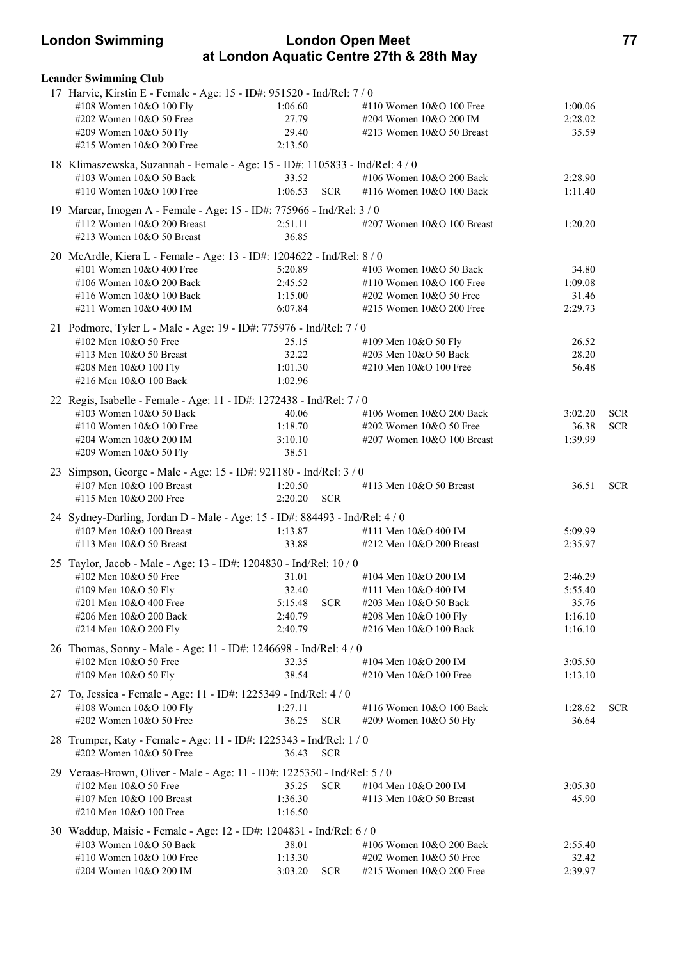### **London Swimming London Open Meet 77 at London Aquatic Centre 27th & 28th May**

| <b>Leander Swimming Club</b>                                                 |         |            |                               |         |            |
|------------------------------------------------------------------------------|---------|------------|-------------------------------|---------|------------|
| 17 Harvie, Kirstin E - Female - Age: 15 - ID#: 951520 - Ind/Rel: 7 / 0       |         |            |                               |         |            |
| #108 Women 10&O 100 Fly                                                      | 1:06.60 |            | #110 Women 10&O 100 Free      | 1:00.06 |            |
| #202 Women 10&O 50 Free                                                      | 27.79   |            | #204 Women 10&O 200 IM        | 2:28.02 |            |
| #209 Women 10&O 50 Fly                                                       | 29.40   |            | #213 Women 10&O 50 Breast     | 35.59   |            |
| #215 Women 10&O 200 Free                                                     | 2:13.50 |            |                               |         |            |
|                                                                              |         |            |                               |         |            |
| 18 Klimaszewska, Suzannah - Female - Age: 15 - ID#: 1105833 - Ind/Rel: 4 / 0 |         |            |                               |         |            |
| #103 Women 10&O 50 Back                                                      | 33.52   |            | #106 Women 10&O 200 Back      | 2:28.90 |            |
| #110 Women 10&O 100 Free                                                     | 1:06.53 | <b>SCR</b> | #116 Women 10&O 100 Back      | 1:11.40 |            |
| 19 Marcar, Imogen A - Female - Age: 15 - ID#: 775966 - Ind/Rel: 3 / 0        |         |            |                               |         |            |
| #112 Women 10&O 200 Breast                                                   | 2:51.11 |            | #207 Women 10&O 100 Breast    | 1:20.20 |            |
| #213 Women 10&O 50 Breast                                                    | 36.85   |            |                               |         |            |
| 20 McArdle, Kiera L - Female - Age: 13 - ID#: 1204622 - Ind/Rel: 8 / 0       |         |            |                               |         |            |
| #101 Women 10&O 400 Free                                                     | 5:20.89 |            | #103 Women 10&O 50 Back       | 34.80   |            |
| #106 Women 10&O 200 Back                                                     | 2:45.52 |            | #110 Women $10&O 100$ Free    | 1:09.08 |            |
| #116 Women 10&O 100 Back                                                     | 1:15.00 |            | #202 Women 10&O 50 Free       | 31.46   |            |
| #211 Women 10&O 400 IM                                                       | 6:07.84 |            | #215 Women 10&O 200 Free      | 2:29.73 |            |
|                                                                              |         |            |                               |         |            |
| 21 Podmore, Tyler L - Male - Age: 19 - ID#: 775976 - Ind/Rel: 7 / 0          |         |            |                               |         |            |
| #102 Men 10&O 50 Free                                                        | 25.15   |            | #109 Men 10&O 50 Fly          | 26.52   |            |
| #113 Men 10&O 50 Breast                                                      | 32.22   |            | #203 Men 10&O 50 Back         | 28.20   |            |
| #208 Men 10&O 100 Fly                                                        | 1:01.30 |            | #210 Men 10&O 100 Free        | 56.48   |            |
| #216 Men 10&O 100 Back                                                       | 1:02.96 |            |                               |         |            |
| 22 Regis, Isabelle - Female - Age: 11 - ID#: 1272438 - Ind/Rel: 7 / 0        |         |            |                               |         |            |
| #103 Women 10&O 50 Back                                                      | 40.06   |            | #106 Women 10&O 200 Back      | 3:02.20 | <b>SCR</b> |
| #110 Women 10&O 100 Free                                                     | 1:18.70 |            | #202 Women 10&O 50 Free       | 36.38   | <b>SCR</b> |
| #204 Women 10&O 200 IM                                                       | 3:10.10 |            | $\#207$ Women 10&O 100 Breast | 1:39.99 |            |
| #209 Women 10&O 50 Fly                                                       | 38.51   |            |                               |         |            |
|                                                                              |         |            |                               |         |            |
| 23 Simpson, George - Male - Age: 15 - ID#: 921180 - Ind/Rel: 3 / 0           |         |            |                               |         |            |
| #107 Men 10&O 100 Breast                                                     | 1:20.50 |            | #113 Men 10&O 50 Breast       | 36.51   | <b>SCR</b> |
| #115 Men 10&O 200 Free                                                       | 2:20.20 | <b>SCR</b> |                               |         |            |
| 24 Sydney-Darling, Jordan D - Male - Age: 15 - ID#: 884493 - Ind/Rel: 4 / 0  |         |            |                               |         |            |
| #107 Men 10&O 100 Breast                                                     | 1:13.87 |            | #111 Men 10&O 400 IM          | 5:09.99 |            |
| #113 Men 10&O 50 Breast                                                      | 33.88   |            | #212 Men 10&O 200 Breast      | 2:35.97 |            |
| 25 Taylor, Jacob - Male - Age: 13 - ID#: 1204830 - Ind/Rel: 10 / 0           |         |            |                               |         |            |
| #102 Men 10&O 50 Free                                                        | 31.01   |            |                               | 2:46.29 |            |
| #109 Men 10&O 50 Fly                                                         | 32.40   |            | #104 Men 10&O 200 IM          | 5:55.40 |            |
| #201 Men 10&O 400 Free                                                       |         |            | #111 Men 10&O 400 IM          |         |            |
|                                                                              | 5:15.48 | <b>SCR</b> | #203 Men 10&O 50 Back         | 35.76   |            |
| #206 Men 10&O 200 Back                                                       | 2:40.79 |            | #208 Men 10&O 100 Fly         | 1:16.10 |            |
| #214 Men 10&O 200 Fly                                                        | 2:40.79 |            | #216 Men 10&O 100 Back        | 1:16.10 |            |
| 26 Thomas, Sonny - Male - Age: 11 - ID#: 1246698 - Ind/Rel: 4 / 0            |         |            |                               |         |            |
| #102 Men 10&O 50 Free                                                        | 32.35   |            | #104 Men 10&O 200 IM          | 3:05.50 |            |
| #109 Men 10&O 50 Fly                                                         | 38.54   |            | #210 Men 10&O 100 Free        | 1:13.10 |            |
| 27 To, Jessica - Female - Age: 11 - ID#: 1225349 - Ind/Rel: 4 / 0            |         |            |                               |         |            |
| #108 Women 10&O 100 Fly                                                      | 1:27.11 |            | #116 Women 10&O 100 Back      | 1:28.62 | <b>SCR</b> |
| #202 Women 10&O 50 Free                                                      | 36.25   | <b>SCR</b> | #209 Women 10&O 50 Fly        | 36.64   |            |
|                                                                              |         |            |                               |         |            |
| 28 Trumper, Katy - Female - Age: 11 - ID#: 1225343 - Ind/Rel: 1 / 0          |         |            |                               |         |            |
| #202 Women 10&O 50 Free                                                      | 36.43   | <b>SCR</b> |                               |         |            |
| 29 Veraas-Brown, Oliver - Male - Age: 11 - ID#: 1225350 - Ind/Rel: 5 / 0     |         |            |                               |         |            |
| #102 Men 10&O 50 Free                                                        | 35.25   | <b>SCR</b> | #104 Men 10&O 200 IM          | 3:05.30 |            |
| #107 Men 10&O 100 Breast                                                     | 1:36.30 |            | #113 Men $10&O$ 50 Breast     | 45.90   |            |
| #210 Men 10&O 100 Free                                                       | 1:16.50 |            |                               |         |            |
|                                                                              |         |            |                               |         |            |
| 30 Waddup, Maisie - Female - Age: 12 - ID#: 1204831 - Ind/Rel: 6 / 0         |         |            |                               |         |            |
| #103 Women 10&O 50 Back                                                      | 38.01   |            | #106 Women 10&O 200 Back      | 2:55.40 |            |
| #110 Women 10&O 100 Free                                                     | 1:13.30 |            | #202 Women 10&O 50 Free       | 32.42   |            |
| #204 Women 10&O 200 IM                                                       | 3:03.20 | <b>SCR</b> | #215 Women 10&O 200 Free      | 2:39.97 |            |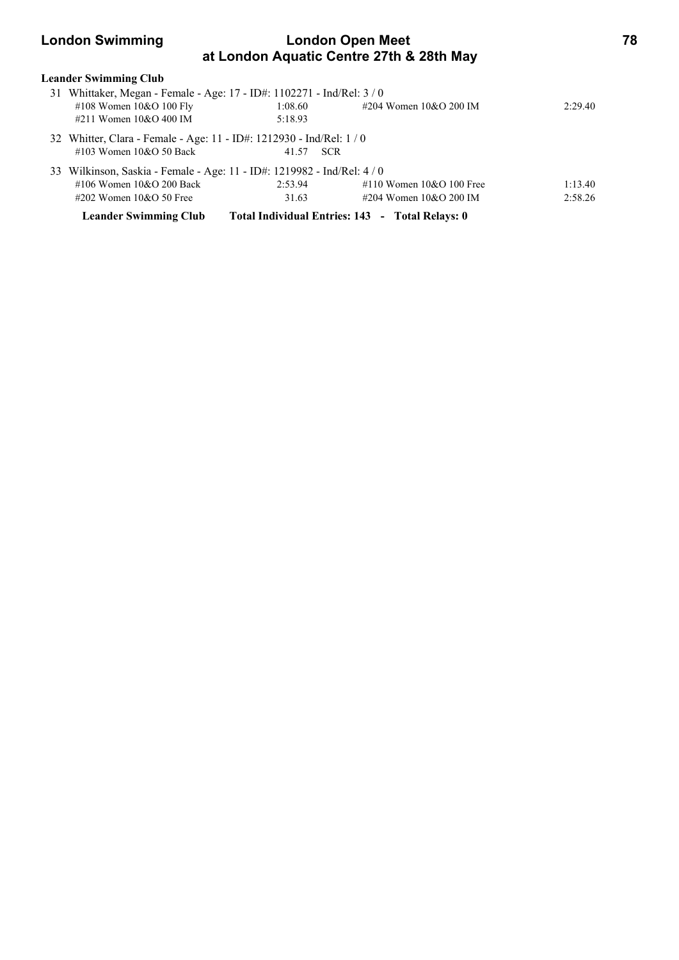### **London Swimming London Open Meet 78 at London Aquatic Centre 27th & 28th May**

| <b>Leander Swimming Club</b>                                            |         |                                                 |                            |         |
|-------------------------------------------------------------------------|---------|-------------------------------------------------|----------------------------|---------|
| 31 Whittaker, Megan - Female - Age: 17 - ID#: 1102271 - Ind/Rel: 3 / 0  |         |                                                 |                            |         |
| #108 Women $10&O 100$ Fly                                               | 1:08.60 |                                                 | #204 Women 10&O 200 IM     | 2:29.40 |
| #211 Women $10&O$ 400 IM                                                | 5:18.93 |                                                 |                            |         |
| 32 Whitter, Clara - Female - Age: 11 - ID#: 1212930 - Ind/Rel: 1/0      |         |                                                 |                            |         |
| #103 Women $10&O$ 50 Back                                               | 41.57   | <b>SCR</b>                                      |                            |         |
| 33 Wilkinson, Saskia - Female - Age: 11 - ID#: 1219982 - Ind/Rel: 4 / 0 |         |                                                 |                            |         |
| $\#106$ Women $10\&O$ 200 Back                                          | 2:53.94 |                                                 | #110 Women $10&O$ 100 Free | 1:13.40 |
| #202 Women $10&O$ 50 Free                                               | 31.63   |                                                 | #204 Women $10&O$ 200 IM   | 2:58.26 |
| <b>Leander Swimming Club</b>                                            |         | Total Individual Entries: 143 - Total Relays: 0 |                            |         |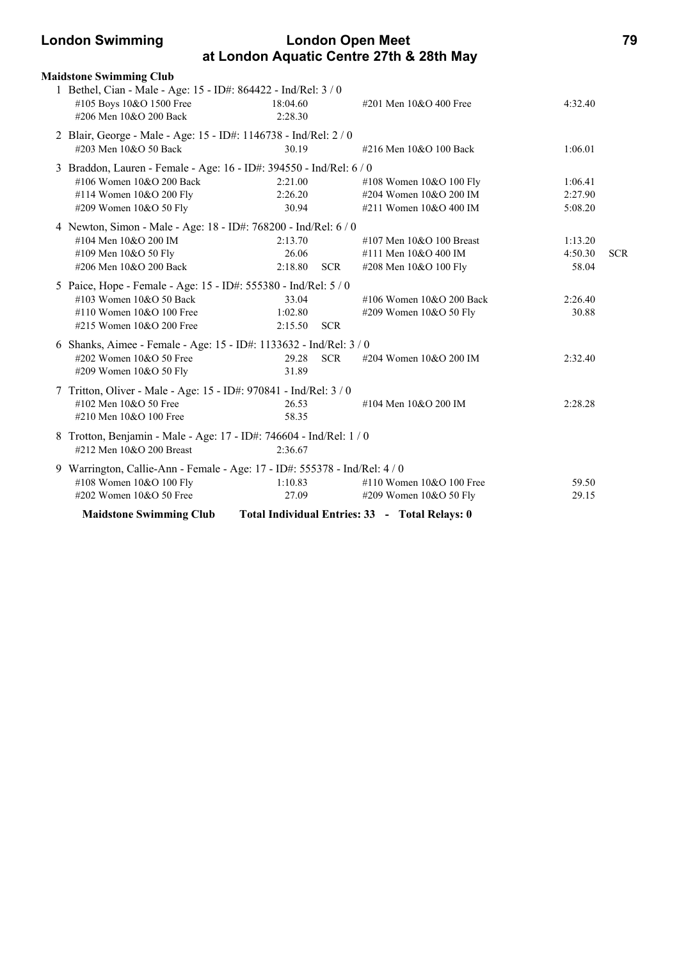| <b>London Swimming</b> | <b>London Open Meet</b>                  | 79 |
|------------------------|------------------------------------------|----|
|                        | at London Aquatic Centre 27th & 28th May |    |

| <b>Maidstone Swimming Club</b>                                                                                       |                     |            |                                                |         |            |
|----------------------------------------------------------------------------------------------------------------------|---------------------|------------|------------------------------------------------|---------|------------|
| 1 Bethel, Cian - Male - Age: 15 - ID#: 864422 - Ind/Rel: 3 / 0<br>#105 Boys 10&O 1500 Free<br>#206 Men 10&O 200 Back | 18:04.60<br>2:28.30 |            | #201 Men 10&O 400 Free                         | 4:32.40 |            |
| 2 Blair, George - Male - Age: 15 - ID#: 1146738 - Ind/Rel: 2 / 0<br>#203 Men 10&O 50 Back                            | 30.19               |            | #216 Men 10&O 100 Back                         | 1:06.01 |            |
| 3 Braddon, Lauren - Female - Age: 16 - ID#: 394550 - Ind/Rel: 6 / 0                                                  |                     |            |                                                |         |            |
| #106 Women 10&O 200 Back                                                                                             | 2:21.00             |            | #108 Women 10&O 100 Fly                        | 1:06.41 |            |
| #114 Women 10&O 200 Fly                                                                                              | 2:26.20             |            | #204 Women 10&O 200 IM                         | 2:27.90 |            |
| #209 Women 10&O 50 Fly                                                                                               | 30.94               |            | #211 Women 10&O 400 IM                         | 5:08.20 |            |
| 4 Newton, Simon - Male - Age: 18 - ID#: 768200 - Ind/Rel: 6 / 0                                                      |                     |            |                                                |         |            |
| #104 Men 10&O 200 IM                                                                                                 | 2:13.70             |            | #107 Men 10&O 100 Breast                       | 1:13.20 |            |
| #109 Men 10&O 50 Fly                                                                                                 | 26.06               |            | #111 Men 10&O 400 IM                           | 4:50.30 | <b>SCR</b> |
| #206 Men 10&O 200 Back                                                                                               | 2:18.80 SCR         |            | #208 Men 10&O 100 Fly                          | 58.04   |            |
| 5 Paice, Hope - Female - Age: 15 - ID#: 555380 - Ind/Rel: 5 / 0                                                      |                     |            |                                                |         |            |
| #103 Women 10&O 50 Back                                                                                              | 33.04               |            | #106 Women 10&O 200 Back                       | 2:26.40 |            |
| #110 Women 10&O 100 Free                                                                                             | 1:02.80             |            | #209 Women 10&O 50 Fly                         | 30.88   |            |
| #215 Women 10&O 200 Free                                                                                             | 2:15.50             | <b>SCR</b> |                                                |         |            |
| 6 Shanks, Aimee - Female - Age: 15 - ID#: 1133632 - Ind/Rel: 3 / 0                                                   |                     |            |                                                |         |            |
| #202 Women 10&O 50 Free                                                                                              | 29.28               | <b>SCR</b> | #204 Women 10&O 200 IM                         | 2:32.40 |            |
| #209 Women 10&O 50 Fly                                                                                               | 31.89               |            |                                                |         |            |
|                                                                                                                      |                     |            |                                                |         |            |
| 7 Tritton, Oliver - Male - Age: 15 - ID#: 970841 - Ind/Rel: 3 / 0                                                    |                     |            |                                                |         |            |
| #102 Men 10&O 50 Free                                                                                                | 26.53               |            | #104 Men 10&O 200 IM                           | 2:28.28 |            |
| #210 Men 10&O 100 Free                                                                                               | 58.35               |            |                                                |         |            |
| 8 Trotton, Benjamin - Male - Age: 17 - ID#: 746604 - Ind/Rel: 1 / 0                                                  |                     |            |                                                |         |            |
| #212 Men 10&O 200 Breast                                                                                             | 2:36.67             |            |                                                |         |            |
| Warrington, Callie-Ann - Female - Age: 17 - ID#: 555378 - Ind/Rel: 4/0                                               |                     |            |                                                |         |            |
| #108 Women 10&O 100 Fly                                                                                              | 1:10.83             |            | #110 Women 10&O 100 Free                       | 59.50   |            |
| #202 Women 10&O 50 Free                                                                                              | 27.09               |            | #209 Women 10&O 50 Fly                         | 29.15   |            |
| <b>Maidstone Swimming Club</b>                                                                                       |                     |            | Total Individual Entries: 33 - Total Relays: 0 |         |            |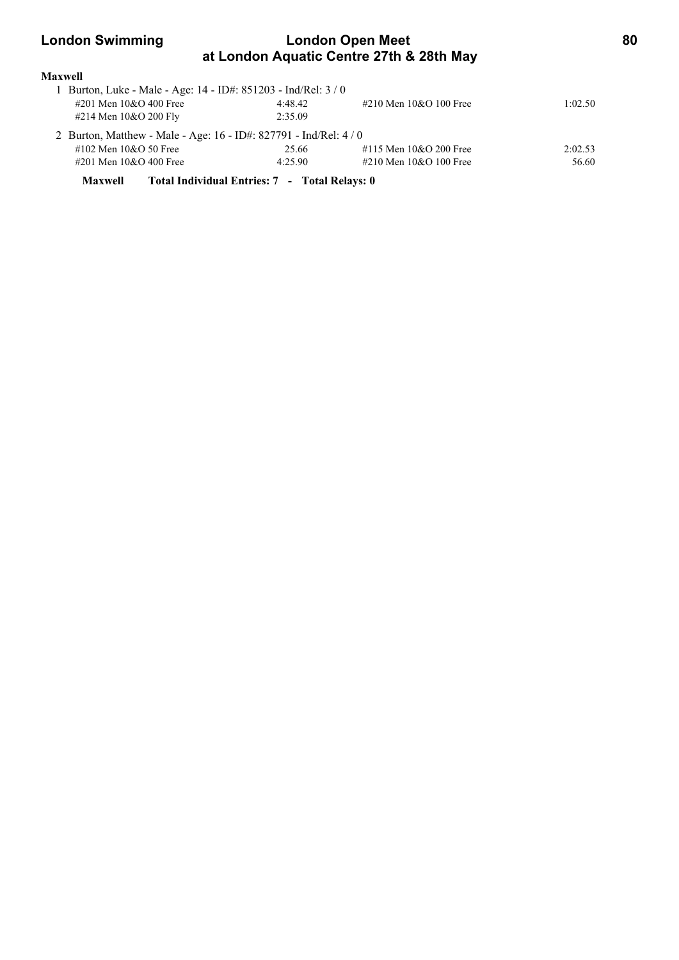### **London Swimming London Open Meet 80 at London Aquatic Centre 27th & 28th May**

| <b>Maxwell</b>                                                  |         |                          |         |
|-----------------------------------------------------------------|---------|--------------------------|---------|
| Burton, Luke - Male - Age: 14 - ID#: 851203 - Ind/Rel: 3/0      |         |                          |         |
| #201 Men 10&O 400 Free                                          | 4:48.42 | #210 Men $10&O$ 100 Free | 1:02.50 |
| #214 Men 10&O 200 Fly                                           | 2:35.09 |                          |         |
| 2 Burton, Matthew - Male - Age: 16 - ID#: 827791 - Ind/Rel: 4/0 |         |                          |         |
| #102 Men $10&O$ 50 Free                                         | 25.66   | #115 Men $10&O$ 200 Free | 2:02.53 |
| #201 Men 10&O 400 Free                                          | 4:25.90 | #210 Men $10&O$ 100 Free | 56.60   |
|                                                                 |         |                          |         |

**Maxwell Total Individual Entries: 7 - Total Relays: 0**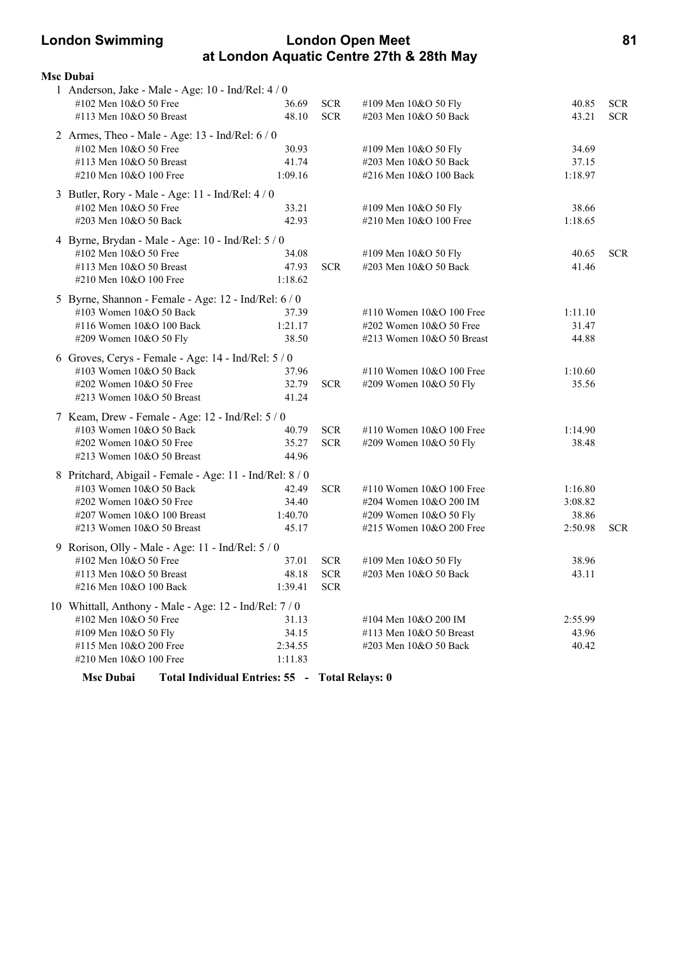### **London Swimming London Open Meet 81 at London Aquatic Centre 27th & 28th May**

| <b>Msc Dubai</b>                                                   |         |            |                              |         |            |
|--------------------------------------------------------------------|---------|------------|------------------------------|---------|------------|
| 1 Anderson, Jake - Male - Age: 10 - Ind/Rel: 4 / 0                 |         |            |                              |         |            |
| #102 Men 10&O 50 Free                                              | 36.69   | <b>SCR</b> | #109 Men 10&O 50 Fly         | 40.85   | <b>SCR</b> |
| #113 Men 10&O 50 Breast                                            | 48.10   | <b>SCR</b> | #203 Men 10&O 50 Back        | 43.21   | <b>SCR</b> |
| 2 Armes, Theo - Male - Age: 13 - Ind/Rel: 6 / 0                    |         |            |                              |         |            |
| #102 Men 10&O 50 Free                                              | 30.93   |            | #109 Men 10&O 50 Fly         | 34.69   |            |
| #113 Men 10&O 50 Breast                                            | 41.74   |            | #203 Men 10&O 50 Back        | 37.15   |            |
| #210 Men 10&O 100 Free                                             | 1:09.16 |            | #216 Men 10&O 100 Back       | 1:18.97 |            |
| 3 Butler, Rory - Male - Age: 11 - Ind/Rel: 4 / 0                   |         |            |                              |         |            |
| #102 Men 10&O 50 Free                                              | 33.21   |            | #109 Men 10&O 50 Fly         | 38.66   |            |
| #203 Men 10&O 50 Back                                              | 42.93   |            | #210 Men 10&O 100 Free       | 1:18.65 |            |
| 4 Byrne, Brydan - Male - Age: 10 - Ind/Rel: 5 / 0                  |         |            |                              |         |            |
| #102 Men 10&O 50 Free                                              | 34.08   |            | #109 Men 10&O 50 Fly         | 40.65   | <b>SCR</b> |
| #113 Men 10&O 50 Breast                                            | 47.93   | <b>SCR</b> | #203 Men 10&O 50 Back        | 41.46   |            |
| #210 Men 10&O 100 Free                                             | 1:18.62 |            |                              |         |            |
| 5 Byrne, Shannon - Female - Age: 12 - Ind/Rel: 6 / 0               |         |            |                              |         |            |
| #103 Women 10&O 50 Back                                            | 37.39   |            | #110 Women 10&O 100 Free     | 1:11.10 |            |
| #116 Women 10&O 100 Back                                           | 1:21.17 |            | $\#202$ Women $10&O$ 50 Free | 31.47   |            |
| #209 Women 10&O 50 Fly                                             | 38.50   |            | #213 Women 10&O 50 Breast    | 44.88   |            |
| 6 Groves, Cerys - Female - Age: 14 - Ind/Rel: 5 / 0                |         |            |                              |         |            |
| #103 Women 10&O 50 Back                                            | 37.96   |            | #110 Women 10&O 100 Free     | 1:10.60 |            |
| #202 Women 10&O 50 Free                                            | 32.79   | <b>SCR</b> | #209 Women 10&O 50 Fly       | 35.56   |            |
| #213 Women $10&O$ 50 Breast                                        | 41.24   |            |                              |         |            |
| 7 Keam, Drew - Female - Age: 12 - Ind/Rel: 5 / 0                   |         |            |                              |         |            |
| #103 Women 10&O 50 Back                                            | 40.79   | <b>SCR</b> | #110 Women 10&O 100 Free     | 1:14.90 |            |
| #202 Women 10&O 50 Free                                            | 35.27   | <b>SCR</b> | #209 Women 10&O 50 Fly       | 38.48   |            |
| #213 Women 10&O 50 Breast                                          | 44.96   |            |                              |         |            |
| 8 Pritchard, Abigail - Female - Age: 11 - Ind/Rel: 8 / 0           |         |            |                              |         |            |
| #103 Women 10&O 50 Back                                            | 42.49   | <b>SCR</b> | #110 Women 10&O 100 Free     | 1:16.80 |            |
| #202 Women 10&O 50 Free                                            | 34.40   |            | #204 Women 10&O 200 IM       | 3:08.82 |            |
| #207 Women 10&O 100 Breast                                         | 1:40.70 |            | #209 Women 10&O 50 Fly       | 38.86   |            |
| #213 Women 10&O 50 Breast                                          | 45.17   |            | #215 Women 10&O 200 Free     | 2:50.98 | <b>SCR</b> |
| 9 Rorison, Olly - Male - Age: 11 - Ind/Rel: 5 / 0                  |         |            |                              |         |            |
| #102 Men 10&O 50 Free                                              | 37.01   | <b>SCR</b> | #109 Men 10&O 50 Fly         | 38.96   |            |
| #113 Men 10&O 50 Breast                                            | 48.18   | <b>SCR</b> | #203 Men 10&O 50 Back        | 43.11   |            |
| #216 Men 10&O 100 Back                                             | 1:39.41 | <b>SCR</b> |                              |         |            |
| 10 Whittall, Anthony - Male - Age: 12 - Ind/Rel: 7 / 0             |         |            |                              |         |            |
| #102 Men 10&O 50 Free                                              | 31.13   |            | #104 Men 10&O 200 IM         | 2:55.99 |            |
| #109 Men 10&O 50 Fly                                               | 34.15   |            | #113 Men 10&O 50 Breast      | 43.96   |            |
| #115 Men 10&O 200 Free                                             | 2:34.55 |            | #203 Men 10&O 50 Back        | 40.42   |            |
| #210 Men 10&O 100 Free                                             | 1:11.83 |            |                              |         |            |
| <b>Msc Dubai</b><br>Total Individual Entries: 55 - Total Relays: 0 |         |            |                              |         |            |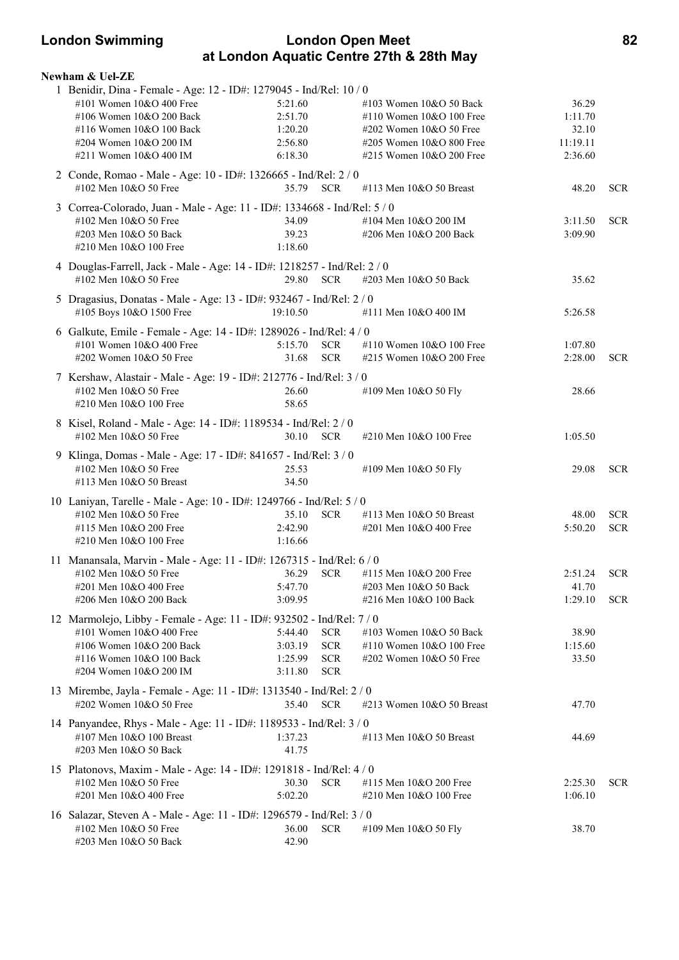### **London Swimming London Open Meet 82 at London Aquatic Centre 27th & 28th May**

| <b>Newham &amp; Uel-ZE</b>                                                                                                                                                                                  |                                                     |                                                      |                                                                                                                                             |                                                  |                          |
|-------------------------------------------------------------------------------------------------------------------------------------------------------------------------------------------------------------|-----------------------------------------------------|------------------------------------------------------|---------------------------------------------------------------------------------------------------------------------------------------------|--------------------------------------------------|--------------------------|
| 1 Benidir, Dina - Female - Age: 12 - ID#: 1279045 - Ind/Rel: 10 / 0<br>#101 Women 10&O 400 Free<br>#106 Women 10&O 200 Back<br>#116 Women 10&O 100 Back<br>#204 Women 10&O 200 IM<br>#211 Women 10&O 400 IM | 5:21.60<br>2:51.70<br>1:20.20<br>2:56.80<br>6:18.30 |                                                      | #103 Women 10&O 50 Back<br>#110 Women 10&O 100 Free<br>$\#202$ Women $10&O$ 50 Free<br>#205 Women 10&O 800 Free<br>#215 Women 10&O 200 Free | 36.29<br>1:11.70<br>32.10<br>11:19.11<br>2:36.60 |                          |
| 2 Conde, Romao - Male - Age: 10 - ID#: 1326665 - Ind/Rel: 2 / 0<br>#102 Men 10&O 50 Free                                                                                                                    | 35.79 SCR                                           |                                                      | #113 Men 10&O 50 Breast                                                                                                                     | 48.20                                            | <b>SCR</b>               |
| 3 Correa-Colorado, Juan - Male - Age: 11 - ID#: 1334668 - Ind/Rel: 5 / 0<br>#102 Men 10&O 50 Free<br>#203 Men 10&O 50 Back<br>#210 Men 10&O 100 Free                                                        | 34.09<br>39.23<br>1:18.60                           |                                                      | #104 Men 10&O 200 IM<br>#206 Men 10&O 200 Back                                                                                              | 3:11.50<br>3:09.90                               | <b>SCR</b>               |
| 4 Douglas-Farrell, Jack - Male - Age: 14 - ID#: 1218257 - Ind/Rel: 2 / 0<br>#102 Men 10&O 50 Free                                                                                                           | 29.80                                               | <b>SCR</b>                                           | #203 Men 10&O 50 Back                                                                                                                       | 35.62                                            |                          |
| 5 Dragasius, Donatas - Male - Age: 13 - ID#: 932467 - Ind/Rel: 2 / 0<br>#105 Boys 10&O 1500 Free                                                                                                            | 19:10.50                                            |                                                      | #111 Men 10&O 400 IM                                                                                                                        | 5:26.58                                          |                          |
| 6 Galkute, Emile - Female - Age: 14 - ID#: 1289026 - Ind/Rel: 4 / 0<br>#101 Women 10&O 400 Free<br>#202 Women 10&O 50 Free                                                                                  | 5:15.70<br>31.68                                    | <b>SCR</b><br><b>SCR</b>                             | #110 Women 10&O 100 Free<br>#215 Women 10&O 200 Free                                                                                        | 1:07.80<br>2:28.00                               | <b>SCR</b>               |
| 7 Kershaw, Alastair - Male - Age: 19 - ID#: 212776 - Ind/Rel: 3 / 0<br>#102 Men 10&O 50 Free<br>#210 Men 10&O 100 Free                                                                                      | 26.60<br>58.65                                      |                                                      | #109 Men 10&O 50 Fly                                                                                                                        | 28.66                                            |                          |
| 8 Kisel, Roland - Male - Age: 14 - ID#: 1189534 - Ind/Rel: 2 / 0<br>#102 Men 10&O 50 Free                                                                                                                   | 30.10 SCR                                           |                                                      | #210 Men 10&O 100 Free                                                                                                                      | 1:05.50                                          |                          |
| 9 Klinga, Domas - Male - Age: 17 - ID#: 841657 - Ind/Rel: 3 / 0<br>#102 Men 10&O 50 Free<br>#113 Men 10&O 50 Breast                                                                                         | 25.53<br>34.50                                      |                                                      | #109 Men 10&O 50 Fly                                                                                                                        | 29.08                                            | <b>SCR</b>               |
| 10 Laniyan, Tarelle - Male - Age: 10 - ID#: 1249766 - Ind/Rel: 5 / 0<br>#102 Men 10&O 50 Free<br>#115 Men 10&O 200 Free<br>#210 Men 10&O 100 Free                                                           | 35.10<br>2:42.90<br>1:16.66                         | <b>SCR</b>                                           | #113 Men 10&O 50 Breast<br>#201 Men 10&O 400 Free                                                                                           | 48.00<br>5:50.20                                 | <b>SCR</b><br><b>SCR</b> |
| 11 Manansala, Marvin - Male - Age: 11 - ID#: 1267315 - Ind/Rel: 6 / 0<br>#102 Men 10&O 50 Free<br>#201 Men 10&O 400 Free<br>#206 Men 10&O 200 Back                                                          | 36.29<br>5:47.70<br>3:09.95                         | <b>SCR</b>                                           | #115 Men $10&O$ 200 Free<br>#203 Men 10&O 50 Back<br>#216 Men 10&O 100 Back                                                                 | 2:51.24<br>41.70<br>1:29.10                      | <b>SCR</b><br><b>SCR</b> |
| 12 Marmolejo, Libby - Female - Age: 11 - ID#: 932502 - Ind/Rel: 7 / 0<br>#101 Women 10&O 400 Free<br>#106 Women 10&O 200 Back<br>#116 Women 10&O 100 Back<br>#204 Women 10&O 200 IM                         | 5:44.40<br>3:03.19<br>1:25.99<br>3:11.80            | <b>SCR</b><br><b>SCR</b><br><b>SCR</b><br><b>SCR</b> | #103 Women 10&O 50 Back<br>#110 Women 10&O 100 Free<br>#202 Women 10&O 50 Free                                                              | 38.90<br>1:15.60<br>33.50                        |                          |
| 13 Mirembe, Jayla - Female - Age: 11 - ID#: 1313540 - Ind/Rel: 2 / 0<br>#202 Women 10&O 50 Free                                                                                                             | 35.40 SCR                                           |                                                      | #213 Women 10&O 50 Breast                                                                                                                   | 47.70                                            |                          |
| 14 Panyandee, Rhys - Male - Age: 11 - ID#: 1189533 - Ind/Rel: 3 / 0<br>#107 Men 10&O 100 Breast<br>#203 Men 10&O 50 Back                                                                                    | 1:37.23<br>41.75                                    |                                                      | #113 Men 10&O 50 Breast                                                                                                                     | 44.69                                            |                          |
| 15 Platonovs, Maxim - Male - Age: 14 - ID#: 1291818 - Ind/Rel: 4 / 0<br>#102 Men 10&O 50 Free<br>#201 Men 10&O 400 Free                                                                                     | 30.30<br>5:02.20                                    | <b>SCR</b>                                           | #115 Men 10&O 200 Free<br>#210 Men 10&O 100 Free                                                                                            | 2:25.30<br>1:06.10                               | <b>SCR</b>               |
| 16 Salazar, Steven A - Male - Age: 11 - ID#: 1296579 - Ind/Rel: 3 / 0<br>#102 Men 10&O 50 Free<br>#203 Men 10&O 50 Back                                                                                     | 36.00<br>42.90                                      | <b>SCR</b>                                           | #109 Men 10&O 50 Fly                                                                                                                        | 38.70                                            |                          |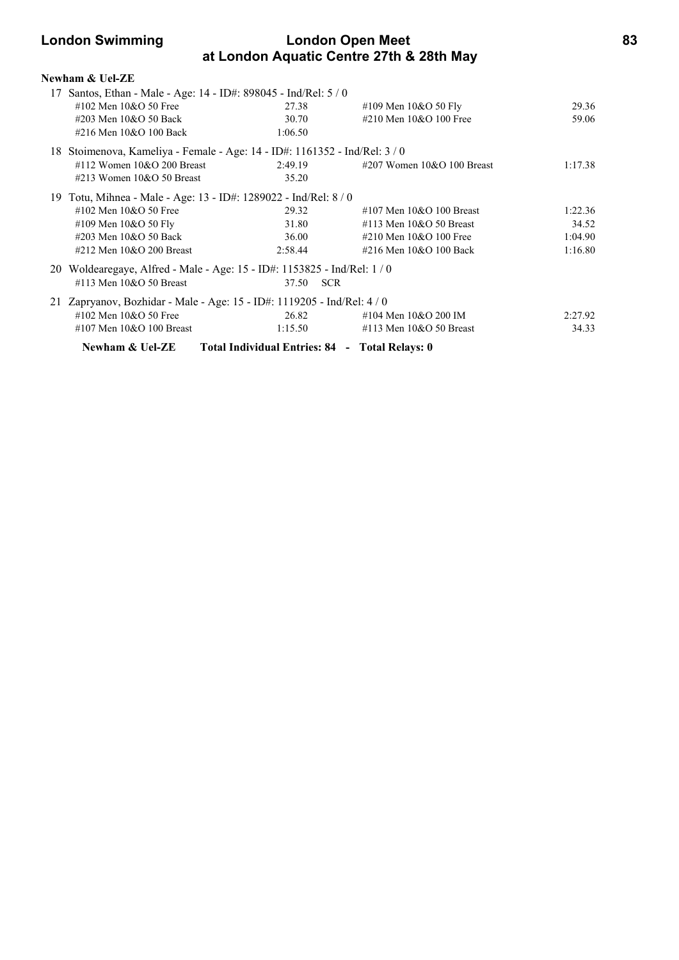### **London Swimming London Open Meet 83 at London Aquatic Centre 27th & 28th May**

| Newham & Uel-ZE                                                            |                                                |                              |         |
|----------------------------------------------------------------------------|------------------------------------------------|------------------------------|---------|
| 17 Santos, Ethan - Male - Age: 14 - ID#: 898045 - Ind/Rel: 5 / 0           |                                                |                              |         |
| #102 Men $10&O$ 50 Free                                                    | 27.38                                          | #109 Men $10&O 50$ Fly       | 29.36   |
| #203 Men 10&O 50 Back                                                      | 30.70                                          | #210 Men 10&O 100 Free       | 59.06   |
| #216 Men 10&O 100 Back                                                     | 1:06.50                                        |                              |         |
| 18 Stoimenova, Kameliya - Female - Age: 14 - ID#: 1161352 - Ind/Rel: 3 / 0 |                                                |                              |         |
| #112 Women $10&O$ 200 Breast                                               | 2:49.19                                        | #207 Women $10&O 100$ Breast | 1:17.38 |
| #213 Women $10&O$ 50 Breast                                                | 35.20                                          |                              |         |
| 19 Totu, Mihnea - Male - Age: 13 - ID#: 1289022 - Ind/Rel: 8 / 0           |                                                |                              |         |
| #102 Men $10&O$ 50 Free                                                    | 29.32                                          | #107 Men $10&O$ 100 Breast   | 1:22.36 |
| #109 Men $10&O 50$ Fly                                                     | 31.80                                          | $\#113$ Men $10&O$ 50 Breast | 34.52   |
| #203 Men 10&O 50 Back                                                      | 36.00                                          | #210 Men $10&O$ 100 Free     | 1:04.90 |
| $\#212$ Men $10&O$ 200 Breast                                              | 2:58.44                                        | #216 Men 10&O 100 Back       | 1:16.80 |
| 20 Woldearegaye, Alfred - Male - Age: 15 - ID#: 1153825 - Ind/Rel: 1 / 0   |                                                |                              |         |
| #113 Men $10&O$ 50 Breast                                                  | 37.50<br><b>SCR</b>                            |                              |         |
| 21 Zapryanov, Bozhidar - Male - Age: 15 - ID#: 1119205 - Ind/Rel: 4 / 0    |                                                |                              |         |
| #102 Men 10&O 50 Free                                                      | 26.82                                          | #104 Men 10&O 200 IM         | 2:27.92 |
| $\#107$ Men $10&O$ 100 Breast                                              | 1:15.50                                        | $\#113$ Men $10&O$ 50 Breast | 34.33   |
| Newham & Uel-ZE                                                            | Total Individual Entries: 84 - Total Relays: 0 |                              |         |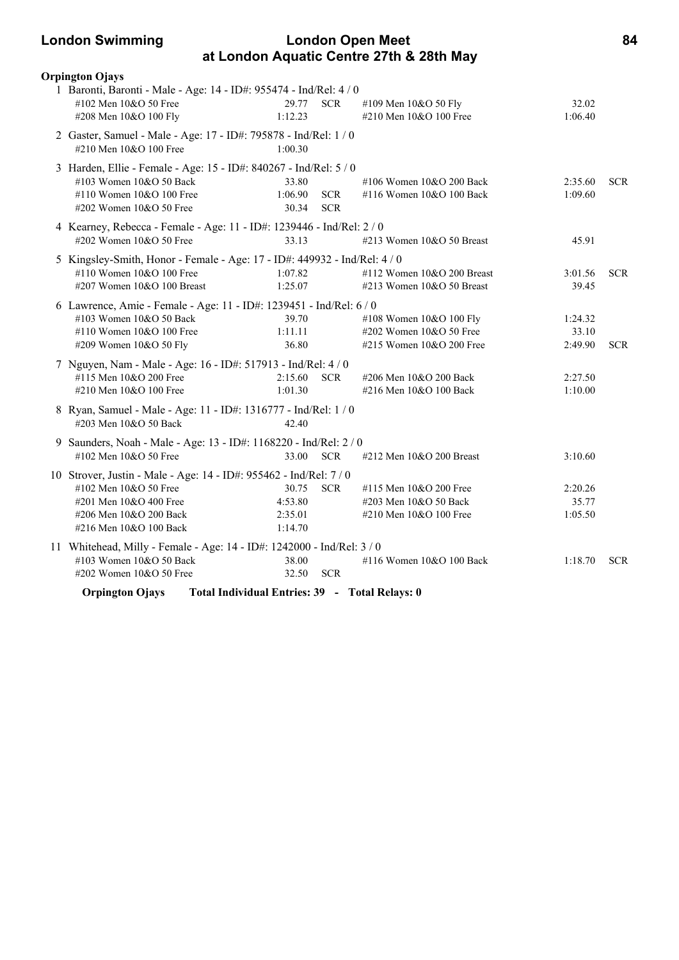### **London Swimming London Open Meet 84 at London Aquatic Centre 27th & 28th May**

| <b>Orpington Ojays</b>                                                                              |                                                                                                              |                          |                                                                                |                             |            |
|-----------------------------------------------------------------------------------------------------|--------------------------------------------------------------------------------------------------------------|--------------------------|--------------------------------------------------------------------------------|-----------------------------|------------|
| #102 Men 10&O 50 Free<br>#208 Men 10&O 100 Fly                                                      | 1 Baronti, Baronti - Male - Age: 14 - ID#: 955474 - Ind/Rel: 4 / 0<br>29.77<br>1:12.23                       | <b>SCR</b>               | #109 Men 10&O 50 Fly<br>#210 Men 10&O 100 Free                                 | 32.02<br>1:06.40            |            |
| #210 Men 10&O 100 Free                                                                              | 2 Gaster, Samuel - Male - Age: 17 - ID#: 795878 - Ind/Rel: 1 / 0<br>1:00.30                                  |                          |                                                                                |                             |            |
| $\#103$ Women $10&O$ 50 Back<br>#110 Women 10&O 100 Free<br>#202 Women 10&O 50 Free                 | 3 Harden, Ellie - Female - Age: 15 - ID#: 840267 - Ind/Rel: 5 / 0<br>33.80<br>1:06.90<br>30.34               | <b>SCR</b><br><b>SCR</b> | #106 Women 10&O 200 Back<br>#116 Women 10&O 100 Back                           | 2:35.60<br>1:09.60          | <b>SCR</b> |
| #202 Women 10&O 50 Free                                                                             | 4 Kearney, Rebecca - Female - Age: 11 - ID#: 1239446 - Ind/Rel: 2 / 0<br>33.13                               |                          | #213 Women 10&O 50 Breast                                                      | 45.91                       |            |
| #110 Women 10&O 100 Free<br>#207 Women 10&O 100 Breast                                              | 5 Kingsley-Smith, Honor - Female - Age: 17 - ID#: 449932 - Ind/Rel: 4 / 0<br>1:07.82<br>1:25.07              |                          | #112 Women 10&O 200 Breast<br>#213 Women $10&O$ 50 Breast                      | 3:01.56<br>39.45            | <b>SCR</b> |
| #103 Women 10&O 50 Back<br>#110 Women 10&O 100 Free<br>#209 Women 10&O 50 Fly                       | 6 Lawrence, Amie - Female - Age: 11 - ID#: 1239451 - Ind/Rel: 6 / 0<br>39.70<br>1:11.11<br>36.80             |                          | #108 Women 10&O 100 Fly<br>#202 Women 10&O 50 Free<br>#215 Women 10&O 200 Free | 1:24.32<br>33.10<br>2:49.90 | <b>SCR</b> |
| #115 Men 10&O 200 Free<br>#210 Men 10&O 100 Free                                                    | 7 Nguyen, Nam - Male - Age: 16 - ID#: 517913 - Ind/Rel: 4 / 0<br>2:15.60<br>1:01.30                          | <b>SCR</b>               | #206 Men 10&O 200 Back<br>#216 Men 10&O 100 Back                               | 2:27.50<br>1:10.00          |            |
| #203 Men 10&O 50 Back                                                                               | 8 Ryan, Samuel - Male - Age: 11 - ID#: 1316777 - Ind/Rel: 1 / 0<br>42.40                                     |                          |                                                                                |                             |            |
| #102 Men 10&O 50 Free                                                                               | 9 Saunders, Noah - Male - Age: 13 - ID#: 1168220 - Ind/Rel: 2 / 0<br>33.00                                   | <b>SCR</b>               | #212 Men 10&O 200 Breast                                                       | 3:10.60                     |            |
| #102 Men 10&O 50 Free<br>#201 Men 10&O 400 Free<br>#206 Men 10&O 200 Back<br>#216 Men 10&O 100 Back | 10 Strover, Justin - Male - Age: 14 - ID#: 955462 - Ind/Rel: 7 / 0<br>30.75<br>4:53.80<br>2:35.01<br>1:14.70 | <b>SCR</b>               | #115 Men 10&O 200 Free<br>#203 Men 10&O 50 Back<br>#210 Men 10&O 100 Free      | 2:20.26<br>35.77<br>1:05.50 |            |
| $\#103$ Women $10&O$ 50 Back<br>#202 Women $10&O$ 50 Free                                           | 11 Whitehead, Milly - Female - Age: 14 - ID#: 1242000 - Ind/Rel: 3 / 0<br>38.00<br>32.50                     | <b>SCR</b>               | #116 Women 10&O 100 Back                                                       | 1:18.70                     | <b>SCR</b> |
| <b>Orpington Ojays</b>                                                                              | Total Individual Entries: 39 - Total Relays: 0                                                               |                          |                                                                                |                             |            |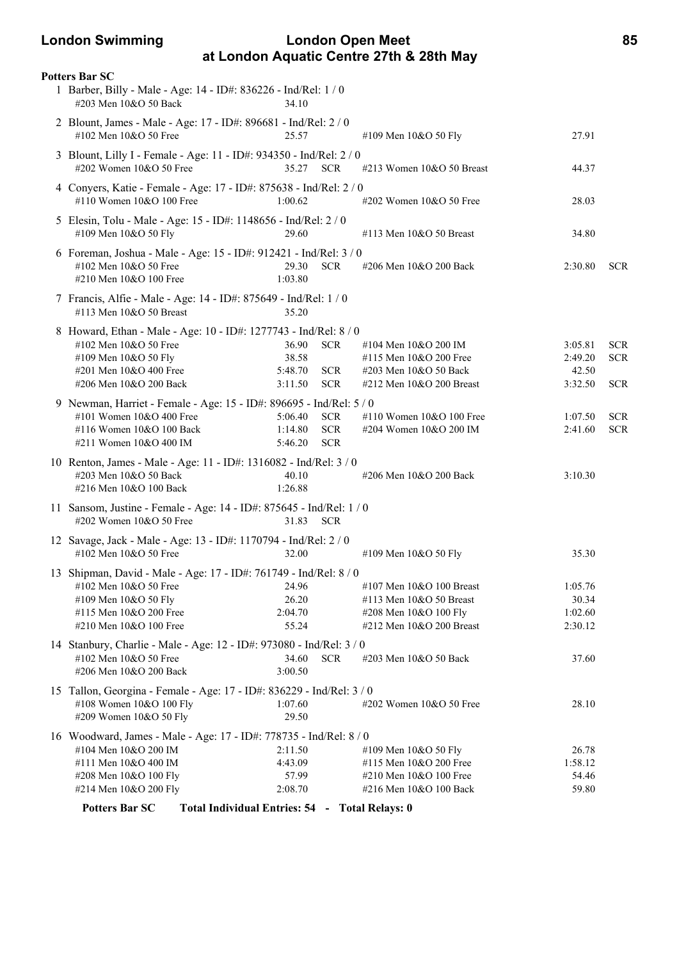### **London Swimming London Open Meet 85 at London Aquatic Centre 27th & 28th May**

| <b>Potters Bar SC</b>                                                                                                                                                  |                                                                                |                                                                                                          |                                        |                                        |
|------------------------------------------------------------------------------------------------------------------------------------------------------------------------|--------------------------------------------------------------------------------|----------------------------------------------------------------------------------------------------------|----------------------------------------|----------------------------------------|
| 1 Barber, Billy - Male - Age: 14 - ID#: 836226 - Ind/Rel: 1 / 0<br>#203 Men 10&O 50 Back                                                                               | 34.10                                                                          |                                                                                                          |                                        |                                        |
| 2 Blount, James - Male - Age: 17 - ID#: 896681 - Ind/Rel: 2 / 0<br>#102 Men 10&O 50 Free                                                                               | 25.57                                                                          | #109 Men 10&O 50 Fly                                                                                     | 27.91                                  |                                        |
| 3 Blount, Lilly I - Female - Age: 11 - ID#: 934350 - Ind/Rel: 2 / 0<br>#202 Women 10&O 50 Free                                                                         | 35.27<br><b>SCR</b>                                                            | #213 Women 10&O 50 Breast                                                                                | 44.37                                  |                                        |
| 4 Conyers, Katie - Female - Age: 17 - ID#: 875638 - Ind/Rel: 2 / 0<br>#110 Women 10&O 100 Free                                                                         | 1:00.62                                                                        | #202 Women 10&O 50 Free                                                                                  | 28.03                                  |                                        |
| 5 Elesin, Tolu - Male - Age: 15 - ID#: 1148656 - Ind/Rel: 2 / 0<br>#109 Men 10&O 50 Fly                                                                                | 29.60                                                                          | #113 Men 10&O 50 Breast                                                                                  | 34.80                                  |                                        |
| 6 Foreman, Joshua - Male - Age: 15 - ID#: 912421 - Ind/Rel: 3 / 0<br>#102 Men 10&O 50 Free<br>#210 Men 10&O 100 Free                                                   | 29.30<br><b>SCR</b><br>1:03.80                                                 | #206 Men 10&O 200 Back                                                                                   | 2:30.80                                | <b>SCR</b>                             |
| 7 Francis, Alfie - Male - Age: 14 - ID#: 875649 - Ind/Rel: 1 / 0<br>$\#113$ Men $10&O$ 50 Breast                                                                       | 35.20                                                                          |                                                                                                          |                                        |                                        |
| 8 Howard, Ethan - Male - Age: 10 - ID#: 1277743 - Ind/Rel: 8 / 0<br>#102 Men 10&O 50 Free<br>#109 Men 10&O 50 Fly<br>#201 Men 10&O 400 Free<br>#206 Men 10&O 200 Back  | 36.90<br><b>SCR</b><br>38.58<br>5:48.70<br><b>SCR</b><br>3:11.50<br><b>SCR</b> | #104 Men 10&O 200 IM<br>#115 Men 10&O 200 Free<br>#203 Men 10&O 50 Back<br>#212 Men 10&O 200 Breast      | 3:05.81<br>2:49.20<br>42.50<br>3:32.50 | <b>SCR</b><br><b>SCR</b><br><b>SCR</b> |
| 9 Newman, Harriet - Female - Age: 15 - ID#: 896695 - Ind/Rel: 5 / 0<br>#101 Women 10&O 400 Free<br>#116 Women 10&O 100 Back<br>#211 Women 10&O 400 IM                  | <b>SCR</b><br>5:06.40<br>1:14.80<br><b>SCR</b><br>5:46.20<br><b>SCR</b>        | #110 Women $10&O 100$ Free<br>#204 Women 10&O 200 IM                                                     | 1:07.50<br>2:41.60                     | <b>SCR</b><br><b>SCR</b>               |
| 10 Renton, James - Male - Age: 11 - ID#: 1316082 - Ind/Rel: 3 / 0<br>#203 Men 10&O 50 Back<br>#216 Men 10&O 100 Back                                                   | 40.10<br>1:26.88                                                               | #206 Men 10&O 200 Back                                                                                   | 3:10.30                                |                                        |
| 11 Sansom, Justine - Female - Age: 14 - ID#: 875645 - Ind/Rel: 1 / 0<br>#202 Women 10&O 50 Free                                                                        | 31.83<br><b>SCR</b>                                                            |                                                                                                          |                                        |                                        |
| 12 Savage, Jack - Male - Age: 13 - ID#: 1170794 - Ind/Rel: 2 / 0<br>#102 Men 10&O 50 Free                                                                              | 32.00                                                                          | #109 Men 10&O 50 Fly                                                                                     | 35.30                                  |                                        |
| 13 Shipman, David - Male - Age: 17 - ID#: 761749 - Ind/Rel: 8 / 0<br>#102 Men 10&O 50 Free<br>#109 Men 10&O 50 Fly<br>#115 Men 10&O 200 Free<br>#210 Men 10&O 100 Free | 24.96<br>26.20<br>2:04.70<br>55.24                                             | #107 Men 10&O 100 Breast<br>#113 Men 10&O 50 Breast<br>#208 Men 10&O 100 Fly<br>#212 Men 10&O 200 Breast | 1:05.76<br>30.34<br>1:02.60<br>2:30.12 |                                        |
| 14 Stanbury, Charlie - Male - Age: 12 - ID#: 973080 - Ind/Rel: 3 / 0<br>#102 Men 10&O 50 Free<br>#206 Men 10&O 200 Back                                                | 34.60<br><b>SCR</b><br>3:00.50                                                 | #203 Men 10&O 50 Back                                                                                    | 37.60                                  |                                        |
| 15 Tallon, Georgina - Female - Age: 17 - ID#: 836229 - Ind/Rel: 3 / 0<br>#108 Women 10&O 100 Fly<br>#209 Women 10&O 50 Fly                                             | 1:07.60<br>29.50                                                               | #202 Women 10&O 50 Free                                                                                  | 28.10                                  |                                        |
| 16 Woodward, James - Male - Age: 17 - ID#: 778735 - Ind/Rel: 8 / 0<br>#104 Men 10&O 200 IM<br>#111 Men 10&O 400 IM<br>#208 Men 10&O 100 Fly<br>#214 Men 10&O 200 Fly   | 2:11.50<br>4:43.09<br>57.99<br>2:08.70                                         | #109 Men 10&O 50 Fly<br>#115 Men 10&O 200 Free<br>#210 Men 10&O 100 Free<br>#216 Men 10&O 100 Back       | 26.78<br>1:58.12<br>54.46<br>59.80     |                                        |
| <b>Potters Bar SC</b>                                                                                                                                                  | Total Individual Entries: 54 - Total Relays: 0                                 |                                                                                                          |                                        |                                        |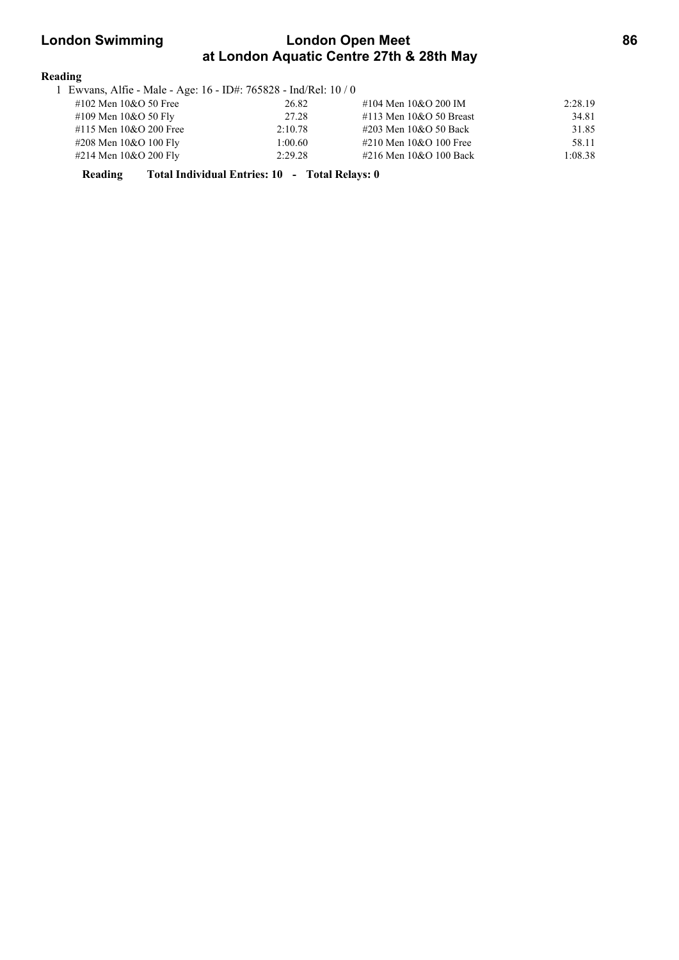### **London Swimming London Open Meet 86 at London Aquatic Centre 27th & 28th May**

#### **Reading**

| 1 Ewvans, Alfie - Male - Age: 16 - ID#: 765828 - Ind/Rel: 10 / 0 |         |                              |         |
|------------------------------------------------------------------|---------|------------------------------|---------|
| #102 Men $10&O$ 50 Free                                          | 26.82   | #104 Men 10&O 200 IM         | 2:28.19 |
| #109 Men $10&O 50$ Fly                                           | 27.28   | $\#113$ Men $10&O$ 50 Breast | 34.81   |
| #115 Men 10&O 200 Free                                           | 2:10.78 | #203 Men 10&O 50 Back        | 31.85   |
| #208 Men 10&O 100 Fly                                            | 1:00.60 | #210 Men 10&O 100 Free       | 58.11   |
| #214 Men 10&O 200 Fly                                            | 2:29.28 | #216 Men 10&O 100 Back       | 1:08.38 |

**Reading Total Individual Entries: 10 - Total Relays: 0**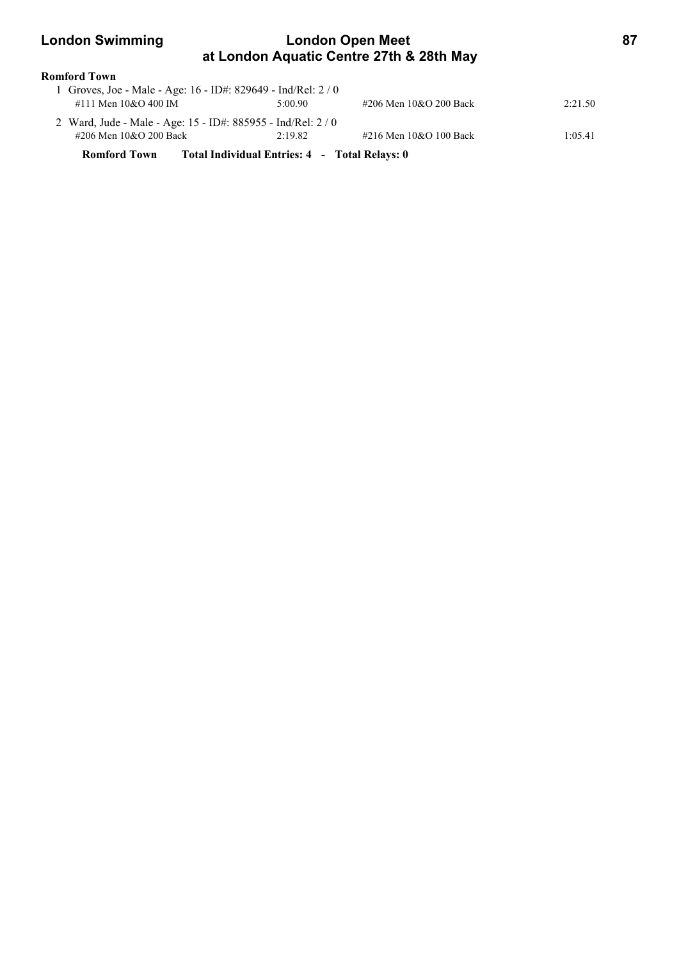### **London Swimming London Open Meet 87 at London Aquatic Centre 27th & 28th May**

| <b>Romford Town</b>    |                                                               |                                               |                        |         |
|------------------------|---------------------------------------------------------------|-----------------------------------------------|------------------------|---------|
|                        | 1 Groves, Joe - Male - Age: 16 - ID#: 829649 - Ind/Rel: 2 / 0 |                                               |                        |         |
| #111 Men 10&O 400 IM   |                                                               | 5:00.90                                       | #206 Men 10&O 200 Back | 2:21.50 |
|                        | 2 Ward, Jude - Male - Age: 15 - ID#: 885955 - Ind/Rel: 2 / 0  |                                               |                        |         |
| #206 Men 10&O 200 Back |                                                               | 2:19.82                                       | #216 Men 10&O 100 Back | 1:05.41 |
| <b>Romford Town</b>    |                                                               | Total Individual Entries: 4 - Total Relays: 0 |                        |         |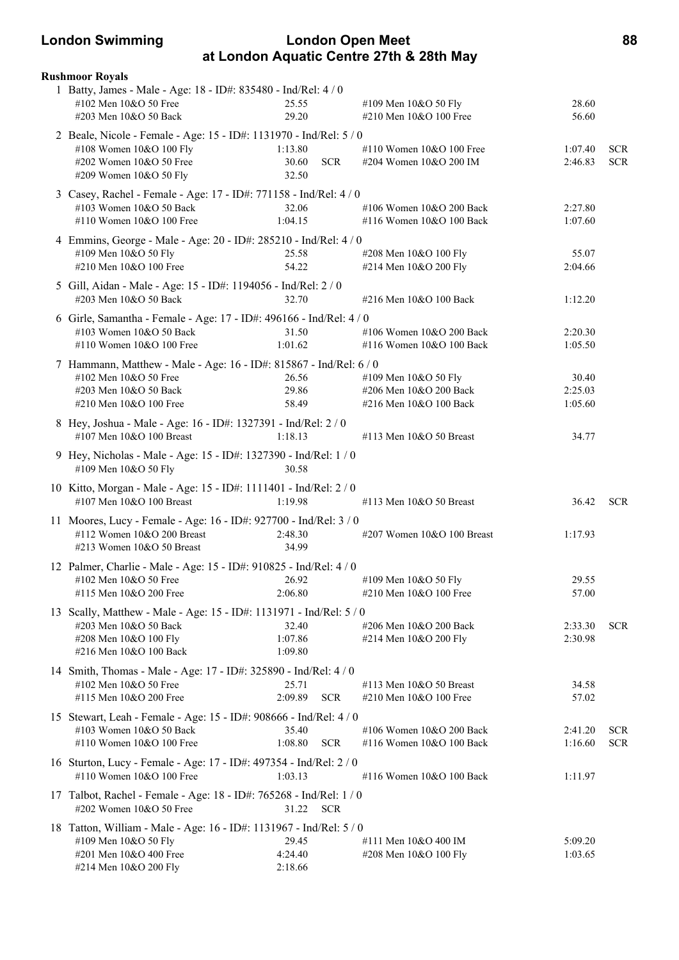### **London Swimming London Open Meet 88 at London Aquatic Centre 27th & 28th May**

| <b>Rushmoor Royals</b>                                                                                                                             |                             |            |                                                                          |                             |                          |
|----------------------------------------------------------------------------------------------------------------------------------------------------|-----------------------------|------------|--------------------------------------------------------------------------|-----------------------------|--------------------------|
| 1 Batty, James - Male - Age: 18 - ID#: 835480 - Ind/Rel: 4 / 0<br>#102 Men 10&O 50 Free<br>#203 Men 10&O 50 Back                                   | 25.55<br>29.20              |            | #109 Men 10&O 50 Fly<br>#210 Men 10&O 100 Free                           | 28.60<br>56.60              |                          |
| 2 Beale, Nicole - Female - Age: 15 - ID#: 1131970 - Ind/Rel: 5 / 0<br>#108 Women 10&O 100 Fly<br>#202 Women 10&O 50 Free<br>#209 Women 10&O 50 Fly | 1:13.80<br>30.60<br>32.50   | <b>SCR</b> | #110 Women 10&O 100 Free<br>#204 Women 10&O 200 IM                       | 1:07.40<br>2:46.83          | <b>SCR</b><br><b>SCR</b> |
| 3 Casey, Rachel - Female - Age: 17 - ID#: 771158 - Ind/Rel: 4 / 0<br>#103 Women 10&O 50 Back<br>#110 Women 10&O 100 Free                           | 32.06<br>1:04.15            |            | #106 Women 10&O 200 Back<br>#116 Women 10&O 100 Back                     | 2:27.80<br>1:07.60          |                          |
| 4 Emmins, George - Male - Age: 20 - ID#: 285210 - Ind/Rel: 4 / 0<br>#109 Men 10&O 50 Fly<br>#210 Men 10&O 100 Free                                 | 25.58<br>54.22              |            | #208 Men 10&O 100 Fly<br>#214 Men 10&O 200 Fly                           | 55.07<br>2:04.66            |                          |
| 5 Gill, Aidan - Male - Age: 15 - ID#: 1194056 - Ind/Rel: 2 / 0<br>#203 Men 10&O 50 Back                                                            | 32.70                       |            | #216 Men 10&O 100 Back                                                   | 1:12.20                     |                          |
| 6 Girle, Samantha - Female - Age: 17 - ID#: 496166 - Ind/Rel: 4 / 0<br>#103 Women 10&O 50 Back<br>#110 Women 10&O 100 Free                         | 31.50<br>1:01.62            |            | #106 Women 10&O 200 Back<br>#116 Women 10&O 100 Back                     | 2:20.30<br>1:05.50          |                          |
| 7 Hammann, Matthew - Male - Age: 16 - ID#: 815867 - Ind/Rel: 6 / 0<br>#102 Men 10&O 50 Free<br>#203 Men 10&O 50 Back<br>#210 Men 10&O 100 Free     | 26.56<br>29.86<br>58.49     |            | #109 Men 10&O 50 Fly<br>#206 Men 10&O 200 Back<br>#216 Men 10&O 100 Back | 30.40<br>2:25.03<br>1:05.60 |                          |
| 8 Hey, Joshua - Male - Age: 16 - ID#: 1327391 - Ind/Rel: 2 / 0<br>#107 Men 10&O 100 Breast                                                         | 1:18.13                     |            | #113 Men 10&O 50 Breast                                                  | 34.77                       |                          |
| 9 Hey, Nicholas - Male - Age: 15 - ID#: 1327390 - Ind/Rel: 1 / 0<br>#109 Men 10&O 50 Fly                                                           | 30.58                       |            |                                                                          |                             |                          |
| 10 Kitto, Morgan - Male - Age: 15 - ID#: 1111401 - Ind/Rel: 2 / 0<br>#107 Men 10&O 100 Breast                                                      | 1:19.98                     |            | #113 Men 10&O 50 Breast                                                  | 36.42                       | <b>SCR</b>               |
| 11 Moores, Lucy - Female - Age: 16 - ID#: 927700 - Ind/Rel: 3 / 0<br>#112 Women 10&O 200 Breast<br>#213 Women 10&O 50 Breast                       | 2:48.30<br>34.99            |            | #207 Women 10&O 100 Breast                                               | 1:17.93                     |                          |
| 12 Palmer, Charlie - Male - Age: 15 - ID#: 910825 - Ind/Rel: 4 / 0<br>$\text{\#}102$ Men $10\&O$ 50 Free 26.92<br>#115 Men 10&O 200 Free           | 2:06.80                     |            | #109 Men 10&O 50 Fly<br>#210 Men 10&O 100 Free                           | 29.55<br>57.00              |                          |
| 13 Scally, Matthew - Male - Age: 15 - ID#: 1131971 - Ind/Rel: 5 / 0<br>#203 Men 10&O 50 Back<br>#208 Men 10&O 100 Fly<br>#216 Men 10&O 100 Back    | 32.40<br>1:07.86<br>1:09.80 |            | #206 Men 10&O 200 Back<br>#214 Men 10&O 200 Fly                          | 2:33.30<br>2:30.98          | <b>SCR</b>               |
| 14 Smith, Thomas - Male - Age: 17 - ID#: 325890 - Ind/Rel: 4 / 0<br>#102 Men 10&O 50 Free<br>#115 Men 10&O 200 Free                                | 25.71<br>2:09.89            | <b>SCR</b> | #113 Men 10&O 50 Breast<br>#210 Men 10&O 100 Free                        | 34.58<br>57.02              |                          |
| 15 Stewart, Leah - Female - Age: 15 - ID#: 908666 - Ind/Rel: 4 / 0<br>#103 Women 10&O 50 Back<br>#110 Women 10&O 100 Free                          | 35.40<br>1:08.80            | <b>SCR</b> | #106 Women 10&O 200 Back<br>#116 Women 10&O 100 Back                     | 2:41.20<br>1:16.60          | <b>SCR</b><br><b>SCR</b> |
| 16 Sturton, Lucy - Female - Age: 17 - ID#: 497354 - Ind/Rel: 2 / 0<br>#110 Women 10&O 100 Free                                                     | 1:03.13                     |            | #116 Women 10&O 100 Back                                                 | 1:11.97                     |                          |
| 17 Talbot, Rachel - Female - Age: 18 - ID#: 765268 - Ind/Rel: 1 / 0<br>#202 Women 10&O 50 Free                                                     | 31.22 SCR                   |            |                                                                          |                             |                          |
| 18 Tatton, William - Male - Age: 16 - ID#: 1131967 - Ind/Rel: 5 / 0<br>#109 Men 10&O 50 Fly<br>#201 Men 10&O 400 Free<br>#214 Men 10&O 200 Fly     | 29.45<br>4:24.40<br>2:18.66 |            | #111 Men 10&O 400 IM<br>#208 Men 10&O 100 Fly                            | 5:09.20<br>1:03.65          |                          |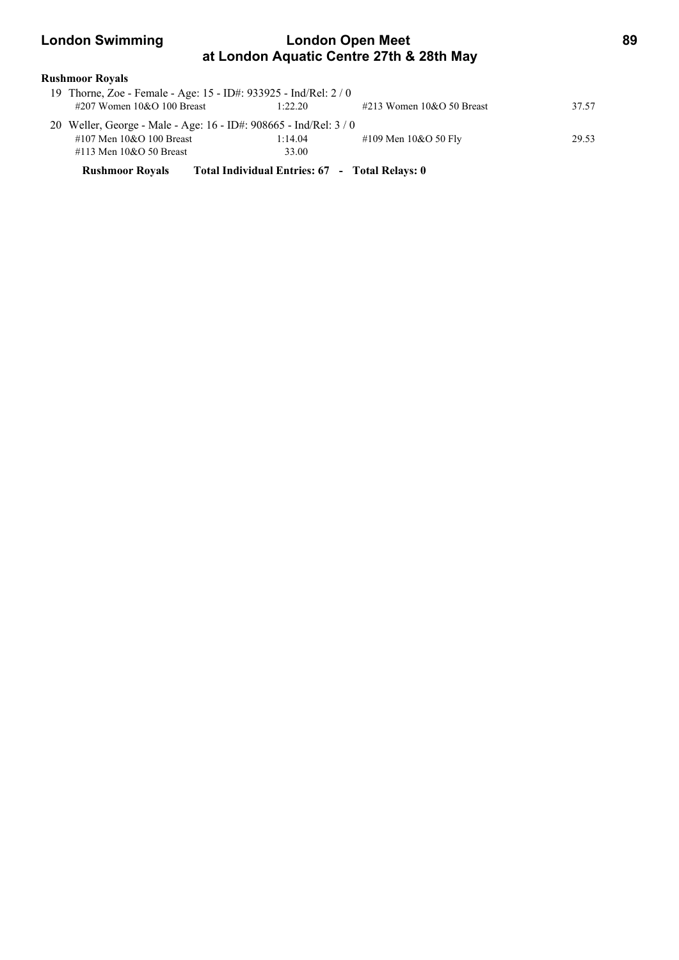### **London Swimming London Open Meet 89 at London Aquatic Centre 27th & 28th May**

| Rushmoor Royals |  |
|-----------------|--|
|-----------------|--|

| #207 Women 10&O 100 Breast   | 19 Thorne, Zoe - Female - Age: 15 - ID#: 933925 - Ind/Rel: 2 / 0<br>1:22.20 | $\#213$ Women 10&O 50 Breast | 37.57 |
|------------------------------|-----------------------------------------------------------------------------|------------------------------|-------|
|                              | 20 Weller, George - Male - Age: 16 - ID#: 908665 - Ind/Rel: 3 / 0           |                              |       |
| #107 Men 10&O 100 Breast     | 1:14.04                                                                     | #109 Men 10&O 50 Fly         | 29.53 |
| $\#113$ Men $10&O$ 50 Breast | 33.00                                                                       |                              |       |
| <b>Rushmoor Royals</b>       | Total Individual Entries: 67 - Total Relays: 0                              |                              |       |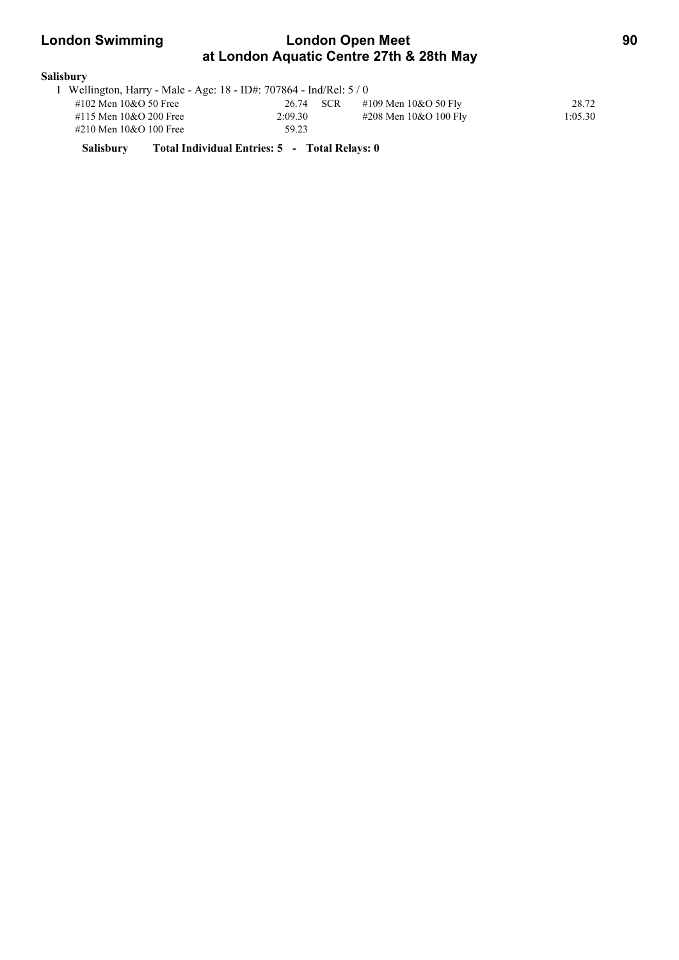### **London Swimming London Open Meet 90 at London Aquatic Centre 27th & 28th May**

#### **Salisbury**

| 1 Wellington, Harry - Male - Age: 18 - ID#: 707864 - Ind/Rel: 5 / 0 |           |                         |         |
|---------------------------------------------------------------------|-----------|-------------------------|---------|
| #102 Men $10&O$ 50 Free                                             | 26.74 SCR | #109 Men $10&O 50$ Fly  | 28.72   |
| #115 Men 10&O 200 Free                                              | 2:09.30   | #208 Men $10&O 100$ Fly | 1:05.30 |
| #210 Men 10&O 100 Free                                              | 59.23     |                         |         |

**Salisbury Total Individual Entries: 5 - Total Relays: 0**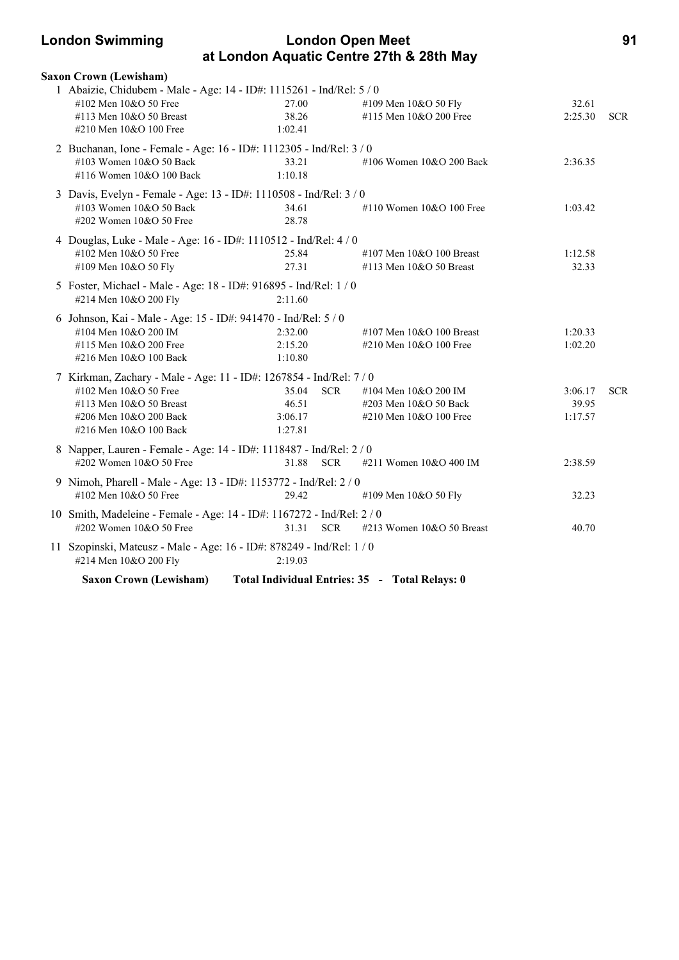| <b>London Open Meet</b><br><b>London Swimming</b> |                                                                        |                    |            |                                          |         | 91         |
|---------------------------------------------------|------------------------------------------------------------------------|--------------------|------------|------------------------------------------|---------|------------|
|                                                   |                                                                        |                    |            | at London Aquatic Centre 27th & 28th May |         |            |
|                                                   | <b>Saxon Crown (Lewisham)</b>                                          |                    |            |                                          |         |            |
|                                                   | 1 Abaizie, Chidubem - Male - Age: 14 - ID#: 1115261 - Ind/Rel: 5 / 0   |                    |            |                                          |         |            |
|                                                   | #102 Men 10&O 50 Free                                                  | 27.00              |            | #109 Men 10&O 50 Fly                     | 32.61   |            |
|                                                   | #113 Men 10&O 50 Breast                                                | 38.26              |            | #115 Men 10&O 200 Free                   | 2:25.30 | <b>SCR</b> |
|                                                   | #210 Men 10&O 100 Free                                                 | 1:02.41            |            |                                          |         |            |
|                                                   | 2 Buchanan, Ione - Female - Age: 16 - ID#: 1112305 - Ind/Rel: 3 / 0    |                    |            |                                          |         |            |
|                                                   | $\#103$ Women $10&O$ 50 Back                                           | 33.21              |            | $\#106$ Women $10&O$ 200 Back            | 2:36.35 |            |
|                                                   | #116 Women 10&O 100 Back                                               | 1:10.18            |            |                                          |         |            |
|                                                   | 3 Davis, Evelyn - Female - Age: 13 - ID#: 1110508 - Ind/Rel: 3 / 0     |                    |            |                                          |         |            |
|                                                   | #103 Women 10&O 50 Back                                                | 34.61              |            | #110 Women $10&O 100$ Free               | 1:03.42 |            |
|                                                   | #202 Women 10&O 50 Free                                                | 28.78              |            |                                          |         |            |
|                                                   | 4 Douglas, Luke - Male - Age: 16 - ID#: 1110512 - Ind/Rel: 4 / 0       |                    |            |                                          |         |            |
|                                                   | #102 Men 10&O 50 Free                                                  | 25.84              |            | #107 Men $10&O$ 100 Breast               | 1:12.58 |            |
|                                                   | #109 Men 10&O 50 Fly                                                   | 27.31              |            | #113 Men 10&O 50 Breast                  | 32.33   |            |
|                                                   | 5 Foster, Michael - Male - Age: 18 - ID#: 916895 - Ind/Rel: 1 / 0      |                    |            |                                          |         |            |
|                                                   | #214 Men 10&O 200 Fly                                                  | 2:11.60            |            |                                          |         |            |
|                                                   |                                                                        |                    |            |                                          |         |            |
|                                                   | 6 Johnson, Kai - Male - Age: 15 - ID#: 941470 - Ind/Rel: 5 / 0         |                    |            |                                          |         |            |
|                                                   | #104 Men 10&O 200 IM                                                   | 2:32.00            |            | #107 Men $10&O$ 100 Breast               | 1:20.33 |            |
|                                                   | #115 Men 10&O 200 Free<br>#216 Men 10&O 100 Back                       | 2:15.20<br>1:10.80 |            | #210 Men 10&O 100 Free                   | 1:02.20 |            |
|                                                   |                                                                        |                    |            |                                          |         |            |
|                                                   | 7 Kirkman, Zachary - Male - Age: 11 - ID#: 1267854 - Ind/Rel: 7 / 0    |                    |            |                                          |         |            |
|                                                   | #102 Men 10&O 50 Free                                                  | 35.04              | <b>SCR</b> | #104 Men 10&O 200 IM                     | 3:06.17 | <b>SCR</b> |
|                                                   | #113 Men $10&O$ 50 Breast                                              | 46.51              |            | #203 Men 10&O 50 Back                    | 39.95   |            |
|                                                   | #206 Men 10&O 200 Back                                                 | 3:06.17            |            | #210 Men 10&O 100 Free                   | 1:17.57 |            |
|                                                   | #216 Men 10&O 100 Back                                                 | 1:27.81            |            |                                          |         |            |
|                                                   | 8 Napper, Lauren - Female - Age: 14 - ID#: 1118487 - Ind/Rel: 2 / 0    |                    |            |                                          |         |            |
|                                                   | #202 Women 10&O 50 Free                                                | 31.88              | <b>SCR</b> | #211 Women 10&O 400 IM                   | 2:38.59 |            |
|                                                   | 9 Nimoh, Pharell - Male - Age: 13 - ID#: 1153772 - Ind/Rel: 2 / 0      |                    |            |                                          |         |            |
|                                                   | #102 Men 10&O 50 Free                                                  | 29.42              |            | #109 Men 10&O 50 Fly                     | 32.23   |            |
|                                                   | 10 Smith, Madeleine - Female - Age: 14 - ID#: 1167272 - Ind/Rel: 2 / 0 |                    |            |                                          |         |            |
|                                                   | #202 Women $10&O$ 50 Free                                              | 31.31 SCR          |            | #213 Women 10&O 50 Breast                | 40.70   |            |
|                                                   | 11 Szopinski, Mateusz - Male - Age: 16 - ID#: 878249 - Ind/Rel: 1 / 0  |                    |            |                                          |         |            |
|                                                   | #214 Men 10&O 200 Fly                                                  | 2:19.03            |            |                                          |         |            |

**Saxon Crown (Lewisham) Total Individual Entries: 35 - Total Relays: 0**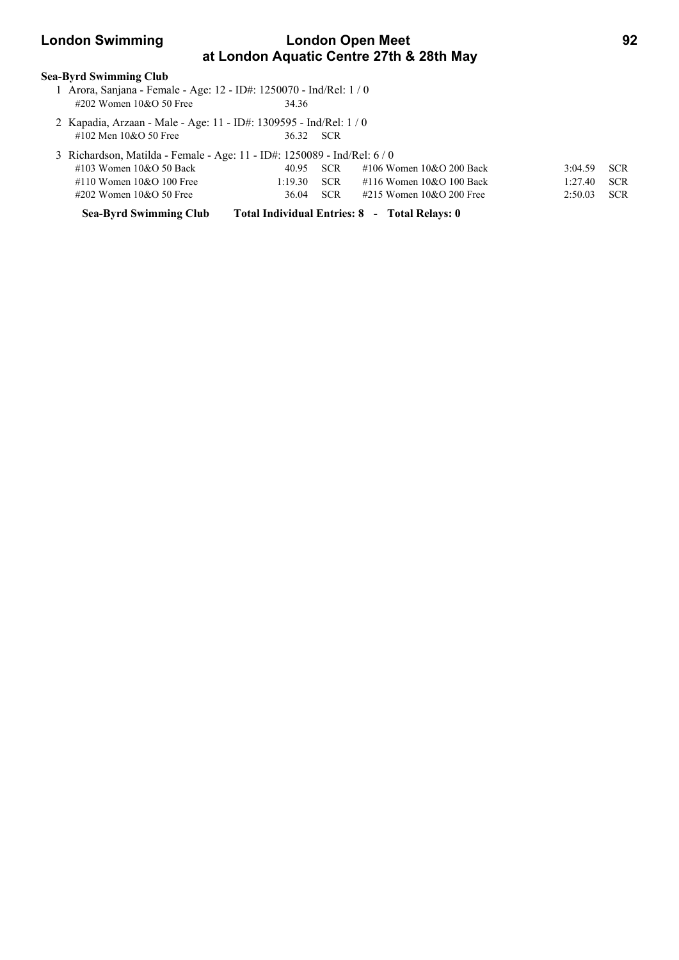## **London Swimming Condon Open Meet 622 Condon Swimming 62 at London Aquatic Centre 27th & 28th May**

#### **Sea-Byrd Swimming Club**

- 1 Arora, Sanjana Female Age: 12 ID#: 1250070 Ind/Rel: 1 / 0 #202 Women 10&O 50 Free 34.36
- 2 Kapadia, Arzaan Male Age: 11 ID#: 1309595 Ind/Rel: 1 / 0 #102 Men 10&O 50 Free 36.32 SCR

| 3 Richardson, Matilda - Female - Age: 11 - ID#: 1250089 - Ind/Rel: 6/0 |               |           |                                    |               |  |  |
|------------------------------------------------------------------------|---------------|-----------|------------------------------------|---------------|--|--|
| #103 Women 10&O 50 Back                                                |               | 40.95 SCR | #106 Women 10&O 200 Back           | $3:04.59$ SCR |  |  |
| #110 Women $10&O 100$ Free                                             | $1:19.30$ SCR |           | $\#116$ Women $10&O$ 100 Back      | $1:27.40$ SCR |  |  |
| $\#202$ Women 10&O 50 Free                                             |               |           | 36.04 SCR #215 Women 10&O 200 Free | $2:50.03$ SCR |  |  |

**Sea-Byrd Swimming Club Total Individual Entries: 8 - Total Relays: 0**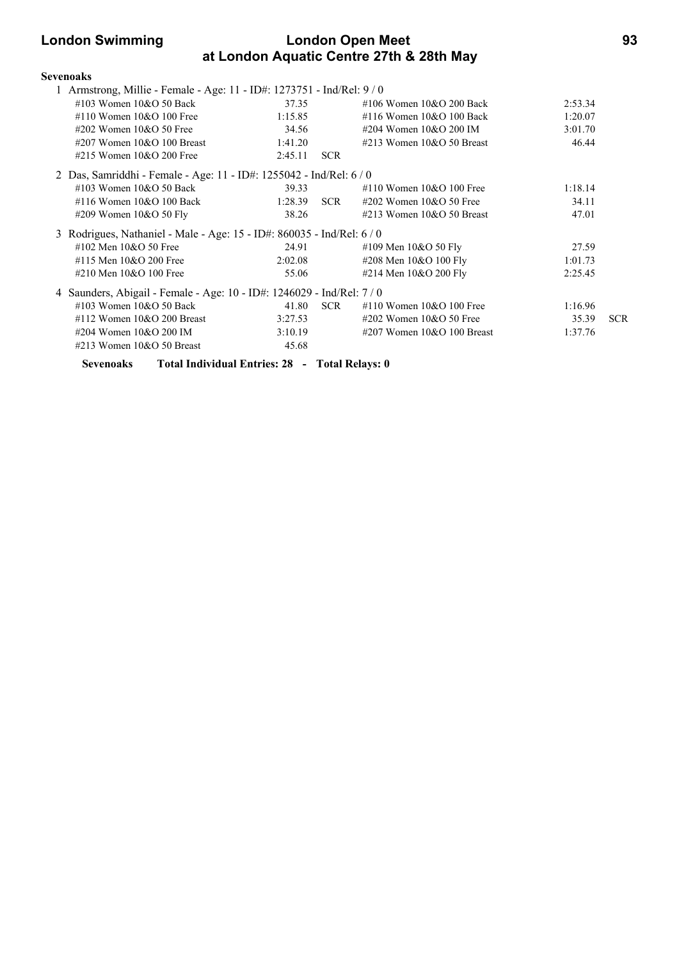### **London Swimming London Open Meet 93 at London Aquatic Centre 27th & 28th May**

| <b>Sevenoaks</b>                                                       |         |                  |                                |         |            |
|------------------------------------------------------------------------|---------|------------------|--------------------------------|---------|------------|
| 1 Armstrong, Millie - Female - Age: 11 - ID#: 1273751 - Ind/Rel: 9 / 0 |         |                  |                                |         |            |
| $\#103$ Women $10\&O$ 50 Back                                          | 37.35   |                  | #106 Women 10&O 200 Back       | 2:53.34 |            |
| #110 Women $10\&O$ 100 Free                                            | 1:15.85 |                  | #116 Women $10&O$ 100 Back     | 1:20.07 |            |
| #202 Women $10&O$ 50 Free                                              | 34.56   |                  | #204 Women $10&O$ 200 IM       | 3:01.70 |            |
| $\#207$ Women 10&O 100 Breast                                          | 1:41.20 |                  | $\#213$ Women $10&O$ 50 Breast | 46.44   |            |
| #215 Women $10&O$ 200 Free                                             | 2:45.11 | <b>SCR</b>       |                                |         |            |
| 2 Das, Samriddhi - Female - Age: 11 - ID#: 1255042 - Ind/Rel: 6 / 0    |         |                  |                                |         |            |
| #103 Women $10&O$ 50 Back                                              | 39.33   |                  | #110 Women $10&O$ 100 Free     | 1:18.14 |            |
| #116 Women $10&O$ 100 Back                                             | 1:28.39 | SCR <sub>1</sub> | $\#202$ Women 10&O 50 Free     | 34.11   |            |
| #209 Women 10&O 50 Fly                                                 | 38.26   |                  | #213 Women $10&O$ 50 Breast    | 47.01   |            |
| 3 Rodrigues, Nathaniel - Male - Age: 15 - ID#: 860035 - Ind/Rel: 6 / 0 |         |                  |                                |         |            |
| #102 Men $10\&O$ 50 Free                                               | 24.91   |                  | #109 Men 10&O 50 Fly           | 27.59   |            |
| #115 Men 10&O 200 Free                                                 | 2:02.08 |                  | #208 Men 10&O 100 Fly          | 1:01.73 |            |
| #210 Men 10&O 100 Free                                                 | 55.06   |                  | #214 Men 10&O 200 Fly          | 2:25.45 |            |
| 4 Saunders, Abigail - Female - Age: 10 - ID#: 1246029 - Ind/Rel: 7 / 0 |         |                  |                                |         |            |
| #103 Women $10&O$ 50 Back                                              | 41.80   | <b>SCR</b>       | #110 Women $10&O$ 100 Free     | 1:16.96 |            |
| $\#112$ Women 10&O 200 Breast                                          | 3:27.53 |                  | $\#202$ Women 10&O 50 Free     | 35.39   | <b>SCR</b> |
| #204 Women 10&O 200 IM                                                 | 3:10.19 |                  | $\#207$ Women 10&O 100 Breast  | 1:37.76 |            |
| #213 Women $10&O$ 50 Breast                                            | 45.68   |                  |                                |         |            |
| Total Individual Entries: 28 - Total Relays: 0<br><b>Sevenoaks</b>     |         |                  |                                |         |            |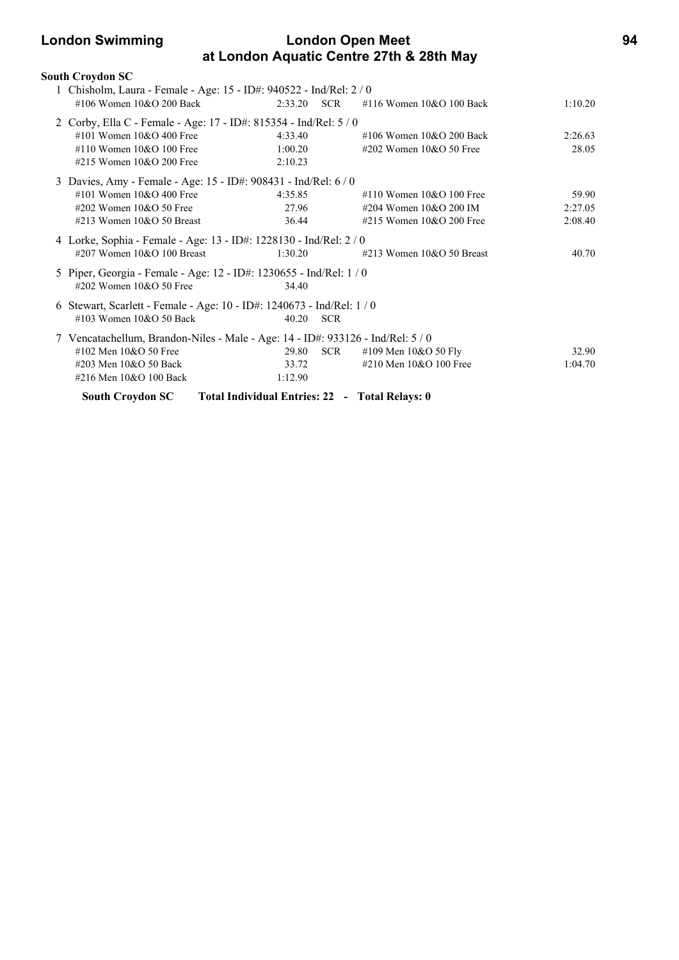### **London Swimming London Open Meet 94 at London Aquatic Centre 27th & 28th May**

|   | South Croydon SC                                                                |         |            |                                                |         |
|---|---------------------------------------------------------------------------------|---------|------------|------------------------------------------------|---------|
|   | 1 Chisholm, Laura - Female - Age: 15 - ID#: 940522 - Ind/Rel: 2 / 0             |         |            |                                                |         |
|   | $\#106$ Women $10\&O$ 200 Back                                                  | 2:33.20 | <b>SCR</b> | #116 Women 10&O 100 Back                       | 1:10.20 |
|   | Corby, Ella C - Female - Age: 17 - ID#: 815354 - Ind/Rel: 5 / 0                 |         |            |                                                |         |
|   | #101 Women $10&O$ 400 Free                                                      | 4:33.40 |            | #106 Women $10&O$ 200 Back                     | 2:26.63 |
|   | #110 Women $10&O 100$ Free                                                      | 1:00.20 |            | #202 Women $10&O$ 50 Free                      | 28.05   |
|   | #215 Women $10&O$ 200 Free                                                      | 2:10.23 |            |                                                |         |
|   | 3 Davies, Amy - Female - Age: 15 - ID#: 908431 - Ind/Rel: 6 / 0                 |         |            |                                                |         |
|   | #101 Women $10&O$ 400 Free                                                      | 4:35.85 |            | #110 Women $10&O$ 100 Free                     | 59.90   |
|   | #202 Women $10&O$ 50 Free                                                       |         | 27.96      | #204 Women 10&O 200 IM                         | 2:27.05 |
|   | #213 Women $10&O$ 50 Breast                                                     | 36.44   |            | #215 Women $10&O$ 200 Free                     | 2:08.40 |
|   | 4 Lorke, Sophia - Female - Age: 13 - ID#: 1228130 - Ind/Rel: 2/0                |         |            |                                                |         |
|   | $\#207$ Women 10&O 100 Breast                                                   | 1:30.20 |            | #213 Women $10&O$ 50 Breast                    | 40.70   |
|   | 5 Piper, Georgia - Female - Age: 12 - ID#: 1230655 - Ind/Rel: 1 / 0             |         |            |                                                |         |
|   | #202 Women 10&O 50 Free                                                         | 34.40   |            |                                                |         |
| 6 | Stewart, Scarlett - Female - Age: 10 - ID#: 1240673 - Ind/Rel: 1 / 0            |         |            |                                                |         |
|   | #103 Women $10&O$ 50 Back                                                       | 40.20   | <b>SCR</b> |                                                |         |
|   | 7 Vencatachellum, Brandon-Niles - Male - Age: 14 - ID#: 933126 - Ind/Rel: 5 / 0 |         |            |                                                |         |
|   | #102 Men 10&O 50 Free                                                           | 29.80   | <b>SCR</b> | #109 Men 10&O 50 Fly                           | 32.90   |
|   | #203 Men 10&O 50 Back                                                           | 33.72   |            | #210 Men 10&O 100 Free                         | 1:04.70 |
|   | #216 Men 10&O 100 Back                                                          | 1:12.90 |            |                                                |         |
|   | <b>South Croydon SC</b>                                                         |         |            | Total Individual Entries: 22 - Total Relays: 0 |         |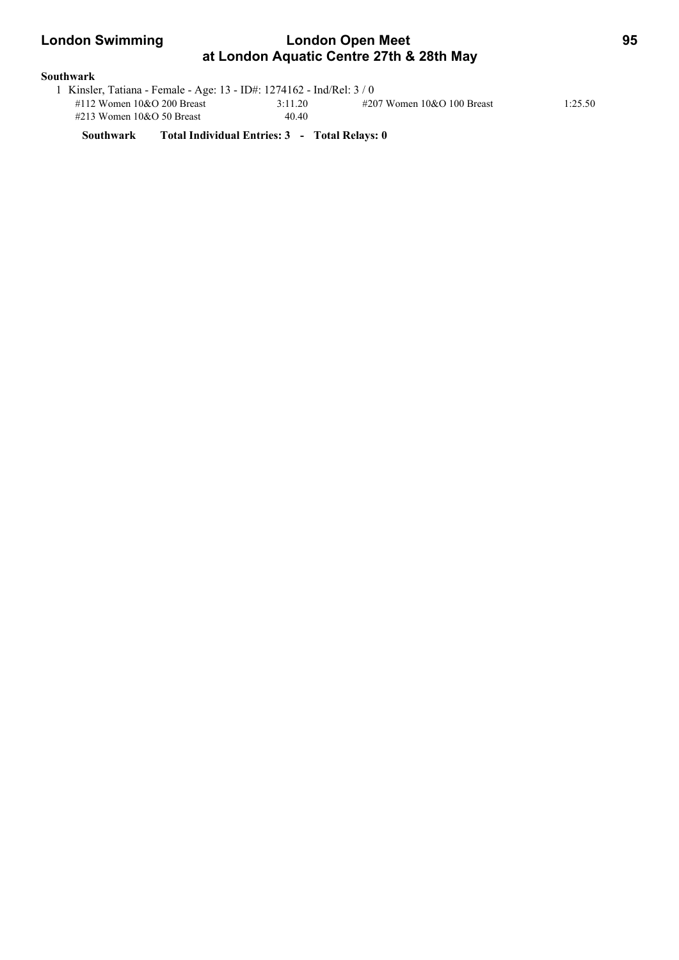| <b>London Swimming</b> | <b>London Open Meet</b>                                               | 95 |
|------------------------|-----------------------------------------------------------------------|----|
|                        | at London Aquatic Centre 27th & 28th May                              |    |
| <b>Southwark</b>       |                                                                       |    |
|                        | 1 Kinsler, Tatiana - Female - Age: 13 - ID#: 1274162 - Ind/Rel: 3 / 0 |    |

| 1 Kinsler, Tatiana - Female - Age: 13 - ID#: 1274162 - Ind/Rel: 3 / 0 |         |                               |         |  |
|-----------------------------------------------------------------------|---------|-------------------------------|---------|--|
| #112 Women $10&O$ 200 Breast                                          | 3:11.20 | $\#207$ Women 10&O 100 Breast | 1:25.50 |  |
| $\#213$ Women 10&O 50 Breast                                          | 40.40   |                               |         |  |

**Southwark Total Individual Entries: 3 - Total Relays: 0**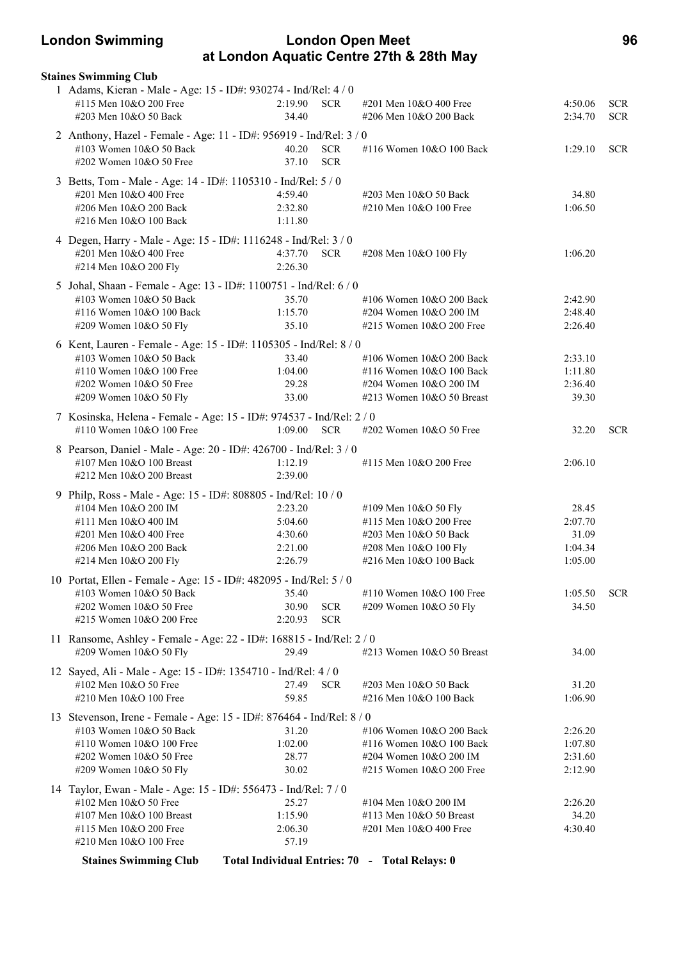### **London Swimming London Open Meet 96 at London Aquatic Centre 27th & 28th May**

| <b>Staines Swimming Club</b>                                                                                                                                                                |                                                     |                          |                                                                                                                              |                                                 |                          |
|---------------------------------------------------------------------------------------------------------------------------------------------------------------------------------------------|-----------------------------------------------------|--------------------------|------------------------------------------------------------------------------------------------------------------------------|-------------------------------------------------|--------------------------|
| 1 Adams, Kieran - Male - Age: 15 - ID#: 930274 - Ind/Rel: 4 / 0<br>#115 Men 10&O 200 Free<br>#203 Men 10&O 50 Back                                                                          | 2:19.90<br>34.40                                    | <b>SCR</b>               | #201 Men 10&O 400 Free<br>#206 Men 10&O 200 Back                                                                             | 4:50.06<br>2:34.70                              | <b>SCR</b><br><b>SCR</b> |
| 2 Anthony, Hazel - Female - Age: 11 - ID#: 956919 - Ind/Rel: 3 / 0<br>#103 Women 10&O 50 Back<br>#202 Women 10&O 50 Free                                                                    | 40.20<br>37.10                                      | <b>SCR</b><br><b>SCR</b> | #116 Women 10&O 100 Back                                                                                                     | 1:29.10                                         | <b>SCR</b>               |
| 3 Betts, Tom - Male - Age: 14 - ID#: 1105310 - Ind/Rel: 5 / 0<br>#201 Men 10&O 400 Free<br>#206 Men 10&O 200 Back<br>#216 Men 10&O 100 Back                                                 | 4:59.40<br>2:32.80<br>1:11.80                       |                          | #203 Men 10&O 50 Back<br>#210 Men 10&O 100 Free                                                                              | 34.80<br>1:06.50                                |                          |
| 4 Degen, Harry - Male - Age: 15 - ID#: 1116248 - Ind/Rel: 3 / 0<br>#201 Men 10&O 400 Free<br>#214 Men 10&O 200 Fly                                                                          | 4:37.70<br>2:26.30                                  | <b>SCR</b>               | #208 Men 10&O 100 Fly                                                                                                        | 1:06.20                                         |                          |
| 5 Johal, Shaan - Female - Age: 13 - ID#: 1100751 - Ind/Rel: 6 / 0<br>#103 Women 10&O 50 Back<br>#116 Women 10&O 100 Back<br>#209 Women 10&O 50 Fly                                          | 35.70<br>1:15.70<br>35.10                           |                          | #106 Women 10&O 200 Back<br>#204 Women 10&O 200 IM<br>#215 Women 10&O 200 Free                                               | 2:42.90<br>2:48.40<br>2:26.40                   |                          |
| 6 Kent, Lauren - Female - Age: 15 - ID#: 1105305 - Ind/Rel: 8 / 0<br>#103 Women 10&O 50 Back<br>#110 Women 10&O 100 Free<br>#202 Women 10&O 50 Free<br>#209 Women 10&O 50 Fly               | 33.40<br>1:04.00<br>29.28<br>33.00                  |                          | #106 Women 10&O 200 Back<br>#116 Women 10&O 100 Back<br>#204 Women 10&O 200 IM<br>#213 Women 10&O 50 Breast                  | 2:33.10<br>1:11.80<br>2:36.40<br>39.30          |                          |
| 7 Kosinska, Helena - Female - Age: 15 - ID#: 974537 - Ind/Rel: 2 / 0<br>#110 Women 10&O 100 Free                                                                                            | 1:09.00                                             | <b>SCR</b>               | #202 Women 10&O 50 Free                                                                                                      | 32.20                                           | <b>SCR</b>               |
| 8 Pearson, Daniel - Male - Age: 20 - ID#: 426700 - Ind/Rel: 3 / 0<br>#107 Men 10&O 100 Breast<br>#212 Men 10&O 200 Breast                                                                   | 1:12.19<br>2:39.00                                  |                          | #115 Men 10&O 200 Free                                                                                                       | 2:06.10                                         |                          |
| 9 Philp, Ross - Male - Age: 15 - ID#: 808805 - Ind/Rel: 10 / 0<br>#104 Men 10&O 200 IM<br>#111 Men 10&O 400 IM<br>#201 Men 10&O 400 Free<br>#206 Men 10&O 200 Back<br>#214 Men 10&O 200 Fly | 2:23.20<br>5:04.60<br>4:30.60<br>2:21.00<br>2:26.79 |                          | #109 Men 10&O 50 Fly<br>#115 Men $10&O$ 200 Free<br>#203 Men 10&O 50 Back<br>#208 Men 10&O 100 Fly<br>#216 Men 10&O 100 Back | 28.45<br>2:07.70<br>31.09<br>1:04.34<br>1:05.00 |                          |
| 10 Portat, Ellen - Female - Age: 15 - ID#: 482095 - Ind/Rel: 5 / 0<br>#103 Women 10&O 50 Back<br>#202 Women 10&O 50 Free<br>#215 Women 10&O 200 Free                                        | 35.40<br>30.90<br>2:20.93                           | <b>SCR</b><br><b>SCR</b> | #110 Women 10&O 100 Free<br>#209 Women 10&O 50 Fly                                                                           | 1:05.50<br>34.50                                | <b>SCR</b>               |
| 11 Ransome, Ashley - Female - Age: 22 - ID#: 168815 - Ind/Rel: 2 / 0<br>#209 Women 10&O 50 Fly                                                                                              | 29.49                                               |                          | #213 Women 10&O 50 Breast                                                                                                    | 34.00                                           |                          |
| 12 Sayed, Ali - Male - Age: 15 - ID#: 1354710 - Ind/Rel: 4 / 0<br>#102 Men 10&O 50 Free<br>#210 Men 10&O 100 Free                                                                           | 27.49<br>59.85                                      | <b>SCR</b>               | #203 Men 10&O 50 Back<br>#216 Men 10&O 100 Back                                                                              | 31.20<br>1:06.90                                |                          |
| 13 Stevenson, Irene - Female - Age: 15 - ID#: 876464 - Ind/Rel: 8 / 0<br>#103 Women 10&O 50 Back<br>#110 Women 10&O 100 Free<br>#202 Women 10&O 50 Free<br>#209 Women 10&O 50 Fly           | 31.20<br>1:02.00<br>28.77<br>30.02                  |                          | #106 Women 10&O 200 Back<br>#116 Women 10&O 100 Back<br>#204 Women 10&O 200 IM<br>#215 Women 10&O 200 Free                   | 2:26.20<br>1:07.80<br>2:31.60<br>2:12.90        |                          |
| 14 Taylor, Ewan - Male - Age: 15 - ID#: 556473 - Ind/Rel: 7 / 0<br>#102 Men 10&O 50 Free<br>#107 Men 10&O 100 Breast<br>#115 Men 10&O 200 Free<br>#210 Men 10&O 100 Free                    | 25.27<br>1:15.90<br>2:06.30<br>57.19                |                          | #104 Men 10&O 200 IM<br>#113 Men 10&O 50 Breast<br>#201 Men 10&O 400 Free                                                    | 2:26.20<br>34.20<br>4:30.40                     |                          |
| <b>Staines Swimming Club</b>                                                                                                                                                                |                                                     |                          | Total Individual Entries: 70 - Total Relays: 0                                                                               |                                                 |                          |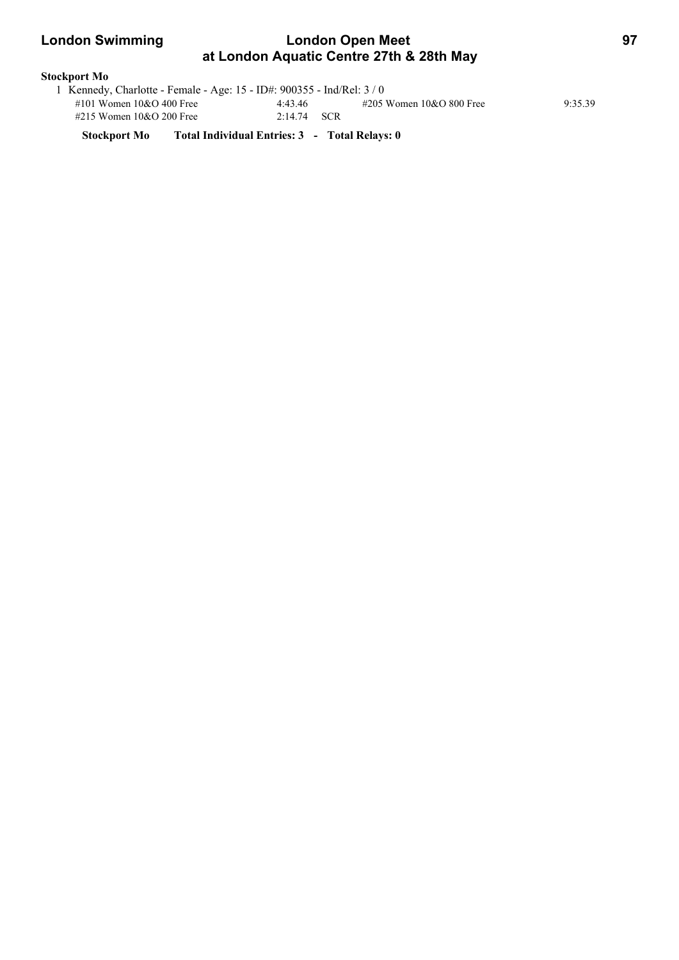### **London Swimming London Open Meet 97 at London Aquatic Centre 27th & 28th May**

# **Stockport Mo**

| 1 Kennedy, Charlotte - Female - Age: 15 - ID#: 900355 - Ind/Rel: 3 / 0 |               |                          |         |
|------------------------------------------------------------------------|---------------|--------------------------|---------|
| #101 Women $10&O$ 400 Free                                             | 4:43.46       | #205 Women 10&O 800 Free | 9:35.39 |
| #215 Women $10&O$ 200 Free                                             | $2:14.74$ SCR |                          |         |

**Stockport Mo Total Individual Entries: 3 - Total Relays: 0**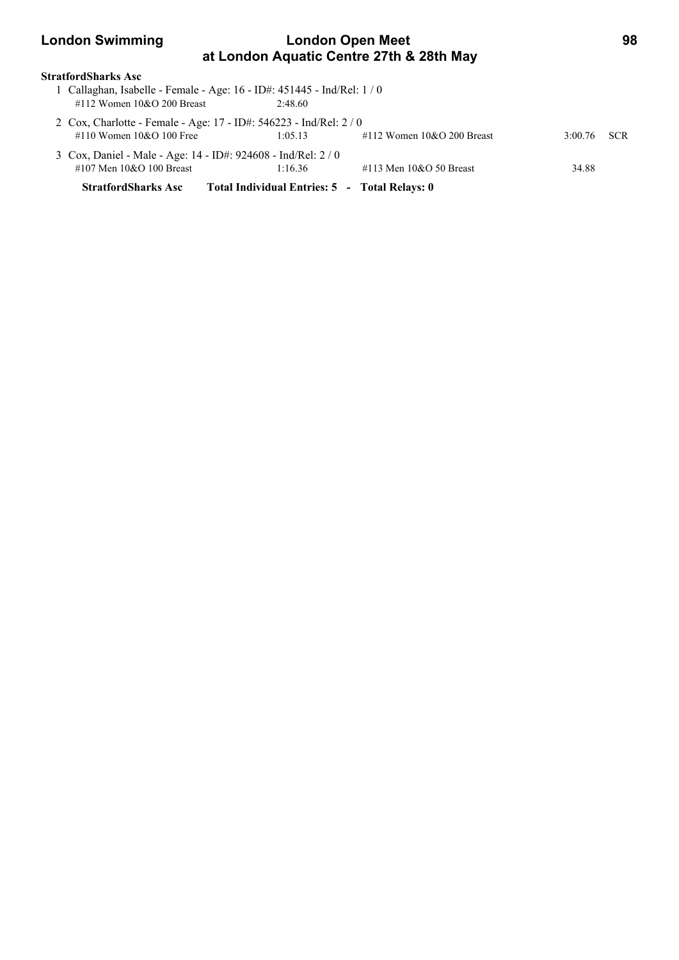### **London Swimming London Open Meet 98 at London Aquatic Centre 27th & 28th May**

### **StratfordSharks Asc**

| <b>StratfordSharks Asc</b>                                                                            | Total Individual Entries: 5 - Total Relays: 0 |                              |         |            |
|-------------------------------------------------------------------------------------------------------|-----------------------------------------------|------------------------------|---------|------------|
| #107 Men $10&O$ 100 Breast                                                                            | 1:16.36                                       | #113 Men $10&O$ 50 Breast    | 34.88   |            |
| 3 Cox, Daniel - Male - Age: 14 - ID#: 924608 - Ind/Rel: 2 / 0                                         |                                               |                              |         |            |
| 2 Cox, Charlotte - Female - Age: 17 - ID#: 546223 - Ind/Rel: 2/0<br>#110 Women $10&O 100$ Free        | 1:05.13                                       | #112 Women $10&O$ 200 Breast | 3:00.76 | <b>SCR</b> |
| 1 Callaghan, Isabelle - Female - Age: 16 - ID#: 451445 - Ind/Rel: 1/0<br>#112 Women $10&O$ 200 Breast | 2.48.60                                       |                              |         |            |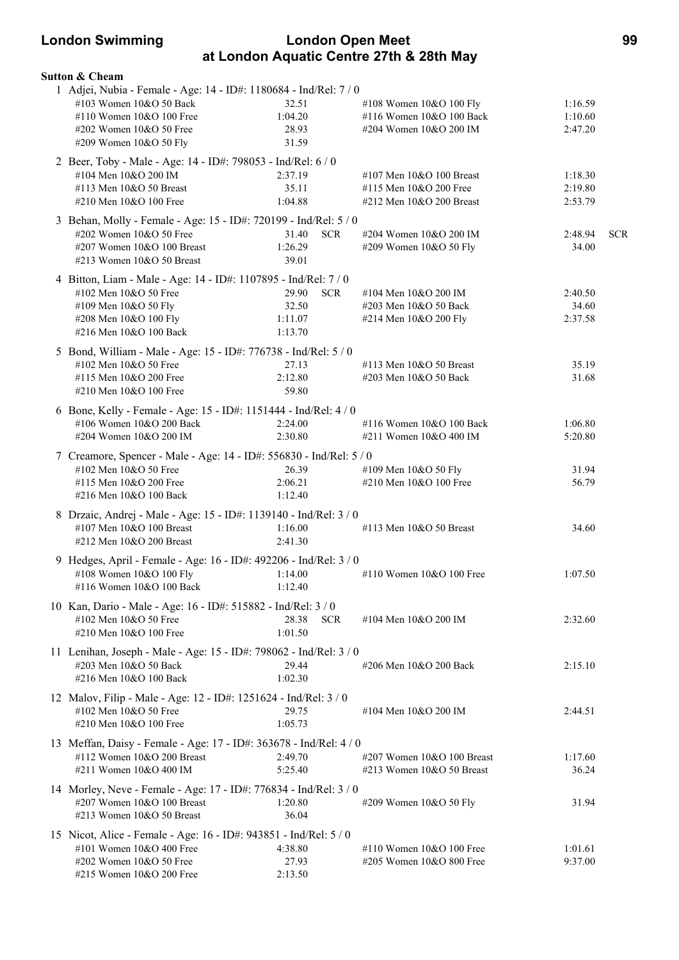### **London Swimming London Open Meet 99 at London Aquatic Centre 27th & 28th May**

| <b>Sutton &amp; Cheam</b>                                                                                                                                                     |                                                    |                                                                                  |                               |            |
|-------------------------------------------------------------------------------------------------------------------------------------------------------------------------------|----------------------------------------------------|----------------------------------------------------------------------------------|-------------------------------|------------|
| 1 Adjei, Nubia - Female - Age: 14 - ID#: 1180684 - Ind/Rel: 7 / 0<br>#103 Women 10&O 50 Back<br>#110 Women 10&O 100 Free<br>#202 Women 10&O 50 Free<br>#209 Women 10&O 50 Fly | 32.51<br>1:04.20<br>28.93<br>31.59                 | #108 Women 10&O 100 Fly<br>#116 Women 10&O 100 Back<br>#204 Women 10&O 200 IM    | 1:16.59<br>1:10.60<br>2:47.20 |            |
| 2 Beer, Toby - Male - Age: 14 - ID#: 798053 - Ind/Rel: 6 / 0<br>#104 Men 10&O 200 IM<br>#113 Men 10&O 50 Breast<br>#210 Men 10&O 100 Free                                     | 2:37.19<br>35.11<br>1:04.88                        | #107 Men $10&O$ 100 Breast<br>#115 Men 10&O 200 Free<br>#212 Men 10&O 200 Breast | 1:18.30<br>2:19.80<br>2:53.79 |            |
| 3 Behan, Molly - Female - Age: 15 - ID#: 720199 - Ind/Rel: 5 / 0<br>#202 Women 10&O 50 Free<br>#207 Women 10&O 100 Breast<br>#213 Women 10&O 50 Breast                        | <b>SCR</b><br>31.40<br>1:26.29<br>39.01            | #204 Women 10&O 200 IM<br>#209 Women 10&O 50 Fly                                 | 2:48.94<br>34.00              | <b>SCR</b> |
| 4 Bitton, Liam - Male - Age: 14 - ID#: 1107895 - Ind/Rel: 7 / 0<br>#102 Men 10&O 50 Free<br>#109 Men 10&O 50 Fly<br>#208 Men 10&O 100 Fly<br>#216 Men 10&O 100 Back           | 29.90<br><b>SCR</b><br>32.50<br>1:11.07<br>1:13.70 | #104 Men 10&O 200 IM<br>#203 Men 10&O 50 Back<br>#214 Men 10&O 200 Fly           | 2:40.50<br>34.60<br>2:37.58   |            |
| 5 Bond, William - Male - Age: 15 - ID#: 776738 - Ind/Rel: 5 / 0<br>#102 Men 10&O 50 Free<br>#115 Men 10&O 200 Free<br>#210 Men 10&O 100 Free                                  | 27.13<br>2:12.80<br>59.80                          | #113 Men $10&O$ 50 Breast<br>#203 Men 10&O 50 Back                               | 35.19<br>31.68                |            |
| 6 Bone, Kelly - Female - Age: 15 - ID#: 1151444 - Ind/Rel: 4 / 0<br>#106 Women 10&O 200 Back<br>#204 Women 10&O 200 IM                                                        | 2:24.00<br>2:30.80                                 | #116 Women 10&O 100 Back<br>#211 Women 10&O 400 IM                               | 1:06.80<br>5:20.80            |            |
| 7 Creamore, Spencer - Male - Age: 14 - ID#: 556830 - Ind/Rel: 5 / 0<br>#102 Men 10&O 50 Free<br>#115 Men 10&O 200 Free<br>#216 Men 10&O 100 Back                              | 26.39<br>2:06.21<br>1:12.40                        | #109 Men 10&O 50 Fly<br>#210 Men 10&O 100 Free                                   | 31.94<br>56.79                |            |
| 8 Drzaic, Andrej - Male - Age: 15 - ID#: 1139140 - Ind/Rel: 3 / 0<br>#107 Men 10&O 100 Breast<br>#212 Men 10&O 200 Breast                                                     | 1:16.00<br>2:41.30                                 | #113 Men $10&O$ 50 Breast                                                        | 34.60                         |            |
| 9 Hedges, April - Female - Age: 16 - ID#: 492206 - Ind/Rel: 3 / 0<br>#108 Women $10&O 100$ Fly<br>#116 Women 10&O 100 Back                                                    | 1:14.00<br>1:12.40                                 | #110 Women 10&O 100 Free                                                         | 1:07.50                       |            |
| 10 Kan, Dario - Male - Age: 16 - ID#: 515882 - Ind/Rel: 3 / 0<br>#102 Men 10&O 50 Free<br>#210 Men 10&O 100 Free                                                              | 28.38<br><b>SCR</b><br>1:01.50                     | #104 Men 10&O 200 IM                                                             | 2:32.60                       |            |
| 11 Lenihan, Joseph - Male - Age: 15 - ID#: 798062 - Ind/Rel: 3 / 0<br>#203 Men 10&O 50 Back<br>#216 Men 10&O 100 Back                                                         | 29.44<br>1:02.30                                   | #206 Men 10&O 200 Back                                                           | 2:15.10                       |            |
| 12 Malov, Filip - Male - Age: 12 - ID#: 1251624 - Ind/Rel: 3 / 0<br>#102 Men 10&O 50 Free<br>#210 Men 10&O 100 Free                                                           | 29.75<br>1:05.73                                   | #104 Men 10&O 200 IM                                                             | 2:44.51                       |            |
| 13 Meffan, Daisy - Female - Age: 17 - ID#: 363678 - Ind/Rel: 4 / 0<br>#112 Women 10&O 200 Breast<br>#211 Women 10&O 400 IM                                                    | 2:49.70<br>5:25.40                                 | #207 Women 10&O 100 Breast<br>#213 Women $10&O$ 50 Breast                        | 1:17.60<br>36.24              |            |
| 14 Morley, Neve - Female - Age: 17 - ID#: 776834 - Ind/Rel: 3 / 0<br>#207 Women 10&O 100 Breast<br>#213 Women 10&O 50 Breast                                                  | 1:20.80<br>36.04                                   | #209 Women 10&O 50 Fly                                                           | 31.94                         |            |
| 15 Nicot, Alice - Female - Age: 16 - ID#: 943851 - Ind/Rel: 5 / 0<br>#101 Women 10&O 400 Free<br>#202 Women 10&O 50 Free<br>#215 Women 10&O 200 Free                          | 4:38.80<br>27.93<br>2:13.50                        | #110 Women $10&O 100$ Free<br>#205 Women 10&O 800 Free                           | 1:01.61<br>9:37.00            |            |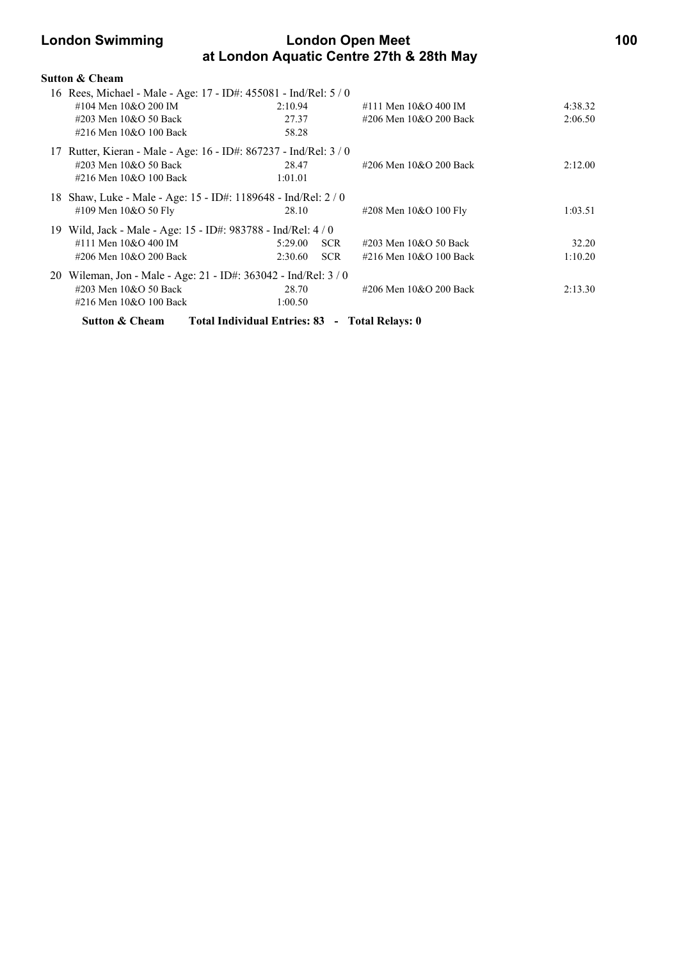### **London Swimming London Open Meet 100 at London Aquatic Centre 27th & 28th May**

| Sutton & Cheam                                                    |                                                |                                      |         |
|-------------------------------------------------------------------|------------------------------------------------|--------------------------------------|---------|
| 16 Rees, Michael - Male - Age: 17 - ID#: 455081 - Ind/Rel: 5 / 0  |                                                |                                      |         |
| #104 Men 10&O 200 IM                                              | 2:10.94                                        | #111 Men 10&O 400 IM                 | 4:38.32 |
| #203 Men 10&O 50 Back                                             | 27.37                                          | #206 Men 10&O 200 Back               | 2:06.50 |
| #216 Men 10&O 100 Back                                            | 58.28                                          |                                      |         |
| 17 Rutter, Kieran - Male - Age: 16 - ID#: 867237 - Ind/Rel: 3 / 0 |                                                |                                      |         |
| #203 Men 10&O 50 Back                                             | 28.47                                          | #206 Men 10&O 200 Back               | 2:12.00 |
| #216 Men 10&O 100 Back                                            | 1:01.01                                        |                                      |         |
| 18 Shaw, Luke - Male - Age: 15 - ID#: 1189648 - Ind/Rel: 2 / 0    |                                                |                                      |         |
| #109 Men 10&O 50 Fly                                              | 28.10                                          | #208 Men 10&O 100 Fly                | 1:03.51 |
| 19 Wild, Jack - Male - Age: 15 - ID#: 983788 - Ind/Rel: 4 / 0     |                                                |                                      |         |
| #111 Men 10&O 400 IM                                              | 5:29.00                                        | <b>SCR</b><br>#203 Men 10&O 50 Back  | 32.20   |
| #206 Men 10&O 200 Back                                            | 2:30.60                                        | <b>SCR</b><br>#216 Men 10&O 100 Back | 1:10.20 |
| 20 Wileman, Jon - Male - Age: 21 - ID#: 363042 - Ind/Rel: 3 / 0   |                                                |                                      |         |
| #203 Men 10&O 50 Back                                             | 28.70                                          | #206 Men 10&O 200 Back               | 2:13.30 |
| #216 Men 10&O 100 Back                                            | 1:00.50                                        |                                      |         |
| <b>Sutton &amp; Cheam</b>                                         | Total Individual Entries: 83 - Total Relays: 0 |                                      |         |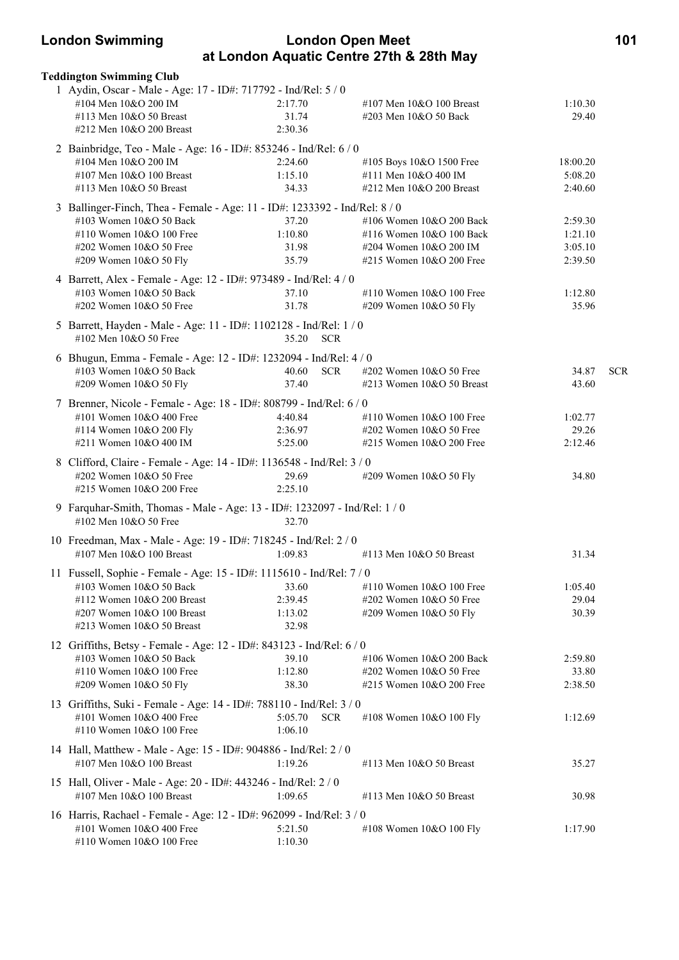### **London Swimming London Open Meet 101 at London Aquatic Centre 27th & 28th May**

| <b>Teddington Swimming Club</b>                                                                    |                                  |                            |          |            |
|----------------------------------------------------------------------------------------------------|----------------------------------|----------------------------|----------|------------|
| 1 Aydin, Oscar - Male - Age: 17 - ID#: 717792 - Ind/Rel: 5 / 0                                     |                                  |                            |          |            |
| #104 Men 10&O 200 IM                                                                               | 2:17.70                          | #107 Men $10&O$ 100 Breast | 1:10.30  |            |
| #113 Men 10&O 50 Breast                                                                            | 31.74                            | #203 Men 10&O 50 Back      | 29.40    |            |
| #212 Men 10&O 200 Breast                                                                           | 2:30.36                          |                            |          |            |
| 2 Bainbridge, Teo - Male - Age: 16 - ID#: 853246 - Ind/Rel: 6 / 0                                  |                                  |                            |          |            |
| #104 Men 10&O 200 IM                                                                               | 2:24.60                          | #105 Boys 10&O 1500 Free   | 18:00.20 |            |
| #107 Men 10&O 100 Breast                                                                           | 1:15.10                          | #111 Men 10&O 400 IM       | 5:08.20  |            |
| #113 Men 10&O 50 Breast                                                                            | 34.33                            | #212 Men 10&O 200 Breast   | 2:40.60  |            |
| 3 Ballinger-Finch, Thea - Female - Age: 11 - ID#: 1233392 - Ind/Rel: 8 / 0                         |                                  |                            |          |            |
| #103 Women 10&O 50 Back                                                                            | 37.20                            | #106 Women 10&O 200 Back   | 2:59.30  |            |
| #110 Women 10&O 100 Free                                                                           | 1:10.80                          | #116 Women 10&O 100 Back   | 1:21.10  |            |
| #202 Women 10&O 50 Free                                                                            | 31.98                            | #204 Women 10&O 200 IM     | 3:05.10  |            |
| #209 Women 10&O 50 Fly                                                                             | 35.79                            | #215 Women $10&O$ 200 Free | 2:39.50  |            |
| 4 Barrett, Alex - Female - Age: 12 - ID#: 973489 - Ind/Rel: 4 / 0                                  |                                  |                            |          |            |
| #103 Women 10&O 50 Back                                                                            | 37.10                            | #110 Women 10&O 100 Free   | 1:12.80  |            |
| #202 Women 10&O 50 Free                                                                            | 31.78                            | #209 Women 10&O 50 Fly     | 35.96    |            |
| 5 Barrett, Hayden - Male - Age: 11 - ID#: 1102128 - Ind/Rel: 1 / 0                                 |                                  |                            |          |            |
| #102 Men 10&O 50 Free                                                                              | 35.20 SCR                        |                            |          |            |
| 6 Bhugun, Emma - Female - Age: 12 - ID#: 1232094 - Ind/Rel: 4 / 0                                  |                                  |                            |          |            |
| #103 Women 10&O 50 Back                                                                            | <b>SCR</b><br>40.60              | #202 Women 10&O 50 Free    | 34.87    | <b>SCR</b> |
| #209 Women 10&O 50 Fly                                                                             | 37.40                            | #213 Women 10&O 50 Breast  | 43.60    |            |
| 7 Brenner, Nicole - Female - Age: 18 - ID#: 808799 - Ind/Rel: 6 / 0                                |                                  |                            |          |            |
| #101 Women 10&O 400 Free                                                                           | 4:40.84                          | #110 Women $10&O 100$ Free | 1:02.77  |            |
| #114 Women 10&O 200 Fly                                                                            | 2:36.97                          | #202 Women 10&O 50 Free    | 29.26    |            |
| #211 Women 10&O 400 IM                                                                             | 5:25.00                          | #215 Women 10&O 200 Free   | 2:12.46  |            |
| 8 Clifford, Claire - Female - Age: 14 - ID#: 1136548 - Ind/Rel: 3 / 0                              |                                  |                            |          |            |
| #202 Women 10&O 50 Free                                                                            | 29.69                            |                            | 34.80    |            |
| #215 Women 10&O 200 Free                                                                           | 2:25.10                          | #209 Women 10&O 50 Fly     |          |            |
|                                                                                                    |                                  |                            |          |            |
| 9 Farquhar-Smith, Thomas - Male - Age: 13 - ID#: 1232097 - Ind/Rel: 1 / 0<br>#102 Men 10&O 50 Free | 32.70                            |                            |          |            |
|                                                                                                    |                                  |                            |          |            |
| 10 Freedman, Max - Male - Age: 19 - ID#: 718245 - Ind/Rel: 2 / 0<br>$\#107$ Men $10\&O$ 100 Breast | 1:09.83                          | #113 Men 10&O 50 Breast    | 31.34    |            |
|                                                                                                    |                                  |                            |          |            |
| 11 Fussell, Sophie - Female - Age: 15 - ID#: 1115610 - Ind/Rel: 7 / 0                              |                                  |                            |          |            |
| #103 Women 10&O 50 Back                                                                            | 33.60                            | #110 Women 10&O 100 Free   | 1:05.40  |            |
| #112 Women 10&O 200 Breast                                                                         | 2:39.45                          | #202 Women 10&O 50 Free    | 29.04    |            |
| #207 Women 10&O 100 Breast<br>#213 Women 10&O 50 Breast                                            | 1:13.02<br>32.98                 | #209 Women 10&O 50 Fly     | 30.39    |            |
|                                                                                                    |                                  |                            |          |            |
| 12 Griffiths, Betsy - Female - Age: 12 - ID#: 843123 - Ind/Rel: 6 / 0<br>#103 Women 10&O 50 Back   | 39.10                            | #106 Women 10&O 200 Back   | 2:59.80  |            |
| #110 Women 10&O 100 Free                                                                           | 1:12.80                          | #202 Women 10&O 50 Free    | 33.80    |            |
| #209 Women 10&O 50 Fly                                                                             | 38.30                            | #215 Women 10&O 200 Free   | 2:38.50  |            |
| 13 Griffiths, Suki - Female - Age: 14 - ID#: 788110 - Ind/Rel: 3 / 0                               |                                  |                            |          |            |
|                                                                                                    |                                  |                            |          |            |
| #101 Women 10&O 400 Free<br>#110 Women 10&O 100 Free                                               | 5:05.70<br><b>SCR</b><br>1:06.10 | #108 Women 10&O 100 Fly    | 1:12.69  |            |
|                                                                                                    |                                  |                            |          |            |
| 14 Hall, Matthew - Male - Age: 15 - ID#: 904886 - Ind/Rel: 2 / 0                                   |                                  |                            |          |            |
| #107 Men 10&O 100 Breast                                                                           | 1:19.26                          | #113 Men 10&O 50 Breast    | 35.27    |            |
| 15 Hall, Oliver - Male - Age: 20 - ID#: 443246 - Ind/Rel: 2 / 0                                    |                                  |                            |          |            |
| #107 Men 10&O 100 Breast                                                                           | 1:09.65                          | #113 Men 10&O 50 Breast    | 30.98    |            |
| 16 Harris, Rachael - Female - Age: 12 - ID#: 962099 - Ind/Rel: 3 / 0                               |                                  |                            |          |            |
| #101 Women 10&O 400 Free                                                                           | 5:21.50                          | #108 Women 10&O 100 Fly    | 1:17.90  |            |
| #110 Women 10&O 100 Free                                                                           | 1:10.30                          |                            |          |            |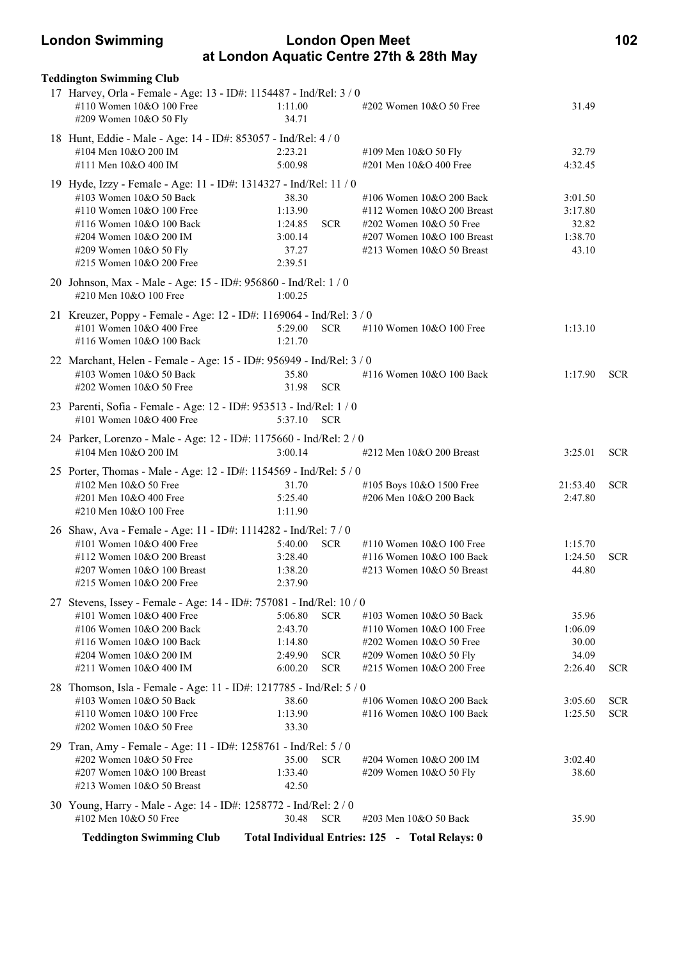### **London Swimming London Open Meet 102 at London Aquatic Centre 27th & 28th May**

| <b>Teddington Swimming Club</b><br>17 Harvey, Orla - Female - Age: 13 - ID#: 1154487 - Ind/Rel: 3 / 0 |                    |                                                                             |                    |            |
|-------------------------------------------------------------------------------------------------------|--------------------|-----------------------------------------------------------------------------|--------------------|------------|
| #110 Women 10&O 100 Free<br>#209 Women 10&O 50 Fly                                                    | 1:11.00<br>34.71   | #202 Women 10&O 50 Free                                                     | 31.49              |            |
| 18 Hunt, Eddie - Male - Age: 14 - ID#: 853057 - Ind/Rel: 4 / 0                                        |                    |                                                                             |                    |            |
| #104 Men 10&O 200 IM                                                                                  | 2:23.21            | #109 Men 10&O 50 Fly                                                        | 32.79              |            |
| #111 Men 10&O 400 IM                                                                                  | 5:00.98            | #201 Men 10&O 400 Free                                                      | 4:32.45            |            |
| 19 Hyde, Izzy - Female - Age: 11 - ID#: 1314327 - Ind/Rel: 11 / 0                                     |                    |                                                                             |                    |            |
| #103 Women 10&O 50 Back<br>#110 Women 10&O 100 Free                                                   | 38.30<br>1:13.90   | #106 Women $10&O$ 200 Back                                                  | 3:01.50<br>3:17.80 |            |
| #116 Women 10&O 100 Back                                                                              | 1:24.85            | #112 Women $10&O$ 200 Breast<br><b>SCR</b><br>$\#202$ Women $10\&O$ 50 Free | 32.82              |            |
| #204 Women 10&O 200 IM                                                                                | 3:00.14            | #207 Women 10&O 100 Breast                                                  | 1:38.70            |            |
| #209 Women 10&O 50 Fly                                                                                | 37.27              | #213 Women $10&O$ 50 Breast                                                 | 43.10              |            |
| #215 Women 10&O 200 Free                                                                              | 2:39.51            |                                                                             |                    |            |
| 20 Johnson, Max - Male - Age: 15 - ID#: 956860 - Ind/Rel: 1 / 0<br>#210 Men 10&O 100 Free             | 1:00.25            |                                                                             |                    |            |
| 21 Kreuzer, Poppy - Female - Age: 12 - ID#: 1169064 - Ind/Rel: 3 / 0                                  |                    |                                                                             |                    |            |
| #101 Women 10&O 400 Free                                                                              | 5:29.00            | <b>SCR</b><br>#110 Women 10&O 100 Free                                      | 1:13.10            |            |
| #116 Women 10&O 100 Back                                                                              | 1:21.70            |                                                                             |                    |            |
| 22 Marchant, Helen - Female - Age: 15 - ID#: 956949 - Ind/Rel: 3 / 0                                  |                    |                                                                             |                    |            |
| #103 Women 10&O 50 Back                                                                               | 35.80              | #116 Women 10&O 100 Back                                                    | 1:17.90            | <b>SCR</b> |
| #202 Women 10&O 50 Free                                                                               | 31.98              | <b>SCR</b>                                                                  |                    |            |
| 23 Parenti, Sofia - Female - Age: 12 - ID#: 953513 - Ind/Rel: 1 / 0<br>#101 Women 10&O 400 Free       | 5:37.10            | <b>SCR</b>                                                                  |                    |            |
| 24 Parker, Lorenzo - Male - Age: 12 - ID#: 1175660 - Ind/Rel: 2 / 0                                   |                    |                                                                             |                    |            |
| #104 Men 10&O 200 IM                                                                                  | 3:00.14            | $\#212$ Men $10&O$ 200 Breast                                               | 3:25.01            | <b>SCR</b> |
| 25 Porter, Thomas - Male - Age: 12 - ID#: 1154569 - Ind/Rel: 5 / 0                                    |                    |                                                                             |                    |            |
| #102 Men 10&O 50 Free                                                                                 | 31.70              | #105 Boys 10&O 1500 Free                                                    | 21:53.40           | <b>SCR</b> |
| #201 Men 10&O 400 Free                                                                                | 5:25.40            | #206 Men 10&O 200 Back                                                      | 2:47.80            |            |
| #210 Men 10&O 100 Free                                                                                | 1:11.90            |                                                                             |                    |            |
| 26 Shaw, Ava - Female - Age: 11 - ID#: 1114282 - Ind/Rel: 7 / 0                                       |                    |                                                                             |                    |            |
| #101 Women 10&O 400 Free                                                                              | 5:40.00            | <b>SCR</b><br>#110 Women 10&O 100 Free                                      | 1:15.70            |            |
| #112 Women $10&O$ 200 Breast<br>#207 Women $10&O$ 100 Breast                                          | 3:28.40<br>1:38.20 | #116 Women 10&O 100 Back<br>$\#213$ Women 10&O 50 Breast                    | 1:24.50<br>44.80   | <b>SCR</b> |
| #215 Women 10&O 200 Free                                                                              | 2:37.90            |                                                                             |                    |            |
| 27 Stevens, Issey - Female - Age: 14 - ID#: 757081 - Ind/Rel: 10 / 0                                  |                    |                                                                             |                    |            |
| #101 Women 10&O 400 Free                                                                              | 5:06.80            | <b>SCR</b><br>#103 Women 10&O 50 Back                                       | 35.96              |            |
| #106 Women 10&O 200 Back                                                                              | 2:43.70            | #110 Women 10&O 100 Free                                                    | 1:06.09            |            |
| #116 Women 10&O 100 Back                                                                              | 1:14.80            | #202 Women 10&O 50 Free                                                     | 30.00              |            |
| #204 Women 10&O 200 IM                                                                                | 2:49.90            | <b>SCR</b><br>#209 Women 10&O 50 Fly                                        | 34.09              |            |
| #211 Women 10&O 400 IM                                                                                | 6:00.20            | #215 Women 10&O 200 Free<br><b>SCR</b>                                      | 2:26.40            | <b>SCR</b> |
| 28 Thomson, Isla - Female - Age: 11 - ID#: 1217785 - Ind/Rel: 5 / 0                                   |                    |                                                                             |                    |            |
| #103 Women 10&O 50 Back                                                                               | 38.60              | #106 Women 10&O 200 Back                                                    | 3:05.60            | <b>SCR</b> |
| #110 Women 10&O 100 Free                                                                              | 1:13.90            | #116 Women 10&O 100 Back                                                    | 1:25.50            | <b>SCR</b> |
| #202 Women 10&O 50 Free                                                                               | 33.30              |                                                                             |                    |            |
| 29 Tran, Amy - Female - Age: 11 - ID#: 1258761 - Ind/Rel: 5 / 0                                       |                    |                                                                             |                    |            |
| #202 Women 10&O 50 Free                                                                               | 35.00              | <b>SCR</b><br>#204 Women 10&O 200 IM                                        | 3:02.40            |            |
| #207 Women 10&O 100 Breast<br>$\#213$ Women 10&O 50 Breast                                            | 1:33.40<br>42.50   | #209 Women 10&O 50 Fly                                                      | 38.60              |            |
|                                                                                                       |                    |                                                                             |                    |            |
| 30 Young, Harry - Male - Age: 14 - ID#: 1258772 - Ind/Rel: 2 / 0                                      |                    |                                                                             |                    |            |
| #102 Men 10&O 50 Free                                                                                 | 30.48              | <b>SCR</b><br>#203 Men 10&O 50 Back                                         | 35.90              |            |
| <b>Teddington Swimming Club</b>                                                                       |                    | Total Individual Entries: 125 - Total Relays: 0                             |                    |            |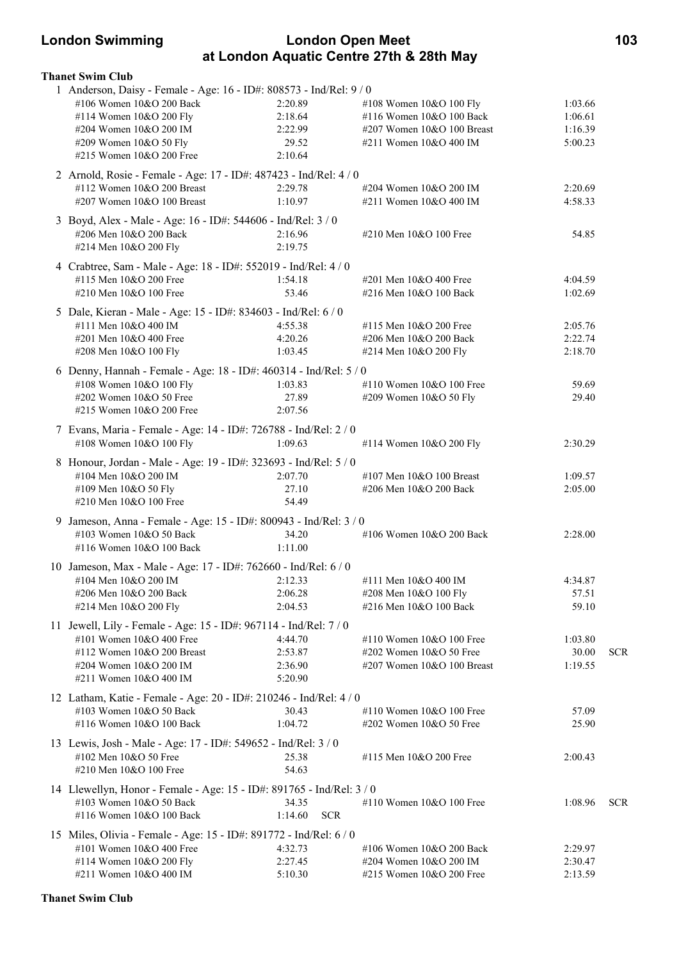### **London Swimming London Open Meet 103 at London Aquatic Centre 27th & 28th May**

| <b>Thanet Swim Club</b>                                                                                                                                                                                    |                                                   |                                                                                                             |                                          |            |
|------------------------------------------------------------------------------------------------------------------------------------------------------------------------------------------------------------|---------------------------------------------------|-------------------------------------------------------------------------------------------------------------|------------------------------------------|------------|
| 1 Anderson, Daisy - Female - Age: 16 - ID#: 808573 - Ind/Rel: 9 / 0<br>#106 Women 10&O 200 Back<br>#114 Women 10&O 200 Fly<br>#204 Women 10&O 200 IM<br>#209 Women 10&O 50 Fly<br>#215 Women 10&O 200 Free | 2:20.89<br>2:18.64<br>2:22.99<br>29.52<br>2:10.64 | #108 Women 10&O 100 Fly<br>#116 Women 10&O 100 Back<br>#207 Women 10&O 100 Breast<br>#211 Women 10&O 400 IM | 1:03.66<br>1:06.61<br>1:16.39<br>5:00.23 |            |
| 2 Arnold, Rosie - Female - Age: 17 - ID#: 487423 - Ind/Rel: 4 / 0<br>#112 Women 10&O 200 Breast<br>#207 Women 10&O 100 Breast                                                                              | 2:29.78<br>1:10.97                                | #204 Women 10&O 200 IM<br>#211 Women 10&O 400 IM                                                            | 2:20.69<br>4:58.33                       |            |
| 3 Boyd, Alex - Male - Age: 16 - ID#: 544606 - Ind/Rel: 3 / 0<br>#206 Men 10&O 200 Back<br>#214 Men 10&O 200 Fly                                                                                            | 2:16.96<br>2:19.75                                | #210 Men 10&O 100 Free                                                                                      | 54.85                                    |            |
| 4 Crabtree, Sam - Male - Age: 18 - ID#: 552019 - Ind/Rel: 4 / 0<br>#115 Men 10&O 200 Free<br>#210 Men 10&O 100 Free                                                                                        | 1:54.18<br>53.46                                  | #201 Men 10&O 400 Free<br>#216 Men 10&O 100 Back                                                            | 4:04.59<br>1:02.69                       |            |
| 5 Dale, Kieran - Male - Age: 15 - ID#: 834603 - Ind/Rel: 6 / 0<br>#111 Men 10&O 400 IM<br>#201 Men 10&O 400 Free<br>#208 Men 10&O 100 Fly                                                                  | 4:55.38<br>4:20.26<br>1:03.45                     | #115 Men 10&O 200 Free<br>#206 Men 10&O 200 Back<br>#214 Men 10&O 200 Fly                                   | 2:05.76<br>2:22.74<br>2:18.70            |            |
| 6 Denny, Hannah - Female - Age: 18 - ID#: 460314 - Ind/Rel: 5 / 0<br>#108 Women 10&O 100 Fly<br>#202 Women 10&O 50 Free<br>#215 Women 10&O 200 Free                                                        | 1:03.83<br>27.89<br>2:07.56                       | #110 Women 10&O 100 Free<br>#209 Women 10&O 50 Fly                                                          | 59.69<br>29.40                           |            |
| 7 Evans, Maria - Female - Age: 14 - ID#: 726788 - Ind/Rel: 2 / 0<br>#108 Women 10&O 100 Fly                                                                                                                | 1:09.63                                           | #114 Women 10&O 200 Fly                                                                                     | 2:30.29                                  |            |
| 8 Honour, Jordan - Male - Age: 19 - ID#: 323693 - Ind/Rel: 5 / 0<br>#104 Men 10&O 200 IM<br>#109 Men 10&O 50 Fly<br>#210 Men 10&O 100 Free                                                                 | 2:07.70<br>27.10<br>54.49                         | #107 Men 10&O 100 Breast<br>#206 Men 10&O 200 Back                                                          | 1:09.57<br>2:05.00                       |            |
| 9 Jameson, Anna - Female - Age: 15 - ID#: 800943 - Ind/Rel: 3 / 0<br>$\#103$ Women $10\&O 50$ Back<br>#116 Women 10&O 100 Back                                                                             | 34.20<br>1:11.00                                  | #106 Women 10&O 200 Back                                                                                    | 2:28.00                                  |            |
| 10 Jameson, Max - Male - Age: 17 - ID#: 762660 - Ind/Rel: 6 / 0<br>$\text{\#104}$ Men $10\&O 200$ IM 2:12.33<br>#206 Men 10&O 200 Back<br>#214 Men 10&O 200 Fly                                            | 2:06.28<br>2:04.53                                | #111 Men 10&O 400 IM<br>#208 Men 10&O 100 Fly<br>#216 Men 10&O 100 Back                                     | 4:34.87<br>57.51<br>59.10                |            |
| 11 Jewell, Lily - Female - Age: 15 - ID#: 967114 - Ind/Rel: 7 / 0<br>#101 Women 10&O 400 Free<br>#112 Women 10&O 200 Breast<br>#204 Women 10&O 200 IM<br>#211 Women 10&O 400 IM                            | 4:44.70<br>2:53.87<br>2:36.90<br>5:20.90          | #110 Women 10&O 100 Free<br>#202 Women 10&O 50 Free<br>#207 Women 10&O 100 Breast                           | 1:03.80<br>30.00<br>1:19.55              | <b>SCR</b> |
| 12 Latham, Katie - Female - Age: 20 - ID#: 210246 - Ind/Rel: 4 / 0<br>#103 Women 10&O 50 Back<br>#116 Women 10&O 100 Back                                                                                  | 30.43<br>1:04.72                                  | #110 Women 10&O 100 Free<br>#202 Women 10&O 50 Free                                                         | 57.09<br>25.90                           |            |
| 13 Lewis, Josh - Male - Age: 17 - ID#: 549652 - Ind/Rel: 3 / 0<br>#102 Men 10&O 50 Free<br>#210 Men 10&O 100 Free                                                                                          | 25.38<br>54.63                                    | #115 Men 10&O 200 Free                                                                                      | 2:00.43                                  |            |
| 14 Llewellyn, Honor - Female - Age: 15 - ID#: 891765 - Ind/Rel: 3 / 0<br>#103 Women 10&O 50 Back<br>#116 Women 10&O 100 Back                                                                               | 34.35<br>1:14.60<br><b>SCR</b>                    | #110 Women $10&O 100$ Free                                                                                  | 1:08.96                                  | <b>SCR</b> |
| 15 Miles, Olivia - Female - Age: 15 - ID#: 891772 - Ind/Rel: 6 / 0<br>#101 Women 10&O 400 Free<br>#114 Women 10&O 200 Fly<br>#211 Women 10&O 400 IM                                                        | 4:32.73<br>2:27.45<br>5:10.30                     | #106 Women 10&O 200 Back<br>#204 Women 10&O 200 IM<br>#215 Women 10&O 200 Free                              | 2:29.97<br>2:30.47<br>2:13.59            |            |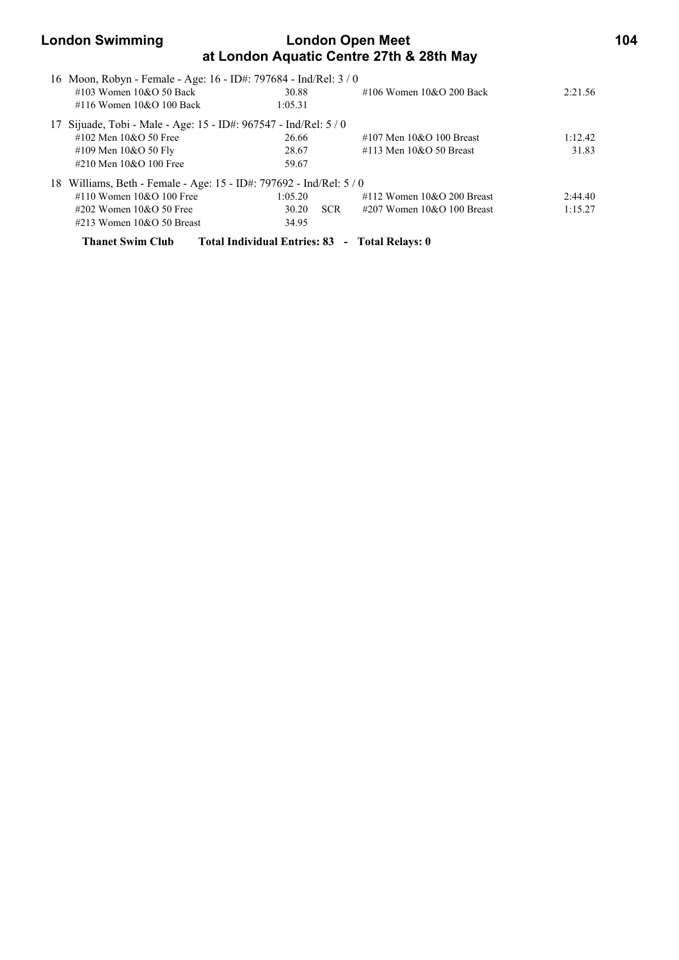## **London Swimming Condon Open Meet 104 at London Aquatic Centre 27th & 28th May**  16 Moon, Robyn - Female - Age: 16 - ID#: 797684 - Ind/Rel: 3 / 0 #103 Women 10&O 50 Back 30.88 #106 Women 10&O 200 Back 2:21.56 #116 Women 10&O 100 Back 1:05.31 17 Sijuade, Tobi - Male - Age: 15 - ID#: 967547 - Ind/Rel: 5 / 0 #102 Men 10&O 50 Free 26.66 #107 Men 10&O 100 Breast 1:12.42 #109 Men 10&O 50 Fly 28.67 #113 Men 10&O 50 Breast 31.83 #210 Men 10&O 100 Free 59.67 18 Williams, Beth - Female - Age: 15 - ID#: 797692 - Ind/Rel: 5 / 0

| #110 Women $10&O 100$ Free   | 1:05.20 |            | $\#112$ Women $10\&O$ 200 Breast | 2:44.40 |
|------------------------------|---------|------------|----------------------------------|---------|
| $\#202$ Women 10&O 50 Free   | 30.20   | <b>SCR</b> | $\#207$ Women 10&O 100 Breast    | 1:15.27 |
| $\#213$ Women 10&O 50 Breast | 34.95   |            |                                  |         |

**Thanet Swim Club Total Individual Entries: 83 - Total Relays: 0**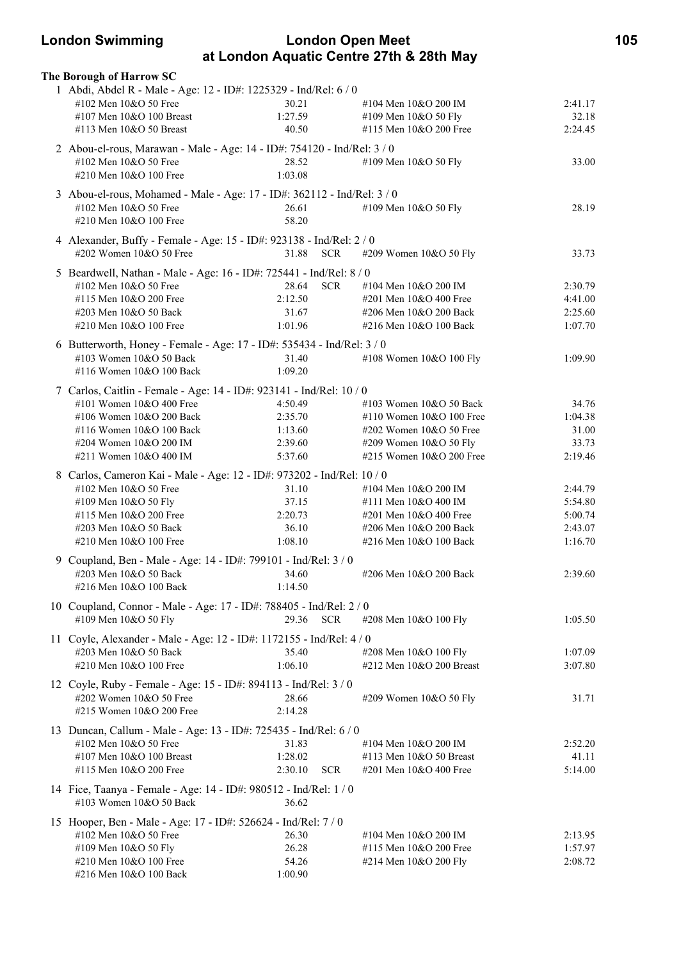### **London Swimming London Open Meet 105 at London Aquatic Centre 27th & 28th May**

| The Borough of Harrow SC                                                 |                                                                    |                                      |         |  |  |  |
|--------------------------------------------------------------------------|--------------------------------------------------------------------|--------------------------------------|---------|--|--|--|
| 1 Abdi, Abdel R - Male - Age: 12 - ID#: 1225329 - Ind/Rel: 6 / 0         |                                                                    |                                      |         |  |  |  |
| #102 Men 10&O 50 Free                                                    | 30.21                                                              | #104 Men 10&O 200 IM                 | 2:41.17 |  |  |  |
| #107 Men 10&O 100 Breast                                                 | 1:27.59                                                            | #109 Men 10&O 50 Fly                 | 32.18   |  |  |  |
| #113 Men 10&O 50 Breast                                                  | 40.50                                                              | #115 Men 10&O 200 Free               | 2:24.45 |  |  |  |
| 2 Abou-el-rous, Marawan - Male - Age: 14 - ID#: 754120 - Ind/Rel: 3 / 0  |                                                                    |                                      |         |  |  |  |
| #102 Men 10&O 50 Free                                                    | 28.52                                                              | #109 Men 10&O 50 Fly                 | 33.00   |  |  |  |
| #210 Men 10&O 100 Free                                                   | 1:03.08                                                            |                                      |         |  |  |  |
| 3 Abou-el-rous, Mohamed - Male - Age: 17 - ID#: 362112 - Ind/Rel: 3 / 0  |                                                                    |                                      |         |  |  |  |
| #102 Men 10&O 50 Free                                                    | 26.61                                                              | #109 Men 10&O 50 Fly                 | 28.19   |  |  |  |
| #210 Men 10&O 100 Free                                                   | 58.20                                                              |                                      |         |  |  |  |
|                                                                          |                                                                    |                                      |         |  |  |  |
| 4 Alexander, Buffy - Female - Age: 15 - ID#: 923138 - Ind/Rel: 2 / 0     |                                                                    |                                      |         |  |  |  |
| #202 Women 10&O 50 Free<br>31.88<br><b>SCR</b><br>#209 Women 10&O 50 Fly |                                                                    |                                      |         |  |  |  |
| 5 Beardwell, Nathan - Male - Age: 16 - ID#: 725441 - Ind/Rel: 8 / 0      |                                                                    |                                      |         |  |  |  |
| #102 Men 10&O 50 Free                                                    | 28.64                                                              | SCR<br>#104 Men 10&O 200 IM          | 2:30.79 |  |  |  |
| #115 Men 10&O 200 Free                                                   | 2:12.50                                                            | #201 Men 10&O 400 Free               | 4:41.00 |  |  |  |
| #203 Men 10&O 50 Back                                                    | 31.67                                                              | #206 Men 10&O 200 Back               | 2:25.60 |  |  |  |
| #210 Men 10&O 100 Free                                                   | 1:01.96                                                            | #216 Men 10&O 100 Back               | 1:07.70 |  |  |  |
| 6 Butterworth, Honey - Female - Age: 17 - ID#: 535434 - Ind/Rel: 3 / 0   |                                                                    |                                      |         |  |  |  |
| #103 Women 10&O 50 Back                                                  | 31.40                                                              | #108 Women 10&O 100 Fly              | 1:09.90 |  |  |  |
| #116 Women 10&O 100 Back                                                 | 1:09.20                                                            |                                      |         |  |  |  |
|                                                                          | 7 Carlos, Caitlin - Female - Age: 14 - ID#: 923141 - Ind/Rel: 10/0 |                                      |         |  |  |  |
| #101 Women 10&O 400 Free                                                 | 4:50.49                                                            | #103 Women 10&O 50 Back              | 34.76   |  |  |  |
| #106 Women 10&O 200 Back                                                 | 2:35.70                                                            | #110 Women 10&O 100 Free             | 1:04.38 |  |  |  |
| #116 Women 10&O 100 Back                                                 | 1:13.60                                                            | #202 Women 10&O 50 Free              | 31.00   |  |  |  |
| #204 Women 10&O 200 IM                                                   | 2:39.60                                                            | #209 Women 10&O 50 Fly               | 33.73   |  |  |  |
| #211 Women 10&O 400 IM                                                   | 5:37.60                                                            | #215 Women 10&O 200 Free             | 2:19.46 |  |  |  |
| 8 Carlos, Cameron Kai - Male - Age: 12 - ID#: 973202 - Ind/Rel: 10 / 0   |                                                                    |                                      |         |  |  |  |
| #102 Men 10&O 50 Free                                                    | 31.10                                                              | #104 Men 10&O 200 IM                 | 2:44.79 |  |  |  |
| #109 Men 10&O 50 Fly                                                     | 37.15                                                              | #111 Men 10&O 400 IM                 | 5:54.80 |  |  |  |
| #115 Men 10&O 200 Free                                                   | 2:20.73                                                            | #201 Men 10&O 400 Free               | 5:00.74 |  |  |  |
| #203 Men 10&O 50 Back                                                    | 36.10                                                              | #206 Men 10&O 200 Back               | 2:43.07 |  |  |  |
| #210 Men 10&O 100 Free                                                   | 1:08.10                                                            | #216 Men 10&O 100 Back               | 1:16.70 |  |  |  |
| 9 Coupland, Ben - Male - Age: 14 - ID#: 799101 - Ind/Rel: 3 / 0          |                                                                    |                                      |         |  |  |  |
| #203 Men 10&O 50 Back                                                    | 34.60                                                              | #206 Men 10&O 200 Back               | 2:39.60 |  |  |  |
| #216 Men 10&O 100 Back                                                   | 1:14.50                                                            |                                      |         |  |  |  |
| 10 Coupland, Connor - Male - Age: 17 - ID#: 788405 - Ind/Rel: 2 / 0      |                                                                    |                                      |         |  |  |  |
| #109 Men 10&O 50 Fly                                                     | 29.36                                                              | <b>SCR</b><br>#208 Men 10&O 100 Fly  | 1:05.50 |  |  |  |
| 11 Coyle, Alexander - Male - Age: 12 - ID#: 1172155 - Ind/Rel: 4 / 0     |                                                                    |                                      |         |  |  |  |
| #203 Men 10&O 50 Back                                                    | 35.40                                                              | #208 Men 10&O 100 Fly                | 1:07.09 |  |  |  |
| #210 Men 10&O 100 Free                                                   | 1:06.10                                                            | $\#212$ Men $10&O$ 200 Breast        | 3:07.80 |  |  |  |
|                                                                          |                                                                    |                                      |         |  |  |  |
| 12 Coyle, Ruby - Female - Age: 15 - ID#: 894113 - Ind/Rel: 3 / 0         |                                                                    |                                      |         |  |  |  |
| #202 Women 10&O 50 Free                                                  | 28.66                                                              | #209 Women 10&O 50 Fly               | 31.71   |  |  |  |
| #215 Women 10&O 200 Free                                                 | 2:14.28                                                            |                                      |         |  |  |  |
| 13 Duncan, Callum - Male - Age: 13 - ID#: 725435 - Ind/Rel: 6 / 0        |                                                                    |                                      |         |  |  |  |
| #102 Men 10&O 50 Free                                                    | 31.83                                                              | #104 Men 10&O 200 IM                 | 2:52.20 |  |  |  |
| #107 Men 10&O 100 Breast                                                 | 1:28.02                                                            | #113 Men 10&O 50 Breast              | 41.11   |  |  |  |
| #115 Men 10&O 200 Free                                                   | 2:30.10                                                            | <b>SCR</b><br>#201 Men 10&O 400 Free | 5:14.00 |  |  |  |
| 14 Fice, Taanya - Female - Age: 14 - ID#: 980512 - Ind/Rel: 1/0          |                                                                    |                                      |         |  |  |  |
| #103 Women 10&O 50 Back                                                  | 36.62                                                              |                                      |         |  |  |  |
| 15 Hooper, Ben - Male - Age: 17 - ID#: 526624 - Ind/Rel: 7 / 0           |                                                                    |                                      |         |  |  |  |
| #102 Men 10&O 50 Free                                                    | 26.30                                                              | #104 Men 10&O 200 IM                 | 2:13.95 |  |  |  |
| #109 Men 10&O 50 Fly                                                     | 26.28                                                              | #115 Men 10&O 200 Free               | 1:57.97 |  |  |  |
| #210 Men 10&O 100 Free                                                   | 54.26                                                              | #214 Men 10&O 200 Fly                | 2:08.72 |  |  |  |
| #216 Men 10&O 100 Back                                                   | 1:00.90                                                            |                                      |         |  |  |  |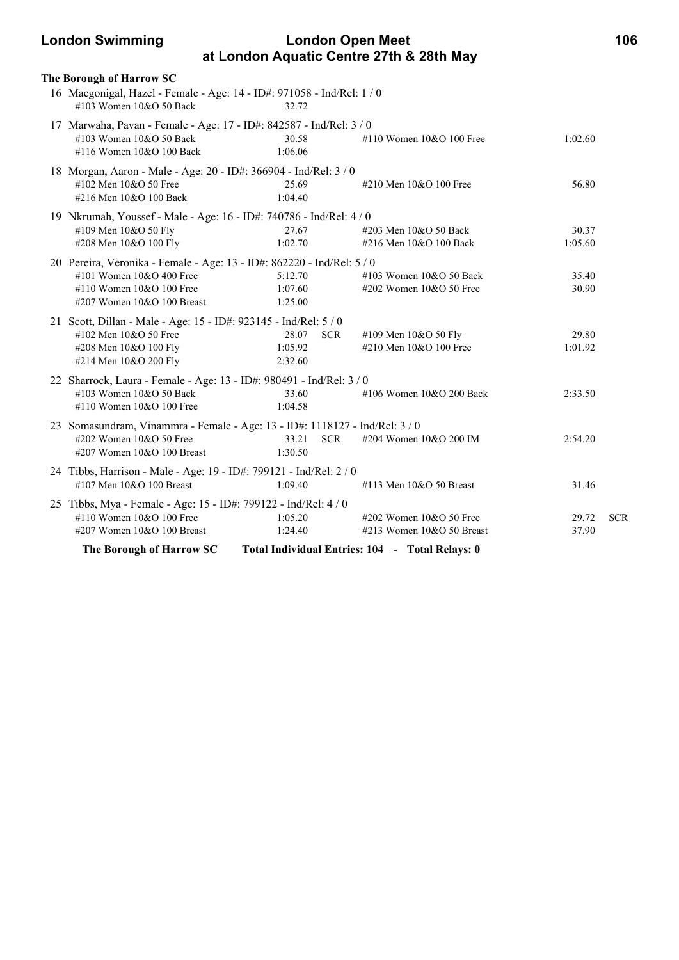### **London Swimming London Open Meet 106 at London Aquatic Centre 27th & 28th May**

|                                                                             | The Borough of Harrow SC                                                                                                                                       |                                           |                                                            |                  |            |  |  |
|-----------------------------------------------------------------------------|----------------------------------------------------------------------------------------------------------------------------------------------------------------|-------------------------------------------|------------------------------------------------------------|------------------|------------|--|--|
|                                                                             | 16 Macgonigal, Hazel - Female - Age: 14 - ID#: 971058 - Ind/Rel: 1 / 0<br>#103 Women 10&O 50 Back                                                              | 32.72                                     |                                                            |                  |            |  |  |
|                                                                             | 17 Marwaha, Pavan - Female - Age: 17 - ID#: 842587 - Ind/Rel: 3 / 0<br>#103 Women 10&O 50 Back<br>#116 Women 10&O 100 Back                                     | 30.58<br>1:06.06                          | #110 Women $10&O 100$ Free                                 | 1:02.60          |            |  |  |
|                                                                             | 18 Morgan, Aaron - Male - Age: 20 - ID#: 366904 - Ind/Rel: 3 / 0<br>#102 Men 10&O 50 Free<br>#216 Men 10&O 100 Back                                            | 25.69<br>1:04.40                          | #210 Men 10&O 100 Free                                     | 56.80            |            |  |  |
|                                                                             | 19 Nkrumah, Youssef - Male - Age: 16 - ID#: 740786 - Ind/Rel: 4 / 0<br>#109 Men 10&O 50 Fly<br>#208 Men 10&O 100 Fly                                           | 27.67<br>1:02.70                          | #203 Men 10&O 50 Back<br>#216 Men 10&O 100 Back            | 30.37<br>1:05.60 |            |  |  |
|                                                                             | 20 Pereira, Veronika - Female - Age: 13 - ID#: 862220 - Ind/Rel: 5 / 0<br>#101 Women $10&O 400$ Free<br>#110 Women 10&O 100 Free<br>#207 Women 10&O 100 Breast | 5:12.70<br>1:07.60<br>1:25.00             | #103 Women 10&O 50 Back<br>#202 Women 10&O 50 Free         | 35.40<br>30.90   |            |  |  |
|                                                                             | 21 Scott, Dillan - Male - Age: 15 - ID#: 923145 - Ind/Rel: 5 / 0<br>#102 Men 10&O 50 Free<br>#208 Men 10&O 100 Fly<br>#214 Men 10&O 200 Fly                    | <b>SCR</b><br>28.07<br>1:05.92<br>2:32.60 | #109 Men 10&O 50 Fly<br>#210 Men 10&O 100 Free             | 29.80<br>1:01.92 |            |  |  |
|                                                                             | 22 Sharrock, Laura - Female - Age: 13 - ID#: 980491 - Ind/Rel: 3 / 0<br>#103 Women $10&O$ 50 Back<br>#110 Women 10&O 100 Free                                  | 33.60<br>1:04.58                          | #106 Women 10&O 200 Back                                   | 2:33.50          |            |  |  |
|                                                                             | 23 Somasundram, Vinammra - Female - Age: 13 - ID#: 1118127 - Ind/Rel: 3 / 0<br>#202 Women 10&O 50 Free<br>#207 Women 10&O 100 Breast                           | 33.21<br><b>SCR</b><br>1:30.50            | #204 Women 10&O 200 IM                                     | 2:54.20          |            |  |  |
|                                                                             | 24 Tibbs, Harrison - Male - Age: 19 - ID#: 799121 - Ind/Rel: 2 / 0<br>#107 Men 10&O 100 Breast                                                                 | 1:09.40                                   | #113 Men 10&O 50 Breast                                    | 31.46            |            |  |  |
|                                                                             | 25 Tibbs, Mya - Female - Age: 15 - ID#: 799122 - Ind/Rel: 4 / 0<br>#110 Women $10&O 100$ Free<br>#207 Women 10&O 100 Breast                                    | 1:05.20<br>1:24.40                        | $\#202$ Women 10&O 50 Free<br>$\#213$ Women 10&O 50 Breast | 29.72<br>37.90   | <b>SCR</b> |  |  |
| The Borough of Harrow SC<br>Total Individual Entries: 104 - Total Relays: 0 |                                                                                                                                                                |                                           |                                                            |                  |            |  |  |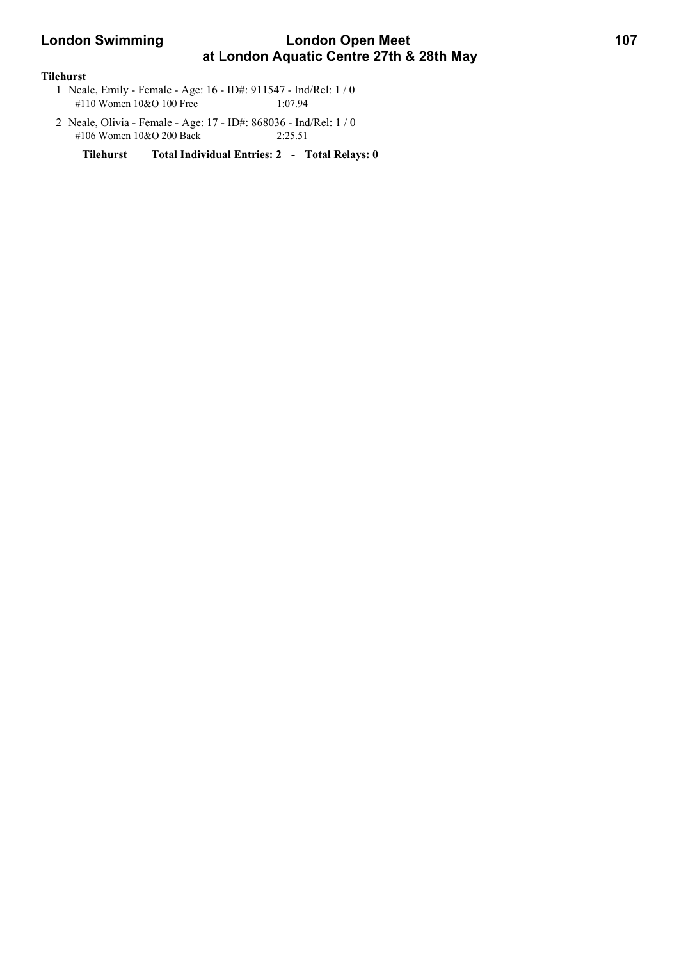## **London Swimming Condon Open Meet 107 at London Aquatic Centre 27th & 28th May**

#### **Tilehurst**

- 1 Neale, Emily Female Age: 16 ID#: 911547 Ind/Rel: 1 / 0 #110 Women 10&O 100 Free 1:07.94
- 2 Neale, Olivia Female Age: 17 ID#: 868036 Ind/Rel: 1 / 0 #106 Women 10&O 200 Back 2:25.51

**Tilehurst Total Individual Entries: 2 - Total Relays: 0**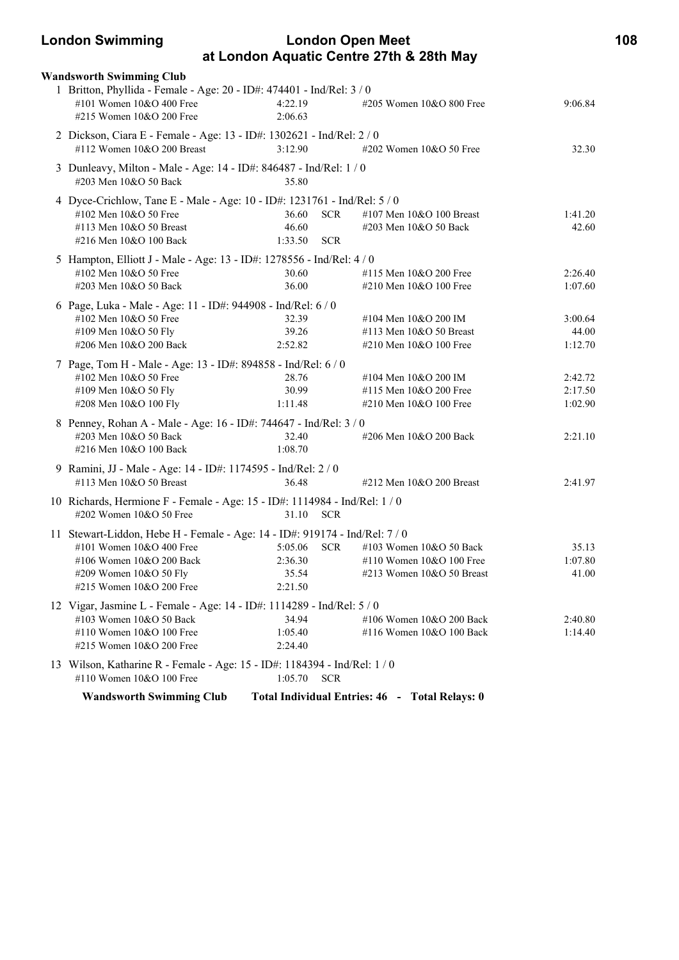### **London Swimming London Open Meet 108 at London Aquatic Centre 27th & 28th May**

|                                                                                   | <b>Wandsworth Swimming Club</b>                                                                                                                                                           |                                                       |                                                                                  |                               |  |  |  |
|-----------------------------------------------------------------------------------|-------------------------------------------------------------------------------------------------------------------------------------------------------------------------------------------|-------------------------------------------------------|----------------------------------------------------------------------------------|-------------------------------|--|--|--|
|                                                                                   | 1 Britton, Phyllida - Female - Age: 20 - ID#: 474401 - Ind/Rel: 3 / 0<br>#101 Women 10&O 400 Free<br>#215 Women 10&O 200 Free                                                             | 4:22.19<br>2:06.63                                    | #205 Women 10&O 800 Free                                                         | 9:06.84                       |  |  |  |
|                                                                                   | 2 Dickson, Ciara E - Female - Age: 13 - ID#: 1302621 - Ind/Rel: 2 / 0<br>#112 Women 10&O 200 Breast                                                                                       | 3:12.90                                               | #202 Women 10&O 50 Free                                                          | 32.30                         |  |  |  |
|                                                                                   | 3 Dunleavy, Milton - Male - Age: 14 - ID#: 846487 - Ind/Rel: 1 / 0<br>#203 Men 10&O 50 Back                                                                                               | 35.80                                                 |                                                                                  |                               |  |  |  |
|                                                                                   | 4 Dyce-Crichlow, Tane E - Male - Age: 10 - ID#: 1231761 - Ind/Rel: 5 / 0<br>#102 Men 10&O 50 Free<br>#113 Men 10&O 50 Breast<br>#216 Men 10&O 100 Back                                    | 36.60<br><b>SCR</b><br>46.60<br><b>SCR</b><br>1:33.50 | #107 Men $10&O$ 100 Breast<br>#203 Men 10&O 50 Back                              | 1:41.20<br>42.60              |  |  |  |
|                                                                                   | 5 Hampton, Elliott J - Male - Age: 13 - ID#: 1278556 - Ind/Rel: 4 / 0<br>#102 Men 10&O 50 Free<br>#203 Men 10&O 50 Back                                                                   | 30.60<br>36.00                                        | #115 Men 10&O 200 Free<br>#210 Men 10&O 100 Free                                 | 2:26.40<br>1:07.60            |  |  |  |
|                                                                                   | 6 Page, Luka - Male - Age: 11 - ID#: 944908 - Ind/Rel: 6 / 0<br>#102 Men 10&O 50 Free<br>#109 Men 10&O 50 Fly<br>#206 Men 10&O 200 Back                                                   | 32.39<br>39.26<br>2:52.82                             | #104 Men 10&O 200 IM<br>#113 Men $10&O$ 50 Breast<br>#210 Men 10&O 100 Free      | 3:00.64<br>44.00<br>1:12.70   |  |  |  |
|                                                                                   | 7 Page, Tom H - Male - Age: 13 - ID#: 894858 - Ind/Rel: 6 / 0<br>#102 Men 10&O 50 Free<br>#109 Men 10&O 50 Fly<br>#208 Men 10&O 100 Fly                                                   | 28.76<br>30.99<br>1:11.48                             | #104 Men 10&O 200 IM<br>#115 Men 10&O 200 Free<br>#210 Men $10&O$ 100 Free       | 2:42.72<br>2:17.50<br>1:02.90 |  |  |  |
|                                                                                   | 8 Penney, Rohan A - Male - Age: 16 - ID#: 744647 - Ind/Rel: 3 / 0<br>#203 Men 10&O 50 Back<br>#216 Men 10&O 100 Back                                                                      | 32.40<br>1:08.70                                      | #206 Men 10&O 200 Back                                                           | 2:21.10                       |  |  |  |
|                                                                                   | 9 Ramini, JJ - Male - Age: 14 - ID#: 1174595 - Ind/Rel: 2 / 0<br>#113 Men 10&O 50 Breast                                                                                                  | 36.48                                                 | $\#212$ Men $10&O$ 200 Breast                                                    | 2:41.97                       |  |  |  |
|                                                                                   | 10 Richards, Hermione F - Female - Age: 15 - ID#: 1114984 - Ind/Rel: 1 / 0<br>$\#202$ Women $10&O$ 50 Free                                                                                | 31.10 SCR                                             |                                                                                  |                               |  |  |  |
|                                                                                   | 11 Stewart-Liddon, Hebe H - Female - Age: 14 - ID#: 919174 - Ind/Rel: 7 / 0<br>#101 Women 10&O 400 Free<br>#106 Women 10&O 200 Back<br>#209 Women 10&O 50 Fly<br>#215 Women 10&O 200 Free | <b>SCR</b><br>5:05.06<br>2:36.30<br>35.54<br>2:21.50  | #103 Women 10&O 50 Back<br>#110 Women 10&O 100 Free<br>#213 Women 10&O 50 Breast | 35.13<br>1:07.80<br>41.00     |  |  |  |
|                                                                                   | 12 Vigar, Jasmine L - Female - Age: 14 - ID#: 1114289 - Ind/Rel: 5 / 0<br>#103 Women 10&O 50 Back<br>#110 Women 10&O 100 Free<br>#215 Women 10&O 200 Free                                 | 34.94<br>1:05.40<br>2:24.40                           | #106 Women 10&O 200 Back<br>#116 Women 10&O 100 Back                             | 2:40.80<br>1:14.40            |  |  |  |
|                                                                                   | 13 Wilson, Katharine R - Female - Age: 15 - ID#: 1184394 - Ind/Rel: 1 / 0<br>#110 Women 10&O 100 Free<br>1:05.70<br><b>SCR</b>                                                            |                                                       |                                                                                  |                               |  |  |  |
| Total Individual Entries: 46 - Total Relays: 0<br><b>Wandsworth Swimming Club</b> |                                                                                                                                                                                           |                                                       |                                                                                  |                               |  |  |  |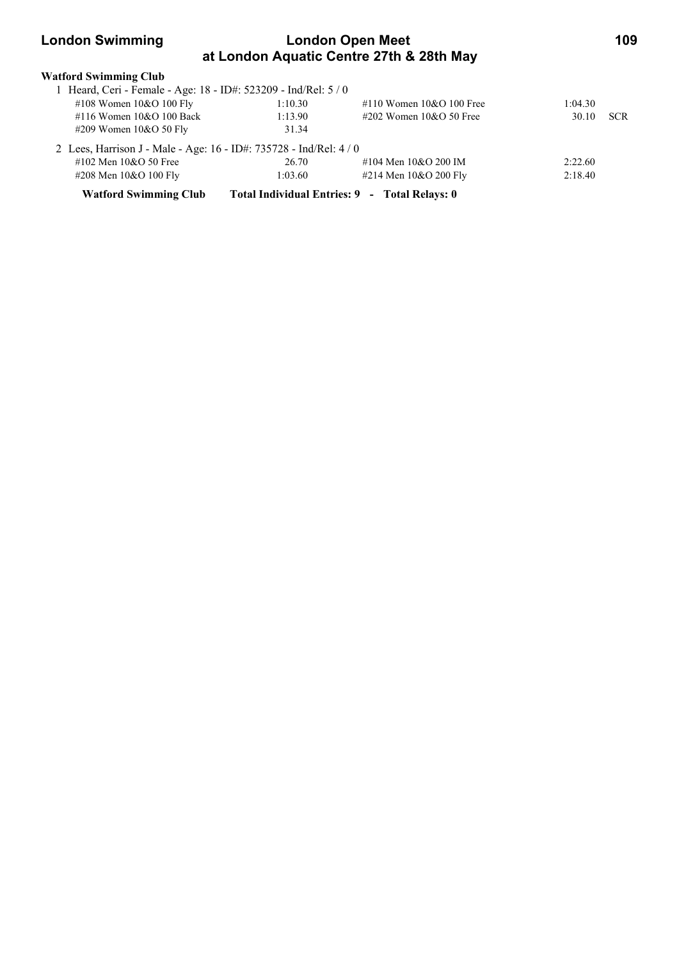## **London Swimming London Open Meet 109 at London Aquatic Centre 27th & 28th May**

| <b>Watford Swimming Club</b>                                       |         |                                               |         |            |
|--------------------------------------------------------------------|---------|-----------------------------------------------|---------|------------|
| 1 Heard, Ceri - Female - Age: 18 - ID#: 523209 - Ind/Rel: 5 / 0    |         |                                               |         |            |
| #108 Women $10&O 100$ Fly                                          | 1:10.30 | #110 Women $10&O 100$ Free                    | 1:04.30 |            |
| #116 Women $10&O$ 100 Back                                         | 1:13.90 | #202 Women $10&O$ 50 Free                     | 30.10   | <b>SCR</b> |
| #209 Women $10&O$ 50 Fly                                           | 31.34   |                                               |         |            |
| 2 Lees, Harrison J - Male - Age: 16 - ID#: 735728 - Ind/Rel: 4 / 0 |         |                                               |         |            |
| $\#102$ Men $10\&O$ 50 Free                                        | 26.70   | #104 Men 10&O 200 IM                          | 2:22.60 |            |
| #208 Men 10&O 100 Fly                                              | 1:03.60 | #214 Men 10&O 200 Fly                         | 2:18.40 |            |
| <b>Watford Swimming Club</b>                                       |         | Total Individual Entries: 9 - Total Relays: 0 |         |            |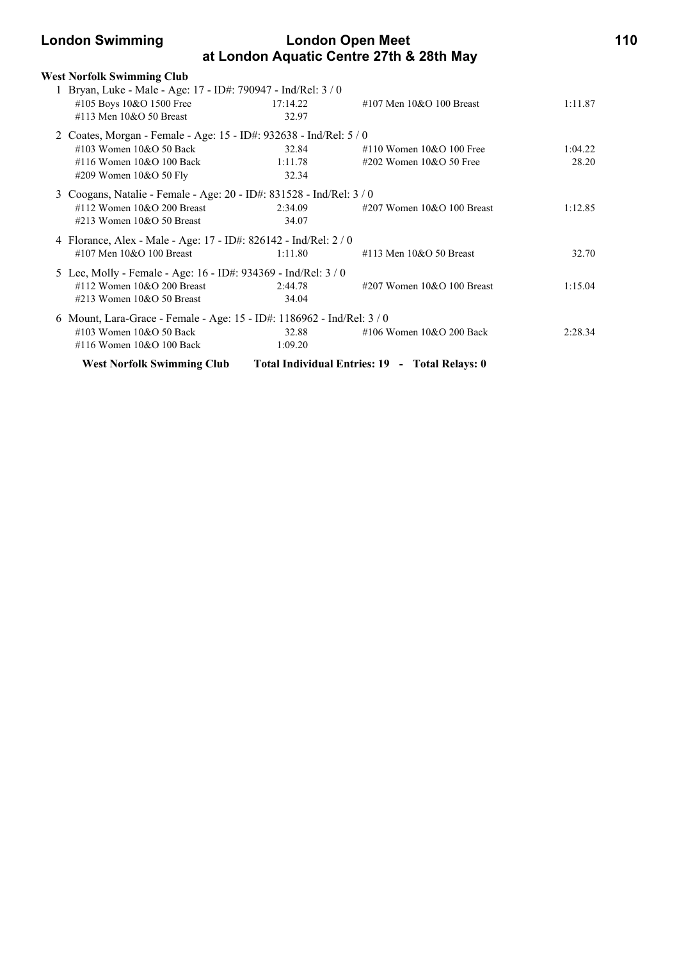| <b>London Swimming</b>                                                                                                                |                           | <b>London Open Meet</b><br>at London Aquatic Centre 27th & 28th May |                  |  |
|---------------------------------------------------------------------------------------------------------------------------------------|---------------------------|---------------------------------------------------------------------|------------------|--|
| <b>West Norfolk Swimming Club</b>                                                                                                     |                           |                                                                     |                  |  |
| 1 Bryan, Luke - Male - Age: 17 - ID#: 790947 - Ind/Rel: 3 / 0                                                                         |                           |                                                                     |                  |  |
| #105 Boys 10&O 1500 Free<br>#113 Men 10&O 50 Breast                                                                                   | 17:14.22<br>32.97         | #107 Men $10&O$ 100 Breast                                          | 1:11.87          |  |
| 2 Coates, Morgan - Female - Age: 15 - ID#: 932638 - Ind/Rel: 5 / 0                                                                    |                           |                                                                     |                  |  |
| #103 Women $10&O$ 50 Back<br>#116 Women $10&O$ 100 Back<br>#209 Women 10&O 50 Fly                                                     | 32.84<br>1:11.78<br>32.34 | $\#110$ Women $10\&O$ 100 Free<br>$\#202$ Women 10&O 50 Free        | 1:04.22<br>28.20 |  |
| 3 Coogans, Natalie - Female - Age: 20 - ID#: 831528 - Ind/Rel: 3 / 0<br>$\#112$ Women 10&O 200 Breast<br>$\#213$ Women 10&O 50 Breast | 2:34.09<br>34.07          | #207 Women $10&O 100$ Breast                                        | 1:12.85          |  |
| 4 Florance, Alex - Male - Age: 17 - ID#: 826142 - Ind/Rel: 2 / 0                                                                      |                           |                                                                     |                  |  |
| #107 Men $10&O$ 100 Breast                                                                                                            | 1:11.80                   | #113 Men $10&O$ 50 Breast                                           | 32.70            |  |
| 5 Lee, Molly - Female - Age: 16 - ID#: 934369 - Ind/Rel: 3 / 0<br>$\#112$ Women 10&O 200 Breast<br>$\#213$ Women $10&O$ 50 Breast     | 2:44.78<br>34.04          | $\#207$ Women 10&O 100 Breast                                       | 1:15.04          |  |
| 6 Mount, Lara-Grace - Female - Age: 15 - ID#: 1186962 - Ind/Rel: 3 / 0                                                                |                           |                                                                     |                  |  |
| #103 Women $10&O$ 50 Back<br>#116 Women $10&O$ 100 Back                                                                               | 32.88<br>1:09.20          | #106 Women $10&O$ 200 Back                                          | 2:28.34          |  |
| <b>West Norfolk Swimming Club</b>                                                                                                     |                           | Total Individual Entries: 19 - Total Relays: 0                      |                  |  |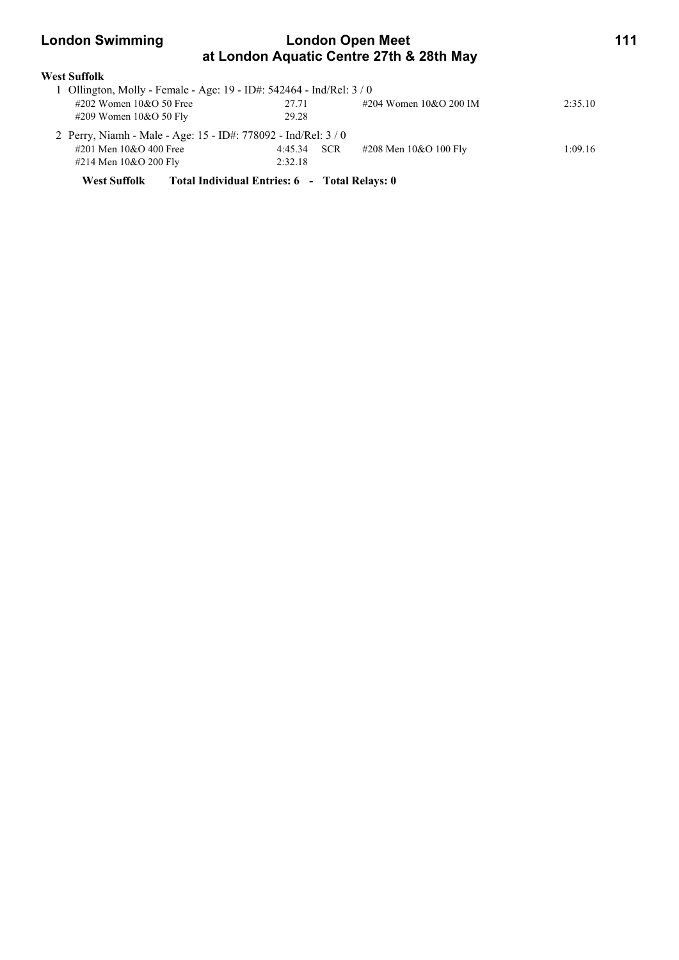| <b>London Swimming</b>                                               | <b>London Open Meet</b><br>at London Aquatic Centre 27th & 28th May |                          |         |
|----------------------------------------------------------------------|---------------------------------------------------------------------|--------------------------|---------|
| <b>West Suffolk</b>                                                  |                                                                     |                          |         |
| 1 Ollington, Molly - Female - Age: 19 - ID#: 542464 - Ind/Rel: 3 / 0 |                                                                     |                          |         |
| $\#202$ Women 10&O 50 Free                                           | 27.71                                                               | #204 Women $10&O$ 200 IM | 2:35.10 |
| $\#209$ Women $10&O 50$ Fly                                          | 29.28                                                               |                          |         |
| 2 Perry, Niamh - Male - Age: 15 - ID#: 778092 - Ind/Rel: 3 / 0       |                                                                     |                          |         |
| #201 Men $10&O$ 400 Free                                             | <b>SCR</b><br>4:45.34                                               | #208 Men 10&O 100 Fly    | 1:09.16 |
| #214 Men $10&O$ 200 Fly                                              | 2:32.18                                                             |                          |         |
| <b>West Suffolk</b>                                                  | Total Individual Entries: 6 - Total Relays: 0                       |                          |         |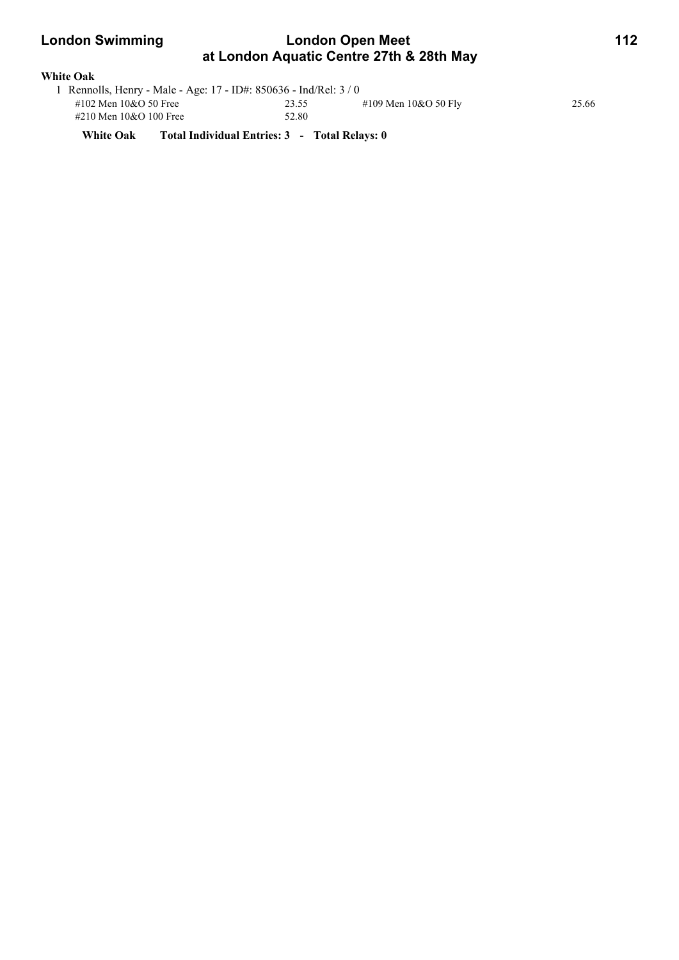### **London Swimming London Open Meet 112 at London Aquatic Centre 27th & 28th May**

| <b>White Oak</b> |  |
|------------------|--|
|------------------|--|

| 1 Rennolls, Henry - Male - Age: 17 - ID#: 850636 - Ind/Rel: 3 / 0 |       |                        |       |  |  |  |
|-------------------------------------------------------------------|-------|------------------------|-------|--|--|--|
| #102 Men $10&O$ 50 Free                                           | 23.55 | #109 Men $10&O 50$ Fly | 25.66 |  |  |  |
| #210 Men 10&O 100 Free                                            | 52.80 |                        |       |  |  |  |

**White Oak Total Individual Entries: 3 - Total Relays: 0**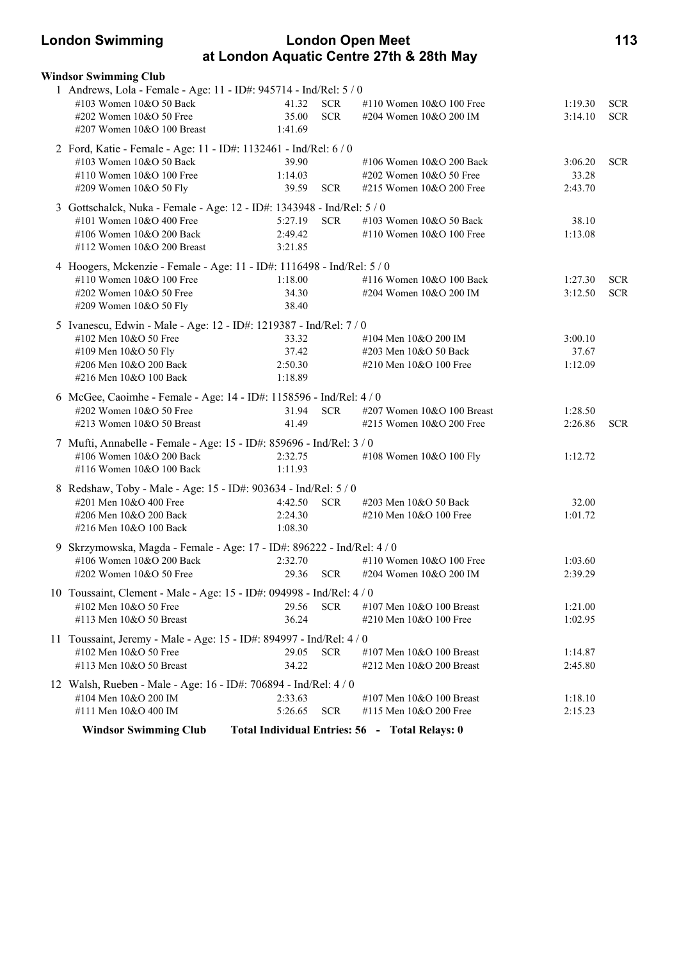### **London Swimming London Open Meet 113 at London Aquatic Centre 27th & 28th May**

| <b>Windsor Swimming Club</b>                                                                                                                                            |                                      |                          |                                                                                 |                             |                          |
|-------------------------------------------------------------------------------------------------------------------------------------------------------------------------|--------------------------------------|--------------------------|---------------------------------------------------------------------------------|-----------------------------|--------------------------|
| 1 Andrews, Lola - Female - Age: 11 - ID#: 945714 - Ind/Rel: 5 / 0<br>#103 Women 10&O 50 Back<br>#202 Women 10&O 50 Free<br>#207 Women 10&O 100 Breast                   | 41.32<br>35.00<br>1:41.69            | <b>SCR</b><br><b>SCR</b> | #110 Women 10&O 100 Free<br>#204 Women 10&O 200 IM                              | 1:19.30<br>3:14.10          | <b>SCR</b><br><b>SCR</b> |
| 2 Ford, Katie - Female - Age: 11 - ID#: 1132461 - Ind/Rel: 6 / 0<br>#103 Women 10&O 50 Back<br>#110 Women 10&O 100 Free<br>#209 Women 10&O 50 Fly                       | 39.90<br>1:14.03<br>39.59            | <b>SCR</b>               | #106 Women 10&O 200 Back<br>#202 Women 10&O 50 Free<br>#215 Women 10&O 200 Free | 3:06.20<br>33.28<br>2:43.70 | <b>SCR</b>               |
| 3 Gottschalck, Nuka - Female - Age: 12 - ID#: 1343948 - Ind/Rel: 5 / 0<br>#101 Women 10&O 400 Free<br>#106 Women 10&O 200 Back<br>#112 Women 10&O 200 Breast            | 5:27.19 SCR<br>2:49.42<br>3:21.85    |                          | #103 Women 10&O 50 Back<br>#110 Women 10&O 100 Free                             | 38.10<br>1:13.08            |                          |
| 4 Hoogers, Mckenzie - Female - Age: 11 - ID#: 1116498 - Ind/Rel: 5 / 0<br>#110 Women 10&O 100 Free<br>#202 Women 10&O 50 Free<br>#209 Women 10&O 50 Fly                 | 1:18.00<br>34.30<br>38.40            |                          | #116 Women 10&O 100 Back<br>#204 Women 10&O 200 IM                              | 1:27.30<br>3:12.50          | <b>SCR</b><br><b>SCR</b> |
| 5 Ivanescu, Edwin - Male - Age: 12 - ID#: 1219387 - Ind/Rel: 7 / 0<br>#102 Men 10&O 50 Free<br>#109 Men 10&O 50 Fly<br>#206 Men 10&O 200 Back<br>#216 Men 10&O 100 Back | 33.32<br>37.42<br>2:50.30<br>1:18.89 |                          | #104 Men 10&O 200 IM<br>#203 Men 10&O 50 Back<br>#210 Men 10&O 100 Free         | 3:00.10<br>37.67<br>1:12.09 |                          |
| 6 McGee, Caoimhe - Female - Age: 14 - ID#: 1158596 - Ind/Rel: 4 / 0<br>#202 Women 10&O 50 Free<br>#213 Women 10&O 50 Breast                                             | 31.94<br>41.49                       | <b>SCR</b>               | #207 Women 10&O 100 Breast<br>#215 Women 10&O 200 Free                          | 1:28.50<br>2:26.86          | <b>SCR</b>               |
| 7 Mufti, Annabelle - Female - Age: 15 - ID#: 859696 - Ind/Rel: 3 / 0<br>#106 Women 10&O 200 Back<br>#116 Women 10&O 100 Back                                            | 2:32.75<br>1:11.93                   |                          | #108 Women 10&O 100 Fly                                                         | 1:12.72                     |                          |
| 8 Redshaw, Toby - Male - Age: 15 - ID#: 903634 - Ind/Rel: 5 / 0<br>#201 Men 10&O 400 Free<br>#206 Men 10&O 200 Back<br>#216 Men 10&O 100 Back                           | 4:42.50<br>2:24.30<br>1:08.30        | <b>SCR</b>               | #203 Men 10&O 50 Back<br>#210 Men 10&O 100 Free                                 | 32.00<br>1:01.72            |                          |
| 9 Skrzymowska, Magda - Female - Age: 17 - ID#: 896222 - Ind/Rel: 4 / 0<br>#106 Women 10&O 200 Back<br>#202 Women 10&O 50 Free                                           | 2:32.70<br>29.36                     | <b>SCR</b>               | #110 Women 10&O 100 Free<br>#204 Women 10&O 200 IM                              | 1:03.60<br>2:39.29          |                          |
| 10 Toussaint, Clement - Male - Age: 15 - ID#: 094998 - Ind/Rel: 4 / 0<br>#102 Men 10&O 50 Free<br>#113 Men 10&O 50 Breast                                               | 29.56<br>36.24                       | <b>SCR</b>               | #107 Men 10&O 100 Breast<br>#210 Men 10&O 100 Free                              | 1:21.00<br>1:02.95          |                          |
| 11 Toussaint, Jeremy - Male - Age: 15 - ID#: 894997 - Ind/Rel: 4 / 0<br>#102 Men 10&O 50 Free<br>#113 Men 10&O 50 Breast                                                | 29.05<br>34.22                       | <b>SCR</b>               | #107 Men $10&O$ 100 Breast<br>#212 Men 10&O 200 Breast                          | 1:14.87<br>2:45.80          |                          |
| 12 Walsh, Rueben - Male - Age: 16 - ID#: 706894 - Ind/Rel: 4 / 0<br>#104 Men 10&O 200 IM<br>#111 Men 10&O 400 IM                                                        | 2:33.63<br>5:26.65                   | <b>SCR</b>               | #107 Men 10&O 100 Breast<br>#115 Men 10&O 200 Free                              | 1:18.10<br>2:15.23          |                          |
| <b>Windsor Swimming Club</b>                                                                                                                                            |                                      |                          | Total Individual Entries: 56 - Total Relays: 0                                  |                             |                          |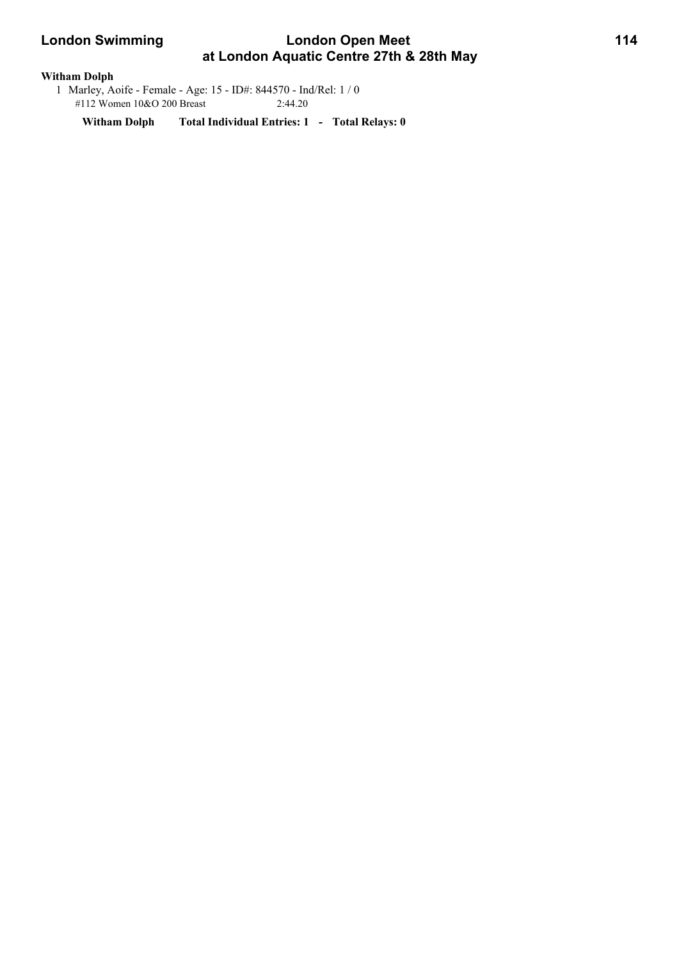# **London Swimming Condon Open Meet 114 at London Aquatic Centre 27th & 28th May**

#### **Witham Dolph**

 1 Marley, Aoife - Female - Age: 15 - ID#: 844570 - Ind/Rel: 1 / 0 #112 Women 10&O 200 Breast 2:44.20

**Witham Dolph Total Individual Entries: 1 - Total Relays: 0**